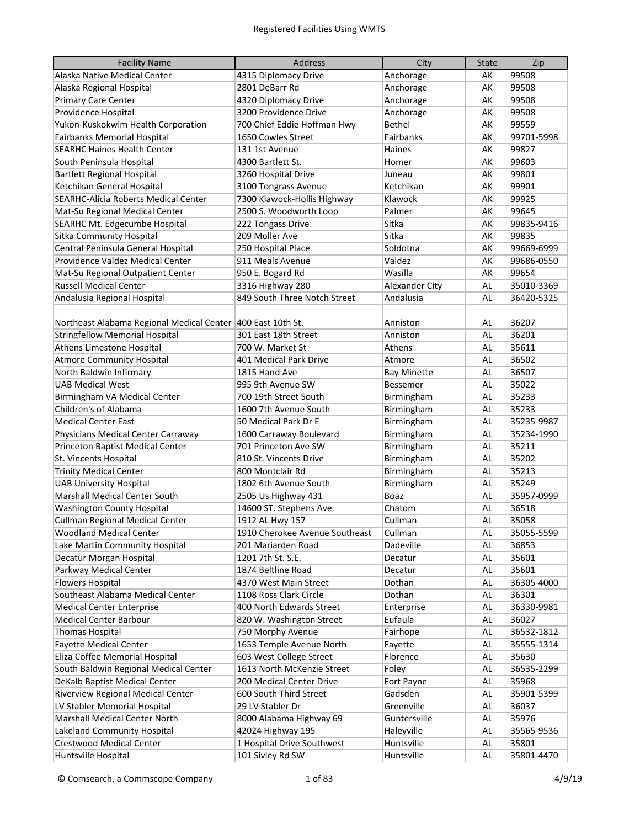| <b>Facility Name</b>                                        | Address                        | City               | <b>State</b> | Zip        |
|-------------------------------------------------------------|--------------------------------|--------------------|--------------|------------|
| Alaska Native Medical Center                                | 4315 Diplomacy Drive           | Anchorage          | AK           | 99508      |
| Alaska Regional Hospital                                    | 2801 DeBarr Rd                 | Anchorage          | AK           | 99508      |
| Primary Care Center                                         | 4320 Diplomacy Drive           | Anchorage          | AK           | 99508      |
| Providence Hospital                                         | 3200 Providence Drive          | Anchorage          | AK           | 99508      |
| Yukon-Kuskokwim Health Corporation                          | 700 Chief Eddie Hoffman Hwy    | Bethel             | AK           | 99559      |
| <b>Fairbanks Memorial Hospital</b>                          | 1650 Cowles Street             | Fairbanks          | AK           | 99701-5998 |
| <b>SEARHC Haines Health Center</b>                          | 131 1st Avenue                 | Haines             | AK           | 99827      |
| South Peninsula Hospital                                    | 4300 Bartlett St.              | Homer              | AK           | 99603      |
| <b>Bartlett Regional Hospital</b>                           | 3260 Hospital Drive            | Juneau             | AK           | 99801      |
| Ketchikan General Hospital                                  | 3100 Tongrass Avenue           | Ketchikan          | AK           | 99901      |
| <b>SEARHC-Alicia Roberts Medical Center</b>                 | 7300 Klawock-Hollis Highway    | Klawock            | AK           | 99925      |
| Mat-Su Regional Medical Center                              | 2500 S. Woodworth Loop         | Palmer             | AK           | 99645      |
| SEARHC Mt. Edgecumbe Hospital                               | 222 Tongass Drive              | Sitka              | AK           | 99835-9416 |
| <b>Sitka Community Hospital</b>                             | 209 Moller Ave                 | Sitka              | AK           | 99835      |
| Central Peninsula General Hospital                          | 250 Hospital Place             | Soldotna           | AK           | 99669-6999 |
| Providence Valdez Medical Center                            | 911 Meals Avenue               | Valdez             | AK           | 99686-0550 |
| Mat-Su Regional Outpatient Center                           | 950 E. Bogard Rd               | Wasilla            | AK           | 99654      |
| <b>Russell Medical Center</b>                               | 3316 Highway 280               | Alexander City     | AL           | 35010-3369 |
| Andalusia Regional Hospital                                 | 849 South Three Notch Street   | Andalusia          | <b>AL</b>    | 36420-5325 |
|                                                             |                                |                    |              |            |
| Northeast Alabama Regional Medical Center 400 East 10th St. |                                | Anniston           | AL           | 36207      |
| <b>Stringfellow Memorial Hospital</b>                       | 301 East 18th Street           | Anniston           | AL           | 36201      |
| Athens Limestone Hospital                                   | 700 W. Market St               | Athens             | AL           | 35611      |
| <b>Atmore Community Hospital</b>                            | 401 Medical Park Drive         | Atmore             | AL           | 36502      |
| North Baldwin Infirmary                                     | 1815 Hand Ave                  | <b>Bay Minette</b> | AL           | 36507      |
| <b>UAB Medical West</b>                                     | 995 9th Avenue SW              | Bessemer           | AL           | 35022      |
| Birmingham VA Medical Center                                | 700 19th Street South          | Birmingham         | AL           | 35233      |
| Children's of Alabama                                       | 1600 7th Avenue South          | Birmingham         | AL           | 35233      |
| <b>Medical Center East</b>                                  | 50 Medical Park Dr E           | Birmingham         | AL           | 35235-9987 |
| Physicians Medical Center Carraway                          | 1600 Carraway Boulevard        | Birmingham         | AL           | 35234-1990 |
| Princeton Baptist Medical Center                            | 701 Princeton Ave SW           | Birmingham         | AL           | 35211      |
| St. Vincents Hospital                                       | 810 St. Vincents Drive         | Birmingham         | AL           | 35202      |
| <b>Trinity Medical Center</b>                               | 800 Montclair Rd               | Birmingham         | AL           | 35213      |
| <b>UAB University Hospital</b>                              | 1802 6th Avenue South          | Birmingham         | AL           | 35249      |
| Marshall Medical Center South                               | 2505 Us Highway 431            | Boaz               | AL           | 35957-0999 |
| <b>Washington County Hospital</b>                           | 14600 ST. Stephens Ave         | Chatom             | AL           | 36518      |
| Cullman Regional Medical Center                             | 1912 AL Hwy 157                | Cullman            | AL           | 35058      |
| <b>Woodland Medical Center</b>                              | 1910 Cherokee Avenue Southeast | Cullman            | AL           | 35055-5599 |
| Lake Martin Community Hospital                              | 201 Mariarden Road             | Dadeville          | AL           | 36853      |
| Decatur Morgan Hospital                                     | 1201 7th St. S.E.              | Decatur            | AL           | 35601      |
| Parkway Medical Center                                      | 1874 Beltline Road             | Decatur            | AL           | 35601      |
| <b>Flowers Hospital</b>                                     | 4370 West Main Street          | Dothan             | AL           | 36305-4000 |
| Southeast Alabama Medical Center                            | 1108 Ross Clark Circle         | Dothan             | AL           | 36301      |
| <b>Medical Center Enterprise</b>                            | 400 North Edwards Street       | Enterprise         | AL           | 36330-9981 |
| <b>Medical Center Barbour</b>                               | 820 W. Washington Street       | Eufaula            | AL           | 36027      |
| <b>Thomas Hospital</b>                                      | 750 Morphy Avenue              | Fairhope           | AL           | 36532-1812 |
| <b>Fayette Medical Center</b>                               | 1653 Temple Avenue North       | Fayette            | AL           | 35555-1314 |
| Eliza Coffee Memorial Hospital                              | 603 West College Street        | Florence           | AL           | 35630      |
| South Baldwin Regional Medical Center                       | 1613 North McKenzie Street     | Foley              | AL           | 36535-2299 |
| DeKalb Baptist Medical Center                               | 200 Medical Center Drive       | Fort Payne         | AL           | 35968      |
| Riverview Regional Medical Center                           | 600 South Third Street         | Gadsden            | AL           | 35901-5399 |
| LV Stabler Memorial Hospital                                | 29 LV Stabler Dr               | Greenville         | AL           | 36037      |
| Marshall Medical Center North                               | 8000 Alabama Highway 69        | Guntersville       | AL           | 35976      |
| Lakeland Community Hospital                                 | 42024 Highway 195              | Haleyville         | AL           | 35565-9536 |
| <b>Crestwood Medical Center</b>                             | 1 Hospital Drive Southwest     | Huntsville         | AL           | 35801      |
| Huntsville Hospital                                         | 101 Sivley Rd SW               | Huntsville         | AL           | 35801-4470 |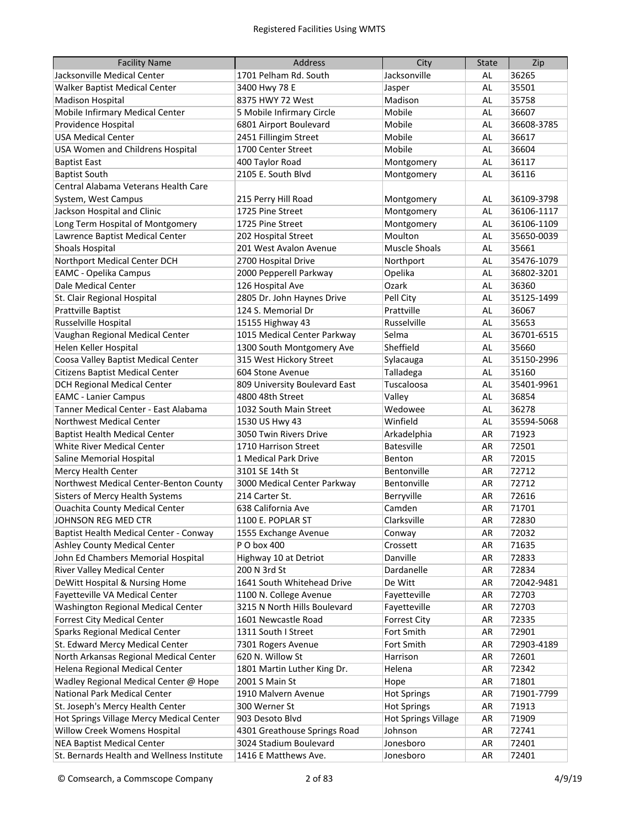| <b>Facility Name</b>                                                            | <b>Address</b>                                         | City                       | <b>State</b> | Zip            |
|---------------------------------------------------------------------------------|--------------------------------------------------------|----------------------------|--------------|----------------|
| Jacksonville Medical Center                                                     | 1701 Pelham Rd. South                                  | Jacksonville               | AL           | 36265          |
| Walker Baptist Medical Center                                                   | 3400 Hwy 78 E                                          | Jasper                     | AL           | 35501          |
| <b>Madison Hospital</b>                                                         | 8375 HWY 72 West                                       | Madison                    | AL           | 35758          |
| Mobile Infirmary Medical Center                                                 | 5 Mobile Infirmary Circle                              | Mobile                     | AL           | 36607          |
| Providence Hospital                                                             | 6801 Airport Boulevard                                 | Mobile                     | AL           | 36608-3785     |
| <b>USA Medical Center</b>                                                       | 2451 Fillingim Street                                  | Mobile                     | AL           | 36617          |
| <b>USA Women and Childrens Hospital</b>                                         | 1700 Center Street                                     | Mobile                     | AL           | 36604          |
| <b>Baptist East</b>                                                             | 400 Taylor Road                                        | Montgomery                 | AL           | 36117          |
| <b>Baptist South</b>                                                            | 2105 E. South Blvd                                     | Montgomery                 | AL           | 36116          |
| Central Alabama Veterans Health Care                                            |                                                        |                            |              |                |
| System, West Campus                                                             | 215 Perry Hill Road                                    | Montgomery                 | AL           | 36109-3798     |
| Jackson Hospital and Clinic                                                     | 1725 Pine Street                                       | Montgomery                 | AL           | 36106-1117     |
| Long Term Hospital of Montgomery                                                | 1725 Pine Street                                       | Montgomery                 | AL           | 36106-1109     |
| Lawrence Baptist Medical Center                                                 | 202 Hospital Street                                    | Moulton                    | AL           | 35650-0039     |
| <b>Shoals Hospital</b>                                                          | 201 West Avalon Avenue                                 | Muscle Shoals              | AL           | 35661          |
| Northport Medical Center DCH                                                    | 2700 Hospital Drive                                    | Northport                  | AL           | 35476-1079     |
| <b>EAMC - Opelika Campus</b>                                                    | 2000 Pepperell Parkway                                 | Opelika                    | AL           | 36802-3201     |
| Dale Medical Center                                                             | 126 Hospital Ave                                       | Ozark                      | AL           | 36360          |
| St. Clair Regional Hospital                                                     | 2805 Dr. John Haynes Drive                             | Pell City                  | AL           | 35125-1499     |
| Prattville Baptist                                                              | 124 S. Memorial Dr                                     | Prattville                 | AL           | 36067          |
| Russelville Hospital                                                            | 15155 Highway 43                                       | Russelville                | AL           | 35653          |
| Vaughan Regional Medical Center                                                 | 1015 Medical Center Parkway                            | Selma                      | AL           | 36701-6515     |
| Helen Keller Hospital                                                           | 1300 South Montgomery Ave                              | Sheffield                  | AL           | 35660          |
| Coosa Valley Baptist Medical Center                                             | 315 West Hickory Street                                | Sylacauga                  | AL           | 35150-2996     |
| <b>Citizens Baptist Medical Center</b>                                          | 604 Stone Avenue                                       | Talladega                  | AL           | 35160          |
| <b>DCH Regional Medical Center</b>                                              | 809 University Boulevard East                          | Tuscaloosa                 | AL           | 35401-9961     |
| <b>EAMC</b> - Lanier Campus                                                     | 4800 48th Street                                       | Valley                     | AL           | 36854          |
| Tanner Medical Center - East Alabama                                            | 1032 South Main Street                                 | Wedowee                    | AL           | 36278          |
| <b>Northwest Medical Center</b>                                                 | 1530 US Hwy 43                                         | Winfield                   | AL           | 35594-5068     |
| <b>Baptist Health Medical Center</b>                                            | 3050 Twin Rivers Drive                                 | Arkadelphia                | AR           | 71923          |
| White River Medical Center                                                      | 1710 Harrison Street                                   | <b>Batesville</b>          | AR           | 72501          |
| Saline Memorial Hospital                                                        | 1 Medical Park Drive                                   | Benton                     | AR           | 72015          |
| Mercy Health Center                                                             | 3101 SE 14th St                                        | Bentonville                | AR           | 72712          |
| Northwest Medical Center-Benton County                                          | 3000 Medical Center Parkway                            | Bentonville                | AR           | 72712          |
| <b>Sisters of Mercy Health Systems</b>                                          | 214 Carter St.                                         | Berryville                 | AR           | 72616          |
| <b>Ouachita County Medical Center</b>                                           | 638 California Ave                                     | Camden                     | AR           | 71701          |
| JOHNSON REG MED CTR                                                             | 1100 E. POPLAR ST                                      | Clarksville                | AR           | 72830          |
| Baptist Health Medical Center - Conway                                          | 1555 Exchange Avenue                                   | Conway                     | AR           | 72032          |
| Ashley County Medical Center                                                    | P O box 400                                            | Crossett                   | AR           | 71635          |
| John Ed Chambers Memorial Hospital                                              | Highway 10 at Detriot                                  | Danville                   | AR           | 72833          |
| <b>River Valley Medical Center</b>                                              | 200 N 3rd St                                           | Dardanelle                 | AR           | 72834          |
| DeWitt Hospital & Nursing Home                                                  | 1641 South Whitehead Drive                             | De Witt                    | AR           | 72042-9481     |
| Fayetteville VA Medical Center                                                  | 1100 N. College Avenue                                 | Fayetteville               | AR           | 72703          |
| Washington Regional Medical Center                                              | 3215 N North Hills Boulevard                           | Fayetteville               | AR           | 72703          |
| <b>Forrest City Medical Center</b>                                              | 1601 Newcastle Road                                    | <b>Forrest City</b>        | AR           | 72335          |
| Sparks Regional Medical Center                                                  | 1311 South I Street                                    | Fort Smith                 | AR           | 72901          |
| St. Edward Mercy Medical Center                                                 | 7301 Rogers Avenue                                     | Fort Smith                 | AR           | 72903-4189     |
| North Arkansas Regional Medical Center                                          | 620 N. Willow St                                       | Harrison                   | AR           | 72601          |
| Helena Regional Medical Center                                                  | 1801 Martin Luther King Dr.                            | Helena                     | AR           | 72342          |
| Wadley Regional Medical Center @ Hope                                           | 2001 S Main St                                         | Hope                       | AR           | 71801          |
| National Park Medical Center                                                    | 1910 Malvern Avenue                                    | <b>Hot Springs</b>         | AR           | 71901-7799     |
| St. Joseph's Mercy Health Center                                                | 300 Werner St                                          | <b>Hot Springs</b>         | AR           | 71913          |
| Hot Springs Village Mercy Medical Center                                        | 903 Desoto Blvd                                        | <b>Hot Springs Village</b> | AR           | 71909          |
| Willow Creek Womens Hospital                                                    | 4301 Greathouse Springs Road<br>3024 Stadium Boulevard | Johnson                    | AR           | 72741          |
| <b>NEA Baptist Medical Center</b><br>St. Bernards Health and Wellness Institute | 1416 E Matthews Ave.                                   | Jonesboro<br>Jonesboro     | AR<br>AR     | 72401<br>72401 |
|                                                                                 |                                                        |                            |              |                |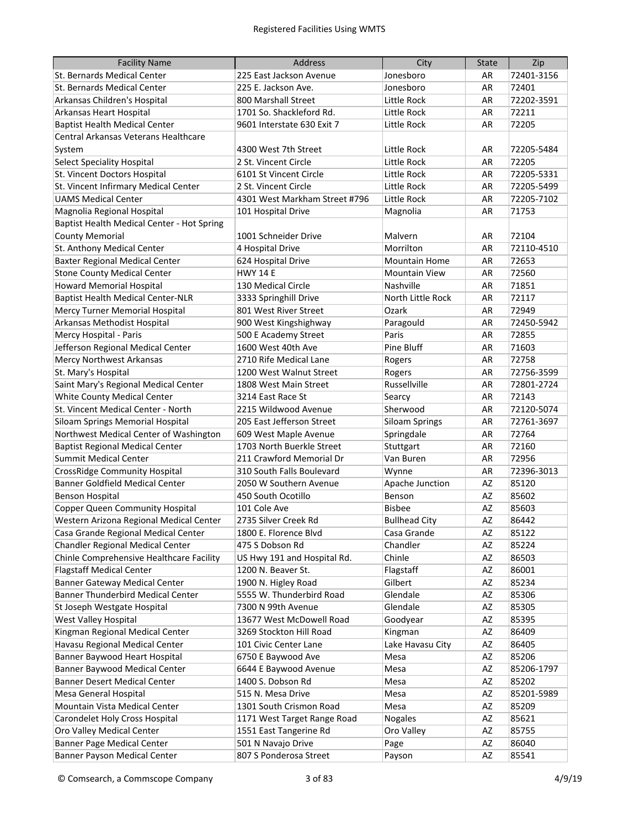| <b>Facility Name</b>                       | Address                       | City                  | <b>State</b> | Zip        |
|--------------------------------------------|-------------------------------|-----------------------|--------------|------------|
| St. Bernards Medical Center                | 225 East Jackson Avenue       | Jonesboro             | AR           | 72401-3156 |
| St. Bernards Medical Center                | 225 E. Jackson Ave.           | Jonesboro             | AR           | 72401      |
| Arkansas Children's Hospital               | 800 Marshall Street           | Little Rock           | AR           | 72202-3591 |
| Arkansas Heart Hospital                    | 1701 So. Shackleford Rd.      | Little Rock           | AR           | 72211      |
| <b>Baptist Health Medical Center</b>       | 9601 Interstate 630 Exit 7    | Little Rock           | AR           | 72205      |
| Central Arkansas Veterans Healthcare       |                               |                       |              |            |
| System                                     | 4300 West 7th Street          | Little Rock           | AR           | 72205-5484 |
| <b>Select Speciality Hospital</b>          | 2 St. Vincent Circle          | Little Rock           | AR           | 72205      |
| St. Vincent Doctors Hospital               | 6101 St Vincent Circle        | Little Rock           | AR           | 72205-5331 |
| St. Vincent Infirmary Medical Center       | 2 St. Vincent Circle          | Little Rock           | AR           | 72205-5499 |
| <b>UAMS Medical Center</b>                 | 4301 West Markham Street #796 | Little Rock           | AR           | 72205-7102 |
| Magnolia Regional Hospital                 | 101 Hospital Drive            | Magnolia              | AR           | 71753      |
| Baptist Health Medical Center - Hot Spring |                               |                       |              |            |
| <b>County Memorial</b>                     | 1001 Schneider Drive          | Malvern               | AR           | 72104      |
| St. Anthony Medical Center                 | 4 Hospital Drive              | Morrilton             | AR           | 72110-4510 |
| <b>Baxter Regional Medical Center</b>      | 624 Hospital Drive            | <b>Mountain Home</b>  | AR           | 72653      |
| <b>Stone County Medical Center</b>         | <b>HWY 14 E</b>               | <b>Mountain View</b>  | AR           | 72560      |
| <b>Howard Memorial Hospital</b>            | 130 Medical Circle            | Nashville             | AR           | 71851      |
| <b>Baptist Health Medical Center-NLR</b>   | 3333 Springhill Drive         | North Little Rock     | AR           | 72117      |
| Mercy Turner Memorial Hospital             | 801 West River Street         | Ozark                 | AR           | 72949      |
| Arkansas Methodist Hospital                | 900 West Kingshighway         | Paragould             | AR           | 72450-5942 |
| Mercy Hospital - Paris                     | 500 E Academy Street          | Paris                 | AR           | 72855      |
| Jefferson Regional Medical Center          | 1600 West 40th Ave            | Pine Bluff            | AR           | 71603      |
| Mercy Northwest Arkansas                   | 2710 Rife Medical Lane        | Rogers                | AR           | 72758      |
| St. Mary's Hospital                        | 1200 West Walnut Street       | Rogers                | AR           | 72756-3599 |
| Saint Mary's Regional Medical Center       | 1808 West Main Street         | Russellville          | AR           | 72801-2724 |
| White County Medical Center                | 3214 East Race St             | Searcy                | AR           | 72143      |
| St. Vincent Medical Center - North         | 2215 Wildwood Avenue          | Sherwood              | AR           | 72120-5074 |
| Siloam Springs Memorial Hospital           | 205 East Jefferson Street     | <b>Siloam Springs</b> | AR           | 72761-3697 |
| Northwest Medical Center of Washington     | 609 West Maple Avenue         | Springdale            | AR           | 72764      |
| <b>Baptist Regional Medical Center</b>     | 1703 North Buerkle Street     | Stuttgart             | AR           | 72160      |
| <b>Summit Medical Center</b>               | 211 Crawford Memorial Dr      | Van Buren             | AR           | 72956      |
| <b>CrossRidge Community Hospital</b>       | 310 South Falls Boulevard     | Wynne                 | AR           | 72396-3013 |
| <b>Banner Goldfield Medical Center</b>     | 2050 W Southern Avenue        | Apache Junction       | AZ           | 85120      |
| <b>Benson Hospital</b>                     | 450 South Ocotillo            | Benson                | AZ           | 85602      |
| <b>Copper Queen Community Hospital</b>     | 101 Cole Ave                  | <b>Bisbee</b>         | AZ           | 85603      |
| Western Arizona Regional Medical Center    | 2735 Silver Creek Rd          | <b>Bullhead City</b>  | AZ           | 86442      |
| Casa Grande Regional Medical Center        | 1800 E. Florence Blvd         | Casa Grande           | AZ           | 85122      |
| Chandler Regional Medical Center           | 475 S Dobson Rd               | Chandler              | AZ           | 85224      |
| Chinle Comprehensive Healthcare Facility   | US Hwy 191 and Hospital Rd.   | Chinle                | AZ           | 86503      |
| <b>Flagstaff Medical Center</b>            | 1200 N. Beaver St.            | Flagstaff             | AZ           | 86001      |
| <b>Banner Gateway Medical Center</b>       | 1900 N. Higley Road           | Gilbert               | AZ           | 85234      |
| Banner Thunderbird Medical Center          | 5555 W. Thunderbird Road      | Glendale              | AZ           | 85306      |
| St Joseph Westgate Hospital                | 7300 N 99th Avenue            | Glendale              | AZ           | 85305      |
| West Valley Hospital                       | 13677 West McDowell Road      | Goodyear              | AZ           | 85395      |
| Kingman Regional Medical Center            | 3269 Stockton Hill Road       | Kingman               | AZ           | 86409      |
| Havasu Regional Medical Center             | 101 Civic Center Lane         | Lake Havasu City      | AZ           | 86405      |
| Banner Baywood Heart Hospital              | 6750 E Baywood Ave            | Mesa                  | AZ           | 85206      |
| Banner Baywood Medical Center              | 6644 E Baywood Avenue         | Mesa                  | AZ           | 85206-1797 |
| <b>Banner Desert Medical Center</b>        | 1400 S. Dobson Rd             | Mesa                  | AZ           | 85202      |
| Mesa General Hospital                      | 515 N. Mesa Drive             | Mesa                  | AZ           | 85201-5989 |
| Mountain Vista Medical Center              | 1301 South Crismon Road       | Mesa                  | AZ           | 85209      |
| Carondelet Holy Cross Hospital             | 1171 West Target Range Road   | Nogales               | AZ           | 85621      |
| Oro Valley Medical Center                  | 1551 East Tangerine Rd        | Oro Valley            | AZ           | 85755      |
| <b>Banner Page Medical Center</b>          | 501 N Navajo Drive            | Page                  | AZ           | 86040      |
| Banner Payson Medical Center               | 807 S Ponderosa Street        | Payson                | AZ           | 85541      |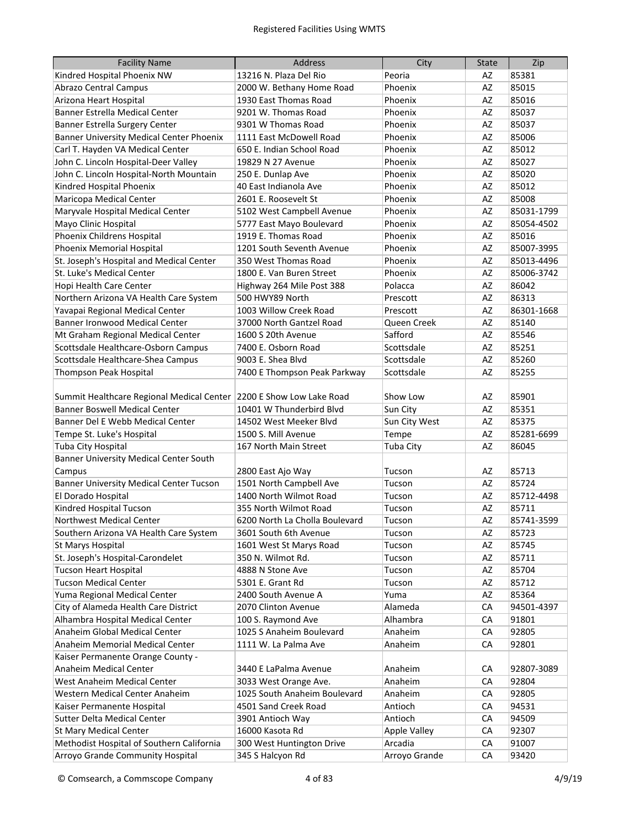| <b>Facility Name</b>                                                | <b>Address</b>                 | City                | <b>State</b> | Zip        |
|---------------------------------------------------------------------|--------------------------------|---------------------|--------------|------------|
| Kindred Hospital Phoenix NW                                         | 13216 N. Plaza Del Rio         | Peoria              | AZ           | 85381      |
| <b>Abrazo Central Campus</b>                                        | 2000 W. Bethany Home Road      | Phoenix             | AZ           | 85015      |
| Arizona Heart Hospital                                              | 1930 East Thomas Road          | Phoenix             | AZ           | 85016      |
| Banner Estrella Medical Center                                      | 9201 W. Thomas Road            | Phoenix             | AZ           | 85037      |
| Banner Estrella Surgery Center                                      | 9301 W Thomas Road             | Phoenix             | AZ           | 85037      |
| <b>Banner University Medical Center Phoenix</b>                     | 1111 East McDowell Road        | Phoenix             | AZ           | 85006      |
| Carl T. Hayden VA Medical Center                                    | 650 E. Indian School Road      | Phoenix             | AZ           | 85012      |
| John C. Lincoln Hospital-Deer Valley                                | 19829 N 27 Avenue              | Phoenix             | AZ           | 85027      |
| John C. Lincoln Hospital-North Mountain                             | 250 E. Dunlap Ave              | Phoenix             | AZ           | 85020      |
| Kindred Hospital Phoenix                                            | 40 East Indianola Ave          | Phoenix             | AZ           | 85012      |
| Maricopa Medical Center                                             | 2601 E. Roosevelt St           | Phoenix             | AZ           | 85008      |
| Maryvale Hospital Medical Center                                    | 5102 West Campbell Avenue      | Phoenix             | AZ           | 85031-1799 |
| Mayo Clinic Hospital                                                | 5777 East Mayo Boulevard       | Phoenix             | AZ           | 85054-4502 |
| Phoenix Childrens Hospital                                          | 1919 E. Thomas Road            | Phoenix             | <b>AZ</b>    | 85016      |
| Phoenix Memorial Hospital                                           | 1201 South Seventh Avenue      | Phoenix             | <b>AZ</b>    | 85007-3995 |
| St. Joseph's Hospital and Medical Center                            | 350 West Thomas Road           | Phoenix             | <b>AZ</b>    | 85013-4496 |
| St. Luke's Medical Center                                           | 1800 E. Van Buren Street       | Phoenix             | AZ           | 85006-3742 |
| Hopi Health Care Center                                             | Highway 264 Mile Post 388      | Polacca             | AZ           | 86042      |
| Northern Arizona VA Health Care System                              | 500 HWY89 North                | Prescott            | AZ           | 86313      |
| Yavapai Regional Medical Center                                     | 1003 Willow Creek Road         | Prescott            | AZ           | 86301-1668 |
| <b>Banner Ironwood Medical Center</b>                               | 37000 North Gantzel Road       | Queen Creek         | AZ           | 85140      |
| Mt Graham Regional Medical Center                                   | 1600 S 20th Avenue             | Safford             | AZ           | 85546      |
| Scottsdale Healthcare-Osborn Campus                                 | 7400 E. Osborn Road            | Scottsdale          | AZ           | 85251      |
| Scottsdale Healthcare-Shea Campus                                   | 9003 E. Shea Blvd              | Scottsdale          | AZ           | 85260      |
|                                                                     |                                |                     | AZ           |            |
| Thompson Peak Hospital                                              | 7400 E Thompson Peak Parkway   | Scottsdale          |              | 85255      |
|                                                                     |                                |                     |              |            |
| Summit Healthcare Regional Medical Center 2200 E Show Low Lake Road |                                | Show Low            | AZ           | 85901      |
| <b>Banner Boswell Medical Center</b>                                | 10401 W Thunderbird Blvd       | Sun City            | AZ           | 85351      |
| Banner Del E Webb Medical Center                                    | 14502 West Meeker Blvd         | Sun City West       | AZ           | 85375      |
| Tempe St. Luke's Hospital                                           | 1500 S. Mill Avenue            | Tempe               | AZ           | 85281-6699 |
| Tuba City Hospital                                                  | 167 North Main Street          | Tuba City           | AZ           | 86045      |
| <b>Banner University Medical Center South</b>                       |                                |                     |              |            |
| Campus                                                              | 2800 East Ajo Way              | Tucson              | AZ           | 85713      |
| <b>Banner University Medical Center Tucson</b>                      | 1501 North Campbell Ave        | Tucson              | AZ           | 85724      |
| El Dorado Hospital                                                  | 1400 North Wilmot Road         | Tucson              | AZ           | 85712-4498 |
| Kindred Hospital Tucson                                             | 355 North Wilmot Road          | Tucson              | AZ           | 85711      |
| Northwest Medical Center                                            | 6200 North La Cholla Boulevard | Tucson              | AZ           | 85741-3599 |
| Southern Arizona VA Health Care System                              | 3601 South 6th Avenue          | Tucson              | AZ           | 85723      |
| St Marys Hospital                                                   | 1601 West St Marys Road        | Tucson              | AZ           | 85745      |
| St. Joseph's Hospital-Carondelet                                    | 350 N. Wilmot Rd.              | Tucson              | AZ           | 85711      |
| <b>Tucson Heart Hospital</b>                                        | 4888 N Stone Ave               | Tucson              | AZ           | 85704      |
| <b>Tucson Medical Center</b>                                        | 5301 E. Grant Rd               | Tucson              | AZ           | 85712      |
| Yuma Regional Medical Center                                        | 2400 South Avenue A            | Yuma                | AZ           | 85364      |
| City of Alameda Health Care District                                | 2070 Clinton Avenue            | Alameda             | CA           | 94501-4397 |
| Alhambra Hospital Medical Center                                    | 100 S. Raymond Ave             | Alhambra            | CA           | 91801      |
| Anaheim Global Medical Center                                       | 1025 S Anaheim Boulevard       | Anaheim             | CA           | 92805      |
| Anaheim Memorial Medical Center                                     | 1111 W. La Palma Ave           | Anaheim             | CA           | 92801      |
| Kaiser Permanente Orange County -                                   |                                |                     |              |            |
| Anaheim Medical Center                                              | 3440 E LaPalma Avenue          | Anaheim             | CA           | 92807-3089 |
| West Anaheim Medical Center                                         | 3033 West Orange Ave.          | Anaheim             | CA           | 92804      |
| Western Medical Center Anaheim                                      | 1025 South Anaheim Boulevard   | Anaheim             | CA           | 92805      |
| Kaiser Permanente Hospital                                          | 4501 Sand Creek Road           | Antioch             | СA           | 94531      |
| Sutter Delta Medical Center                                         | 3901 Antioch Way               | Antioch             | СA           | 94509      |
| <b>St Mary Medical Center</b>                                       | 16000 Kasota Rd                | <b>Apple Valley</b> | СA           | 92307      |
| Methodist Hospital of Southern California                           | 300 West Huntington Drive      | Arcadia             | СA           | 91007      |
| Arroyo Grande Community Hospital                                    | 345 S Halcyon Rd               | Arroyo Grande       | CA           | 93420      |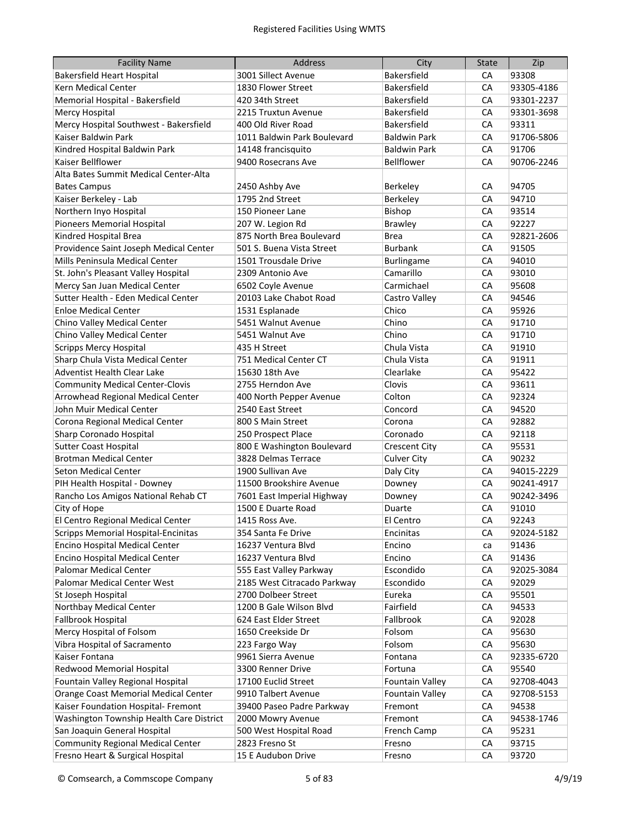| <b>Facility Name</b>                       | <b>Address</b>              | City                   | <b>State</b> | Zip        |
|--------------------------------------------|-----------------------------|------------------------|--------------|------------|
| <b>Bakersfield Heart Hospital</b>          | 3001 Sillect Avenue         | Bakersfield            | CA           | 93308      |
| Kern Medical Center                        | 1830 Flower Street          | Bakersfield            | <b>CA</b>    | 93305-4186 |
| Memorial Hospital - Bakersfield            | 420 34th Street             | Bakersfield            | CA           | 93301-2237 |
| <b>Mercy Hospital</b>                      | 2215 Truxtun Avenue         | Bakersfield            | CA           | 93301-3698 |
| Mercy Hospital Southwest - Bakersfield     | 400 Old River Road          | Bakersfield            | CA           | 93311      |
| Kaiser Baldwin Park                        | 1011 Baldwin Park Boulevard | <b>Baldwin Park</b>    | CA           | 91706-5806 |
| Kindred Hospital Baldwin Park              | 14148 francisquito          | <b>Baldwin Park</b>    | CA           | 91706      |
| Kaiser Bellflower                          | 9400 Rosecrans Ave          | Bellflower             | CA           | 90706-2246 |
| Alta Bates Summit Medical Center-Alta      |                             |                        |              |            |
| <b>Bates Campus</b>                        | 2450 Ashby Ave              | Berkeley               | CA           | 94705      |
| Kaiser Berkeley - Lab                      | 1795 2nd Street             | Berkeley               | CA           | 94710      |
| Northern Inyo Hospital                     | 150 Pioneer Lane            | Bishop                 | CA           | 93514      |
| Pioneers Memorial Hospital                 | 207 W. Legion Rd            | <b>Brawley</b>         | CA           | 92227      |
| Kindred Hospital Brea                      | 875 North Brea Boulevard    | <b>Brea</b>            | CA           | 92821-2606 |
| Providence Saint Joseph Medical Center     | 501 S. Buena Vista Street   | <b>Burbank</b>         | CA           | 91505      |
| Mills Peninsula Medical Center             | 1501 Trousdale Drive        | Burlingame             | CA           | 94010      |
| St. John's Pleasant Valley Hospital        | 2309 Antonio Ave            | Camarillo              | CA           | 93010      |
| Mercy San Juan Medical Center              | 6502 Coyle Avenue           | Carmichael             | CA           | 95608      |
| Sutter Health - Eden Medical Center        | 20103 Lake Chabot Road      | Castro Valley          | CA           | 94546      |
| <b>Enloe Medical Center</b>                | 1531 Esplanade              | Chico                  | CA           | 95926      |
| Chino Valley Medical Center                | 5451 Walnut Avenue          | Chino                  | CA           | 91710      |
| Chino Valley Medical Center                | 5451 Walnut Ave             | Chino                  | CA           | 91710      |
| <b>Scripps Mercy Hospital</b>              | 435 H Street                | Chula Vista            | CA           | 91910      |
| Sharp Chula Vista Medical Center           | 751 Medical Center CT       | Chula Vista            | CA           | 91911      |
| Adventist Health Clear Lake                | 15630 18th Ave              | Clearlake              | CA           | 95422      |
| <b>Community Medical Center-Clovis</b>     | 2755 Herndon Ave            | Clovis                 | CA           | 93611      |
| Arrowhead Regional Medical Center          | 400 North Pepper Avenue     | Colton                 | CA           | 92324      |
| John Muir Medical Center                   | 2540 East Street            | Concord                | CA           | 94520      |
| Corona Regional Medical Center             | 800 S Main Street           | Corona                 | CA           | 92882      |
| Sharp Coronado Hospital                    | 250 Prospect Place          | Coronado               | CA           | 92118      |
| <b>Sutter Coast Hospital</b>               | 800 E Washington Boulevard  | <b>Crescent City</b>   | CA           | 95531      |
| <b>Brotman Medical Center</b>              | 3828 Delmas Terrace         | <b>Culver City</b>     | CA           | 90232      |
| <b>Seton Medical Center</b>                | 1900 Sullivan Ave           | Daly City              | CA           | 94015-2229 |
| PIH Health Hospital - Downey               | 11500 Brookshire Avenue     | Downey                 | CA           | 90241-4917 |
| Rancho Los Amigos National Rehab CT        | 7601 East Imperial Highway  | Downey                 | <b>CA</b>    | 90242-3496 |
| City of Hope                               | 1500 E Duarte Road          | Duarte                 | CA           | 91010      |
| El Centro Regional Medical Center          | 1415 Ross Ave.              | El Centro              | СA           | 92243      |
| <b>Scripps Memorial Hospital-Encinitas</b> | 354 Santa Fe Drive          | Encinitas              | CA           | 92024-5182 |
| Encino Hospital Medical Center             | 16237 Ventura Blvd          | Encino                 | ca           | 91436      |
| Encino Hospital Medical Center             | 16237 Ventura Blvd          | Encino                 | CA           | 91436      |
| Palomar Medical Center                     | 555 East Valley Parkway     | Escondido              | СA           | 92025-3084 |
| Palomar Medical Center West                | 2185 West Citracado Parkway | Escondido              | СA           | 92029      |
| St Joseph Hospital                         | 2700 Dolbeer Street         | Eureka                 | CA           | 95501      |
| Northbay Medical Center                    | 1200 B Gale Wilson Blvd     | Fairfield              | CA           | 94533      |
| Fallbrook Hospital                         | 624 East Elder Street       | Fallbrook              | СA           | 92028      |
| Mercy Hospital of Folsom                   | 1650 Creekside Dr           | Folsom                 | СA           | 95630      |
| Vibra Hospital of Sacramento               | 223 Fargo Way               | Folsom                 | CA           | 95630      |
| Kaiser Fontana                             | 9961 Sierra Avenue          | Fontana                | СA           | 92335-6720 |
| Redwood Memorial Hospital                  | 3300 Renner Drive           | Fortuna                | CA           | 95540      |
| Fountain Valley Regional Hospital          | 17100 Euclid Street         | Fountain Valley        | CA           | 92708-4043 |
| Orange Coast Memorial Medical Center       | 9910 Talbert Avenue         | <b>Fountain Valley</b> | CA           | 92708-5153 |
| Kaiser Foundation Hospital- Fremont        | 39400 Paseo Padre Parkway   | Fremont                | СA           | 94538      |
| Washington Township Health Care District   | 2000 Mowry Avenue           | Fremont                | СA           | 94538-1746 |
| San Joaquin General Hospital               | 500 West Hospital Road      | French Camp            | СA           | 95231      |
| <b>Community Regional Medical Center</b>   | 2823 Fresno St              | Fresno                 | CA           | 93715      |
| Fresno Heart & Surgical Hospital           | 15 E Audubon Drive          | Fresno                 | CA           | 93720      |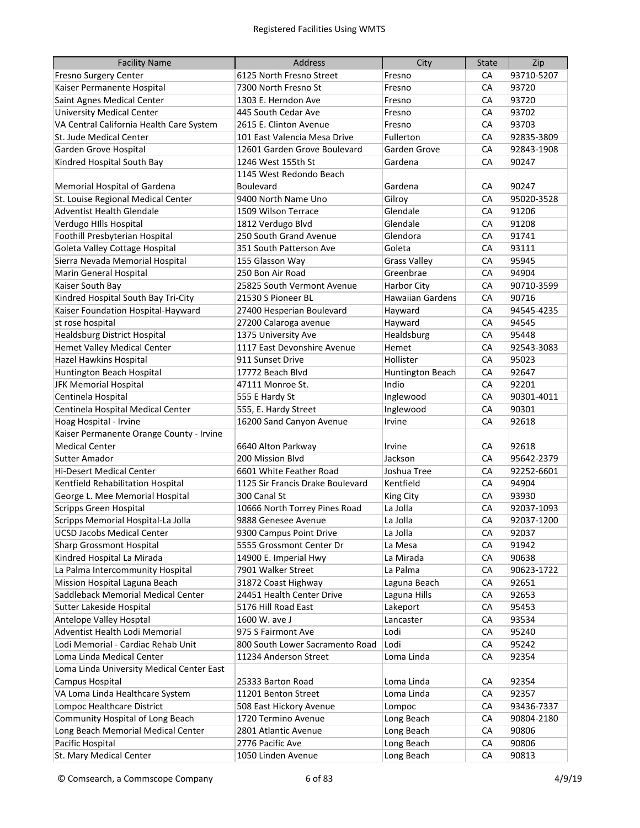| <b>Facility Name</b>                      | <b>Address</b>                   | City                    | <b>State</b> | Zip        |
|-------------------------------------------|----------------------------------|-------------------------|--------------|------------|
| Fresno Surgery Center                     | 6125 North Fresno Street         | Fresno                  | CA           | 93710-5207 |
| Kaiser Permanente Hospital                | 7300 North Fresno St             | Fresno                  | CA           | 93720      |
| Saint Agnes Medical Center                | 1303 E. Herndon Ave              | Fresno                  | CA           | 93720      |
| <b>University Medical Center</b>          | 445 South Cedar Ave              | Fresno                  | CA           | 93702      |
| VA Central California Health Care System  | 2615 E. Clinton Avenue           | Fresno                  | CA           | 93703      |
| St. Jude Medical Center                   | 101 East Valencia Mesa Drive     | Fullerton               | CA           | 92835-3809 |
| Garden Grove Hospital                     | 12601 Garden Grove Boulevard     | Garden Grove            | CA           | 92843-1908 |
| Kindred Hospital South Bay                | 1246 West 155th St               | Gardena                 | CA           | 90247      |
|                                           | 1145 West Redondo Beach          |                         |              |            |
| Memorial Hospital of Gardena              | <b>Boulevard</b>                 | Gardena                 | CA           | 90247      |
| St. Louise Regional Medical Center        | 9400 North Name Uno              | Gilroy                  | CA           | 95020-3528 |
| <b>Adventist Health Glendale</b>          | 1509 Wilson Terrace              | Glendale                | CA           | 91206      |
| Verdugo Hills Hospital                    | 1812 Verdugo Blvd                | Glendale                | CA           | 91208      |
| Foothill Presbyterian Hospital            | 250 South Grand Avenue           | Glendora                | CA           | 91741      |
| Goleta Valley Cottage Hospital            | 351 South Patterson Ave          | Goleta                  | CA           | 93111      |
| Sierra Nevada Memorial Hospital           | 155 Glasson Way                  | <b>Grass Valley</b>     | CA           | 95945      |
| Marin General Hospital                    | 250 Bon Air Road                 | Greenbrae               | CA           | 94904      |
| Kaiser South Bay                          | 25825 South Vermont Avenue       | <b>Harbor City</b>      | CA           | 90710-3599 |
| Kindred Hospital South Bay Tri-City       | 21530 S Pioneer BL               | <b>Hawaiian Gardens</b> | CA           | 90716      |
| Kaiser Foundation Hospital-Hayward        | 27400 Hesperian Boulevard        | Hayward                 | CA           | 94545-4235 |
| st rose hospital                          | 27200 Calaroga avenue            | Hayward                 | CA           | 94545      |
| <b>Healdsburg District Hospital</b>       | 1375 University Ave              | Healdsburg              | CA           | 95448      |
| <b>Hemet Valley Medical Center</b>        | 1117 East Devonshire Avenue      | Hemet                   | CA           | 92543-3083 |
| Hazel Hawkins Hospital                    | 911 Sunset Drive                 | Hollister               | CA           | 95023      |
| Huntington Beach Hospital                 | 17772 Beach Blvd                 | Huntington Beach        | CA           | 92647      |
| <b>JFK Memorial Hospital</b>              | 47111 Monroe St.                 | Indio                   | CA           | 92201      |
| Centinela Hospital                        | 555 E Hardy St                   | Inglewood               | CA           | 90301-4011 |
| Centinela Hospital Medical Center         | 555, E. Hardy Street             | Inglewood               | CA           | 90301      |
| Hoag Hospital - Irvine                    | 16200 Sand Canyon Avenue         | Irvine                  | CA           | 92618      |
| Kaiser Permanente Orange County - Irvine  |                                  |                         |              |            |
| <b>Medical Center</b>                     | 6640 Alton Parkway               | Irvine                  | CA           | 92618      |
| Sutter Amador                             | 200 Mission Blvd                 | Jackson                 | CA           | 95642-2379 |
| <b>Hi-Desert Medical Center</b>           | 6601 White Feather Road          | Joshua Tree             | CA           | 92252-6601 |
| Kentfield Rehabilitation Hospital         | 1125 Sir Francis Drake Boulevard | Kentfield               | CA           | 94904      |
| George L. Mee Memorial Hospital           | 300 Canal St                     | <b>King City</b>        | CA           | 93930      |
| <b>Scripps Green Hospital</b>             | 10666 North Torrey Pines Road    | La Jolla                | CA           | 92037-1093 |
| Scripps Memorial Hospital-La Jolla        | 9888 Genesee Avenue              | La Jolla                | CA           | 92037-1200 |
| <b>UCSD Jacobs Medical Center</b>         | 9300 Campus Point Drive          | La Jolla                | CA           | 92037      |
| <b>Sharp Grossmont Hospital</b>           | 5555 Grossmont Center Dr         | La Mesa                 | CA           | 91942      |
| Kindred Hospital La Mirada                | 14900 E. Imperial Hwy            | La Mirada               | CA           | 90638      |
| La Palma Intercommunity Hospital          | 7901 Walker Street               | La Palma                | СA           | 90623-1722 |
| Mission Hospital Laguna Beach             | 31872 Coast Highway              | Laguna Beach            | CA           | 92651      |
| Saddleback Memorial Medical Center        | 24451 Health Center Drive        | Laguna Hills            | CA           | 92653      |
| Sutter Lakeside Hospital                  | 5176 Hill Road East              | Lakeport                | CA           | 95453      |
| Antelope Valley Hosptal                   | 1600 W. ave J                    | Lancaster               | CA           | 93534      |
| Adventist Health Lodi Memorial            | 975 S Fairmont Ave               | Lodi                    | СA           | 95240      |
| Lodi Memorial - Cardiac Rehab Unit        | 800 South Lower Sacramento Road  | Lodi                    | СA           | 95242      |
| Loma Linda Medical Center                 | 11234 Anderson Street            | Loma Linda              | СA           | 92354      |
| Loma Linda University Medical Center East |                                  |                         |              |            |
| Campus Hospital                           | 25333 Barton Road                | Loma Linda              | CA           | 92354      |
| VA Loma Linda Healthcare System           | 11201 Benton Street              | Loma Linda              | CA           | 92357      |
| Lompoc Healthcare District                | 508 East Hickory Avenue          | Lompoc                  | CA           | 93436-7337 |
| Community Hospital of Long Beach          | 1720 Termino Avenue              | Long Beach              | CA           | 90804-2180 |
| Long Beach Memorial Medical Center        | 2801 Atlantic Avenue             | Long Beach              | CA           | 90806      |
| Pacific Hospital                          | 2776 Pacific Ave                 | Long Beach              | CA           | 90806      |
| St. Mary Medical Center                   | 1050 Linden Avenue               | Long Beach              | CA           | 90813      |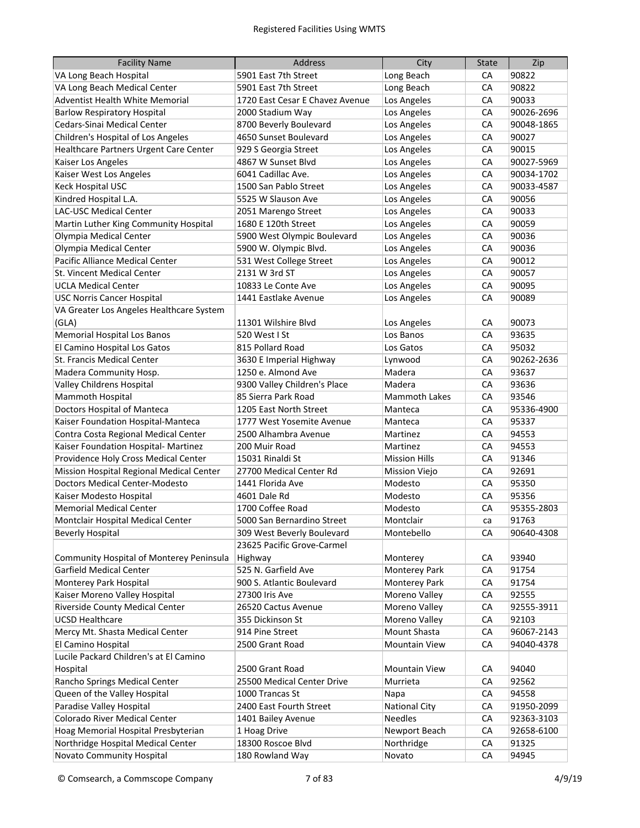| <b>Facility Name</b>                            | Address                         | City                 | <b>State</b> | Zip        |
|-------------------------------------------------|---------------------------------|----------------------|--------------|------------|
| VA Long Beach Hospital                          | 5901 East 7th Street            | Long Beach           | CA           | 90822      |
| VA Long Beach Medical Center                    | 5901 East 7th Street            | Long Beach           | CA           | 90822      |
| Adventist Health White Memorial                 | 1720 East Cesar E Chavez Avenue | Los Angeles          | СA           | 90033      |
| <b>Barlow Respiratory Hospital</b>              | 2000 Stadium Way                | Los Angeles          | СA           | 90026-2696 |
| Cedars-Sinai Medical Center                     | 8700 Beverly Boulevard          | Los Angeles          | СA           | 90048-1865 |
| Children's Hospital of Los Angeles              | 4650 Sunset Boulevard           | Los Angeles          | СA           | 90027      |
| Healthcare Partners Urgent Care Center          | 929 S Georgia Street            | Los Angeles          | СA           | 90015      |
| Kaiser Los Angeles                              | 4867 W Sunset Blvd              | Los Angeles          | CA           | 90027-5969 |
| Kaiser West Los Angeles                         | 6041 Cadillac Ave.              | Los Angeles          | CA           | 90034-1702 |
| Keck Hospital USC                               | 1500 San Pablo Street           | Los Angeles          | CA           | 90033-4587 |
| Kindred Hospital L.A.                           | 5525 W Slauson Ave              | Los Angeles          | CA           | 90056      |
| LAC-USC Medical Center                          | 2051 Marengo Street             | Los Angeles          | CA           | 90033      |
| Martin Luther King Community Hospital           | 1680 E 120th Street             | Los Angeles          | CA           | 90059      |
| Olympia Medical Center                          | 5900 West Olympic Boulevard     | Los Angeles          | CA           | 90036      |
| Olympia Medical Center                          | 5900 W. Olympic Blvd.           | Los Angeles          | CA           | 90036      |
| Pacific Alliance Medical Center                 | 531 West College Street         | Los Angeles          | CA           | 90012      |
| St. Vincent Medical Center                      | 2131 W 3rd ST                   | Los Angeles          | CA           | 90057      |
| <b>UCLA Medical Center</b>                      | 10833 Le Conte Ave              | Los Angeles          | CA           | 90095      |
| <b>USC Norris Cancer Hospital</b>               | 1441 Eastlake Avenue            | Los Angeles          | CA           | 90089      |
| VA Greater Los Angeles Healthcare System        |                                 |                      |              |            |
| (GLA)                                           | 11301 Wilshire Blvd             | Los Angeles          | СA           | 90073      |
| Memorial Hospital Los Banos                     | 520 West I St                   | Los Banos            | CA           | 93635      |
| El Camino Hospital Los Gatos                    | 815 Pollard Road                | Los Gatos            | CA           | 95032      |
| St. Francis Medical Center                      | 3630 E Imperial Highway         | Lynwood              | CA           | 90262-2636 |
| Madera Community Hosp.                          | 1250 e. Almond Ave              | Madera               | CA           | 93637      |
| <b>Valley Childrens Hospital</b>                | 9300 Valley Children's Place    | Madera               | CA           | 93636      |
| Mammoth Hospital                                | 85 Sierra Park Road             | <b>Mammoth Lakes</b> | CA           | 93546      |
| Doctors Hospital of Manteca                     | 1205 East North Street          | Manteca              | CA           | 95336-4900 |
| Kaiser Foundation Hospital-Manteca              | 1777 West Yosemite Avenue       | Manteca              | CA           | 95337      |
| Contra Costa Regional Medical Center            | 2500 Alhambra Avenue            | Martinez             | CA           | 94553      |
| Kaiser Foundation Hospital- Martinez            | 200 Muir Road                   | Martinez             | CA           | 94553      |
| Providence Holy Cross Medical Center            | 15031 Rinaldi St                | <b>Mission Hills</b> | CA           | 91346      |
| Mission Hospital Regional Medical Center        | 27700 Medical Center Rd         | <b>Mission Viejo</b> | CA           | 92691      |
| <b>Doctors Medical Center-Modesto</b>           | 1441 Florida Ave                | Modesto              | CA           | 95350      |
| Kaiser Modesto Hospital                         | 4601 Dale Rd                    | Modesto              | CA           | 95356      |
| <b>Memorial Medical Center</b>                  | 1700 Coffee Road                | Modesto              | CA           | 95355-2803 |
| Montclair Hospital Medical Center               | 5000 San Bernardino Street      | Montclair            | ca           | 91763      |
| <b>Beverly Hospital</b>                         | 309 West Beverly Boulevard      | Montebello           | СA           | 90640-4308 |
|                                                 | 23625 Pacific Grove-Carmel      |                      |              |            |
| <b>Community Hospital of Monterey Peninsula</b> | Highway                         | Monterey             | CA           | 93940      |
| Garfield Medical Center                         | 525 N. Garfield Ave             | Monterey Park        | CA           | 91754      |
| Monterey Park Hospital                          | 900 S. Atlantic Boulevard       | Monterey Park        | CA           | 91754      |
| Kaiser Moreno Valley Hospital                   | 27300 Iris Ave                  | Moreno Valley        | CA           | 92555      |
| Riverside County Medical Center                 | 26520 Cactus Avenue             | Moreno Valley        | CA           | 92555-3911 |
| <b>UCSD Healthcare</b>                          | 355 Dickinson St                | Moreno Valley        | CA           | 92103      |
| Mercy Mt. Shasta Medical Center                 | 914 Pine Street                 | Mount Shasta         | CA           | 96067-2143 |
| El Camino Hospital                              | 2500 Grant Road                 | <b>Mountain View</b> | CA           | 94040-4378 |
| Lucile Packard Children's at El Camino          |                                 |                      |              |            |
| Hospital                                        | 2500 Grant Road                 | <b>Mountain View</b> | CA           | 94040      |
| Rancho Springs Medical Center                   | 25500 Medical Center Drive      | Murrieta             | CA           | 92562      |
| Queen of the Valley Hospital                    | 1000 Trancas St                 | Napa                 | CA           | 94558      |
| Paradise Valley Hospital                        | 2400 East Fourth Street         | <b>National City</b> | СA           | 91950-2099 |
| Colorado River Medical Center                   | 1401 Bailey Avenue              | <b>Needles</b>       | CA           | 92363-3103 |
| Hoag Memorial Hospital Presbyterian             | 1 Hoag Drive                    | Newport Beach        | CA           | 92658-6100 |
| Northridge Hospital Medical Center              | 18300 Roscoe Blvd               | Northridge           | СA           | 91325      |
| Novato Community Hospital                       | 180 Rowland Way                 | Novato               | CA           | 94945      |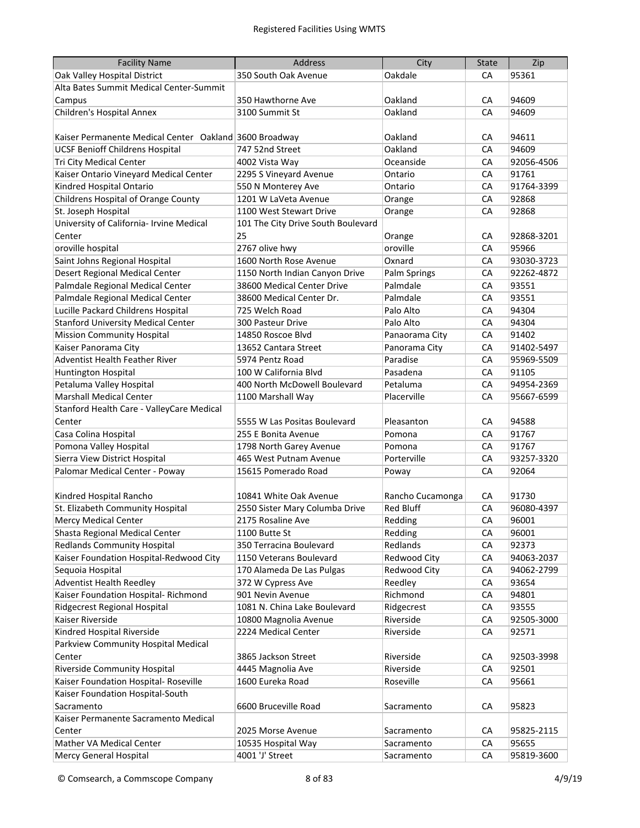| <b>Facility Name</b>                                   | <b>Address</b>                     | City             | <b>State</b> | Zip        |
|--------------------------------------------------------|------------------------------------|------------------|--------------|------------|
| Oak Valley Hospital District                           | 350 South Oak Avenue               | Oakdale          | CA           | 95361      |
| Alta Bates Summit Medical Center-Summit                |                                    |                  |              |            |
| Campus                                                 | 350 Hawthorne Ave                  | Oakland          | СA           | 94609      |
| Children's Hospital Annex                              | 3100 Summit St                     | Oakland          | CA           | 94609      |
|                                                        |                                    |                  |              |            |
| Kaiser Permanente Medical Center Oakland 3600 Broadway |                                    | Oakland          | CA           | 94611      |
| <b>UCSF Benioff Childrens Hospital</b>                 | 747 52nd Street                    | Oakland          | CA           | 94609      |
| Tri City Medical Center                                | 4002 Vista Way                     | Oceanside        | CA           | 92056-4506 |
| Kaiser Ontario Vineyard Medical Center                 | 2295 S Vineyard Avenue             | Ontario          | CA           | 91761      |
| Kindred Hospital Ontario                               | 550 N Monterey Ave                 | Ontario          | CA           | 91764-3399 |
| Childrens Hospital of Orange County                    | 1201 W LaVeta Avenue               | Orange           | CA           | 92868      |
| St. Joseph Hospital                                    | 1100 West Stewart Drive            | Orange           | CA           | 92868      |
| University of California- Irvine Medical               | 101 The City Drive South Boulevard |                  |              |            |
| Center                                                 | 25                                 | Orange           | CA           | 92868-3201 |
| oroville hospital                                      | 2767 olive hwy                     | oroville         | CA           | 95966      |
| Saint Johns Regional Hospital                          | 1600 North Rose Avenue             | Oxnard           | CA           | 93030-3723 |
| <b>Desert Regional Medical Center</b>                  | 1150 North Indian Canyon Drive     | Palm Springs     | CA           | 92262-4872 |
| Palmdale Regional Medical Center                       | 38600 Medical Center Drive         | Palmdale         | CA           | 93551      |
| Palmdale Regional Medical Center                       | 38600 Medical Center Dr.           | Palmdale         | CA           | 93551      |
| Lucille Packard Childrens Hospital                     | 725 Welch Road                     | Palo Alto        | CA           | 94304      |
| <b>Stanford University Medical Center</b>              | 300 Pasteur Drive                  | Palo Alto        | CA           | 94304      |
| <b>Mission Community Hospital</b>                      | 14850 Roscoe Blvd                  | Panaorama City   | CA           | 91402      |
| Kaiser Panorama City                                   | 13652 Cantara Street               | Panorama City    | CA           | 91402-5497 |
| Adventist Health Feather River                         | 5974 Pentz Road                    | Paradise         | CA           | 95969-5509 |
| <b>Huntington Hospital</b>                             | 100 W California Blvd              | Pasadena         | CA           | 91105      |
| Petaluma Valley Hospital                               | 400 North McDowell Boulevard       | Petaluma         | CA           | 94954-2369 |
| <b>Marshall Medical Center</b>                         | 1100 Marshall Way                  | Placerville      | CA           | 95667-6599 |
| Stanford Health Care - ValleyCare Medical              |                                    |                  |              |            |
| Center                                                 | 5555 W Las Positas Boulevard       | Pleasanton       | СA           | 94588      |
| Casa Colina Hospital                                   | 255 E Bonita Avenue                | Pomona           | CA           | 91767      |
| Pomona Valley Hospital                                 | 1798 North Garey Avenue            | Pomona           | CA           | 91767      |
| Sierra View District Hospital                          | 465 West Putnam Avenue             | Porterville      | CA           | 93257-3320 |
| Palomar Medical Center - Poway                         | 15615 Pomerado Road                | Poway            | CA           | 92064      |
|                                                        |                                    |                  |              |            |
| Kindred Hospital Rancho                                | 10841 White Oak Avenue             | Rancho Cucamonga | СA           | 91730      |
| St. Elizabeth Community Hospital                       | 2550 Sister Mary Columba Drive     | <b>Red Bluff</b> | CA           | 96080-4397 |
| <b>Mercy Medical Center</b>                            | 2175 Rosaline Ave                  | Redding          | CA           | 96001      |
| Shasta Regional Medical Center                         | 1100 Butte St                      | Redding          | CA           | 96001      |
| <b>Redlands Community Hospital</b>                     | 350 Terracina Boulevard            | Redlands         | CA           | 92373      |
| Kaiser Foundation Hospital-Redwood City                | 1150 Veterans Boulevard            | Redwood City     | CA           | 94063-2037 |
| Sequoia Hospital                                       | 170 Alameda De Las Pulgas          | Redwood City     | CA           | 94062-2799 |
| <b>Adventist Health Reedley</b>                        | 372 W Cypress Ave                  | Reedley          | CA           | 93654      |
| Kaiser Foundation Hospital- Richmond                   | 901 Nevin Avenue                   | Richmond         | CA           | 94801      |
| Ridgecrest Regional Hospital                           | 1081 N. China Lake Boulevard       | Ridgecrest       | CA           | 93555      |
| Kaiser Riverside                                       | 10800 Magnolia Avenue              | Riverside        | CA           | 92505-3000 |
| Kindred Hospital Riverside                             | 2224 Medical Center                | Riverside        | CA           | 92571      |
| Parkview Community Hospital Medical                    |                                    |                  |              |            |
| Center                                                 | 3865 Jackson Street                | Riverside        | СA           | 92503-3998 |
| Riverside Community Hospital                           | 4445 Magnolia Ave                  | Riverside        | CA           | 92501      |
| Kaiser Foundation Hospital- Roseville                  | 1600 Eureka Road                   | Roseville        | CA           | 95661      |
| Kaiser Foundation Hospital-South                       |                                    |                  |              |            |
| Sacramento                                             | 6600 Bruceville Road               | Sacramento       | CA           | 95823      |
| Kaiser Permanente Sacramento Medical                   |                                    |                  |              |            |
| Center                                                 | 2025 Morse Avenue                  | Sacramento       | CA           | 95825-2115 |
| Mather VA Medical Center                               | 10535 Hospital Way                 | Sacramento       | CA           | 95655      |
| <b>Mercy General Hospital</b>                          | 4001 'J' Street                    | Sacramento       | СA           | 95819-3600 |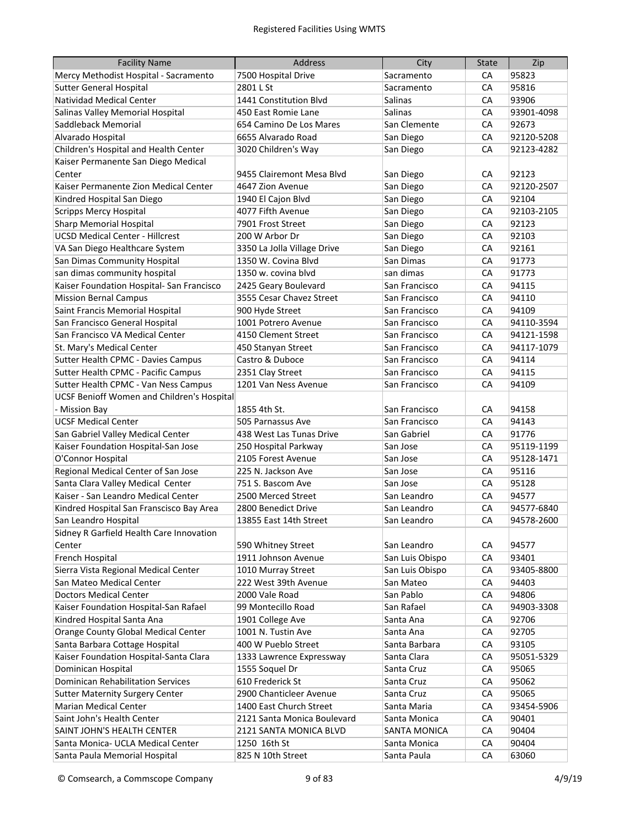| <b>Facility Name</b>                              | <b>Address</b>              | City                | <b>State</b> | Zip        |
|---------------------------------------------------|-----------------------------|---------------------|--------------|------------|
| Mercy Methodist Hospital - Sacramento             | 7500 Hospital Drive         | Sacramento          | CA           | 95823      |
| <b>Sutter General Hospital</b>                    | 2801 L St                   | Sacramento          | СA           | 95816      |
| <b>Natividad Medical Center</b>                   | 1441 Constitution Blvd      | Salinas             | СA           | 93906      |
| Salinas Valley Memorial Hospital                  | 450 East Romie Lane         | Salinas             | СA           | 93901-4098 |
| Saddleback Memorial                               | 654 Camino De Los Mares     | San Clemente        | CA           | 92673      |
| Alvarado Hospital                                 | 6655 Alvarado Road          | San Diego           | CA           | 92120-5208 |
| Children's Hospital and Health Center             | 3020 Children's Way         | San Diego           | CA           | 92123-4282 |
| Kaiser Permanente San Diego Medical               |                             |                     |              |            |
| Center                                            | 9455 Clairemont Mesa Blyd   | San Diego           | CA           | 92123      |
| Kaiser Permanente Zion Medical Center             | 4647 Zion Avenue            | San Diego           | CA           | 92120-2507 |
| Kindred Hospital San Diego                        | 1940 El Cajon Blvd          | San Diego           | CA           | 92104      |
| <b>Scripps Mercy Hospital</b>                     | 4077 Fifth Avenue           | San Diego           | CA           | 92103-2105 |
| <b>Sharp Memorial Hospital</b>                    | 7901 Frost Street           | San Diego           | CA           | 92123      |
| <b>UCSD Medical Center - Hillcrest</b>            | 200 W Arbor Dr              | San Diego           | CA           | 92103      |
| VA San Diego Healthcare System                    | 3350 La Jolla Village Drive | San Diego           | CA           | 92161      |
| San Dimas Community Hospital                      | 1350 W. Covina Blvd         | San Dimas           | CA           | 91773      |
| san dimas community hospital                      | 1350 w. covina blvd         | san dimas           | CA           | 91773      |
| Kaiser Foundation Hospital- San Francisco         | 2425 Geary Boulevard        | San Francisco       | CA           | 94115      |
| <b>Mission Bernal Campus</b>                      | 3555 Cesar Chavez Street    | San Francisco       | CA           | 94110      |
| Saint Francis Memorial Hospital                   | 900 Hyde Street             | San Francisco       | CA           | 94109      |
| San Francisco General Hospital                    | 1001 Potrero Avenue         | San Francisco       | CA           | 94110-3594 |
| San Francisco VA Medical Center                   | 4150 Clement Street         | San Francisco       | CA           | 94121-1598 |
| St. Mary's Medical Center                         | 450 Stanyan Street          | San Francisco       | CA           | 94117-1079 |
| Sutter Health CPMC - Davies Campus                | Castro & Duboce             | San Francisco       | CA           | 94114      |
| Sutter Health CPMC - Pacific Campus               | 2351 Clay Street            | San Francisco       | CA           | 94115      |
| Sutter Health CPMC - Van Ness Campus              | 1201 Van Ness Avenue        | San Francisco       | CA           | 94109      |
| <b>UCSF Benioff Women and Children's Hospital</b> |                             |                     |              |            |
| - Mission Bay                                     | 1855 4th St.                | San Francisco       | CA           | 94158      |
| <b>UCSF Medical Center</b>                        | 505 Parnassus Ave           | San Francisco       | CA           | 94143      |
| San Gabriel Valley Medical Center                 | 438 West Las Tunas Drive    | San Gabriel         | СA           | 91776      |
| Kaiser Foundation Hospital-San Jose               | 250 Hospital Parkway        | San Jose            | CA           | 95119-1199 |
| O'Connor Hospital                                 | 2105 Forest Avenue          | San Jose            | CA           | 95128-1471 |
| Regional Medical Center of San Jose               | 225 N. Jackson Ave          | San Jose            | CA           | 95116      |
| Santa Clara Valley Medical Center                 | 751 S. Bascom Ave           | San Jose            | CA           | 95128      |
| Kaiser - San Leandro Medical Center               | 2500 Merced Street          | San Leandro         | CA           | 94577      |
| Kindred Hospital San Franscisco Bay Area          | 2800 Benedict Drive         | San Leandro         | CA           | 94577-6840 |
| San Leandro Hospital                              | 13855 East 14th Street      | San Leandro         | СA           | 94578-2600 |
| Sidney R Garfield Health Care Innovation          |                             |                     |              |            |
| Center                                            | 590 Whitney Street          | San Leandro         | CA           | 94577      |
| French Hospital                                   | 1911 Johnson Avenue         | San Luis Obispo     | CA           | 93401      |
| Sierra Vista Regional Medical Center              | 1010 Murray Street          | San Luis Obispo     | CA           | 93405-8800 |
| San Mateo Medical Center                          | 222 West 39th Avenue        | San Mateo           | CA           | 94403      |
| <b>Doctors Medical Center</b>                     | 2000 Vale Road              | San Pablo           | CA           | 94806      |
| Kaiser Foundation Hospital-San Rafael             | 99 Montecillo Road          | San Rafael          | СA           | 94903-3308 |
| Kindred Hospital Santa Ana                        | 1901 College Ave            | Santa Ana           | СA           | 92706      |
| Orange County Global Medical Center               | 1001 N. Tustin Ave          | Santa Ana           | CA           | 92705      |
| Santa Barbara Cottage Hospital                    | 400 W Pueblo Street         | Santa Barbara       | CA           | 93105      |
| Kaiser Foundation Hospital-Santa Clara            | 1333 Lawrence Expressway    | Santa Clara         | СA           | 95051-5329 |
| Dominican Hospital                                | 1555 Soquel Dr              | Santa Cruz          | CA           | 95065      |
| Dominican Rehabilitation Services                 | 610 Frederick St            | Santa Cruz          | CA           | 95062      |
| <b>Sutter Maternity Surgery Center</b>            | 2900 Chanticleer Avenue     | Santa Cruz          | CA           | 95065      |
| <b>Marian Medical Center</b>                      | 1400 East Church Street     | Santa Maria         | CA           | 93454-5906 |
| Saint John's Health Center                        | 2121 Santa Monica Boulevard | Santa Monica        | СA           | 90401      |
| SAINT JOHN'S HEALTH CENTER                        | 2121 SANTA MONICA BLVD      | <b>SANTA MONICA</b> | СA           | 90404      |
| Santa Monica- UCLA Medical Center                 | 1250 16th St                | Santa Monica        | CA           | 90404      |
| Santa Paula Memorial Hospital                     | 825 N 10th Street           | Santa Paula         | CA           | 63060      |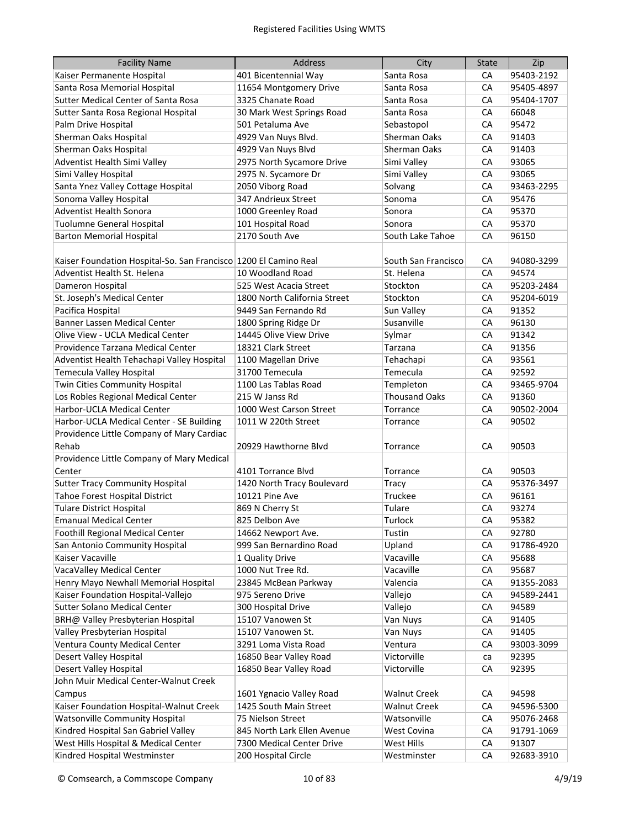| <b>Facility Name</b>                                             | <b>Address</b>               | City                 | <b>State</b> | Zip        |
|------------------------------------------------------------------|------------------------------|----------------------|--------------|------------|
| Kaiser Permanente Hospital                                       | 401 Bicentennial Way         | Santa Rosa           | CA           | 95403-2192 |
| Santa Rosa Memorial Hospital                                     | 11654 Montgomery Drive       | Santa Rosa           | CA           | 95405-4897 |
| <b>Sutter Medical Center of Santa Rosa</b>                       | 3325 Chanate Road            | Santa Rosa           | СA           | 95404-1707 |
| Sutter Santa Rosa Regional Hospital                              | 30 Mark West Springs Road    | Santa Rosa           | СA           | 66048      |
| Palm Drive Hospital                                              | 501 Petaluma Ave             | Sebastopol           | CA           | 95472      |
| Sherman Oaks Hospital                                            | 4929 Van Nuys Blvd.          | <b>Sherman Oaks</b>  | CA           | 91403      |
| Sherman Oaks Hospital                                            | 4929 Van Nuys Blvd           | Sherman Oaks         | CA           | 91403      |
| Adventist Health Simi Valley                                     | 2975 North Sycamore Drive    | Simi Valley          | CA           | 93065      |
| Simi Valley Hospital                                             | 2975 N. Sycamore Dr          | Simi Valley          | CA           | 93065      |
| Santa Ynez Valley Cottage Hospital                               | 2050 Viborg Road             | Solvang              | CA           | 93463-2295 |
| Sonoma Valley Hospital                                           | 347 Andrieux Street          | Sonoma               | CA           | 95476      |
| Adventist Health Sonora                                          | 1000 Greenley Road           | Sonora               | CA           | 95370      |
| <b>Tuolumne General Hospital</b>                                 | 101 Hospital Road            | Sonora               | CA           | 95370      |
| <b>Barton Memorial Hospital</b>                                  | 2170 South Ave               | South Lake Tahoe     | CA           | 96150      |
|                                                                  |                              |                      |              |            |
| Kaiser Foundation Hospital-So. San Francisco 1200 El Camino Real |                              | South San Francisco  | СA           | 94080-3299 |
| Adventist Health St. Helena                                      | 10 Woodland Road             | St. Helena           | CA           | 94574      |
| Dameron Hospital                                                 | 525 West Acacia Street       | Stockton             | CA           | 95203-2484 |
| St. Joseph's Medical Center                                      | 1800 North California Street | Stockton             | CA           | 95204-6019 |
| Pacifica Hospital                                                | 9449 San Fernando Rd         | Sun Valley           | CA           | 91352      |
| Banner Lassen Medical Center                                     | 1800 Spring Ridge Dr         | Susanville           | CA           | 96130      |
| Olive View - UCLA Medical Center                                 | 14445 Olive View Drive       | Sylmar               | CA           | 91342      |
| Providence Tarzana Medical Center                                | 18321 Clark Street           | Tarzana              | CA           | 91356      |
| Adventist Health Tehachapi Valley Hospital                       | 1100 Magellan Drive          | Tehachapi            | CA           | 93561      |
| Temecula Valley Hospital                                         | 31700 Temecula               | Temecula             | CA           | 92592      |
| Twin Cities Community Hospital                                   | 1100 Las Tablas Road         | Templeton            | CA           | 93465-9704 |
| Los Robles Regional Medical Center                               | 215 W Janss Rd               | <b>Thousand Oaks</b> | CA           | 91360      |
| Harbor-UCLA Medical Center                                       | 1000 West Carson Street      | Torrance             | CA           | 90502-2004 |
| Harbor-UCLA Medical Center - SE Building                         | 1011 W 220th Street          | Torrance             | CA           | 90502      |
| Providence Little Company of Mary Cardiac                        |                              |                      |              |            |
| Rehab                                                            | 20929 Hawthorne Blvd         | Torrance             | CA           | 90503      |
| Providence Little Company of Mary Medical                        |                              |                      |              |            |
| Center                                                           | 4101 Torrance Blvd           | Torrance             | СA           | 90503      |
| <b>Sutter Tracy Community Hospital</b>                           | 1420 North Tracy Boulevard   | Tracy                | CA           | 95376-3497 |
| Tahoe Forest Hospital District                                   | 10121 Pine Ave               | Truckee              | СA           | 96161      |
| <b>Tulare District Hospital</b>                                  | 869 N Cherry St              | Tulare               | CA           | 93274      |
| <b>Emanual Medical Center</b>                                    | 825 Delbon Ave               | Turlock              | СA           | 95382      |
| Foothill Regional Medical Center                                 | 14662 Newport Ave.           | Tustin               | CA           | 92780      |
| San Antonio Community Hospital                                   | 999 San Bernardino Road      | Upland               | CA           | 91786-4920 |
| Kaiser Vacaville                                                 | 1 Quality Drive              | Vacaville            | CA           | 95688      |
| VacaValley Medical Center                                        | 1000 Nut Tree Rd.            | Vacaville            | CA           | 95687      |
| Henry Mayo Newhall Memorial Hospital                             | 23845 McBean Parkway         | Valencia             | CA           | 91355-2083 |
| Kaiser Foundation Hospital-Vallejo                               | 975 Sereno Drive             | Vallejo              | CA           | 94589-2441 |
| Sutter Solano Medical Center                                     | 300 Hospital Drive           | Vallejo              | CA           | 94589      |
| BRH@ Valley Presbyterian Hospital                                | 15107 Vanowen St             | Van Nuys             | CA           | 91405      |
| Valley Presbyterian Hospital                                     | 15107 Vanowen St.            | Van Nuys             | CA           | 91405      |
| Ventura County Medical Center                                    | 3291 Loma Vista Road         | Ventura              | СA           | 93003-3099 |
| Desert Valley Hospital                                           | 16850 Bear Valley Road       | Victorville          | ca           | 92395      |
| Desert Valley Hospital                                           | 16850 Bear Valley Road       | Victorville          | CA           | 92395      |
| John Muir Medical Center-Walnut Creek                            |                              |                      |              |            |
| Campus                                                           | 1601 Ygnacio Valley Road     | <b>Walnut Creek</b>  | CA           | 94598      |
| Kaiser Foundation Hospital-Walnut Creek                          | 1425 South Main Street       | <b>Walnut Creek</b>  | СA           | 94596-5300 |
| <b>Watsonville Community Hospital</b>                            | 75 Nielson Street            | Watsonville          | СA           | 95076-2468 |
| Kindred Hospital San Gabriel Valley                              | 845 North Lark Ellen Avenue  | West Covina          | СA           | 91791-1069 |
| West Hills Hospital & Medical Center                             | 7300 Medical Center Drive    | West Hills           | СA           | 91307      |
| Kindred Hospital Westminster                                     | 200 Hospital Circle          |                      | CA           | 92683-3910 |
|                                                                  |                              | Westminster          |              |            |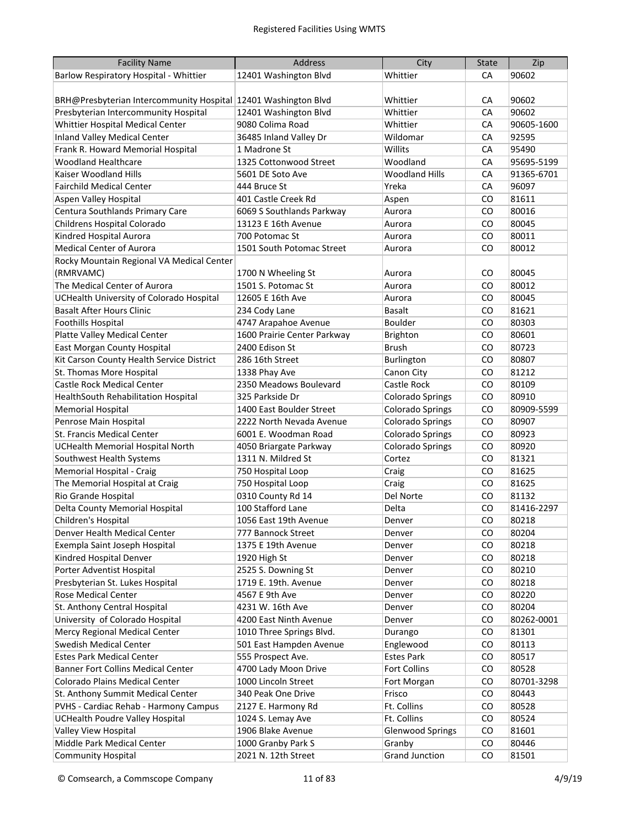| <b>Facility Name</b>                                             | <b>Address</b>              | City                    | <b>State</b>  | Zip        |
|------------------------------------------------------------------|-----------------------------|-------------------------|---------------|------------|
| Barlow Respiratory Hospital - Whittier                           | 12401 Washington Blvd       | Whittier                | CA            | 90602      |
|                                                                  |                             |                         |               |            |
| BRH@Presbyterian Intercommunity Hospital   12401 Washington Blvd |                             | Whittier                | CA            | 90602      |
| Presbyterian Intercommunity Hospital                             | 12401 Washington Blvd       | Whittier                | CA            | 90602      |
| Whittier Hospital Medical Center                                 | 9080 Colima Road            | Whittier                | CA            | 90605-1600 |
| <b>Inland Valley Medical Center</b>                              | 36485 Inland Valley Dr      | Wildomar                | CA            | 92595      |
| Frank R. Howard Memorial Hospital                                | 1 Madrone St                | Willits                 | CA            | 95490      |
| <b>Woodland Healthcare</b>                                       | 1325 Cottonwood Street      | Woodland                | CA            | 95695-5199 |
| Kaiser Woodland Hills                                            | 5601 DE Soto Ave            | <b>Woodland Hills</b>   | CA            | 91365-6701 |
| <b>Fairchild Medical Center</b>                                  | 444 Bruce St                | Yreka                   | CA            | 96097      |
| <b>Aspen Valley Hospital</b>                                     | 401 Castle Creek Rd         | Aspen                   | CO            | 81611      |
| Centura Southlands Primary Care                                  | 6069 S Southlands Parkway   | Aurora                  | CO            | 80016      |
| Childrens Hospital Colorado                                      | 13123 E 16th Avenue         | Aurora                  | CO            | 80045      |
| Kindred Hospital Aurora                                          | 700 Potomac St              | Aurora                  | CO            | 80011      |
| <b>Medical Center of Aurora</b>                                  | 1501 South Potomac Street   | Aurora                  | CO            | 80012      |
| Rocky Mountain Regional VA Medical Center                        |                             |                         |               |            |
| (RMRVAMC)                                                        | 1700 N Wheeling St          | Aurora                  | CO            | 80045      |
| The Medical Center of Aurora                                     | 1501 S. Potomac St          | Aurora                  | CO            | 80012      |
| UCHealth University of Colorado Hospital                         | 12605 E 16th Ave            | Aurora                  | CO            | 80045      |
| <b>Basalt After Hours Clinic</b>                                 | 234 Cody Lane               | Basalt                  | CO            | 81621      |
| Foothills Hospital                                               | 4747 Arapahoe Avenue        | <b>Boulder</b>          | CO            | 80303      |
| Platte Valley Medical Center                                     | 1600 Prairie Center Parkway | <b>Brighton</b>         | CO            | 80601      |
| East Morgan County Hospital                                      | 2400 Edison St              | <b>Brush</b>            | CO            | 80723      |
| Kit Carson County Health Service District                        | 286 16th Street             | <b>Burlington</b>       | CO            | 80807      |
| St. Thomas More Hospital                                         | 1338 Phay Ave               | Canon City              | CO            | 81212      |
| Castle Rock Medical Center                                       | 2350 Meadows Boulevard      | Castle Rock             | CO            | 80109      |
| HealthSouth Rehabilitation Hospital                              | 325 Parkside Dr             | Colorado Springs        | CO            | 80910      |
| <b>Memorial Hospital</b>                                         | 1400 East Boulder Street    | Colorado Springs        | CO            | 80909-5599 |
| Penrose Main Hospital                                            | 2222 North Nevada Avenue    | <b>Colorado Springs</b> | CO            | 80907      |
| St. Francis Medical Center                                       | 6001 E. Woodman Road        | Colorado Springs        | CO            | 80923      |
| UCHealth Memorial Hospital North                                 | 4050 Briargate Parkway      | Colorado Springs        | CO            | 80920      |
| Southwest Health Systems                                         | 1311 N. Mildred St          | Cortez                  | CO            | 81321      |
| Memorial Hospital - Craig                                        | 750 Hospital Loop           | Craig                   | CO            | 81625      |
| The Memorial Hospital at Craig                                   | 750 Hospital Loop           | Craig                   | CO            | 81625      |
| Rio Grande Hospital                                              | 0310 County Rd 14           | Del Norte               | CO            | 81132      |
| Delta County Memorial Hospital                                   | 100 Stafford Lane           | Delta                   | CO            | 81416-2297 |
| Children's Hospital                                              | 1056 East 19th Avenue       | Denver                  | $\mathsf{CO}$ | 80218      |
| Denver Health Medical Center                                     | 777 Bannock Street          | Denver                  | CO            | 80204      |
| Exempla Saint Joseph Hospital                                    | 1375 E 19th Avenue          | Denver                  | CO.           | 80218      |
| Kindred Hospital Denver                                          | 1920 High St                | Denver                  | CO.           | 80218      |
| Porter Adventist Hospital                                        | 2525 S. Downing St          | Denver                  | CO.           | 80210      |
| Presbyterian St. Lukes Hospital                                  | 1719 E. 19th. Avenue        | Denver                  | CO            | 80218      |
| <b>Rose Medical Center</b>                                       | 4567 E 9th Ave              | Denver                  | CO            | 80220      |
| St. Anthony Central Hospital                                     | 4231 W. 16th Ave            | Denver                  | CO            | 80204      |
| University of Colorado Hospital                                  | 4200 East Ninth Avenue      | Denver                  | CO            | 80262-0001 |
| Mercy Regional Medical Center                                    | 1010 Three Springs Blvd.    | Durango                 | CO            | 81301      |
| <b>Swedish Medical Center</b>                                    | 501 East Hampden Avenue     | Englewood               | CO            | 80113      |
| <b>Estes Park Medical Center</b>                                 | 555 Prospect Ave.           | <b>Estes Park</b>       | CO            | 80517      |
| Banner Fort Collins Medical Center                               | 4700 Lady Moon Drive        | Fort Collins            | CO            | 80528      |
| Colorado Plains Medical Center                                   | 1000 Lincoln Street         | Fort Morgan             | CO            | 80701-3298 |
| St. Anthony Summit Medical Center                                | 340 Peak One Drive          | Frisco                  | CO            | 80443      |
| PVHS - Cardiac Rehab - Harmony Campus                            | 2127 E. Harmony Rd          | Ft. Collins             | CO            | 80528      |
| <b>UCHealth Poudre Valley Hospital</b>                           | 1024 S. Lemay Ave           | Ft. Collins             | CO            | 80524      |
| Valley View Hospital                                             | 1906 Blake Avenue           | <b>Glenwood Springs</b> | CO            | 81601      |
| Middle Park Medical Center                                       | 1000 Granby Park S          | Granby                  | CO            | 80446      |
| <b>Community Hospital</b>                                        | 2021 N. 12th Street         | <b>Grand Junction</b>   | CO            | 81501      |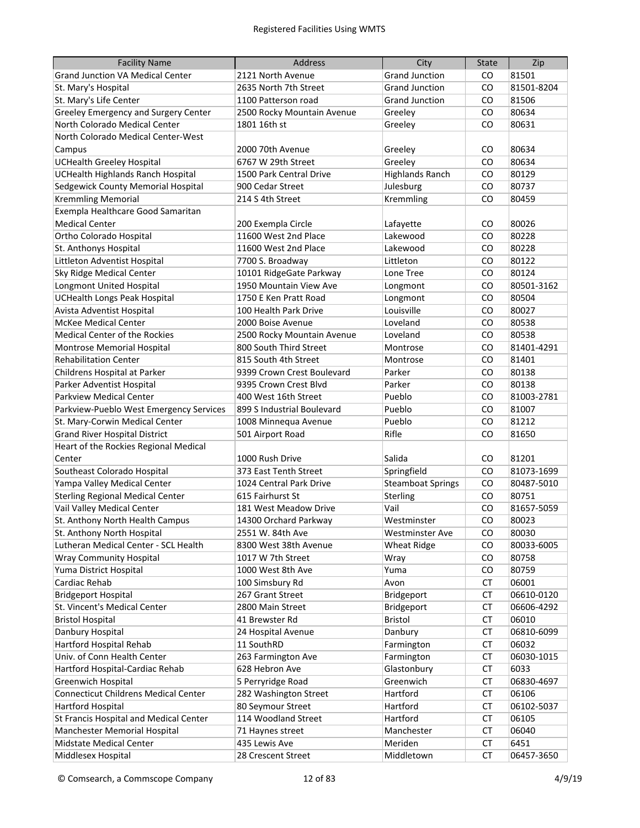| <b>Facility Name</b>                        | Address                    | City                     | <b>State</b> | Zip        |
|---------------------------------------------|----------------------------|--------------------------|--------------|------------|
| <b>Grand Junction VA Medical Center</b>     | 2121 North Avenue          | <b>Grand Junction</b>    | CO           | 81501      |
| St. Mary's Hospital                         | 2635 North 7th Street      | <b>Grand Junction</b>    | CO           | 81501-8204 |
| St. Mary's Life Center                      | 1100 Patterson road        | <b>Grand Junction</b>    | CO           | 81506      |
| Greeley Emergency and Surgery Center        | 2500 Rocky Mountain Avenue | Greeley                  | CO           | 80634      |
| North Colorado Medical Center               | 1801 16th st               | Greeley                  | CO           | 80631      |
| North Colorado Medical Center-West          |                            |                          |              |            |
| Campus                                      | 2000 70th Avenue           | Greeley                  | CO           | 80634      |
| <b>UCHealth Greeley Hospital</b>            | 6767 W 29th Street         | Greeley                  | CO           | 80634      |
| <b>UCHealth Highlands Ranch Hospital</b>    | 1500 Park Central Drive    | <b>Highlands Ranch</b>   | CO           | 80129      |
| Sedgewick County Memorial Hospital          | 900 Cedar Street           | Julesburg                | CO           | 80737      |
| <b>Kremmling Memorial</b>                   | 214 S 4th Street           | Kremmling                | CO           | 80459      |
| Exempla Healthcare Good Samaritan           |                            |                          |              |            |
| <b>Medical Center</b>                       | 200 Exempla Circle         | Lafayette                | CO           | 80026      |
| Ortho Colorado Hospital                     | 11600 West 2nd Place       | Lakewood                 | CO           | 80228      |
| St. Anthonys Hospital                       | 11600 West 2nd Place       | Lakewood                 | CO           | 80228      |
| Littleton Adventist Hospital                | 7700 S. Broadway           | Littleton                | CO           | 80122      |
| Sky Ridge Medical Center                    | 10101 RidgeGate Parkway    | Lone Tree                | CO           | 80124      |
| <b>Longmont United Hospital</b>             | 1950 Mountain View Ave     | Longmont                 | CO           | 80501-3162 |
| <b>UCHealth Longs Peak Hospital</b>         | 1750 E Ken Pratt Road      | Longmont                 | CO           | 80504      |
| Avista Adventist Hospital                   | 100 Health Park Drive      | Louisville               | CO           | 80027      |
| <b>McKee Medical Center</b>                 | 2000 Boise Avenue          | Loveland                 | CO           | 80538      |
| Medical Center of the Rockies               | 2500 Rocky Mountain Avenue | Loveland                 | CO           | 80538      |
| Montrose Memorial Hospital                  | 800 South Third Street     | Montrose                 | CO           | 81401-4291 |
| <b>Rehabilitation Center</b>                | 815 South 4th Street       | Montrose                 | CO           | 81401      |
| Childrens Hospital at Parker                | 9399 Crown Crest Boulevard | Parker                   | CO           | 80138      |
| Parker Adventist Hospital                   | 9395 Crown Crest Blvd      | Parker                   | CO           | 80138      |
| Parkview Medical Center                     | 400 West 16th Street       | Pueblo                   | <b>CO</b>    | 81003-2781 |
| Parkview-Pueblo West Emergency Services     | 899 S Industrial Boulevard | Pueblo                   | <b>CO</b>    | 81007      |
| St. Mary-Corwin Medical Center              | 1008 Minnequa Avenue       | Pueblo                   | <b>CO</b>    | 81212      |
| <b>Grand River Hospital District</b>        | 501 Airport Road           | Rifle                    | <b>CO</b>    | 81650      |
| Heart of the Rockies Regional Medical       |                            |                          |              |            |
| Center                                      | 1000 Rush Drive            | Salida                   | CO           | 81201      |
| Southeast Colorado Hospital                 | 373 East Tenth Street      | Springfield              | CO           | 81073-1699 |
| Yampa Valley Medical Center                 | 1024 Central Park Drive    | <b>Steamboat Springs</b> | CO           | 80487-5010 |
| <b>Sterling Regional Medical Center</b>     | 615 Fairhurst St           | Sterling                 | CO           | 80751      |
| Vail Valley Medical Center                  | 181 West Meadow Drive      | Vail                     | CO           | 81657-5059 |
| St. Anthony North Health Campus             | 14300 Orchard Parkway      | Westminster              | CO           | 80023      |
| St. Anthony North Hospital                  | 2551 W. 84th Ave           | <b>Westminster Ave</b>   | CO           | 80030      |
| Lutheran Medical Center - SCL Health        | 8300 West 38th Avenue      | Wheat Ridge              | CO           | 80033-6005 |
| <b>Wray Community Hospital</b>              | 1017 W 7th Street          | Wray                     | CO           | 80758      |
| Yuma District Hospital                      | 1000 West 8th Ave          | Yuma                     | CO           | 80759      |
| Cardiac Rehab                               | 100 Simsbury Rd            | Avon                     | CT           | 06001      |
| <b>Bridgeport Hospital</b>                  | 267 Grant Street           | Bridgeport               | CT           | 06610-0120 |
| St. Vincent's Medical Center                | 2800 Main Street           | Bridgeport               | CТ           | 06606-4292 |
| <b>Bristol Hospital</b>                     | 41 Brewster Rd             | Bristol                  | CТ           | 06010      |
| Danbury Hospital                            | 24 Hospital Avenue         | Danbury                  | CT           | 06810-6099 |
| Hartford Hospital Rehab                     | 11 SouthRD                 | Farmington               | CT           | 06032      |
| Univ. of Conn Health Center                 | 263 Farmington Ave         | Farmington               | CT           | 06030-1015 |
| Hartford Hospital-Cardiac Rehab             | 628 Hebron Ave             | Glastonbury              | CT           | 6033       |
| Greenwich Hospital                          | 5 Perryridge Road          | Greenwich                | CT           | 06830-4697 |
| <b>Connecticut Childrens Medical Center</b> | 282 Washington Street      | Hartford                 | СT           | 06106      |
| <b>Hartford Hospital</b>                    | 80 Seymour Street          | Hartford                 | CT           | 06102-5037 |
| St Francis Hospital and Medical Center      | 114 Woodland Street        | Hartford                 | CT           | 06105      |
| Manchester Memorial Hospital                | 71 Haynes street           | Manchester               | <b>CT</b>    | 06040      |
| Midstate Medical Center                     | 435 Lewis Ave              | Meriden                  | <b>CT</b>    | 6451       |
| Middlesex Hospital                          | 28 Crescent Street         | Middletown               | <b>CT</b>    | 06457-3650 |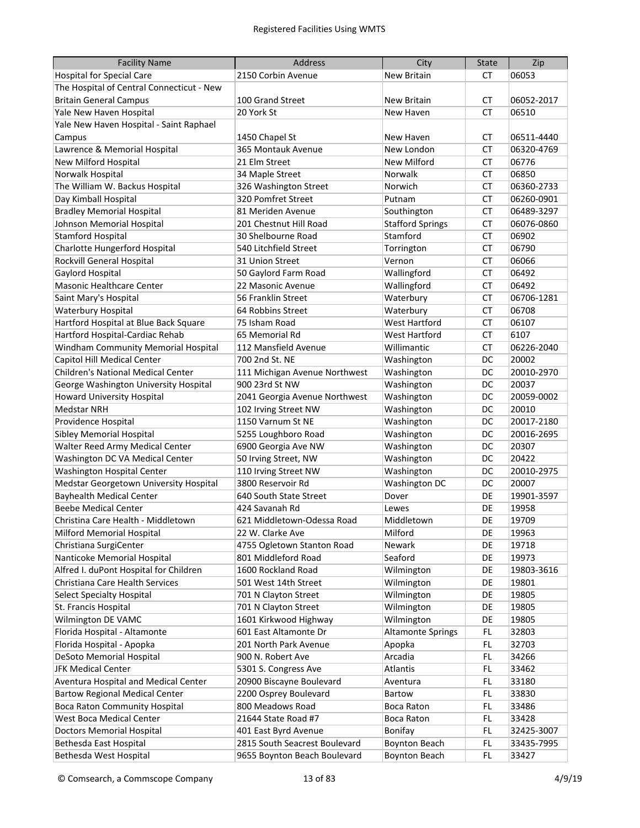| <b>Facility Name</b>                      | Address                       | City                     | <b>State</b> | Zip        |
|-------------------------------------------|-------------------------------|--------------------------|--------------|------------|
| <b>Hospital for Special Care</b>          | 2150 Corbin Avenue            | <b>New Britain</b>       | СT           | 06053      |
| The Hospital of Central Connecticut - New |                               |                          |              |            |
| <b>Britain General Campus</b>             | 100 Grand Street              | New Britain              | СT           | 06052-2017 |
| Yale New Haven Hospital                   | 20 York St                    | New Haven                | СT           | 06510      |
| Yale New Haven Hospital - Saint Raphael   |                               |                          |              |            |
| Campus                                    | 1450 Chapel St                | New Haven                | СT           | 06511-4440 |
| Lawrence & Memorial Hospital              | 365 Montauk Avenue            | New London               | <b>CT</b>    | 06320-4769 |
| New Milford Hospital                      | 21 Elm Street                 | New Milford              | <b>CT</b>    | 06776      |
| Norwalk Hospital                          | 34 Maple Street               | Norwalk                  | CT           | 06850      |
| The William W. Backus Hospital            | 326 Washington Street         | Norwich                  | <b>CT</b>    | 06360-2733 |
| Day Kimball Hospital                      | 320 Pomfret Street            | Putnam                   | <b>CT</b>    | 06260-0901 |
| <b>Bradley Memorial Hospital</b>          | 81 Meriden Avenue             | Southington              | <b>CT</b>    | 06489-3297 |
| Johnson Memorial Hospital                 | 201 Chestnut Hill Road        | <b>Stafford Springs</b>  | <b>CT</b>    | 06076-0860 |
| <b>Stamford Hospital</b>                  | 30 Shelbourne Road            | Stamford                 | <b>CT</b>    | 06902      |
| Charlotte Hungerford Hospital             | 540 Litchfield Street         | Torrington               | <b>CT</b>    | 06790      |
| <b>Rockvill General Hospital</b>          | 31 Union Street               | Vernon                   | CT           | 06066      |
| Gaylord Hospital                          | 50 Gaylord Farm Road          | Wallingford              | <b>CT</b>    | 06492      |
| Masonic Healthcare Center                 | 22 Masonic Avenue             | Wallingford              | CT           | 06492      |
| Saint Mary's Hospital                     | 56 Franklin Street            | Waterbury                | CT           | 06706-1281 |
| Waterbury Hospital                        | 64 Robbins Street             | Waterbury                | СT           | 06708      |
| Hartford Hospital at Blue Back Square     | 75 Isham Road                 | <b>West Hartford</b>     | <b>CT</b>    | 06107      |
| Hartford Hospital-Cardiac Rehab           | 65 Memorial Rd                | <b>West Hartford</b>     | <b>CT</b>    | 6107       |
| Windham Community Memorial Hospital       | 112 Mansfield Avenue          | Willimantic              | <b>CT</b>    | 06226-2040 |
| Capitol Hill Medical Center               | 700 2nd St. NE                | Washington               | DC           | 20002      |
| Children's National Medical Center        | 111 Michigan Avenue Northwest | Washington               | DC           | 20010-2970 |
| George Washington University Hospital     | 900 23rd St NW                | Washington               | DC           | 20037      |
| Howard University Hospital                | 2041 Georgia Avenue Northwest | Washington               | DC           | 20059-0002 |
| <b>Medstar NRH</b>                        | 102 Irving Street NW          | Washington               | DC           | 20010      |
| Providence Hospital                       | 1150 Varnum St NE             | Washington               | DC           | 20017-2180 |
| <b>Sibley Memorial Hospital</b>           | 5255 Loughboro Road           | Washington               | DC           | 20016-2695 |
| Walter Reed Army Medical Center           | 6900 Georgia Ave NW           | Washington               | DC           | 20307      |
| Washington DC VA Medical Center           | 50 Irving Street, NW          | Washington               | DC           | 20422      |
| Washington Hospital Center                | 110 Irving Street NW          | Washington               | DC           | 20010-2975 |
| Medstar Georgetown University Hospital    | 3800 Reservoir Rd             | <b>Washington DC</b>     | DC           | 20007      |
| <b>Bayhealth Medical Center</b>           | 640 South State Street        | Dover                    | DE           | 19901-3597 |
| <b>Beebe Medical Center</b>               | 424 Savanah Rd                | Lewes                    | DE           | 19958      |
| Christina Care Health - Middletown        | 621 Middletown-Odessa Road    | Middletown               | DE           | 19709      |
| Milford Memorial Hospital                 | 22 W. Clarke Ave              | Milford                  | DE           | 19963      |
| Christiana SurgiCenter                    | 4755 Ogletown Stanton Road    | Newark                   | DE           | 19718      |
| Nanticoke Memorial Hospital               | 801 Middleford Road           | Seaford                  | DE           | 19973      |
| Alfred I. duPont Hospital for Children    | 1600 Rockland Road            | Wilmington               | DE           | 19803-3616 |
| Christiana Care Health Services           | 501 West 14th Street          | Wilmington               | DE           | 19801      |
| <b>Select Specialty Hospital</b>          | 701 N Clayton Street          | Wilmington               | DE           | 19805      |
| St. Francis Hospital                      | 701 N Clayton Street          | Wilmington               | DE           | 19805      |
| Wilmington DE VAMC                        | 1601 Kirkwood Highway         | Wilmington               | DE           | 19805      |
| Florida Hospital - Altamonte              | 601 East Altamonte Dr         | <b>Altamonte Springs</b> | FL.          | 32803      |
| Florida Hospital - Apopka                 | 201 North Park Avenue         | Apopka                   | FL.          | 32703      |
| DeSoto Memorial Hospital                  | 900 N. Robert Ave             | Arcadia                  | FL           | 34266      |
| <b>JFK Medical Center</b>                 | 5301 S. Congress Ave          | Atlantis                 | FL.          | 33462      |
| Aventura Hospital and Medical Center      | 20900 Biscayne Boulevard      | Aventura                 | FL.          | 33180      |
| <b>Bartow Regional Medical Center</b>     | 2200 Osprey Boulevard         | Bartow                   | FL.          | 33830      |
| <b>Boca Raton Community Hospital</b>      | 800 Meadows Road              | Boca Raton               | FL.          | 33486      |
| West Boca Medical Center                  | 21644 State Road #7           | Boca Raton               | FL.          | 33428      |
| <b>Doctors Memorial Hospital</b>          | 401 East Byrd Avenue          | Bonifay                  | FL.          | 32425-3007 |
| Bethesda East Hospital                    | 2815 South Seacrest Boulevard | <b>Boynton Beach</b>     | FL.          | 33435-7995 |
| Bethesda West Hospital                    | 9655 Boynton Beach Boulevard  | <b>Boynton Beach</b>     | FL.          | 33427      |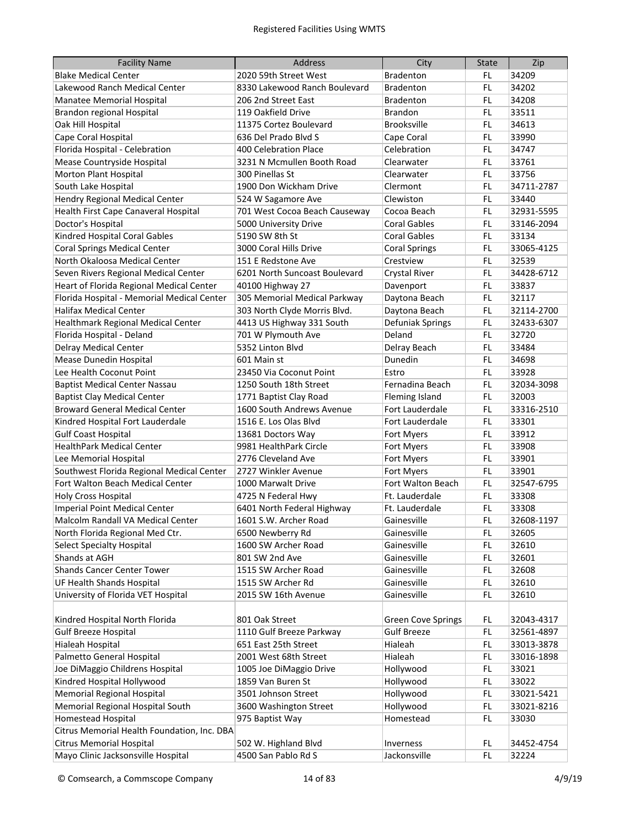| <b>Facility Name</b>                        | <b>Address</b>                | City                      | <b>State</b> | Zip        |
|---------------------------------------------|-------------------------------|---------------------------|--------------|------------|
| <b>Blake Medical Center</b>                 | 2020 59th Street West         | <b>Bradenton</b>          | FL           | 34209      |
| Lakewood Ranch Medical Center               | 8330 Lakewood Ranch Boulevard | <b>Bradenton</b>          | FL           | 34202      |
| Manatee Memorial Hospital                   | 206 2nd Street East           | <b>Bradenton</b>          | FL           | 34208      |
| Brandon regional Hospital                   | 119 Oakfield Drive            | <b>Brandon</b>            | FL.          | 33511      |
| Oak Hill Hospital                           | 11375 Cortez Boulevard        | <b>Brooksville</b>        | FL.          | 34613      |
| Cape Coral Hospital                         | 636 Del Prado Blyd S          | Cape Coral                | FL.          | 33990      |
| Florida Hospital - Celebration              | 400 Celebration Place         | Celebration               | FL.          | 34747      |
| Mease Countryside Hospital                  | 3231 N Mcmullen Booth Road    | Clearwater                | FL.          | 33761      |
| Morton Plant Hospital                       | 300 Pinellas St               | Clearwater                | FL.          | 33756      |
| South Lake Hospital                         | 1900 Don Wickham Drive        | Clermont                  | FL.          | 34711-2787 |
| <b>Hendry Regional Medical Center</b>       | 524 W Sagamore Ave            | Clewiston                 | FL.          | 33440      |
| Health First Cape Canaveral Hospital        | 701 West Cocoa Beach Causeway | Cocoa Beach               | FL.          | 32931-5595 |
| Doctor's Hospital                           | 5000 University Drive         | <b>Coral Gables</b>       | FL.          | 33146-2094 |
| Kindred Hospital Coral Gables               | 5190 SW 8th St                | <b>Coral Gables</b>       | FL.          | 33134      |
| <b>Coral Springs Medical Center</b>         | 3000 Coral Hills Drive        | <b>Coral Springs</b>      | FL.          | 33065-4125 |
| North Okaloosa Medical Center               | 151 E Redstone Ave            | Crestview                 | FL.          | 32539      |
| Seven Rivers Regional Medical Center        | 6201 North Suncoast Boulevard | <b>Crystal River</b>      | FL.          | 34428-6712 |
| Heart of Florida Regional Medical Center    | 40100 Highway 27              | Davenport                 | FL.          | 33837      |
| Florida Hospital - Memorial Medical Center  | 305 Memorial Medical Parkway  | Daytona Beach             | FL.          | 32117      |
| <b>Halifax Medical Center</b>               | 303 North Clyde Morris Blvd.  | Daytona Beach             | FL           | 32114-2700 |
| <b>Healthmark Regional Medical Center</b>   | 4413 US Highway 331 South     | Defuniak Springs          | FL           | 32433-6307 |
| Florida Hospital - Deland                   | 701 W Plymouth Ave            | Deland                    | FL           | 32720      |
| <b>Delray Medical Center</b>                | 5352 Linton Blvd              | Delray Beach              | FL.          | 33484      |
| Mease Dunedin Hospital                      | 601 Main st                   | Dunedin                   | FL.          | 34698      |
| Lee Health Coconut Point                    | 23450 Via Coconut Point       | Estro                     | FL.          | 33928      |
| <b>Baptist Medical Center Nassau</b>        | 1250 South 18th Street        | Fernadina Beach           | FL.          | 32034-3098 |
| <b>Baptist Clay Medical Center</b>          | 1771 Baptist Clay Road        | <b>Fleming Island</b>     | FL.          | 32003      |
| <b>Broward General Medical Center</b>       | 1600 South Andrews Avenue     | Fort Lauderdale           | FL.          | 33316-2510 |
| Kindred Hospital Fort Lauderdale            | 1516 E. Los Olas Blvd         | Fort Lauderdale           | FL.          | 33301      |
| <b>Gulf Coast Hospital</b>                  | 13681 Doctors Way             | Fort Myers                | FL.          | 33912      |
| <b>HealthPark Medical Center</b>            | 9981 HealthPark Circle        | Fort Myers                | FL.          | 33908      |
| Lee Memorial Hospital                       | 2776 Cleveland Ave            | Fort Myers                | FL.          | 33901      |
| Southwest Florida Regional Medical Center   | 2727 Winkler Avenue           | Fort Myers                | FL.          | 33901      |
| Fort Walton Beach Medical Center            | 1000 Marwalt Drive            | Fort Walton Beach         | FL.          | 32547-6795 |
| <b>Holy Cross Hospital</b>                  | 4725 N Federal Hwy            | Ft. Lauderdale            | FL.          | 33308      |
| <b>Imperial Point Medical Center</b>        | 6401 North Federal Highway    | Ft. Lauderdale            | FL.          | 33308      |
| Malcolm Randall VA Medical Center           | 1601 S.W. Archer Road         | Gainesville               | FL           | 32608-1197 |
| North Florida Regional Med Ctr.             | 6500 Newberry Rd              | Gainesville               | FL           | 32605      |
| Select Specialty Hospital                   | 1600 SW Archer Road           | Gainesville               | FL           | 32610      |
| Shands at AGH                               | 801 SW 2nd Ave                | Gainesville               | FL           | 32601      |
| Shands Cancer Center Tower                  | 1515 SW Archer Road           | Gainesville               | FL.          | 32608      |
| UF Health Shands Hospital                   | 1515 SW Archer Rd             | Gainesville               | FL.          | 32610      |
| University of Florida VET Hospital          | 2015 SW 16th Avenue           | Gainesville               | FL           | 32610      |
| Kindred Hospital North Florida              | 801 Oak Street                | <b>Green Cove Springs</b> | FL.          | 32043-4317 |
| <b>Gulf Breeze Hospital</b>                 | 1110 Gulf Breeze Parkway      | <b>Gulf Breeze</b>        | FL           | 32561-4897 |
| Hialeah Hospital                            | 651 East 25th Street          | Hialeah                   | FL           | 33013-3878 |
| Palmetto General Hospital                   | 2001 West 68th Street         | Hialeah                   | FL           | 33016-1898 |
| Joe DiMaggio Childrens Hospital             | 1005 Joe DiMaggio Drive       | Hollywood                 | FL           | 33021      |
| Kindred Hospital Hollywood                  | 1859 Van Buren St             | Hollywood                 | FL.          | 33022      |
| <b>Memorial Regional Hospital</b>           | 3501 Johnson Street           | Hollywood                 | FL.          | 33021-5421 |
| Memorial Regional Hospital South            | 3600 Washington Street        | Hollywood                 | FL.          | 33021-8216 |
| Homestead Hospital                          | 975 Baptist Way               | Homestead                 | FL.          | 33030      |
| Citrus Memorial Health Foundation, Inc. DBA |                               |                           |              |            |
| <b>Citrus Memorial Hospital</b>             | 502 W. Highland Blvd          | Inverness                 | FL           | 34452-4754 |
| Mayo Clinic Jacksonsville Hospital          | 4500 San Pablo Rd S           | Jackonsville              | FL           | 32224      |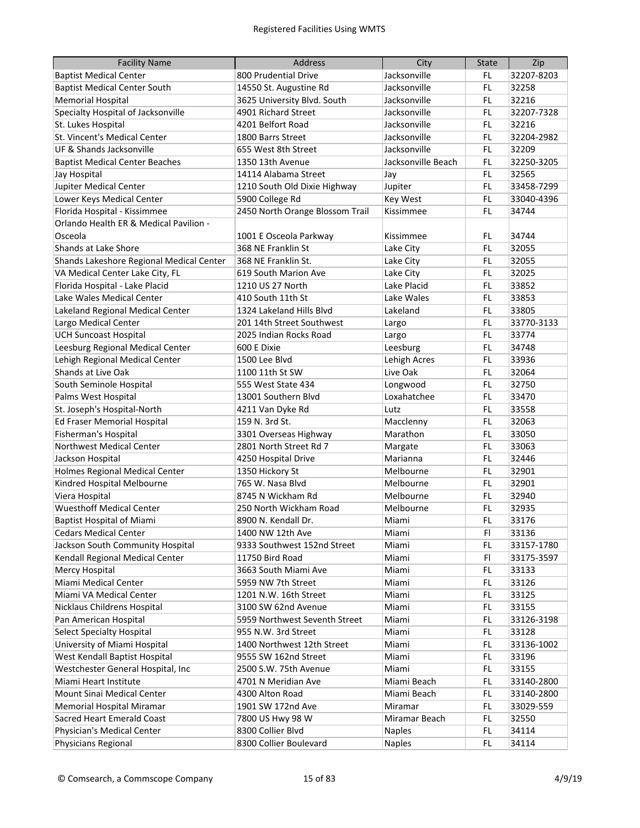| <b>Facility Name</b>                     | <b>Address</b>                  | City               | <b>State</b> | Zip        |
|------------------------------------------|---------------------------------|--------------------|--------------|------------|
| <b>Baptist Medical Center</b>            | 800 Prudential Drive            | Jacksonville       | FL           | 32207-8203 |
| <b>Baptist Medical Center South</b>      | 14550 St. Augustine Rd          | Jacksonville       | FL           | 32258      |
| <b>Memorial Hospital</b>                 | 3625 University Blvd. South     | Jacksonville       | FL.          | 32216      |
| Specialty Hospital of Jacksonville       | 4901 Richard Street             | Jacksonville       | FL           | 32207-7328 |
| St. Lukes Hospital                       | 4201 Belfort Road               | Jacksonville       | FL.          | 32216      |
| St. Vincent's Medical Center             | 1800 Barrs Street               | Jacksonville       | FL.          | 32204-2982 |
| UF & Shands Jacksonville                 | 655 West 8th Street             | Jacksonville       | FL.          | 32209      |
| <b>Baptist Medical Center Beaches</b>    | 1350 13th Avenue                | Jacksonville Beach | FL.          | 32250-3205 |
| Jay Hospital                             | 14114 Alabama Street            | Jay                | FL.          | 32565      |
| Jupiter Medical Center                   | 1210 South Old Dixie Highway    | Jupiter            | FL.          | 33458-7299 |
| Lower Keys Medical Center                | 5900 College Rd                 | <b>Key West</b>    | FL.          | 33040-4396 |
| Florida Hospital - Kissimmee             | 2450 North Orange Blossom Trail | Kissimmee          | FL.          | 34744      |
| Orlando Health ER & Medical Pavilion -   |                                 |                    |              |            |
| Osceola                                  | 1001 E Osceola Parkway          | Kissimmee          | FL.          | 34744      |
| Shands at Lake Shore                     | 368 NE Franklin St              | Lake City          | FL.          | 32055      |
| Shands Lakeshore Regional Medical Center | 368 NE Franklin St.             | Lake City          | FL.          | 32055      |
| VA Medical Center Lake City, FL          | 619 South Marion Ave            | Lake City          | FL.          | 32025      |
| Florida Hospital - Lake Placid           | 1210 US 27 North                | Lake Placid        | FL.          | 33852      |
| Lake Wales Medical Center                | 410 South 11th St               | Lake Wales         | FL           | 33853      |
| Lakeland Regional Medical Center         | 1324 Lakeland Hills Blvd        | Lakeland           | FL           | 33805      |
| Largo Medical Center                     | 201 14th Street Southwest       | Largo              | FL           | 33770-3133 |
| <b>UCH Suncoast Hospital</b>             | 2025 Indian Rocks Road          | Largo              | FL           | 33774      |
| Leesburg Regional Medical Center         | 600 E Dixie                     | Leesburg           | FL           | 34748      |
| Lehigh Regional Medical Center           | 1500 Lee Blvd                   | Lehigh Acres       | FL           | 33936      |
| Shands at Live Oak                       | 1100 11th St SW                 | Live Oak           | FL           | 32064      |
| South Seminole Hospital                  | 555 West State 434              | Longwood           | FL.          | 32750      |
| Palms West Hospital                      | 13001 Southern Blvd             | Loxahatchee        | FL.          | 33470      |
| St. Joseph's Hospital-North              | 4211 Van Dyke Rd                | Lutz               | FL.          | 33558      |
| Ed Fraser Memorial Hospital              | 159 N. 3rd St.                  | Macclenny          | FL.          | 32063      |
| Fisherman's Hospital                     | 3301 Overseas Highway           | Marathon           | FL.          | 33050      |
| Northwest Medical Center                 | 2801 North Street Rd 7          | Margate            | FL.          | 33063      |
| Jackson Hospital                         | 4250 Hospital Drive             | Marianna           | FL.          | 32446      |
| <b>Holmes Regional Medical Center</b>    | 1350 Hickory St                 | Melbourne          | FL.          | 32901      |
| Kindred Hospital Melbourne               | 765 W. Nasa Blvd                | Melbourne          | FL.          | 32901      |
| Viera Hospital                           | 8745 N Wickham Rd               | Melbourne          | FL.          | 32940      |
| <b>Wuesthoff Medical Center</b>          | 250 North Wickham Road          | Melbourne          | FL.          | 32935      |
| <b>Baptist Hospital of Miami</b>         | 8900 N. Kendall Dr.             | Miami              | FL           | 33176      |
| <b>Cedars Medical Center</b>             | 1400 NW 12th Ave                | Miami              | FI.          | 33136      |
| Jackson South Community Hospital         | 9333 Southwest 152nd Street     | Miami              | FL           | 33157-1780 |
| Kendall Regional Medical Center          | 11750 Bird Road                 | Miami              | FI           | 33175-3597 |
| Mercy Hospital                           | 3663 South Miami Ave            | Miami              | FL           | 33133      |
| Miami Medical Center                     | 5959 NW 7th Street              | Miami              | FL           | 33126      |
| Miami VA Medical Center                  | 1201 N.W. 16th Street           | Miami              | FL           | 33125      |
| Nicklaus Childrens Hospital              | 3100 SW 62nd Avenue             | Miami              | FL           | 33155      |
| Pan American Hospital                    | 5959 Northwest Seventh Street   | Miami              | FL           | 33126-3198 |
| <b>Select Specialty Hospital</b>         | 955 N.W. 3rd Street             | Miami              | FL           | 33128      |
| University of Miami Hospital             | 1400 Northwest 12th Street      | Miami              | FL           | 33136-1002 |
| West Kendall Baptist Hospital            | 9555 SW 162nd Street            | Miami              | FL           | 33196      |
| Westchester General Hospital, Inc        | 2500 S.W. 75th Avenue           | Miami              | FL           | 33155      |
| Miami Heart Institute                    | 4701 N Meridian Ave             | Miami Beach        | FL.          | 33140-2800 |
| Mount Sinai Medical Center               | 4300 Alton Road                 | Miami Beach        | FL.          | 33140-2800 |
| Memorial Hospital Miramar                | 1901 SW 172nd Ave               | Miramar            | FL.          | 33029-559  |
| Sacred Heart Emerald Coast               | 7800 US Hwy 98 W                | Miramar Beach      | FL.          | 32550      |
| Physician's Medical Center               | 8300 Collier Blvd               | <b>Naples</b>      | FL.          | 34114      |
| Physicians Regional                      | 8300 Collier Boulevard          | <b>Naples</b>      | FL           | 34114      |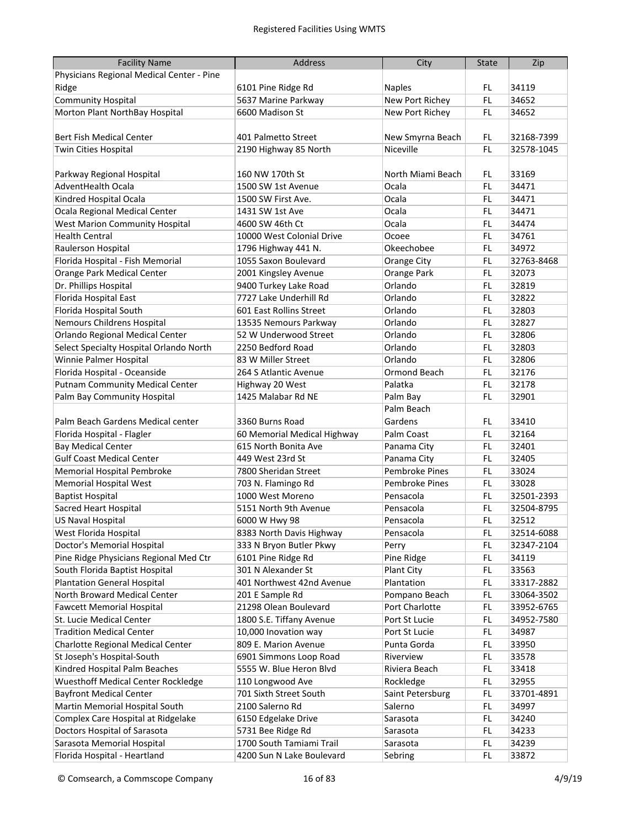| <b>Facility Name</b>                      | Address                     | City                  | <b>State</b> | Zip        |
|-------------------------------------------|-----------------------------|-----------------------|--------------|------------|
| Physicians Regional Medical Center - Pine |                             |                       |              |            |
| Ridge                                     | 6101 Pine Ridge Rd          | <b>Naples</b>         | FL           | 34119      |
| <b>Community Hospital</b>                 | 5637 Marine Parkway         | New Port Richey       | FL.          | 34652      |
| Morton Plant NorthBay Hospital            | 6600 Madison St             | New Port Richey       | FL.          | 34652      |
|                                           |                             |                       |              |            |
| <b>Bert Fish Medical Center</b>           | 401 Palmetto Street         | New Smyrna Beach      | FL.          | 32168-7399 |
| Twin Cities Hospital                      | 2190 Highway 85 North       | Niceville             | FL.          | 32578-1045 |
|                                           |                             |                       |              |            |
| Parkway Regional Hospital                 | 160 NW 170th St             | North Miami Beach     | FL.          | 33169      |
| <b>AdventHealth Ocala</b>                 | 1500 SW 1st Avenue          | Ocala                 | FL.          | 34471      |
| Kindred Hospital Ocala                    | 1500 SW First Ave.          | Ocala                 | FL.          | 34471      |
| Ocala Regional Medical Center             | 1431 SW 1st Ave             | Ocala                 | FL.          | 34471      |
| <b>West Marion Community Hospital</b>     | 4600 SW 46th Ct             | Ocala                 | FL.          | 34474      |
| <b>Health Central</b>                     | 10000 West Colonial Drive   | Ocoee                 | FL.          | 34761      |
| Raulerson Hospital                        | 1796 Highway 441 N.         | Okeechobee            | FL.          | 34972      |
| Florida Hospital - Fish Memorial          | 1055 Saxon Boulevard        | Orange City           | FL.          | 32763-8468 |
| Orange Park Medical Center                | 2001 Kingsley Avenue        | Orange Park           | FL           | 32073      |
| Dr. Phillips Hospital                     | 9400 Turkey Lake Road       | Orlando               | FL           | 32819      |
| Florida Hospital East                     | 7727 Lake Underhill Rd      | Orlando               | FL.          | 32822      |
| Florida Hospital South                    | 601 East Rollins Street     | Orlando               | FL.          | 32803      |
| Nemours Childrens Hospital                | 13535 Nemours Parkway       | Orlando               | FL.          | 32827      |
| Orlando Regional Medical Center           | 52 W Underwood Street       | Orlando               | FL.          | 32806      |
| Select Specialty Hospital Orlando North   | 2250 Bedford Road           | Orlando               | FL.          | 32803      |
| Winnie Palmer Hospital                    | 83 W Miller Street          | Orlando               | FL.          | 32806      |
| Florida Hospital - Oceanside              | 264 S Atlantic Avenue       | Ormond Beach          | FL.          | 32176      |
| <b>Putnam Community Medical Center</b>    | Highway 20 West             | Palatka               | FL.          | 32178      |
| Palm Bay Community Hospital               | 1425 Malabar Rd NE          | Palm Bay              | FL.          | 32901      |
|                                           |                             | Palm Beach            |              |            |
| Palm Beach Gardens Medical center         | 3360 Burns Road             | Gardens               | FL.          | 33410      |
| Florida Hospital - Flagler                | 60 Memorial Medical Highway | Palm Coast            | FL.          | 32164      |
| <b>Bay Medical Center</b>                 | 615 North Bonita Ave        | Panama City           | FL.          | 32401      |
| <b>Gulf Coast Medical Center</b>          | 449 West 23rd St            | Panama City           | FL           | 32405      |
| Memorial Hospital Pembroke                | 7800 Sheridan Street        | <b>Pembroke Pines</b> | FL.          | 33024      |
| <b>Memorial Hospital West</b>             | 703 N. Flamingo Rd          | <b>Pembroke Pines</b> | FL.          | 33028      |
| <b>Baptist Hospital</b>                   | 1000 West Moreno            | Pensacola             | FL.          | 32501-2393 |
| <b>Sacred Heart Hospital</b>              | 5151 North 9th Avenue       | Pensacola             | FL.          | 32504-8795 |
| <b>US Naval Hospital</b>                  | 6000 W Hwy 98               | Pensacola             | FL           | 32512      |
| West Florida Hospital                     | 8383 North Davis Highway    | Pensacola             | FL           | 32514-6088 |
| <b>Doctor's Memorial Hospital</b>         | 333 N Bryon Butler Pkwy     | Perry                 | FL           | 32347-2104 |
| Pine Ridge Physicians Regional Med Ctr    | 6101 Pine Ridge Rd          | Pine Ridge            | FL           | 34119      |
| South Florida Baptist Hospital            | 301 N Alexander St          | Plant City            | FL           | 33563      |
| <b>Plantation General Hospital</b>        | 401 Northwest 42nd Avenue   | Plantation            | FL           | 33317-2882 |
| North Broward Medical Center              | 201 E Sample Rd             | Pompano Beach         | FL           | 33064-3502 |
| <b>Fawcett Memorial Hospital</b>          | 21298 Olean Boulevard       | Port Charlotte        | FL           | 33952-6765 |
| St. Lucie Medical Center                  | 1800 S.E. Tiffany Avenue    | Port St Lucie         | FL           | 34952-7580 |
| <b>Tradition Medical Center</b>           | 10,000 Inovation way        | Port St Lucie         | FL.          | 34987      |
| Charlotte Regional Medical Center         | 809 E. Marion Avenue        | Punta Gorda           | FL.          | 33950      |
| St Joseph's Hospital-South                | 6901 Simmons Loop Road      | Riverview             | FL.          | 33578      |
| Kindred Hospital Palm Beaches             | 5555 W. Blue Heron Blvd     | Riviera Beach         | FL           | 33418      |
| <b>Wuesthoff Medical Center Rockledge</b> | 110 Longwood Ave            | Rockledge             | FL.          | 32955      |
| <b>Bayfront Medical Center</b>            | 701 Sixth Street South      | Saint Petersburg      | FL.          | 33701-4891 |
| Martin Memorial Hospital South            | 2100 Salerno Rd             | Salerno               | FL           | 34997      |
| Complex Care Hospital at Ridgelake        | 6150 Edgelake Drive         | Sarasota              | FL           | 34240      |
| Doctors Hospital of Sarasota              | 5731 Bee Ridge Rd           | Sarasota              | FL           | 34233      |
| Sarasota Memorial Hospital                | 1700 South Tamiami Trail    | Sarasota              | FL           | 34239      |
| Florida Hospital - Heartland              | 4200 Sun N Lake Boulevard   | Sebring               | FL.          | 33872      |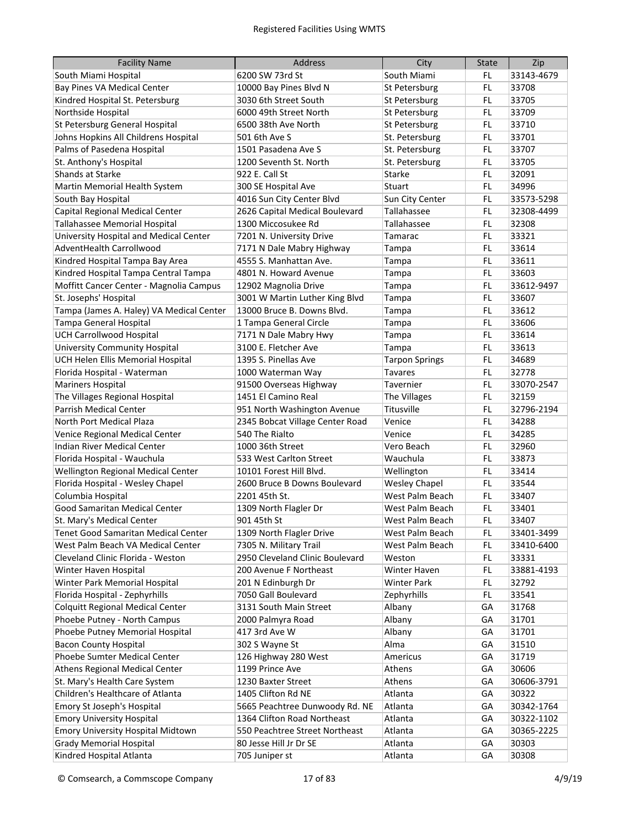| <b>Facility Name</b>                     | <b>Address</b>                  | City                  | <b>State</b> | Zip        |
|------------------------------------------|---------------------------------|-----------------------|--------------|------------|
| South Miami Hospital                     | 6200 SW 73rd St                 | South Miami           | FL           | 33143-4679 |
| Bay Pines VA Medical Center              | 10000 Bay Pines Blvd N          | St Petersburg         | FL           | 33708      |
| Kindred Hospital St. Petersburg          | 3030 6th Street South           | St Petersburg         | FL.          | 33705      |
| Northside Hospital                       | 6000 49th Street North          | St Petersburg         | FL.          | 33709      |
| St Petersburg General Hospital           | 6500 38th Ave North             | St Petersburg         | FL.          | 33710      |
| Johns Hopkins All Childrens Hospital     | 501 6th Ave S                   | St. Petersburg        | FL.          | 33701      |
| Palms of Pasedena Hospital               | 1501 Pasadena Ave S             | St. Petersburg        | FL.          | 33707      |
| St. Anthony's Hospital                   | 1200 Seventh St. North          | St. Petersburg        | FL.          | 33705      |
| Shands at Starke                         | 922 E. Call St                  | Starke                | FL.          | 32091      |
| Martin Memorial Health System            | 300 SE Hospital Ave             | Stuart                | FL.          | 34996      |
| South Bay Hospital                       | 4016 Sun City Center Blvd       | Sun City Center       | FL.          | 33573-5298 |
| Capital Regional Medical Center          | 2626 Capital Medical Boulevard  | Tallahassee           | FL.          | 32308-4499 |
| Tallahassee Memorial Hospital            | 1300 Miccosukee Rd              | Tallahassee           | FL.          | 32308      |
| University Hospital and Medical Center   | 7201 N. University Drive        | Tamarac               | FL           | 33321      |
| AdventHealth Carrollwood                 | 7171 N Dale Mabry Highway       | Tampa                 | FL           | 33614      |
| Kindred Hospital Tampa Bay Area          | 4555 S. Manhattan Ave.          | Tampa                 | FL           | 33611      |
| Kindred Hospital Tampa Central Tampa     | 4801 N. Howard Avenue           | Tampa                 | FL           | 33603      |
| Moffitt Cancer Center - Magnolia Campus  | 12902 Magnolia Drive            | Tampa                 | FL           | 33612-9497 |
| St. Josephs' Hospital                    | 3001 W Martin Luther King Blvd  | Tampa                 | FL           | 33607      |
| Tampa (James A. Haley) VA Medical Center | 13000 Bruce B. Downs Blvd.      | Tampa                 | FL           | 33612      |
| Tampa General Hospital                   | 1 Tampa General Circle          | Tampa                 | FL           | 33606      |
| <b>UCH Carrollwood Hospital</b>          | 7171 N Dale Mabry Hwy           | Tampa                 | FL.          | 33614      |
| <b>University Community Hospital</b>     | 3100 E. Fletcher Ave            | Tampa                 | FL.          | 33613      |
| UCH Helen Ellis Memorial Hospital        | 1395 S. Pinellas Ave            | <b>Tarpon Springs</b> | FL.          | 34689      |
| Florida Hospital - Waterman              | 1000 Waterman Way               | <b>Tavares</b>        | FL.          | 32778      |
| <b>Mariners Hospital</b>                 | 91500 Overseas Highway          | Tavernier             | FL.          | 33070-2547 |
| The Villages Regional Hospital           | 1451 El Camino Real             | The Villages          | FL.          | 32159      |
| Parrish Medical Center                   | 951 North Washington Avenue     | Titusville            | FL.          | 32796-2194 |
| North Port Medical Plaza                 | 2345 Bobcat Village Center Road | Venice                | FL.          | 34288      |
| Venice Regional Medical Center           | 540 The Rialto                  | Venice                | FL.          | 34285      |
| Indian River Medical Center              | 1000 36th Street                | Vero Beach            | FL.          | 32960      |
| Florida Hospital - Wauchula              | 533 West Carlton Street         | Wauchula              | FL           | 33873      |
| Wellington Regional Medical Center       | 10101 Forest Hill Blvd.         | Wellington            | FL           | 33414      |
| Florida Hospital - Wesley Chapel         | 2600 Bruce B Downs Boulevard    | <b>Wesley Chapel</b>  | FL           | 33544      |
| Columbia Hospital                        | 2201 45th St.                   | West Palm Beach       | FL           | 33407      |
| Good Samaritan Medical Center            | 1309 North Flagler Dr           | West Palm Beach       | FL           | 33401      |
| St. Mary's Medical Center                | 901 45th St                     | West Palm Beach       | FL           | 33407      |
| Tenet Good Samaritan Medical Center      | 1309 North Flagler Drive        | West Palm Beach       | FL           | 33401-3499 |
| West Palm Beach VA Medical Center        | 7305 N. Military Trail          | West Palm Beach       | FL           | 33410-6400 |
| Cleveland Clinic Florida - Weston        | 2950 Cleveland Clinic Boulevard | Weston                | FL           | 33331      |
| Winter Haven Hospital                    | 200 Avenue F Northeast          | Winter Haven          | FL           | 33881-4193 |
| Winter Park Memorial Hospital            | 201 N Edinburgh Dr              | <b>Winter Park</b>    | FL           | 32792      |
| Florida Hospital - Zephyrhills           | 7050 Gall Boulevard             | Zephyrhills           | FL.          | 33541      |
| <b>Colquitt Regional Medical Center</b>  | 3131 South Main Street          | Albany                | GА           | 31768      |
| Phoebe Putney - North Campus             | 2000 Palmyra Road               | Albany                | GА           | 31701      |
| Phoebe Putney Memorial Hospital          | 417 3rd Ave W                   | Albany                | GА           | 31701      |
| <b>Bacon County Hospital</b>             | 302 S Wayne St                  | Alma                  | GА           | 31510      |
| Phoebe Sumter Medical Center             | 126 Highway 280 West            | Americus              | GА           | 31719      |
| Athens Regional Medical Center           | 1199 Prince Ave                 | Athens                | GA           | 30606      |
| St. Mary's Health Care System            | 1230 Baxter Street              | Athens                | GA           | 30606-3791 |
| Children's Healthcare of Atlanta         | 1405 Clifton Rd NE              | Atlanta               | GA           | 30322      |
| Emory St Joseph's Hospital               | 5665 Peachtree Dunwoody Rd. NE  | Atlanta               | GA           | 30342-1764 |
| <b>Emory University Hospital</b>         | 1364 Clifton Road Northeast     | Atlanta               | GA           | 30322-1102 |
| <b>Emory University Hospital Midtown</b> | 550 Peachtree Street Northeast  | Atlanta               | GA           | 30365-2225 |
| <b>Grady Memorial Hospital</b>           | 80 Jesse Hill Jr Dr SE          | Atlanta               | GA           | 30303      |
| Kindred Hospital Atlanta                 | 705 Juniper st                  | Atlanta               | GA           | 30308      |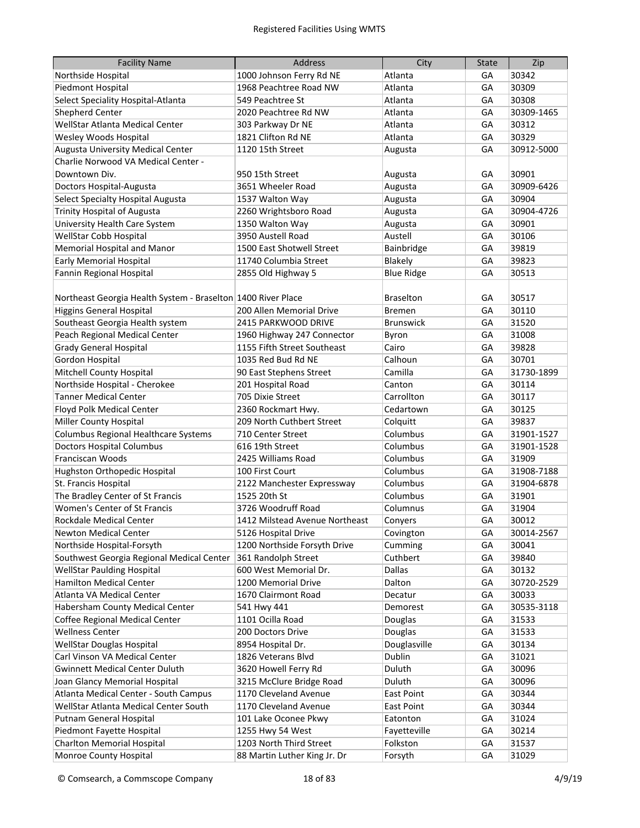| <b>Facility Name</b>                                         | <b>Address</b>                 | City              | <b>State</b> | Zip        |
|--------------------------------------------------------------|--------------------------------|-------------------|--------------|------------|
| Northside Hospital                                           | 1000 Johnson Ferry Rd NE       | Atlanta           | GА           | 30342      |
| Piedmont Hospital                                            | 1968 Peachtree Road NW         | Atlanta           | GА           | 30309      |
| Select Speciality Hospital-Atlanta                           | 549 Peachtree St               | Atlanta           | GА           | 30308      |
| <b>Shepherd Center</b>                                       | 2020 Peachtree Rd NW           | Atlanta           | GА           | 30309-1465 |
| WellStar Atlanta Medical Center                              | 303 Parkway Dr NE              | Atlanta           | GA           | 30312      |
| Wesley Woods Hospital                                        | 1821 Clifton Rd NE             | Atlanta           | GA           | 30329      |
| Augusta University Medical Center                            | 1120 15th Street               | Augusta           | GA           | 30912-5000 |
| Charlie Norwood VA Medical Center -                          |                                |                   |              |            |
| Downtown Div.                                                | 950 15th Street                | Augusta           | GА           | 30901      |
| Doctors Hospital-Augusta                                     | 3651 Wheeler Road              | Augusta           | GA           | 30909-6426 |
| Select Specialty Hospital Augusta                            | 1537 Walton Way                | Augusta           | GA           | 30904      |
| <b>Trinity Hospital of Augusta</b>                           | 2260 Wrightsboro Road          | Augusta           | GA           | 30904-4726 |
| University Health Care System                                | 1350 Walton Way                | Augusta           | GA           | 30901      |
| WellStar Cobb Hospital                                       | 3950 Austell Road              | Austell           | GA           | 30106      |
| Memorial Hospital and Manor                                  | 1500 East Shotwell Street      | Bainbridge        | GA           | 39819      |
| <b>Early Memorial Hospital</b>                               | 11740 Columbia Street          | Blakely           | GA           | 39823      |
| Fannin Regional Hospital                                     | 2855 Old Highway 5             | <b>Blue Ridge</b> | GA           | 30513      |
|                                                              |                                |                   |              |            |
| Northeast Georgia Health System - Braselton 1400 River Place |                                | <b>Braselton</b>  | GА           | 30517      |
| <b>Higgins General Hospital</b>                              | 200 Allen Memorial Drive       | <b>Bremen</b>     | GA           | 30110      |
| Southeast Georgia Health system                              | 2415 PARKWOOD DRIVE            | <b>Brunswick</b>  | GA           | 31520      |
| Peach Regional Medical Center                                | 1960 Highway 247 Connector     | Byron             | GA           | 31008      |
| <b>Grady General Hospital</b>                                | 1155 Fifth Street Southeast    | Cairo             | GA           | 39828      |
| <b>Gordon Hospital</b>                                       | 1035 Red Bud Rd NE             | Calhoun           | GA           | 30701      |
| Mitchell County Hospital                                     | 90 East Stephens Street        | Camilla           | GA           | 31730-1899 |
| Northside Hospital - Cherokee                                | 201 Hospital Road              | Canton            | GA           | 30114      |
| <b>Tanner Medical Center</b>                                 | 705 Dixie Street               | Carrollton        | GA           | 30117      |
| Floyd Polk Medical Center                                    | 2360 Rockmart Hwy.             | Cedartown         | GА           | 30125      |
| <b>Miller County Hospital</b>                                | 209 North Cuthbert Street      | Colquitt          | GА           | 39837      |
| Columbus Regional Healthcare Systems                         | 710 Center Street              | Columbus          | GА           | 31901-1527 |
| <b>Doctors Hospital Columbus</b>                             | 616 19th Street                | Columbus          | GА           | 31901-1528 |
| Franciscan Woods                                             | 2425 Williams Road             | Columbus          | GА           | 31909      |
| Hughston Orthopedic Hospital                                 | 100 First Court                | Columbus          | GA           | 31908-7188 |
| St. Francis Hospital                                         | 2122 Manchester Expressway     | Columbus          | GА           | 31904-6878 |
| The Bradley Center of St Francis                             | 1525 20th St                   | Columbus          | GА           | 31901      |
| Women's Center of St Francis                                 | 3726 Woodruff Road             | Columnus          | GА           | 31904      |
| Rockdale Medical Center                                      | 1412 Milstead Avenue Northeast | Convers           | GА           | 30012      |
| <b>Newton Medical Center</b>                                 | 5126 Hospital Drive            | Covington         | GA           | 30014-2567 |
| Northside Hospital-Forsyth                                   | 1200 Northside Forsyth Drive   | Cumming           | GA           | 30041      |
| Southwest Georgia Regional Medical Center                    | 361 Randolph Street            | Cuthbert          | GA           | 39840      |
| <b>WellStar Paulding Hospital</b>                            | 600 West Memorial Dr.          | Dallas            | GA           | 30132      |
| <b>Hamilton Medical Center</b>                               | 1200 Memorial Drive            | Dalton            | GA           | 30720-2529 |
| Atlanta VA Medical Center                                    | 1670 Clairmont Road            | Decatur           | GA           | 30033      |
| Habersham County Medical Center                              | 541 Hwy 441                    | Demorest          | GA           | 30535-3118 |
| Coffee Regional Medical Center                               | 1101 Ocilla Road               | Douglas           | GА           | 31533      |
| <b>Wellness Center</b>                                       | 200 Doctors Drive              | Douglas           | GA           | 31533      |
| WellStar Douglas Hospital                                    | 8954 Hospital Dr.              | Douglasville      | GA           | 30134      |
| Carl Vinson VA Medical Center                                | 1826 Veterans Blvd             | Dublin            | GА           | 31021      |
| <b>Gwinnett Medical Center Duluth</b>                        | 3620 Howell Ferry Rd           | Duluth            | GА           | 30096      |
| Joan Glancy Memorial Hospital                                | 3215 McClure Bridge Road       | Duluth            | GA           | 30096      |
| Atlanta Medical Center - South Campus                        | 1170 Cleveland Avenue          | East Point        | GA           | 30344      |
| WellStar Atlanta Medical Center South                        | 1170 Cleveland Avenue          | East Point        | GA           | 30344      |
| Putnam General Hospital                                      | 101 Lake Oconee Pkwy           | Eatonton          | GA           | 31024      |
| Piedmont Fayette Hospital                                    | 1255 Hwy 54 West               | Fayetteville      | GA           | 30214      |
| <b>Charlton Memorial Hospital</b>                            | 1203 North Third Street        | Folkston          | GA           | 31537      |
| Monroe County Hospital                                       | 88 Martin Luther King Jr. Dr   | Forsyth           | GA           | 31029      |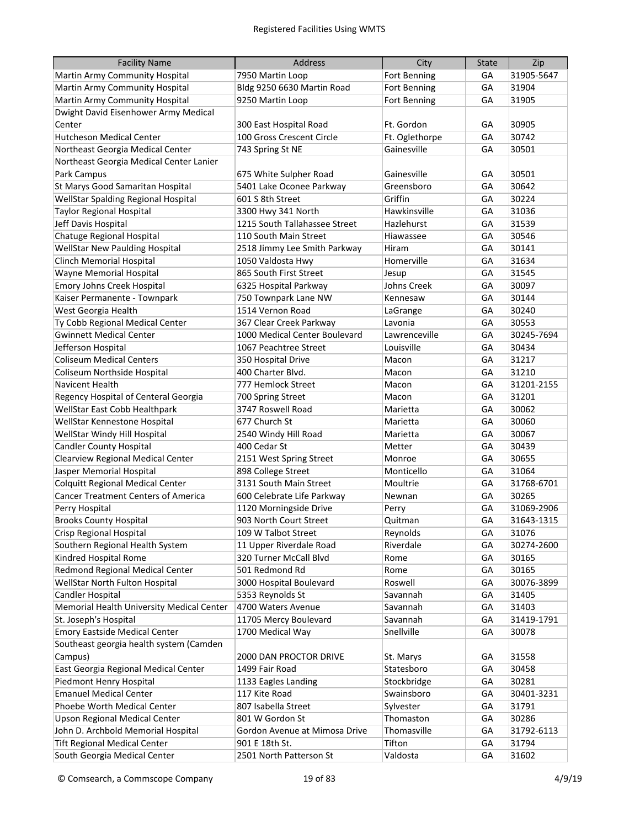| <b>Facility Name</b>                       | <b>Address</b>                | City           | <b>State</b> | Zip        |
|--------------------------------------------|-------------------------------|----------------|--------------|------------|
| Martin Army Community Hospital             | 7950 Martin Loop              | Fort Benning   | GА           | 31905-5647 |
| Martin Army Community Hospital             | Bldg 9250 6630 Martin Road    | Fort Benning   | GA           | 31904      |
| Martin Army Community Hospital             | 9250 Martin Loop              | Fort Benning   | GA           | 31905      |
| Dwight David Eisenhower Army Medical       |                               |                |              |            |
| Center                                     | 300 East Hospital Road        | Ft. Gordon     | GА           | 30905      |
| <b>Hutcheson Medical Center</b>            | 100 Gross Crescent Circle     | Ft. Oglethorpe | GA           | 30742      |
| Northeast Georgia Medical Center           | 743 Spring St NE              | Gainesville    | GA           | 30501      |
| Northeast Georgia Medical Center Lanier    |                               |                |              |            |
| Park Campus                                | 675 White Sulpher Road        | Gainesville    | GА           | 30501      |
| St Marys Good Samaritan Hospital           | 5401 Lake Oconee Parkway      | Greensboro     | GA           | 30642      |
| WellStar Spalding Regional Hospital        | 601 S 8th Street              | Griffin        | GA           | 30224      |
| <b>Taylor Regional Hospital</b>            | 3300 Hwy 341 North            | Hawkinsville   | GA           | 31036      |
| Jeff Davis Hospital                        | 1215 South Tallahassee Street | Hazlehurst     | GA           | 31539      |
| Chatuge Regional Hospital                  | 110 South Main Street         | Hiawassee      | GA           | 30546      |
| <b>WellStar New Paulding Hospital</b>      | 2518 Jimmy Lee Smith Parkway  | Hiram          | GA           | 30141      |
| <b>Clinch Memorial Hospital</b>            | 1050 Valdosta Hwy             | Homerville     | GA           | 31634      |
| Wayne Memorial Hospital                    | 865 South First Street        | Jesup          | GA           | 31545      |
| Emory Johns Creek Hospital                 | 6325 Hospital Parkway         | Johns Creek    | GA           | 30097      |
| Kaiser Permanente - Townpark               | 750 Townpark Lane NW          | Kennesaw       | GА           | 30144      |
| West Georgia Health                        | 1514 Vernon Road              | LaGrange       | GА           | 30240      |
| Ty Cobb Regional Medical Center            | 367 Clear Creek Parkway       | Lavonia        | GA           | 30553      |
| <b>Gwinnett Medical Center</b>             | 1000 Medical Center Boulevard | Lawrenceville  | GA           | 30245-7694 |
| Jefferson Hospital                         | 1067 Peachtree Street         | Louisville     | GA           | 30434      |
| <b>Coliseum Medical Centers</b>            | 350 Hospital Drive            | Macon          | GA           | 31217      |
| Coliseum Northside Hospital                | 400 Charter Blvd.             | Macon          | GA           | 31210      |
| <b>Navicent Health</b>                     | 777 Hemlock Street            | Macon          | GA           | 31201-2155 |
| Regency Hospital of Centeral Georgia       | 700 Spring Street             | Macon          | GA           | 31201      |
| WellStar East Cobb Healthpark              | 3747 Roswell Road             | Marietta       | GA           | 30062      |
| WellStar Kennestone Hospital               | 677 Church St                 | Marietta       | GA           | 30060      |
| WellStar Windy Hill Hospital               | 2540 Windy Hill Road          | Marietta       | GA           | 30067      |
| <b>Candler County Hospital</b>             | 400 Cedar St                  | Metter         | GA           | 30439      |
| Clearview Regional Medical Center          | 2151 West Spring Street       | Monroe         | GА           | 30655      |
| Jasper Memorial Hospital                   | 898 College Street            | Monticello     | GA           | 31064      |
| <b>Colquitt Regional Medical Center</b>    | 3131 South Main Street        | Moultrie       | GA           | 31768-6701 |
| <b>Cancer Treatment Centers of America</b> | 600 Celebrate Life Parkway    | Newnan         | GА           | 30265      |
| Perry Hospital                             | 1120 Morningside Drive        | Perry          | GA           | 31069-2906 |
| <b>Brooks County Hospital</b>              | 903 North Court Street        | Quitman        | GА           | 31643-1315 |
| Crisp Regional Hospital                    | 109 W Talbot Street           | Reynolds       | GA           | 31076      |
| Southern Regional Health System            | 11 Upper Riverdale Road       | Riverdale      | GA           | 30274-2600 |
| Kindred Hospital Rome                      | 320 Turner McCall Blvd        | Rome           | GA           | 30165      |
| Redmond Regional Medical Center            | 501 Redmond Rd                | Rome           | GА           | 30165      |
| WellStar North Fulton Hospital             | 3000 Hospital Boulevard       | Roswell        | GА           | 30076-3899 |
| Candler Hospital                           | 5353 Reynolds St              | Savannah       | GА           | 31405      |
| Memorial Health University Medical Center  | 4700 Waters Avenue            | Savannah       | GA           | 31403      |
| St. Joseph's Hospital                      | 11705 Mercy Boulevard         | Savannah       | GA           | 31419-1791 |
| <b>Emory Eastside Medical Center</b>       | 1700 Medical Way              | Snellville     | GA           | 30078      |
| Southeast georgia health system (Camden    |                               |                |              |            |
| Campus)                                    | 2000 DAN PROCTOR DRIVE        | St. Marys      | GA           | 31558      |
| East Georgia Regional Medical Center       | 1499 Fair Road                | Statesboro     | GA           | 30458      |
| Piedmont Henry Hospital                    | 1133 Eagles Landing           | Stockbridge    | GА           | 30281      |
| <b>Emanuel Medical Center</b>              | 117 Kite Road                 | Swainsboro     | GА           | 30401-3231 |
| Phoebe Worth Medical Center                | 807 Isabella Street           | Sylvester      | GA           | 31791      |
| Upson Regional Medical Center              | 801 W Gordon St               | Thomaston      | GA           | 30286      |
| John D. Archbold Memorial Hospital         | Gordon Avenue at Mimosa Drive | Thomasville    | GA           | 31792-6113 |
| <b>Tift Regional Medical Center</b>        | 901 E 18th St.                | Tifton         | GA           | 31794      |
| South Georgia Medical Center               | 2501 North Patterson St       | Valdosta       | GA           | 31602      |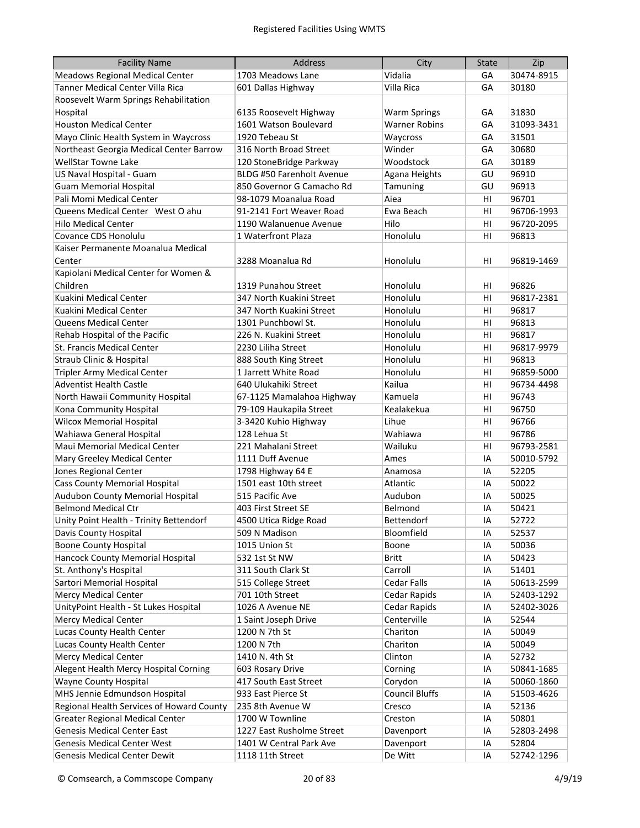| <b>Facility Name</b>                      | <b>Address</b>                   | City                  | <b>State</b> | Zip        |
|-------------------------------------------|----------------------------------|-----------------------|--------------|------------|
| <b>Meadows Regional Medical Center</b>    | 1703 Meadows Lane                | Vidalia               | GA           | 30474-8915 |
| Tanner Medical Center Villa Rica          | 601 Dallas Highway               | Villa Rica            | GA           | 30180      |
| Roosevelt Warm Springs Rehabilitation     |                                  |                       |              |            |
| Hospital                                  | 6135 Roosevelt Highway           | <b>Warm Springs</b>   | GА           | 31830      |
| <b>Houston Medical Center</b>             | 1601 Watson Boulevard            | <b>Warner Robins</b>  | GA           | 31093-3431 |
| Mayo Clinic Health System in Waycross     | 1920 Tebeau St                   | Waycross              | GA           | 31501      |
| Northeast Georgia Medical Center Barrow   | 316 North Broad Street           | Winder                | GA           | 30680      |
| <b>WellStar Towne Lake</b>                | 120 StoneBridge Parkway          | Woodstock             | GA           | 30189      |
| US Naval Hospital - Guam                  | <b>BLDG #50 Farenholt Avenue</b> | Agana Heights         | GU           | 96910      |
| <b>Guam Memorial Hospital</b>             | 850 Governor G Camacho Rd        | Tamuning              | GU           | 96913      |
| Pali Momi Medical Center                  | 98-1079 Moanalua Road            | Aiea                  | HI           | 96701      |
| Queens Medical Center West O ahu          | 91-2141 Fort Weaver Road         | Ewa Beach             | HI           | 96706-1993 |
| <b>Hilo Medical Center</b>                | 1190 Walanuenue Avenue           | Hilo                  | HI           | 96720-2095 |
| Covance CDS Honolulu                      | 1 Waterfront Plaza               | Honolulu              | HI           | 96813      |
| Kaiser Permanente Moanalua Medical        |                                  |                       |              |            |
| Center                                    | 3288 Moanalua Rd                 | Honolulu              | HI           | 96819-1469 |
| Kapiolani Medical Center for Women &      |                                  |                       |              |            |
| Children                                  | 1319 Punahou Street              | Honolulu              | HI           | 96826      |
| Kuakini Medical Center                    | 347 North Kuakini Street         | Honolulu              | H1           | 96817-2381 |
| Kuakini Medical Center                    | 347 North Kuakini Street         | Honolulu              | HI           | 96817      |
| Queens Medical Center                     | 1301 Punchbowl St.               | Honolulu              | HI           | 96813      |
| Rehab Hospital of the Pacific             | 226 N. Kuakini Street            | Honolulu              | HI           | 96817      |
| St. Francis Medical Center                | 2230 Liliha Street               | Honolulu              | HI           | 96817-9979 |
| <b>Straub Clinic &amp; Hospital</b>       | 888 South King Street            | Honolulu              | HI           | 96813      |
| <b>Tripler Army Medical Center</b>        | 1 Jarrett White Road             | Honolulu              | HI           | 96859-5000 |
| <b>Adventist Health Castle</b>            | 640 Ulukahiki Street             | Kailua                | HI           | 96734-4498 |
| North Hawaii Community Hospital           | 67-1125 Mamalahoa Highway        | Kamuela               | HI           | 96743      |
| Kona Community Hospital                   | 79-109 Haukapila Street          | Kealakekua            | HI           | 96750      |
| <b>Wilcox Memorial Hospital</b>           | 3-3420 Kuhio Highway             | Lihue                 | HI           | 96766      |
| Wahiawa General Hospital                  | 128 Lehua St                     | Wahiawa               | HI           | 96786      |
| Maui Memorial Medical Center              | 221 Mahalani Street              | Wailuku               | HI           | 96793-2581 |
| Mary Greeley Medical Center               | 1111 Duff Avenue                 | Ames                  | IA           | 50010-5792 |
| Jones Regional Center                     | 1798 Highway 64 E                | Anamosa               | IA           | 52205      |
| <b>Cass County Memorial Hospital</b>      | 1501 east 10th street            | Atlantic              | IA           | 50022      |
| Audubon County Memorial Hospital          | 515 Pacific Ave                  | Audubon               | IA           | 50025      |
| <b>Belmond Medical Ctr</b>                | 403 First Street SE              | Belmond               | IA           | 50421      |
| Unity Point Health - Trinity Bettendorf   | 4500 Utica Ridge Road            | Bettendorf            | IA           | 52722      |
| Davis County Hospital                     | 509 N Madison                    | Bloomfield            | IA           | 52537      |
| <b>Boone County Hospital</b>              | 1015 Union St                    | Boone                 | IA           | 50036      |
| Hancock County Memorial Hospital          | 532 1st St NW                    | <b>Britt</b>          | IA           | 50423      |
| St. Anthony's Hospital                    | 311 South Clark St               | Carroll               | IA           | 51401      |
| Sartori Memorial Hospital                 | 515 College Street               | Cedar Falls           | IA           | 50613-2599 |
| <b>Mercy Medical Center</b>               | 701 10th Street                  | Cedar Rapids          | IA           | 52403-1292 |
| UnityPoint Health - St Lukes Hospital     | 1026 A Avenue NE                 | Cedar Rapids          | IA           | 52402-3026 |
| <b>Mercy Medical Center</b>               | 1 Saint Joseph Drive             | Centerville           | IA           | 52544      |
| Lucas County Health Center                | 1200 N 7th St                    | Chariton              | IA           | 50049      |
| Lucas County Health Center                | 1200 N 7th                       | Chariton              | IA           | 50049      |
| <b>Mercy Medical Center</b>               | 1410 N. 4th St                   | Clinton               | IA           | 52732      |
| Alegent Health Mercy Hospital Corning     | 603 Rosary Drive                 | Corning               | IA           | 50841-1685 |
| Wayne County Hospital                     | 417 South East Street            | Corydon               | IA           | 50060-1860 |
| MHS Jennie Edmundson Hospital             | 933 East Pierce St               | <b>Council Bluffs</b> | IA           | 51503-4626 |
| Regional Health Services of Howard County | 235 8th Avenue W                 | Cresco                | IA           | 52136      |
| <b>Greater Regional Medical Center</b>    | 1700 W Townline                  | Creston               | IA           | 50801      |
| <b>Genesis Medical Center East</b>        | 1227 East Rusholme Street        | Davenport             | IA           | 52803-2498 |
| <b>Genesis Medical Center West</b>        | 1401 W Central Park Ave          | Davenport             | IA           | 52804      |
| <b>Genesis Medical Center Dewit</b>       | 1118 11th Street                 | De Witt               | IA           | 52742-1296 |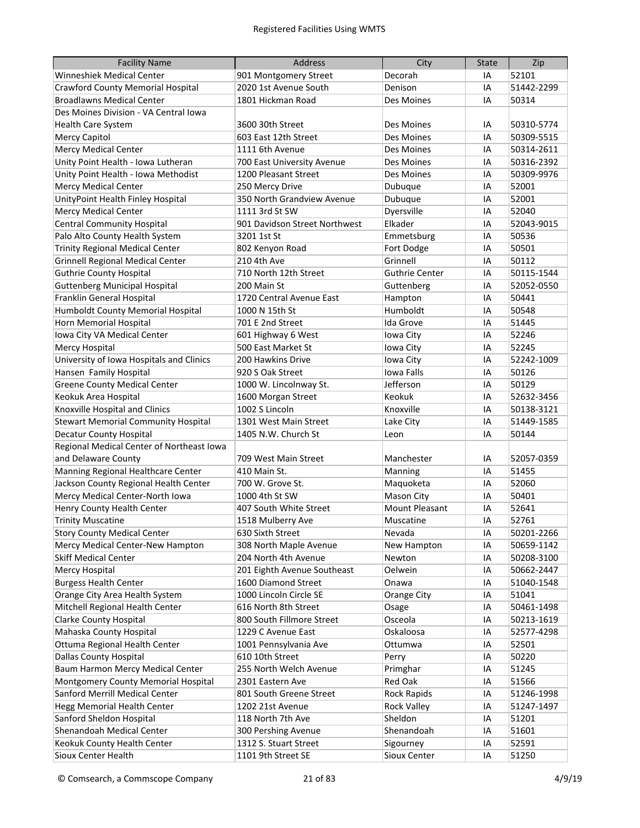| <b>Facility Name</b>                       | <b>Address</b>                | City                  | <b>State</b> | Zip        |
|--------------------------------------------|-------------------------------|-----------------------|--------------|------------|
| <b>Winneshiek Medical Center</b>           | 901 Montgomery Street         | Decorah               | IA           | 52101      |
| <b>Crawford County Memorial Hospital</b>   | 2020 1st Avenue South         | Denison               | IA           | 51442-2299 |
| <b>Broadlawns Medical Center</b>           | 1801 Hickman Road             | Des Moines            | IA           | 50314      |
| Des Moines Division - VA Central Iowa      |                               |                       |              |            |
| <b>Health Care System</b>                  | 3600 30th Street              | Des Moines            | IA           | 50310-5774 |
| <b>Mercy Capitol</b>                       | 603 East 12th Street          | Des Moines            | IA           | 50309-5515 |
| <b>Mercy Medical Center</b>                | 1111 6th Avenue               | Des Moines            | IA           | 50314-2611 |
| Unity Point Health - Iowa Lutheran         | 700 East University Avenue    | Des Moines            | IA           | 50316-2392 |
| Unity Point Health - Iowa Methodist        | 1200 Pleasant Street          | Des Moines            | IA           | 50309-9976 |
| <b>Mercy Medical Center</b>                | 250 Mercy Drive               | Dubuque               | IA           | 52001      |
| UnityPoint Health Finley Hospital          | 350 North Grandview Avenue    | Dubuque               | IA           | 52001      |
| <b>Mercy Medical Center</b>                | 1111 3rd St SW                | Dyersville            | IA           | 52040      |
| <b>Central Community Hospital</b>          | 901 Davidson Street Northwest | Elkader               | IA           | 52043-9015 |
| Palo Alto County Health System             | 3201 1st St                   | Emmetsburg            | IA           | 50536      |
| <b>Trinity Regional Medical Center</b>     | 802 Kenyon Road               | Fort Dodge            | IA           | 50501      |
| <b>Grinnell Regional Medical Center</b>    | 210 4th Ave                   | Grinnell              | IA           | 50112      |
| <b>Guthrie County Hospital</b>             | 710 North 12th Street         | <b>Guthrie Center</b> | IA           | 50115-1544 |
| <b>Guttenberg Municipal Hospital</b>       | 200 Main St                   | Guttenberg            | IA           | 52052-0550 |
| Franklin General Hospital                  | 1720 Central Avenue East      | Hampton               | IA           | 50441      |
| Humboldt County Memorial Hospital          | 1000 N 15th St                | Humboldt              | IA           | 50548      |
| <b>Horn Memorial Hospital</b>              | 701 E 2nd Street              | Ida Grove             | IA           | 51445      |
| Iowa City VA Medical Center                | 601 Highway 6 West            | Iowa City             | IA           | 52246      |
| <b>Mercy Hospital</b>                      | 500 East Market St            | Iowa City             | IA           | 52245      |
| University of Iowa Hospitals and Clinics   | 200 Hawkins Drive             | Iowa City             | IA           | 52242-1009 |
| Hansen Family Hospital                     | 920 S Oak Street              | <b>Iowa Falls</b>     | IA           | 50126      |
| <b>Greene County Medical Center</b>        | 1000 W. Lincolnway St.        | Jefferson             | IA           | 50129      |
| Keokuk Area Hospital                       | 1600 Morgan Street            | Keokuk                | IA           | 52632-3456 |
| Knoxville Hospital and Clinics             | 1002 S Lincoln                | Knoxville             | IA           | 50138-3121 |
| <b>Stewart Memorial Community Hospital</b> | 1301 West Main Street         | Lake City             | IA           | 51449-1585 |
| <b>Decatur County Hospital</b>             | 1405 N.W. Church St           | Leon                  | IA           | 50144      |
| Regional Medical Center of Northeast Iowa  |                               |                       |              |            |
| and Delaware County                        | 709 West Main Street          | Manchester            | IA           | 52057-0359 |
| Manning Regional Healthcare Center         | 410 Main St.                  | Manning               | IA           | 51455      |
| Jackson County Regional Health Center      | 700 W. Grove St.              | Maquoketa             | IA           | 52060      |
| Mercy Medical Center-North Iowa            | 1000 4th St SW                | Mason City            | IA           | 50401      |
| Henry County Health Center                 | 407 South White Street        | Mount Pleasant        | IA           | 52641      |
| <b>Trinity Muscatine</b>                   | 1518 Mulberry Ave             | Muscatine             | IA           | 52761      |
| <b>Story County Medical Center</b>         | 630 Sixth Street              | Nevada                | IA           | 50201-2266 |
| Mercy Medical Center-New Hampton           | 308 North Maple Avenue        | New Hampton           | IA           | 50659-1142 |
| <b>Skiff Medical Center</b>                | 204 North 4th Avenue          | Newton                | IA           | 50208-3100 |
| Mercy Hospital                             | 201 Eighth Avenue Southeast   | Oelwein               | IA           | 50662-2447 |
| <b>Burgess Health Center</b>               | 1600 Diamond Street           | Onawa                 | IA           | 51040-1548 |
| Orange City Area Health System             | 1000 Lincoln Circle SE        | <b>Orange City</b>    | IA           | 51041      |
| Mitchell Regional Health Center            | 616 North 8th Street          | Osage                 | IA           | 50461-1498 |
| <b>Clarke County Hospital</b>              | 800 South Fillmore Street     | Osceola               | IA           | 50213-1619 |
| Mahaska County Hospital                    | 1229 C Avenue East            | Oskaloosa             | IA           | 52577-4298 |
| Ottuma Regional Health Center              | 1001 Pennsylvania Ave         | Ottumwa               | IA           | 52501      |
| <b>Dallas County Hospital</b>              | 610 10th Street               | Perry                 | IA           | 50220      |
| Baum Harmon Mercy Medical Center           | 255 North Welch Avenue        | Primghar              | IA           | 51245      |
| Montgomery County Memorial Hospital        | 2301 Eastern Ave              | Red Oak               | IA           | 51566      |
| Sanford Merrill Medical Center             | 801 South Greene Street       | Rock Rapids           | IA           | 51246-1998 |
| <b>Hegg Memorial Health Center</b>         | 1202 21st Avenue              | <b>Rock Valley</b>    | IA           | 51247-1497 |
| Sanford Sheldon Hospital                   | 118 North 7th Ave             | Sheldon               | IA           | 51201      |
| Shenandoah Medical Center                  | 300 Pershing Avenue           | Shenandoah            | IA           | 51601      |
| Keokuk County Health Center                | 1312 S. Stuart Street         | Sigourney             | IA           | 52591      |
| Sioux Center Health                        | 1101 9th Street SE            | Sioux Center          | IA           | 51250      |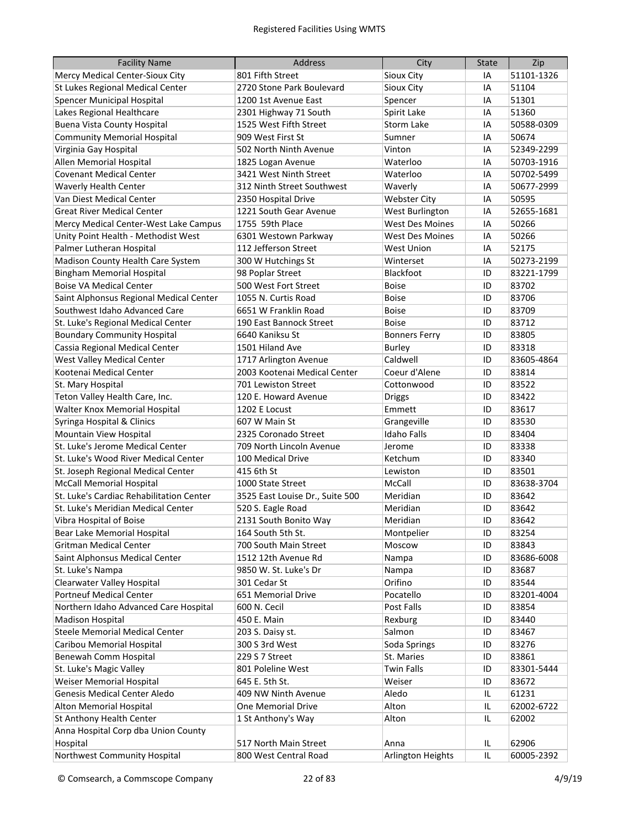| <b>Facility Name</b>                     | Address                         | City                   | <b>State</b> | Zip        |
|------------------------------------------|---------------------------------|------------------------|--------------|------------|
| Mercy Medical Center-Sioux City          | 801 Fifth Street                | Sioux City             | IA           | 51101-1326 |
| St Lukes Regional Medical Center         | 2720 Stone Park Boulevard       | Sioux City             | IA           | 51104      |
| <b>Spencer Municipal Hospital</b>        | 1200 1st Avenue East            | Spencer                | IA           | 51301      |
| Lakes Regional Healthcare                | 2301 Highway 71 South           | Spirit Lake            | IA           | 51360      |
| <b>Buena Vista County Hospital</b>       | 1525 West Fifth Street          | Storm Lake             | IA           | 50588-0309 |
| <b>Community Memorial Hospital</b>       | 909 West First St               | Sumner                 | IA           | 50674      |
| Virginia Gay Hospital                    | 502 North Ninth Avenue          | Vinton                 | IA           | 52349-2299 |
| Allen Memorial Hospital                  | 1825 Logan Avenue               | Waterloo               | IA           | 50703-1916 |
| <b>Covenant Medical Center</b>           | 3421 West Ninth Street          | Waterloo               | IA           | 50702-5499 |
| Waverly Health Center                    | 312 Ninth Street Southwest      | Waverly                | IA           | 50677-2999 |
| Van Diest Medical Center                 | 2350 Hospital Drive             | <b>Webster City</b>    | IA           | 50595      |
| <b>Great River Medical Center</b>        | 1221 South Gear Avenue          | West Burlington        | IA           | 52655-1681 |
| Mercy Medical Center-West Lake Campus    | 1755 59th Place                 | <b>West Des Moines</b> | IA           | 50266      |
| Unity Point Health - Methodist West      | 6301 Westown Parkway            | <b>West Des Moines</b> | IA           | 50266      |
| Palmer Lutheran Hospital                 | 112 Jefferson Street            | <b>West Union</b>      | IA           | 52175      |
| Madison County Health Care System        | 300 W Hutchings St              | Winterset              | IA           | 50273-2199 |
| <b>Bingham Memorial Hospital</b>         | 98 Poplar Street                | Blackfoot              | ID           | 83221-1799 |
| <b>Boise VA Medical Center</b>           | 500 West Fort Street            | <b>Boise</b>           | ID           | 83702      |
| Saint Alphonsus Regional Medical Center  | 1055 N. Curtis Road             | <b>Boise</b>           | ID           | 83706      |
| Southwest Idaho Advanced Care            | 6651 W Franklin Road            | <b>Boise</b>           | ID           | 83709      |
| St. Luke's Regional Medical Center       | 190 East Bannock Street         | <b>Boise</b>           | ID           | 83712      |
| <b>Boundary Community Hospital</b>       | 6640 Kaniksu St                 | <b>Bonners Ferry</b>   | ID           | 83805      |
| Cassia Regional Medical Center           | 1501 Hiland Ave                 | <b>Burley</b>          | ID           | 83318      |
| West Valley Medical Center               | 1717 Arlington Avenue           | Caldwell               | ID           | 83605-4864 |
| Kootenai Medical Center                  | 2003 Kootenai Medical Center    | Coeur d'Alene          | ID           | 83814      |
| St. Mary Hospital                        | 701 Lewiston Street             | Cottonwood             | ID           | 83522      |
| Teton Valley Health Care, Inc.           | 120 E. Howard Avenue            | <b>Driggs</b>          | ID           | 83422      |
| Walter Knox Memorial Hospital            | 1202 E Locust                   | Emmett                 | ID           | 83617      |
| Syringa Hospital & Clinics               | 607 W Main St                   | Grangeville            | ID           | 83530      |
| Mountain View Hospital                   | 2325 Coronado Street            | <b>Idaho Falls</b>     | ID           | 83404      |
| St. Luke's Jerome Medical Center         | 709 North Lincoln Avenue        | Jerome                 | ID           | 83338      |
| St. Luke's Wood River Medical Center     | 100 Medical Drive               | Ketchum                | ID           | 83340      |
| St. Joseph Regional Medical Center       | 415 6th St                      | Lewiston               | ID           | 83501      |
| <b>McCall Memorial Hospital</b>          | 1000 State Street               | McCall                 | ID           | 83638-3704 |
| St. Luke's Cardiac Rehabilitation Center | 3525 East Louise Dr., Suite 500 | Meridian               | ID           | 83642      |
| St. Luke's Meridian Medical Center       | 520 S. Eagle Road               | Meridian               | ID           | 83642      |
| Vibra Hospital of Boise                  | 2131 South Bonito Way           | Meridian               | ID           | 83642      |
| Bear Lake Memorial Hospital              | 164 South 5th St.               | Montpelier             | ID           | 83254      |
| <b>Gritman Medical Center</b>            | 700 South Main Street           | Moscow                 | ID           | 83843      |
| Saint Alphonsus Medical Center           | 1512 12th Avenue Rd             | Nampa                  | ID           | 83686-6008 |
| St. Luke's Nampa                         | 9850 W. St. Luke's Dr           | Nampa                  | ID           | 83687      |
| Clearwater Valley Hospital               | 301 Cedar St                    | Orifino                | ID           | 83544      |
| <b>Portneuf Medical Center</b>           | 651 Memorial Drive              | Pocatello              | ID           | 83201-4004 |
| Northern Idaho Advanced Care Hospital    | 600 N. Cecil                    | Post Falls             | ID           | 83854      |
| <b>Madison Hospital</b>                  |                                 |                        |              | 83440      |
| <b>Steele Memorial Medical Center</b>    | 450 E. Main                     | Rexburg<br>Salmon      | ID           | 83467      |
|                                          | 203 S. Daisy st.                |                        | ID           |            |
| Caribou Memorial Hospital                | 300 S 3rd West                  | Soda Springs           | ID           | 83276      |
| Benewah Comm Hospital                    | 229 S 7 Street                  | St. Maries             | ID           | 83861      |
| St. Luke's Magic Valley                  | 801 Poleline West               | <b>Twin Falls</b>      | ID           | 83301-5444 |
| Weiser Memorial Hospital                 | 645 E. 5th St.                  | Weiser                 | ID           | 83672      |
| Genesis Medical Center Aledo             | 409 NW Ninth Avenue             | Aledo                  | IL           | 61231      |
| Alton Memorial Hospital                  | One Memorial Drive              | Alton                  | IL           | 62002-6722 |
| St Anthony Health Center                 | 1 St Anthony's Way              | Alton                  | IL           | 62002      |
| Anna Hospital Corp dba Union County      |                                 |                        |              |            |
| Hospital                                 | 517 North Main Street           | Anna                   | IL           | 62906      |
| Northwest Community Hospital             | 800 West Central Road           | Arlington Heights      | IL           | 60005-2392 |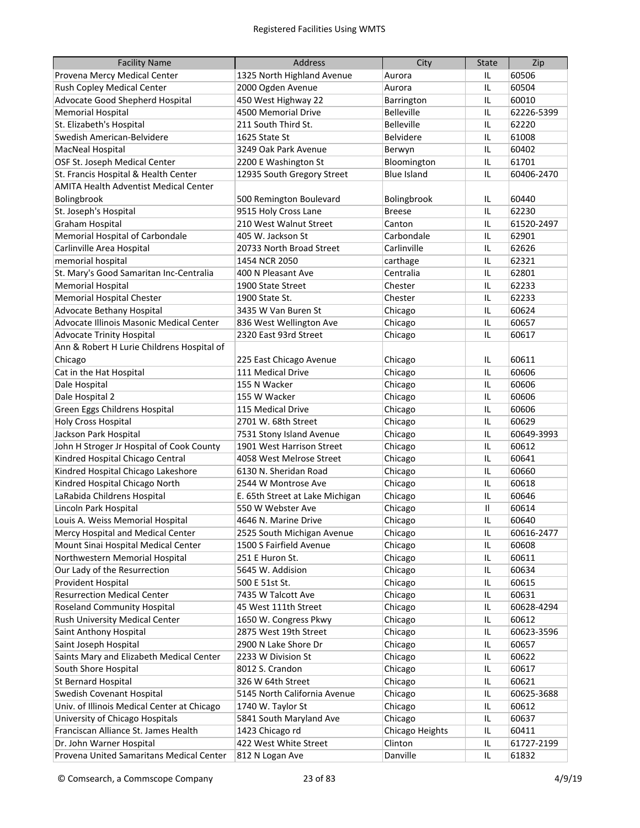| <b>Facility Name</b>                         | <b>Address</b>                  | City               | <b>State</b> | Zip        |
|----------------------------------------------|---------------------------------|--------------------|--------------|------------|
| Provena Mercy Medical Center                 | 1325 North Highland Avenue      | Aurora             | IL           | 60506      |
| Rush Copley Medical Center                   | 2000 Ogden Avenue               | Aurora             | IL           | 60504      |
| Advocate Good Shepherd Hospital              | 450 West Highway 22             | Barrington         | IL           | 60010      |
| <b>Memorial Hospital</b>                     | 4500 Memorial Drive             | <b>Belleville</b>  | IL           | 62226-5399 |
| St. Elizabeth's Hospital                     | 211 South Third St.             | <b>Belleville</b>  | IL.          | 62220      |
| Swedish American-Belvidere                   | 1625 State St                   | <b>Belvidere</b>   | IL.          | 61008      |
| MacNeal Hospital                             | 3249 Oak Park Avenue            | Berwyn             | IL           | 60402      |
| OSF St. Joseph Medical Center                | 2200 E Washington St            | Bloomington        | IL.          | 61701      |
| St. Francis Hospital & Health Center         | 12935 South Gregory Street      | <b>Blue Island</b> | IL.          | 60406-2470 |
| <b>AMITA Health Adventist Medical Center</b> |                                 |                    |              |            |
| Bolingbrook                                  | 500 Remington Boulevard         | Bolingbrook        | IL           | 60440      |
| St. Joseph's Hospital                        | 9515 Holy Cross Lane            | <b>Breese</b>      | IL           | 62230      |
| Graham Hospital                              | 210 West Walnut Street          | Canton             | IL           | 61520-2497 |
| Memorial Hospital of Carbondale              | 405 W. Jackson St               | Carbondale         | IL           | 62901      |
| Carlinville Area Hospital                    | 20733 North Broad Street        | Carlinville        | IL           | 62626      |
| memorial hospital                            | 1454 NCR 2050                   | carthage           | IL           | 62321      |
| St. Mary's Good Samaritan Inc-Centralia      | 400 N Pleasant Ave              | Centralia          | IL           | 62801      |
| <b>Memorial Hospital</b>                     | 1900 State Street               | Chester            | IL           | 62233      |
| Memorial Hospital Chester                    | 1900 State St.                  | Chester            | IL           | 62233      |
| Advocate Bethany Hospital                    | 3435 W Van Buren St             | Chicago            | IL           | 60624      |
| Advocate Illinois Masonic Medical Center     | 836 West Wellington Ave         | Chicago            | IL           | 60657      |
| <b>Advocate Trinity Hospital</b>             | 2320 East 93rd Street           |                    | IL           | 60617      |
| Ann & Robert H Lurie Childrens Hospital of   |                                 | Chicago            |              |            |
| Chicago                                      |                                 |                    |              | 60611      |
|                                              | 225 East Chicago Avenue         | Chicago            | IL           |            |
| Cat in the Hat Hospital                      | 111 Medical Drive               | Chicago            | IL           | 60606      |
| Dale Hospital                                | 155 N Wacker                    | Chicago            | IL           | 60606      |
| Dale Hospital 2                              | 155 W Wacker                    | Chicago            | IL           | 60606      |
| Green Eggs Childrens Hospital                | 115 Medical Drive               | Chicago            | IL           | 60606      |
| <b>Holy Cross Hospital</b>                   | 2701 W. 68th Street             | Chicago            | IL           | 60629      |
| Jackson Park Hospital                        | 7531 Stony Island Avenue        | Chicago            | IL           | 60649-3993 |
| John H Stroger Jr Hospital of Cook County    | 1901 West Harrison Street       | Chicago            | IL           | 60612      |
| Kindred Hospital Chicago Central             | 4058 West Melrose Street        | Chicago            | IL           | 60641      |
| Kindred Hospital Chicago Lakeshore           | 6130 N. Sheridan Road           | Chicago            | IL           | 60660      |
| Kindred Hospital Chicago North               | 2544 W Montrose Ave             | Chicago            | IL           | 60618      |
| LaRabida Childrens Hospital                  | E. 65th Street at Lake Michigan | Chicago            | IL           | 60646      |
| Lincoln Park Hospital                        | 550 W Webster Ave               | Chicago            | $\mathbf{I}$ | 60614      |
| Louis A. Weiss Memorial Hospital             | 4646 N. Marine Drive            | Chicago            | IL           | 60640      |
| Mercy Hospital and Medical Center            | 2525 South Michigan Avenue      | Chicago            | IL           | 60616-2477 |
| Mount Sinai Hospital Medical Center          | 1500 S Fairfield Avenue         | Chicago            | IL           | 60608      |
| Northwestern Memorial Hospital               | 251 E Huron St.                 | Chicago            | IL           | 60611      |
| Our Lady of the Resurrection                 | 5645 W. Addision                | Chicago            | IL           | 60634      |
| Provident Hospital                           | 500 E 51st St.                  | Chicago            | IL           | 60615      |
| <b>Resurrection Medical Center</b>           | 7435 W Talcott Ave              | Chicago            | IL           | 60631      |
| <b>Roseland Community Hospital</b>           | 45 West 111th Street            | Chicago            | IL           | 60628-4294 |
| Rush University Medical Center               | 1650 W. Congress Pkwy           | Chicago            | IL           | 60612      |
| Saint Anthony Hospital                       | 2875 West 19th Street           | Chicago            | IL           | 60623-3596 |
| Saint Joseph Hospital                        | 2900 N Lake Shore Dr            | Chicago            | IL           | 60657      |
| Saints Mary and Elizabeth Medical Center     | 2233 W Division St              | Chicago            | IL           | 60622      |
| South Shore Hospital                         | 8012 S. Crandon                 | Chicago            | IL           | 60617      |
| St Bernard Hospital                          | 326 W 64th Street               | Chicago            | IL           | 60621      |
| Swedish Covenant Hospital                    | 5145 North California Avenue    | Chicago            | IL           | 60625-3688 |
| Univ. of Illinois Medical Center at Chicago  | 1740 W. Taylor St               | Chicago            | IL           | 60612      |
| University of Chicago Hospitals              | 5841 South Maryland Ave         | Chicago            | IL           | 60637      |
| Franciscan Alliance St. James Health         | 1423 Chicago rd                 | Chicago Heights    | IL           | 60411      |
| Dr. John Warner Hospital                     | 422 West White Street           | Clinton            | IL           | 61727-2199 |
| Provena United Samaritans Medical Center     | 812 N Logan Ave                 | Danville           | IL           | 61832      |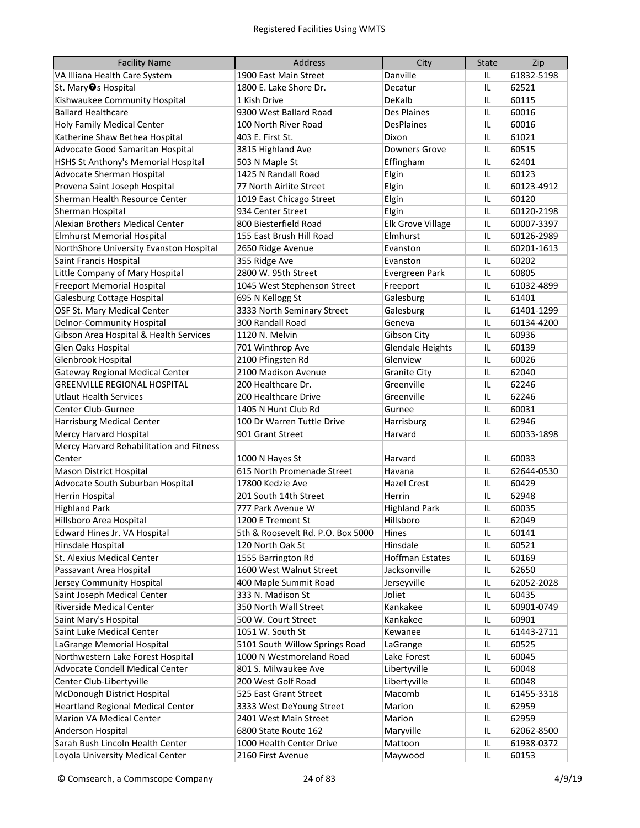| <b>Facility Name</b>                     | <b>Address</b>                    | City                    | <b>State</b> | Zip        |
|------------------------------------------|-----------------------------------|-------------------------|--------------|------------|
| VA Illiana Health Care System            | 1900 East Main Street             | Danville                | IL           | 61832-5198 |
| St. Mary <sup>o</sup> s Hospital         | 1800 E. Lake Shore Dr.            | Decatur                 | IL           | 62521      |
| Kishwaukee Community Hospital            | 1 Kish Drive                      | DeKalb                  | IL           | 60115      |
| <b>Ballard Healthcare</b>                | 9300 West Ballard Road            | Des Plaines             | IL           | 60016      |
| <b>Holy Family Medical Center</b>        | 100 North River Road              | <b>DesPlaines</b>       | IL           | 60016      |
| Katherine Shaw Bethea Hospital           | 403 E. First St.                  | Dixon                   | IL           | 61021      |
| Advocate Good Samaritan Hospital         | 3815 Highland Ave                 | <b>Downers Grove</b>    | IL           | 60515      |
| HSHS St Anthony's Memorial Hospital      | 503 N Maple St                    | Effingham               | IL.          | 62401      |
| Advocate Sherman Hospital                | 1425 N Randall Road               | Elgin                   | IL.          | 60123      |
| Provena Saint Joseph Hospital            | 77 North Airlite Street           | Elgin                   | IL.          | 60123-4912 |
| Sherman Health Resource Center           | 1019 East Chicago Street          | Elgin                   | IL.          | 60120      |
| Sherman Hospital                         | 934 Center Street                 | Elgin                   | IL.          | 60120-2198 |
| Alexian Brothers Medical Center          | 800 Biesterfield Road             | Elk Grove Village       | IL.          | 60007-3397 |
| <b>Elmhurst Memorial Hospital</b>        | 155 East Brush Hill Road          | Elmhurst                | IL.          | 60126-2989 |
| NorthShore University Evanston Hospital  | 2650 Ridge Avenue                 | Evanston                | IL           | 60201-1613 |
| Saint Francis Hospital                   | 355 Ridge Ave                     | Evanston                | IL.          | 60202      |
| Little Company of Mary Hospital          | 2800 W. 95th Street               | Evergreen Park          | IL           | 60805      |
| <b>Freeport Memorial Hospital</b>        | 1045 West Stephenson Street       | Freeport                | IL           | 61032-4899 |
| Galesburg Cottage Hospital               | 695 N Kellogg St                  | Galesburg               | IL.          | 61401      |
| OSF St. Mary Medical Center              | 3333 North Seminary Street        | Galesburg               | IL.          | 61401-1299 |
| <b>Delnor-Community Hospital</b>         | 300 Randall Road                  | Geneva                  | IL           | 60134-4200 |
| Gibson Area Hospital & Health Services   | 1120 N. Melvin                    | Gibson City             | IL.          | 60936      |
| Glen Oaks Hospital                       | 701 Winthrop Ave                  | <b>Glendale Heights</b> | IL.          | 60139      |
| Glenbrook Hospital                       | 2100 Pfingsten Rd                 | Glenview                | IL.          | 60026      |
| <b>Gateway Regional Medical Center</b>   | 2100 Madison Avenue               | <b>Granite City</b>     | IL.          | 62040      |
| <b>GREENVILLE REGIONAL HOSPITAL</b>      | 200 Healthcare Dr.                | Greenville              | IL.          | 62246      |
| <b>Utlaut Health Services</b>            | 200 Healthcare Drive              | Greenville              | IL           | 62246      |
| <b>Center Club-Gurnee</b>                | 1405 N Hunt Club Rd               | Gurnee                  | IL           | 60031      |
| <b>Harrisburg Medical Center</b>         | 100 Dr Warren Tuttle Drive        | Harrisburg              | IL           | 62946      |
| Mercy Harvard Hospital                   | 901 Grant Street                  | Harvard                 | IL           | 60033-1898 |
| Mercy Harvard Rehabilitation and Fitness |                                   |                         |              |            |
| Center                                   | 1000 N Hayes St                   | Harvard                 | IL           | 60033      |
| Mason District Hospital                  | 615 North Promenade Street        | Havana                  | IL           | 62644-0530 |
| Advocate South Suburban Hospital         | 17800 Kedzie Ave                  | <b>Hazel Crest</b>      | IL           | 60429      |
| <b>Herrin Hospital</b>                   | 201 South 14th Street             | Herrin                  | IL           | 62948      |
| <b>Highland Park</b>                     | 777 Park Avenue W                 | <b>Highland Park</b>    | IL           | 60035      |
| Hillsboro Area Hospital                  | 1200 E Tremont St                 | Hillsboro               | IL           | 62049      |
| Edward Hines Jr. VA Hospital             | 5th & Roosevelt Rd. P.O. Box 5000 | Hines                   | IL           | 60141      |
| Hinsdale Hospital                        | 120 North Oak St                  | Hinsdale                | IL           | 60521      |
| St. Alexius Medical Center               | 1555 Barrington Rd                | <b>Hoffman Estates</b>  | IL           | 60169      |
| Passavant Area Hospital                  | 1600 West Walnut Street           | Jacksonville            | IL           | 62650      |
| Jersey Community Hospital                | 400 Maple Summit Road             | Jerseyville             | IL           | 62052-2028 |
| Saint Joseph Medical Center              | 333 N. Madison St                 | Joliet                  | IL           | 60435      |
| <b>Riverside Medical Center</b>          | 350 North Wall Street             | Kankakee                | IL           | 60901-0749 |
| Saint Mary's Hospital                    | 500 W. Court Street               | Kankakee                | IL           | 60901      |
| Saint Luke Medical Center                | 1051 W. South St                  | Kewanee                 | IL           | 61443-2711 |
| LaGrange Memorial Hospital               | 5101 South Willow Springs Road    | LaGrange                | IL           | 60525      |
| Northwestern Lake Forest Hospital        | 1000 N Westmoreland Road          | Lake Forest             | IL           | 60045      |
| Advocate Condell Medical Center          | 801 S. Milwaukee Ave              | Libertyville            | IL           | 60048      |
| Center Club-Libertyville                 | 200 West Golf Road                | Libertyville            | IL           | 60048      |
| McDonough District Hospital              | 525 East Grant Street             | Macomb                  | IL           | 61455-3318 |
| <b>Heartland Regional Medical Center</b> | 3333 West DeYoung Street          | Marion                  | IL           | 62959      |
| Marion VA Medical Center                 | 2401 West Main Street             | Marion                  | IL           | 62959      |
| Anderson Hospital                        | 6800 State Route 162              | Maryville               | IL           | 62062-8500 |
| Sarah Bush Lincoln Health Center         | 1000 Health Center Drive          | Mattoon                 | IL           | 61938-0372 |
| Loyola University Medical Center         | 2160 First Avenue                 | Maywood                 | IL           | 60153      |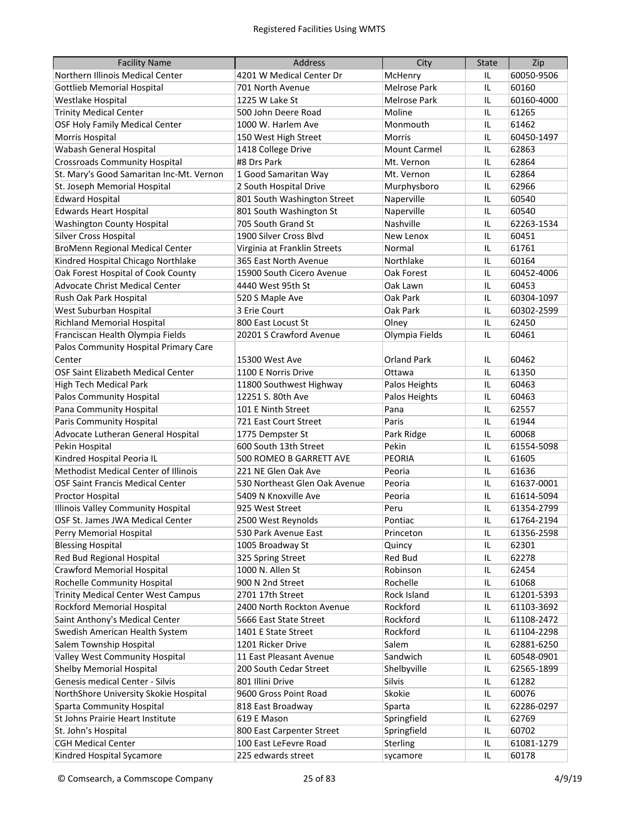| <b>Facility Name</b>                      | Address                       | City                | <b>State</b> | Zip        |
|-------------------------------------------|-------------------------------|---------------------|--------------|------------|
| Northern Illinois Medical Center          | 4201 W Medical Center Dr      | McHenry             | IL           | 60050-9506 |
| <b>Gottlieb Memorial Hospital</b>         | 701 North Avenue              | Melrose Park        | IL           | 60160      |
| Westlake Hospital                         | 1225 W Lake St                | <b>Melrose Park</b> | IL           | 60160-4000 |
| <b>Trinity Medical Center</b>             | 500 John Deere Road           | Moline              | IL           | 61265      |
| OSF Holy Family Medical Center            | 1000 W. Harlem Ave            | Monmouth            | IL.          | 61462      |
| Morris Hospital                           | 150 West High Street          | <b>Morris</b>       | IL.          | 60450-1497 |
| Wabash General Hospital                   | 1418 College Drive            | <b>Mount Carmel</b> | IL.          | 62863      |
| <b>Crossroads Community Hospital</b>      | #8 Drs Park                   | Mt. Vernon          | IL.          | 62864      |
| St. Mary's Good Samaritan Inc-Mt. Vernon  | 1 Good Samaritan Way          | Mt. Vernon          | IL.          | 62864      |
| St. Joseph Memorial Hospital              | 2 South Hospital Drive        | Murphysboro         | IL.          | 62966      |
| <b>Edward Hospital</b>                    | 801 South Washington Street   | Naperville          | IL           | 60540      |
| <b>Edwards Heart Hospital</b>             | 801 South Washington St       | Naperville          | IL           | 60540      |
| <b>Washington County Hospital</b>         | 705 South Grand St            | Nashville           | IL           | 62263-1534 |
| Silver Cross Hospital                     | 1900 Silver Cross Blvd        | New Lenox           | IL           | 60451      |
| <b>BroMenn Regional Medical Center</b>    | Virginia at Franklin Streets  | Normal              | IL           | 61761      |
| Kindred Hospital Chicago Northlake        | 365 East North Avenue         | Northlake           | IL           | 60164      |
| Oak Forest Hospital of Cook County        | 15900 South Cicero Avenue     | Oak Forest          | IL           | 60452-4006 |
| Advocate Christ Medical Center            | 4440 West 95th St             | Oak Lawn            | IL.          | 60453      |
| Rush Oak Park Hospital                    | 520 S Maple Ave               | Oak Park            | IL           | 60304-1097 |
| West Suburban Hospital                    | 3 Erie Court                  | Oak Park            | IL           | 60302-2599 |
| <b>Richland Memorial Hospital</b>         | 800 East Locust St            | Olney               | IL.          | 62450      |
| Franciscan Health Olympia Fields          | 20201 S Crawford Avenue       | Olympia Fields      | IL           | 60461      |
| Palos Community Hospital Primary Care     |                               |                     |              |            |
| Center                                    | 15300 West Ave                | <b>Orland Park</b>  | IL           | 60462      |
| OSF Saint Elizabeth Medical Center        | 1100 E Norris Drive           | Ottawa              | IL           | 61350      |
| <b>High Tech Medical Park</b>             | 11800 Southwest Highway       | Palos Heights       | IL           | 60463      |
| Palos Community Hospital                  | 12251 S. 80th Ave             | Palos Heights       | IL           | 60463      |
| Pana Community Hospital                   | 101 E Ninth Street            | Pana                | IL           | 62557      |
| Paris Community Hospital                  | 721 East Court Street         | Paris               | IL           | 61944      |
| Advocate Lutheran General Hospital        | 1775 Dempster St              | Park Ridge          | IL           | 60068      |
| Pekin Hospital                            | 600 South 13th Street         | Pekin               | IL           | 61554-5098 |
| Kindred Hospital Peoria IL                | 500 ROMEO B GARRETT AVE       | <b>PEORIA</b>       | IL           | 61605      |
| Methodist Medical Center of Illinois      | 221 NE Glen Oak Ave           | Peoria              | IL           | 61636      |
| <b>OSF Saint Francis Medical Center</b>   | 530 Northeast Glen Oak Avenue | Peoria              | IL           | 61637-0001 |
| Proctor Hospital                          | 5409 N Knoxville Ave          | Peoria              | IL           | 61614-5094 |
| Illinois Valley Community Hospital        | 925 West Street               | Peru                | IL           | 61354-2799 |
| OSF St. James JWA Medical Center          | 2500 West Reynolds            | Pontiac             | IL           | 61764-2194 |
| Perry Memorial Hospital                   | 530 Park Avenue East          | Princeton           | IL           | 61356-2598 |
| <b>Blessing Hospital</b>                  | 1005 Broadway St              | Quincy              | IL           | 62301      |
| Red Bud Regional Hospital                 | 325 Spring Street             | Red Bud             | IL           | 62278      |
| <b>Crawford Memorial Hospital</b>         | 1000 N. Allen St              | Robinson            | IL           | 62454      |
| Rochelle Community Hospital               | 900 N 2nd Street              | Rochelle            | IL           | 61068      |
| <b>Trinity Medical Center West Campus</b> | 2701 17th Street              | Rock Island         | IL           | 61201-5393 |
| Rockford Memorial Hospital                | 2400 North Rockton Avenue     | Rockford            | IL           | 61103-3692 |
| Saint Anthony's Medical Center            | 5666 East State Street        | Rockford            | IL           | 61108-2472 |
| Swedish American Health System            | 1401 E State Street           | Rockford            | IL           | 61104-2298 |
| Salem Township Hospital                   | 1201 Ricker Drive             | Salem               | IL           | 62881-6250 |
| Valley West Community Hospital            | 11 East Pleasant Avenue       | Sandwich            | IL           | 60548-0901 |
| <b>Shelby Memorial Hospital</b>           | 200 South Cedar Street        | Shelbyville         | IL           | 62565-1899 |
| Genesis medical Center - Silvis           | 801 Illini Drive              | Silvis              | IL           | 61282      |
| NorthShore University Skokie Hospital     | 9600 Gross Point Road         | Skokie              | IL           | 60076      |
| <b>Sparta Community Hospital</b>          | 818 East Broadway             | Sparta              | IL           | 62286-0297 |
| St Johns Prairie Heart Institute          | 619 E Mason                   | Springfield         | IL           | 62769      |
| St. John's Hospital                       | 800 East Carpenter Street     | Springfield         | IL           | 60702      |
| <b>CGH Medical Center</b>                 | 100 East LeFevre Road         | Sterling            | IL           | 61081-1279 |
| Kindred Hospital Sycamore                 | 225 edwards street            |                     | IL           | 60178      |
|                                           |                               | sycamore            |              |            |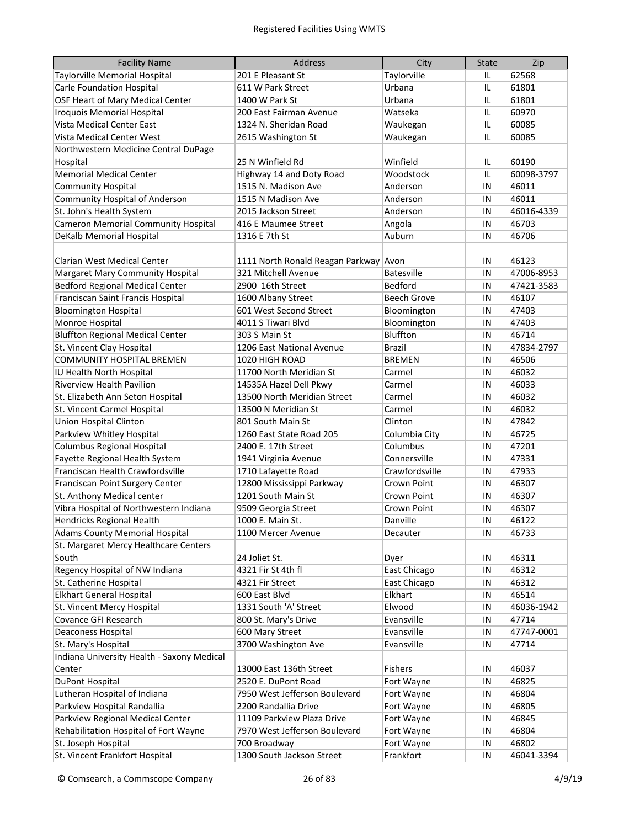| <b>Facility Name</b>                       | Address                               | City               | <b>State</b> | Zip        |
|--------------------------------------------|---------------------------------------|--------------------|--------------|------------|
| Taylorville Memorial Hospital              | 201 E Pleasant St                     | Taylorville        | IL           | 62568      |
| <b>Carle Foundation Hospital</b>           | 611 W Park Street                     | Urbana             | IL           | 61801      |
| OSF Heart of Mary Medical Center           | 1400 W Park St                        | Urbana             | IL           | 61801      |
| Iroquois Memorial Hospital                 | 200 East Fairman Avenue               | Watseka            | IL           | 60970      |
| Vista Medical Center East                  | 1324 N. Sheridan Road                 | Waukegan           | IL           | 60085      |
| Vista Medical Center West                  | 2615 Washington St                    | Waukegan           | IL           | 60085      |
| Northwestern Medicine Central DuPage       |                                       |                    |              |            |
| Hospital                                   | 25 N Winfield Rd                      | Winfield           | IL           | 60190      |
| <b>Memorial Medical Center</b>             | Highway 14 and Doty Road              | Woodstock          | IL           | 60098-3797 |
| <b>Community Hospital</b>                  | 1515 N. Madison Ave                   | Anderson           | IN           | 46011      |
| <b>Community Hospital of Anderson</b>      | 1515 N Madison Ave                    | Anderson           | IN           | 46011      |
| St. John's Health System                   | 2015 Jackson Street                   | Anderson           | IN           | 46016-4339 |
| <b>Cameron Memorial Community Hospital</b> | 416 E Maumee Street                   | Angola             | IN           | 46703      |
| DeKalb Memorial Hospital                   | 1316 E 7th St                         | Auburn             | IN           | 46706      |
|                                            |                                       |                    |              |            |
| Clarian West Medical Center                | 1111 North Ronald Reagan Parkway Avon |                    | IN           | 46123      |
| <b>Margaret Mary Community Hospital</b>    | 321 Mitchell Avenue                   | <b>Batesville</b>  | IN           | 47006-8953 |
| <b>Bedford Regional Medical Center</b>     | 2900 16th Street                      | Bedford            | IN           | 47421-3583 |
| Franciscan Saint Francis Hospital          | 1600 Albany Street                    | <b>Beech Grove</b> | IN           | 46107      |
| <b>Bloomington Hospital</b>                | 601 West Second Street                | Bloomington        | IN           | 47403      |
| Monroe Hospital                            | 4011 S Tiwari Blvd                    | Bloomington        | IN           | 47403      |
| <b>Bluffton Regional Medical Center</b>    | 303 S Main St                         | Bluffton           | IN           | 46714      |
| St. Vincent Clay Hospital                  | 1206 East National Avenue             | <b>Brazil</b>      | IN           | 47834-2797 |
| <b>COMMUNITY HOSPITAL BREMEN</b>           | 1020 HIGH ROAD                        | <b>BREMEN</b>      | IN           | 46506      |
| IU Health North Hospital                   | 11700 North Meridian St               | Carmel             | IN           | 46032      |
| Riverview Health Pavilion                  | 14535A Hazel Dell Pkwy                | Carmel             | IN           | 46033      |
| St. Elizabeth Ann Seton Hospital           | 13500 North Meridian Street           | Carmel             | IN           | 46032      |
| St. Vincent Carmel Hospital                | 13500 N Meridian St                   | Carmel             | IN           | 46032      |
| <b>Union Hospital Clinton</b>              | 801 South Main St                     | Clinton            | IN           | 47842      |
| Parkview Whitley Hospital                  | 1260 East State Road 205              | Columbia City      | IN           | 46725      |
| Columbus Regional Hospital                 | 2400 E. 17th Street                   | Columbus           | IN           | 47201      |
| Fayette Regional Health System             | 1941 Virginia Avenue                  | Connersville       | IN           | 47331      |
| Franciscan Health Crawfordsville           | 1710 Lafayette Road                   | Crawfordsville     | IN           | 47933      |
| Franciscan Point Surgery Center            | 12800 Mississippi Parkway             | Crown Point        | IN           | 46307      |
| St. Anthony Medical center                 | 1201 South Main St                    | <b>Crown Point</b> | IN           | 46307      |
| Vibra Hospital of Northwestern Indiana     | 9509 Georgia Street                   | Crown Point        | IN           | 46307      |
| Hendricks Regional Health                  | 1000 E. Main St.                      | Danville           | IN           | 46122      |
| <b>Adams County Memorial Hospital</b>      | 1100 Mercer Avenue                    | Decauter           | IN           | 46733      |
| St. Margaret Mercy Healthcare Centers      |                                       |                    |              |            |
| South                                      | 24 Joliet St.                         | Dyer               | IN           | 46311      |
| Regency Hospital of NW Indiana             | 4321 Fir St 4th fl                    | East Chicago       | IN           | 46312      |
| St. Catherine Hospital                     | 4321 Fir Street                       | East Chicago       | IN           | 46312      |
| <b>Elkhart General Hospital</b>            | 600 East Blvd                         | Elkhart            | IN           | 46514      |
| St. Vincent Mercy Hospital                 | 1331 South 'A' Street                 | Elwood             | IN           | 46036-1942 |
| Covance GFI Research                       | 800 St. Mary's Drive                  | Evansville         | IN           | 47714      |
| Deaconess Hospital                         | 600 Mary Street                       | Evansville         | IN           | 47747-0001 |
| St. Mary's Hospital                        | 3700 Washington Ave                   | Evansville         | IN           | 47714      |
| Indiana University Health - Saxony Medical |                                       |                    |              |            |
| Center                                     | 13000 East 136th Street               | Fishers            | IN           | 46037      |
| <b>DuPont Hospital</b>                     | 2520 E. DuPont Road                   | Fort Wayne         | IN           | 46825      |
| Lutheran Hospital of Indiana               | 7950 West Jefferson Boulevard         | Fort Wayne         | IN           | 46804      |
| Parkview Hospital Randallia                | 2200 Randallia Drive                  | Fort Wayne         | IN           | 46805      |
| Parkview Regional Medical Center           | 11109 Parkview Plaza Drive            | Fort Wayne         | IN           | 46845      |
| Rehabilitation Hospital of Fort Wayne      | 7970 West Jefferson Boulevard         | Fort Wayne         | IN           | 46804      |
| St. Joseph Hospital                        | 700 Broadway                          | Fort Wayne         | IN           | 46802      |
| St. Vincent Frankfort Hospital             | 1300 South Jackson Street             | Frankfort          | IN           | 46041-3394 |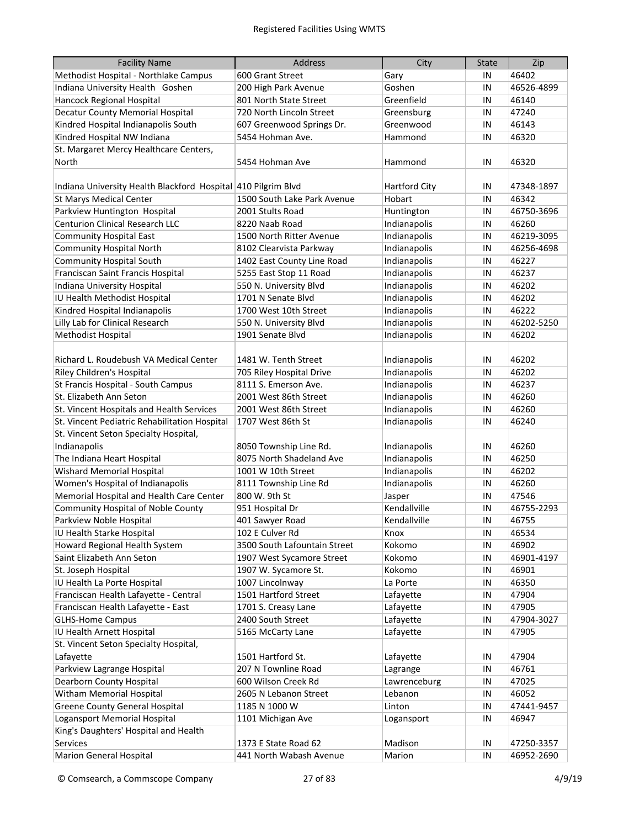| <b>Facility Name</b>                                          | <b>Address</b>               | City                 | <b>State</b> | Zip        |
|---------------------------------------------------------------|------------------------------|----------------------|--------------|------------|
| Methodist Hospital - Northlake Campus                         | 600 Grant Street             | Gary                 | IN           | 46402      |
| Indiana University Health Goshen                              | 200 High Park Avenue         | Goshen               | IN           | 46526-4899 |
| Hancock Regional Hospital                                     | 801 North State Street       | Greenfield           | IN           | 46140      |
| Decatur County Memorial Hospital                              | 720 North Lincoln Street     | Greensburg           | IN           | 47240      |
| Kindred Hospital Indianapolis South                           | 607 Greenwood Springs Dr.    | Greenwood            | IN           | 46143      |
| Kindred Hospital NW Indiana                                   | 5454 Hohman Ave.             | Hammond              | IN           | 46320      |
| St. Margaret Mercy Healthcare Centers,                        |                              |                      |              |            |
| North                                                         | 5454 Hohman Ave              | Hammond              | IN           | 46320      |
|                                                               |                              |                      |              |            |
| Indiana University Health Blackford Hospital 410 Pilgrim Blvd |                              | <b>Hartford City</b> | IN           | 47348-1897 |
| <b>St Marys Medical Center</b>                                | 1500 South Lake Park Avenue  | Hobart               | IN           | 46342      |
| Parkview Huntington Hospital                                  | 2001 Stults Road             | Huntington           | IN           | 46750-3696 |
| <b>Centurion Clinical Research LLC</b>                        | 8220 Naab Road               | Indianapolis         | IN           | 46260      |
| <b>Community Hospital East</b>                                | 1500 North Ritter Avenue     | Indianapolis         | IN           | 46219-3095 |
| <b>Community Hospital North</b>                               | 8102 Clearvista Parkway      | Indianapolis         | IN           | 46256-4698 |
| <b>Community Hospital South</b>                               | 1402 East County Line Road   | Indianapolis         | IN           | 46227      |
| Franciscan Saint Francis Hospital                             | 5255 East Stop 11 Road       | Indianapolis         | IN           | 46237      |
| Indiana University Hospital                                   | 550 N. University Blvd       | Indianapolis         | IN           | 46202      |
| IU Health Methodist Hospital                                  | 1701 N Senate Blvd           | Indianapolis         | IN           | 46202      |
| Kindred Hospital Indianapolis                                 | 1700 West 10th Street        | Indianapolis         | IN           | 46222      |
| Lilly Lab for Clinical Research                               | 550 N. University Blvd       | Indianapolis         | IN           | 46202-5250 |
| Methodist Hospital                                            | 1901 Senate Blvd             | Indianapolis         | IN           | 46202      |
|                                                               |                              |                      |              |            |
| Richard L. Roudebush VA Medical Center                        | 1481 W. Tenth Street         | Indianapolis         | IN           | 46202      |
| Riley Children's Hospital                                     | 705 Riley Hospital Drive     | Indianapolis         | IN           | 46202      |
| St Francis Hospital - South Campus                            | 8111 S. Emerson Ave.         | Indianapolis         | IN           | 46237      |
| St. Elizabeth Ann Seton                                       | 2001 West 86th Street        | Indianapolis         | IN           | 46260      |
| St. Vincent Hospitals and Health Services                     | 2001 West 86th Street        | Indianapolis         | IN           | 46260      |
| St. Vincent Pediatric Rehabilitation Hospital                 | 1707 West 86th St            | Indianapolis         | IN           | 46240      |
| St. Vincent Seton Specialty Hospital,                         |                              |                      |              |            |
| Indianapolis                                                  | 8050 Township Line Rd.       | Indianapolis         | IN           | 46260      |
| The Indiana Heart Hospital                                    | 8075 North Shadeland Ave     | Indianapolis         | IN           | 46250      |
| Wishard Memorial Hospital                                     | 1001 W 10th Street           | Indianapolis         | IN           | 46202      |
| Women's Hospital of Indianapolis                              | 8111 Township Line Rd        | Indianapolis         | IN           | 46260      |
| Memorial Hospital and Health Care Center                      | 800 W. 9th St                | Jasper               | IN           | 47546      |
| <b>Community Hospital of Noble County</b>                     | 951 Hospital Dr              | Kendallville         | IN           | 46755-2293 |
| Parkview Noble Hospital                                       | 401 Sawyer Road              | Kendallville         | IN           | 46755      |
| IU Health Starke Hospital                                     | 102 E Culver Rd              | Knox                 | IN           | 46534      |
| Howard Regional Health System                                 | 3500 South Lafountain Street | Kokomo               | IN           | 46902      |
| Saint Elizabeth Ann Seton                                     | 1907 West Sycamore Street    | Kokomo               | IN           | 46901-4197 |
| St. Joseph Hospital                                           | 1907 W. Sycamore St.         | Kokomo               | IN           | 46901      |
| IU Health La Porte Hospital                                   | 1007 Lincolnway              | La Porte             | IN           | 46350      |
| Franciscan Health Lafayette - Central                         | 1501 Hartford Street         | Lafayette            | IN           | 47904      |
| Franciscan Health Lafayette - East                            | 1701 S. Creasy Lane          | Lafayette            | IN           | 47905      |
| <b>GLHS-Home Campus</b>                                       | 2400 South Street            | Lafayette            | IN           | 47904-3027 |
| IU Health Arnett Hospital                                     | 5165 McCarty Lane            | Lafayette            | IN           | 47905      |
| St. Vincent Seton Specialty Hospital,                         |                              |                      |              |            |
| Lafayette                                                     | 1501 Hartford St.            | Lafayette            | IN           | 47904      |
| Parkview Lagrange Hospital                                    | 207 N Townline Road          | Lagrange             | IN           | 46761      |
| Dearborn County Hospital                                      | 600 Wilson Creek Rd          | Lawrenceburg         | IN           | 47025      |
| Witham Memorial Hospital                                      | 2605 N Lebanon Street        | Lebanon              | IN           | 46052      |
| <b>Greene County General Hospital</b>                         | 1185 N 1000 W                | Linton               | IN           | 47441-9457 |
| Logansport Memorial Hospital                                  | 1101 Michigan Ave            | Logansport           | IN           | 46947      |
| King's Daughters' Hospital and Health                         |                              |                      |              |            |
| Services                                                      | 1373 E State Road 62         | Madison              | IN           | 47250-3357 |
| <b>Marion General Hospital</b>                                | 441 North Wabash Avenue      | Marion               | IN           | 46952-2690 |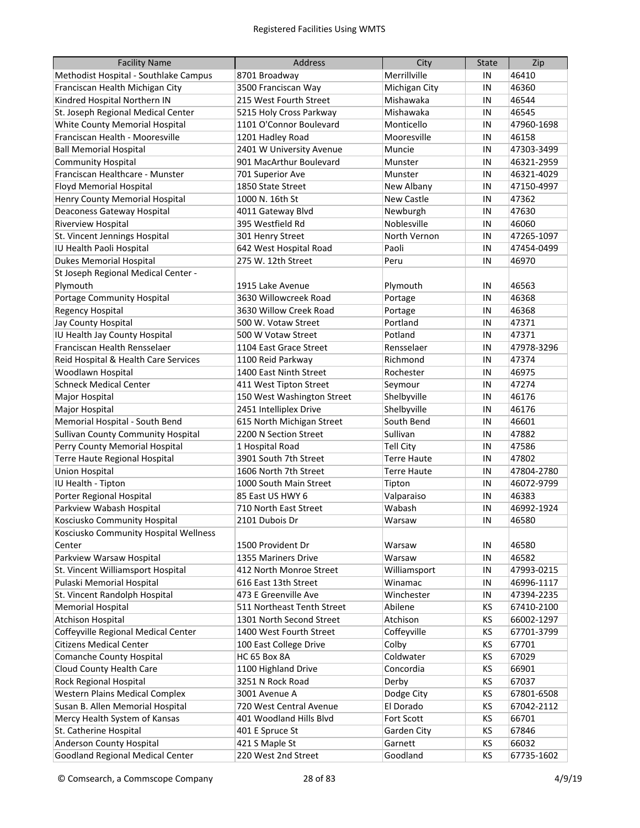| <b>Facility Name</b>                      | <b>Address</b>             | City               | <b>State</b> | Zip        |
|-------------------------------------------|----------------------------|--------------------|--------------|------------|
| Methodist Hospital - Southlake Campus     | 8701 Broadway              | Merrillville       | IN           | 46410      |
| Franciscan Health Michigan City           | 3500 Franciscan Way        | Michigan City      | IN           | 46360      |
| Kindred Hospital Northern IN              | 215 West Fourth Street     | Mishawaka          | IN           | 46544      |
| St. Joseph Regional Medical Center        | 5215 Holy Cross Parkway    | Mishawaka          | IN           | 46545      |
| White County Memorial Hospital            | 1101 O'Connor Boulevard    | Monticello         | IN           | 47960-1698 |
| Franciscan Health - Mooresville           | 1201 Hadley Road           | Mooresville        | IN           | 46158      |
| <b>Ball Memorial Hospital</b>             | 2401 W University Avenue   | Muncie             | IN           | 47303-3499 |
| <b>Community Hospital</b>                 | 901 MacArthur Boulevard    | Munster            | IN           | 46321-2959 |
| Franciscan Healthcare - Munster           | 701 Superior Ave           | Munster            | IN           | 46321-4029 |
| <b>Floyd Memorial Hospital</b>            | 1850 State Street          | New Albany         | IN           | 47150-4997 |
| Henry County Memorial Hospital            | 1000 N. 16th St            | New Castle         | IN           | 47362      |
| Deaconess Gateway Hospital                | 4011 Gateway Blvd          | Newburgh           | IN           | 47630      |
| Riverview Hospital                        | 395 Westfield Rd           | Noblesville        | IN           | 46060      |
| St. Vincent Jennings Hospital             | 301 Henry Street           | North Vernon       | IN           | 47265-1097 |
| IU Health Paoli Hospital                  | 642 West Hospital Road     | Paoli              | IN           | 47454-0499 |
| <b>Dukes Memorial Hospital</b>            | 275 W. 12th Street         | Peru               | IN           | 46970      |
| St Joseph Regional Medical Center -       |                            |                    |              |            |
| Plymouth                                  | 1915 Lake Avenue           | Plymouth           | IN           | 46563      |
| Portage Community Hospital                | 3630 Willowcreek Road      | Portage            | IN           | 46368      |
| Regency Hospital                          | 3630 Willow Creek Road     | Portage            | IN           | 46368      |
| Jay County Hospital                       | 500 W. Votaw Street        | Portland           | IN           | 47371      |
| IU Health Jay County Hospital             | 500 W Votaw Street         | Potland            | IN           | 47371      |
| Franciscan Health Rensselaer              | 1104 East Grace Street     | Rensselaer         | IN           | 47978-3296 |
| Reid Hospital & Health Care Services      | 1100 Reid Parkway          | Richmond           | IN           | 47374      |
| Woodlawn Hospital                         | 1400 East Ninth Street     | Rochester          | IN           | 46975      |
| <b>Schneck Medical Center</b>             | 411 West Tipton Street     | Seymour            | IN           | 47274      |
| Major Hospital                            | 150 West Washington Street | Shelbyville        | IN           | 46176      |
| Major Hospital                            | 2451 Intelliplex Drive     | Shelbyville        | IN           | 46176      |
| Memorial Hospital - South Bend            | 615 North Michigan Street  | South Bend         | IN           | 46601      |
| <b>Sullivan County Community Hospital</b> | 2200 N Section Street      | Sullivan           | IN           | 47882      |
| Perry County Memorial Hospital            | 1 Hospital Road            | Tell City          | IN           | 47586      |
| Terre Haute Regional Hospital             | 3901 South 7th Street      | <b>Terre Haute</b> | IN           | 47802      |
| Union Hospital                            | 1606 North 7th Street      | <b>Terre Haute</b> | IN           | 47804-2780 |
| IU Health - Tipton                        | 1000 South Main Street     | Tipton             | IN           | 46072-9799 |
| Porter Regional Hospital                  | 85 East US HWY 6           | Valparaiso         | IN           | 46383      |
| Parkview Wabash Hospital                  | 710 North East Street      | Wabash             | IN           | 46992-1924 |
| Kosciusko Community Hospital              | 2101 Dubois Dr             | Warsaw             | IN           | 46580      |
| Kosciusko Community Hospital Wellness     |                            |                    |              |            |
| Center                                    | 1500 Provident Dr          | Warsaw             | IN           | 46580      |
| Parkview Warsaw Hospital                  | 1355 Mariners Drive        | Warsaw             | IN           | 46582      |
| St. Vincent Williamsport Hospital         | 412 North Monroe Street    | Williamsport       | IN           | 47993-0215 |
| Pulaski Memorial Hospital                 | 616 East 13th Street       | Winamac            | IN           | 46996-1117 |
| St. Vincent Randolph Hospital             | 473 E Greenville Ave       | Winchester         | IN           | 47394-2235 |
| <b>Memorial Hospital</b>                  | 511 Northeast Tenth Street | Abilene            | ΚS           | 67410-2100 |
| <b>Atchison Hospital</b>                  | 1301 North Second Street   | Atchison           | ΚS           | 66002-1297 |
| Coffeyville Regional Medical Center       | 1400 West Fourth Street    | Coffeyville        | KS           | 67701-3799 |
| <b>Citizens Medical Center</b>            | 100 East College Drive     | Colby              | ΚS           | 67701      |
| <b>Comanche County Hospital</b>           | HC 65 Box 8A               | Coldwater          | ΚS           | 67029      |
| Cloud County Health Care                  | 1100 Highland Drive        | Concordia          | ΚS           | 66901      |
| Rock Regional Hospital                    | 3251 N Rock Road           | Derby              | KS           | 67037      |
| <b>Western Plains Medical Complex</b>     | 3001 Avenue A              | Dodge City         | KS           | 67801-6508 |
| Susan B. Allen Memorial Hospital          | 720 West Central Avenue    | El Dorado          | KS           | 67042-2112 |
| Mercy Health System of Kansas             | 401 Woodland Hills Blvd    | Fort Scott         | KS           | 66701      |
| St. Catherine Hospital                    | 401 E Spruce St            | Garden City        | KS           | 67846      |
| Anderson County Hospital                  | 421 S Maple St             | Garnett            | ΚS           | 66032      |
| <b>Goodland Regional Medical Center</b>   | 220 West 2nd Street        | Goodland           | KS           | 67735-1602 |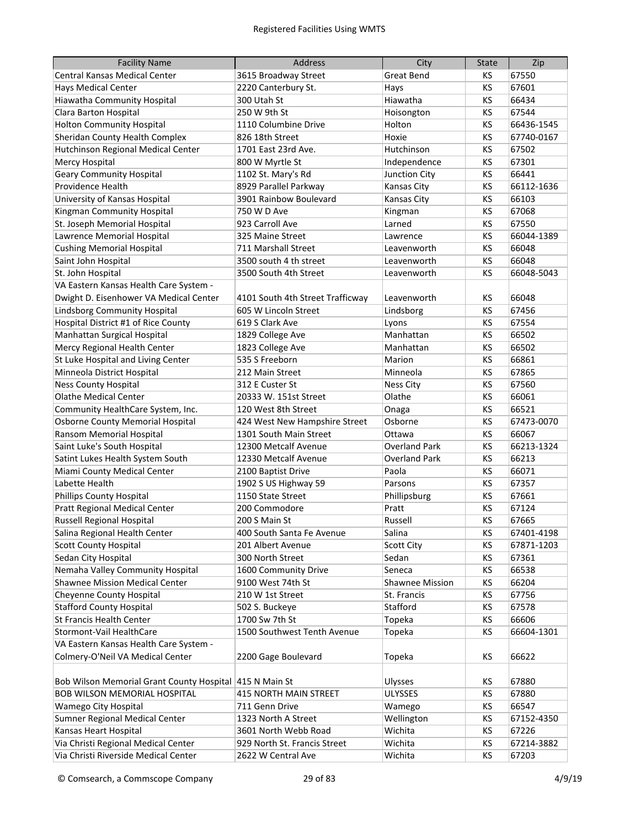| <b>Facility Name</b>                                    | Address                          | City                   | <b>State</b> | Zip        |
|---------------------------------------------------------|----------------------------------|------------------------|--------------|------------|
| Central Kansas Medical Center                           | 3615 Broadway Street             | <b>Great Bend</b>      | КS           | 67550      |
| <b>Hays Medical Center</b>                              | 2220 Canterbury St.              | Hays                   | KS           | 67601      |
| Hiawatha Community Hospital                             | 300 Utah St                      | Hiawatha               | KS           | 66434      |
| Clara Barton Hospital                                   | 250 W 9th St                     | Hoisongton             | KS           | 67544      |
| <b>Holton Community Hospital</b>                        | 1110 Columbine Drive             | Holton                 | KS           | 66436-1545 |
| Sheridan County Health Complex                          | 826 18th Street                  | Hoxie                  | KS           | 67740-0167 |
| Hutchinson Regional Medical Center                      | 1701 East 23rd Ave.              | Hutchinson             | KS           | 67502      |
| Mercy Hospital                                          | 800 W Myrtle St                  | Independence           | KS           | 67301      |
| <b>Geary Community Hospital</b>                         | 1102 St. Mary's Rd               | Junction City          | KS           | 66441      |
| Providence Health                                       | 8929 Parallel Parkway            | <b>Kansas City</b>     | KS           | 66112-1636 |
| University of Kansas Hospital                           | 3901 Rainbow Boulevard           | <b>Kansas City</b>     | KS           | 66103      |
| Kingman Community Hospital                              | 750 W D Ave                      | Kingman                | KS           | 67068      |
| St. Joseph Memorial Hospital                            | 923 Carroll Ave                  | Larned                 | KS           | 67550      |
| Lawrence Memorial Hospital                              | 325 Maine Street                 | Lawrence               | KS           | 66044-1389 |
| <b>Cushing Memorial Hospital</b>                        | 711 Marshall Street              | Leavenworth            | KS           | 66048      |
| Saint John Hospital                                     | 3500 south 4 th street           | Leavenworth            | KS           | 66048      |
| St. John Hospital                                       | 3500 South 4th Street            | Leavenworth            | KS           | 66048-5043 |
| VA Eastern Kansas Health Care System -                  |                                  |                        |              |            |
| Dwight D. Eisenhower VA Medical Center                  | 4101 South 4th Street Trafficway | Leavenworth            | KS           | 66048      |
| Lindsborg Community Hospital                            | 605 W Lincoln Street             | Lindsborg              | KS           | 67456      |
| Hospital District #1 of Rice County                     | 619 S Clark Ave                  | Lyons                  | KS           | 67554      |
| Manhattan Surgical Hospital                             | 1829 College Ave                 | Manhattan              | KS           | 66502      |
| Mercy Regional Health Center                            | 1823 College Ave                 | Manhattan              | KS           | 66502      |
| St Luke Hospital and Living Center                      | 535 S Freeborn                   | Marion                 | KS           | 66861      |
| Minneola District Hospital                              | 212 Main Street                  | Minneola               | KS           | 67865      |
| <b>Ness County Hospital</b>                             | 312 E Custer St                  | <b>Ness City</b>       | KS           | 67560      |
| <b>Olathe Medical Center</b>                            | 20333 W. 151st Street            | Olathe                 | KS           | 66061      |
| Community HealthCare System, Inc.                       | 120 West 8th Street              | Onaga                  | KS           | 66521      |
| <b>Osborne County Memorial Hospital</b>                 | 424 West New Hampshire Street    | Osborne                | KS           | 67473-0070 |
| Ransom Memorial Hospital                                | 1301 South Main Street           | Ottawa                 | KS           | 66067      |
| Saint Luke's South Hospital                             | 12300 Metcalf Avenue             | <b>Overland Park</b>   | KS           | 66213-1324 |
| Satint Lukes Health System South                        | 12330 Metcalf Avenue             | <b>Overland Park</b>   | KS           | 66213      |
| Miami County Medical Center                             | 2100 Baptist Drive               | Paola                  | KS           | 66071      |
| Labette Health                                          | 1902 S US Highway 59             | Parsons                | KS           | 67357      |
| <b>Phillips County Hospital</b>                         | 1150 State Street                | Phillipsburg           | ΚS           | 67661      |
| <b>Pratt Regional Medical Center</b>                    | 200 Commodore                    | Pratt                  | KS           | 67124      |
| Russell Regional Hospital                               | 200 S Main St                    | Russell                | KS           | 67665      |
| Salina Regional Health Center                           | 400 South Santa Fe Avenue        | Salina                 | КS           | 67401-4198 |
| <b>Scott County Hospital</b>                            | 201 Albert Avenue                | <b>Scott City</b>      | ΚS           | 67871-1203 |
| Sedan City Hospital                                     | 300 North Street                 | Sedan                  | ΚS           | 67361      |
| Nemaha Valley Community Hospital                        | 1600 Community Drive             | Seneca                 | ΚS           | 66538      |
| Shawnee Mission Medical Center                          | 9100 West 74th St                | <b>Shawnee Mission</b> | ΚS           | 66204      |
| Cheyenne County Hospital                                | 210 W 1st Street                 | St. Francis            | ΚS           | 67756      |
| <b>Stafford County Hospital</b>                         | 502 S. Buckeye                   | Stafford               | KS           | 67578      |
| St Francis Health Center                                | 1700 Sw 7th St                   | Topeka                 | KS           | 66606      |
| Stormont-Vail HealthCare                                | 1500 Southwest Tenth Avenue      | Topeka                 | KS           | 66604-1301 |
| VA Eastern Kansas Health Care System -                  |                                  |                        |              |            |
| Colmery-O'Neil VA Medical Center                        | 2200 Gage Boulevard              | Topeka                 | KS           | 66622      |
| Bob Wilson Memorial Grant County Hospital 415 N Main St |                                  | Ulysses                | ΚS           | 67880      |
| <b>BOB WILSON MEMORIAL HOSPITAL</b>                     | 415 NORTH MAIN STREET            | <b>ULYSSES</b>         | ΚS           | 67880      |
| Wamego City Hospital                                    | 711 Genn Drive                   | Wamego                 | ΚS           | 66547      |
| Sumner Regional Medical Center                          | 1323 North A Street              | Wellington             | ΚS           | 67152-4350 |
| Kansas Heart Hospital                                   | 3601 North Webb Road             | Wichita                | ΚS           | 67226      |
| Via Christi Regional Medical Center                     | 929 North St. Francis Street     | Wichita                | ΚS           | 67214-3882 |
| Via Christi Riverside Medical Center                    | 2622 W Central Ave               | Wichita                | KS           | 67203      |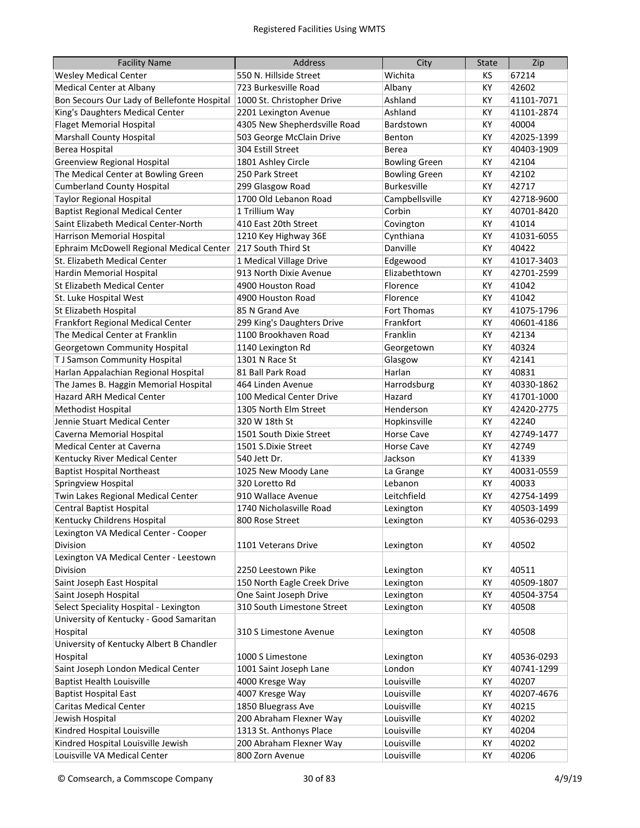| <b>Facility Name</b>                        | <b>Address</b>               | City                 | <b>State</b> | Zip        |
|---------------------------------------------|------------------------------|----------------------|--------------|------------|
| <b>Wesley Medical Center</b>                | 550 N. Hillside Street       | Wichita              | КS           | 67214      |
| Medical Center at Albany                    | 723 Burkesville Road         | Albany               | КY           | 42602      |
| Bon Secours Our Lady of Bellefonte Hospital | 1000 St. Christopher Drive   | Ashland              | KY           | 41101-7071 |
| King's Daughters Medical Center             | 2201 Lexington Avenue        | Ashland              | KY           | 41101-2874 |
| <b>Flaget Memorial Hospital</b>             | 4305 New Shepherdsville Road | Bardstown            | KY           | 40004      |
| <b>Marshall County Hospital</b>             | 503 George McClain Drive     | Benton               | KY           | 42025-1399 |
| Berea Hospital                              | 304 Estill Street            | Berea                | KY           | 40403-1909 |
| <b>Greenview Regional Hospital</b>          | 1801 Ashley Circle           | <b>Bowling Green</b> | КY           | 42104      |
| The Medical Center at Bowling Green         | 250 Park Street              | <b>Bowling Green</b> | КY           | 42102      |
| <b>Cumberland County Hospital</b>           | 299 Glasgow Road             | <b>Burkesville</b>   | КY           | 42717      |
| <b>Taylor Regional Hospital</b>             | 1700 Old Lebanon Road        | Campbellsville       | КY           | 42718-9600 |
| <b>Baptist Regional Medical Center</b>      | 1 Trillium Way               | Corbin               | KY           | 40701-8420 |
| Saint Elizabeth Medical Center-North        | 410 East 20th Street         | Covington            | KY           | 41014      |
| Harrison Memorial Hospital                  | 1210 Key Highway 36E         | Cynthiana            | КY           | 41031-6055 |
| Ephraim McDowell Regional Medical Center    | 217 South Third St           | Danville             | КY           | 40422      |
| St. Elizabeth Medical Center                | 1 Medical Village Drive      | Edgewood             | KY           | 41017-3403 |
| Hardin Memorial Hospital                    | 913 North Dixie Avenue       | Elizabethtown        | КY           | 42701-2599 |
| St Elizabeth Medical Center                 | 4900 Houston Road            | Florence             | КY           | 41042      |
| St. Luke Hospital West                      | 4900 Houston Road            | Florence             | КY           | 41042      |
| St Elizabeth Hospital                       | 85 N Grand Ave               | Fort Thomas          | КY           | 41075-1796 |
| Frankfort Regional Medical Center           | 299 King's Daughters Drive   | Frankfort            | KY           | 40601-4186 |
| The Medical Center at Franklin              | 1100 Brookhaven Road         | Franklin             | KY           | 42134      |
| Georgetown Community Hospital               | 1140 Lexington Rd            | Georgetown           | KY           | 40324      |
| T J Samson Community Hospital               | 1301 N Race St               | Glasgow              | KY           | 42141      |
| Harlan Appalachian Regional Hospital        | 81 Ball Park Road            | Harlan               | KY           | 40831      |
| The James B. Haggin Memorial Hospital       | 464 Linden Avenue            | Harrodsburg          | KY           | 40330-1862 |
| Hazard ARH Medical Center                   | 100 Medical Center Drive     | Hazard               | KY           | 41701-1000 |
| Methodist Hospital                          | 1305 North Elm Street        | Henderson            | KY           | 42420-2775 |
| Jennie Stuart Medical Center                | 320 W 18th St                | Hopkinsville         | KY           | 42240      |
| Caverna Memorial Hospital                   | 1501 South Dixie Street      | <b>Horse Cave</b>    | KY           | 42749-1477 |
| <b>Medical Center at Caverna</b>            | 1501 S.Dixie Street          | <b>Horse Cave</b>    | KY           | 42749      |
| Kentucky River Medical Center               | 540 Jett Dr.                 | Jackson              | ΚY           | 41339      |
| <b>Baptist Hospital Northeast</b>           | 1025 New Moody Lane          | La Grange            | ΚY           | 40031-0559 |
| Springview Hospital                         | 320 Loretto Rd               | Lebanon              | ΚY           | 40033      |
| Twin Lakes Regional Medical Center          | 910 Wallace Avenue           | Leitchfield          | KY           | 42754-1499 |
| <b>Central Baptist Hospital</b>             | 1740 Nicholasville Road      | Lexington            | KY           | 40503-1499 |
| Kentucky Childrens Hospital                 | 800 Rose Street              | Lexington            | КY           | 40536-0293 |
| Lexington VA Medical Center - Cooper        |                              |                      |              |            |
| Division                                    | 1101 Veterans Drive          | Lexington            | KY           | 40502      |
| Lexington VA Medical Center - Leestown      |                              |                      |              |            |
| Division                                    | 2250 Leestown Pike           | Lexington            | КY           | 40511      |
| Saint Joseph East Hospital                  | 150 North Eagle Creek Drive  | Lexington            | KY           | 40509-1807 |
| Saint Joseph Hospital                       | One Saint Joseph Drive       | Lexington            | KY           | 40504-3754 |
| Select Speciality Hospital - Lexington      | 310 South Limestone Street   | Lexington            | КY           | 40508      |
| University of Kentucky - Good Samaritan     |                              |                      |              |            |
| Hospital                                    | 310 S Limestone Avenue       | Lexington            | KY           | 40508      |
| University of Kentucky Albert B Chandler    |                              |                      |              |            |
| Hospital                                    | 1000 S Limestone             | Lexington            | KY           | 40536-0293 |
| Saint Joseph London Medical Center          | 1001 Saint Joseph Lane       | London               | KY           | 40741-1299 |
| <b>Baptist Health Louisville</b>            | 4000 Kresge Way              | Louisville           | КY           | 40207      |
| <b>Baptist Hospital East</b>                | 4007 Kresge Way              | Louisville           | KY           | 40207-4676 |
| <b>Caritas Medical Center</b>               | 1850 Bluegrass Ave           | Louisville           | КY           | 40215      |
| Jewish Hospital                             | 200 Abraham Flexner Way      | Louisville           | КY           | 40202      |
| Kindred Hospital Louisville                 | 1313 St. Anthonys Place      | Louisville           | KY           | 40204      |
| Kindred Hospital Louisville Jewish          | 200 Abraham Flexner Way      | Louisville           | КY           | 40202      |
| Louisville VA Medical Center                | 800 Zorn Avenue              | Louisville           | KY           | 40206      |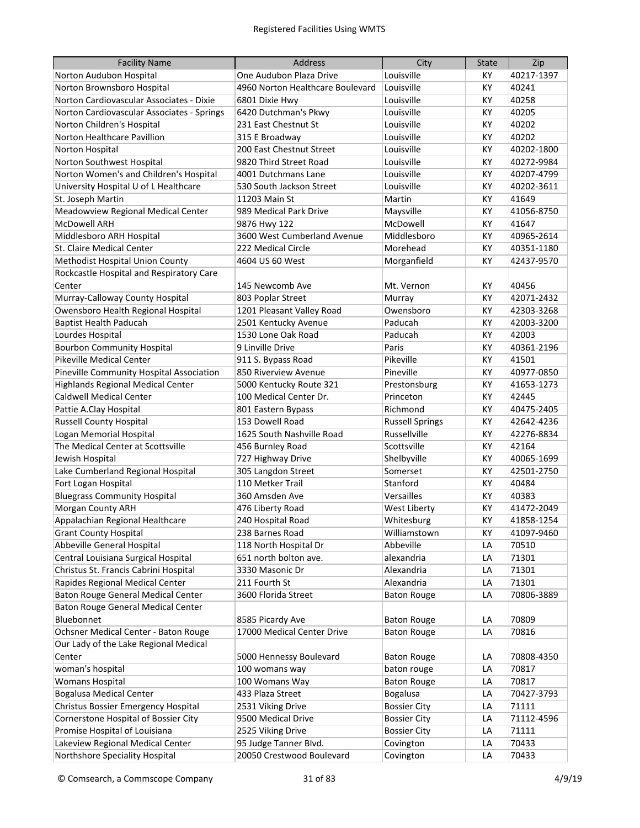| <b>Facility Name</b>                       | <b>Address</b>                   | City                   | <b>State</b> | Zip        |
|--------------------------------------------|----------------------------------|------------------------|--------------|------------|
| Norton Audubon Hospital                    | One Audubon Plaza Drive          | Louisville             | КY           | 40217-1397 |
| Norton Brownsboro Hospital                 | 4960 Norton Healthcare Boulevard | Louisville             | КY           | 40241      |
| Norton Cardiovascular Associates - Dixie   | 6801 Dixie Hwy                   | Louisville             | KY           | 40258      |
| Norton Cardiovascular Associates - Springs | 6420 Dutchman's Pkwy             | Louisville             | KY           | 40205      |
| Norton Children's Hospital                 | 231 East Chestnut St             | Louisville             | KY           | 40202      |
| Norton Healthcare Pavillion                | 315 E Broadway                   | Louisville             | KY           | 40202      |
| Norton Hospital                            | 200 East Chestnut Street         | Louisville             | КY           | 40202-1800 |
| Norton Southwest Hospital                  | 9820 Third Street Road           | Louisville             | KY           | 40272-9984 |
| Norton Women's and Children's Hospital     | 4001 Dutchmans Lane              | Louisville             | KY           | 40207-4799 |
| University Hospital U of L Healthcare      | 530 South Jackson Street         | Louisville             | KY           | 40202-3611 |
| St. Joseph Martin                          | 11203 Main St                    | Martin                 | КY           | 41649      |
| Meadowview Regional Medical Center         | 989 Medical Park Drive           | Maysville              | KY           | 41056-8750 |
| <b>McDowell ARH</b>                        | 9876 Hwy 122                     | McDowell               | KY           | 41647      |
| Middlesboro ARH Hospital                   | 3600 West Cumberland Avenue      | Middlesboro            | KY           | 40965-2614 |
| St. Claire Medical Center                  | 222 Medical Circle               | Morehead               | KY           | 40351-1180 |
| <b>Methodist Hospital Union County</b>     | 4604 US 60 West                  | Morganfield            | KY           | 42437-9570 |
| Rockcastle Hospital and Respiratory Care   |                                  |                        |              |            |
| Center                                     | 145 Newcomb Ave                  | Mt. Vernon             | ΚY           | 40456      |
| Murray-Calloway County Hospital            | 803 Poplar Street                | Murray                 | KY           | 42071-2432 |
| Owensboro Health Regional Hospital         | 1201 Pleasant Valley Road        | Owensboro              | KY           | 42303-3268 |
| <b>Baptist Health Paducah</b>              | 2501 Kentucky Avenue             | Paducah                | КY           | 42003-3200 |
| Lourdes Hospital                           | 1530 Lone Oak Road               | Paducah                | КY           | 42003      |
| <b>Bourbon Community Hospital</b>          | 9 Linville Drive                 | Paris                  | KY           | 40361-2196 |
| <b>Pikeville Medical Center</b>            | 911 S. Bypass Road               | Pikeville              | KY           | 41501      |
| Pineville Community Hospital Association   | 850 Riverview Avenue             | Pineville              | KY           | 40977-0850 |
| <b>Highlands Regional Medical Center</b>   | 5000 Kentucky Route 321          | Prestonsburg           | KY           | 41653-1273 |
| <b>Caldwell Medical Center</b>             | 100 Medical Center Dr.           | Princeton              | KY           | 42445      |
| Pattie A.Clay Hospital                     | 801 Eastern Bypass               | Richmond               | KY           | 40475-2405 |
| <b>Russell County Hospital</b>             | 153 Dowell Road                  | <b>Russell Springs</b> | KY           | 42642-4236 |
| Logan Memorial Hospital                    | 1625 South Nashville Road        | Russellville           | KY           | 42276-8834 |
| The Medical Center at Scottsville          | 456 Burnley Road                 | Scottsville            | KY           | 42164      |
| Jewish Hospital                            | 727 Highway Drive                | Shelbyville            | КY           | 40065-1699 |
| Lake Cumberland Regional Hospital          | 305 Langdon Street               | Somerset               | КY           | 42501-2750 |
| Fort Logan Hospital                        | 110 Metker Trail                 | Stanford               | ΚY           | 40484      |
| <b>Bluegrass Community Hospital</b>        | 360 Amsden Ave                   | Versailles             | ΚY           | 40383      |
| Morgan County ARH                          | 476 Liberty Road                 | West Liberty           | КY           | 41472-2049 |
| Appalachian Regional Healthcare            | 240 Hospital Road                | Whitesburg             | KY           | 41858-1254 |
| <b>Grant County Hospital</b>               | 238 Barnes Road                  | Williamstown           | КY           | 41097-9460 |
| Abbeville General Hospital                 | 118 North Hospital Dr            | Abbeville              | LA           | 70510      |
| Central Louisiana Surgical Hospital        | 651 north bolton ave.            | alexandria             | LA           | 71301      |
| Christus St. Francis Cabrini Hospital      | 3330 Masonic Dr                  | Alexandria             | LA           | 71301      |
| Rapides Regional Medical Center            | 211 Fourth St                    | Alexandria             | LA           | 71301      |
| Baton Rouge General Medical Center         | 3600 Florida Street              | <b>Baton Rouge</b>     | LA           | 70806-3889 |
| Baton Rouge General Medical Center         |                                  |                        |              |            |
| Bluebonnet                                 | 8585 Picardy Ave                 | <b>Baton Rouge</b>     | LA           | 70809      |
| Ochsner Medical Center - Baton Rouge       | 17000 Medical Center Drive       | <b>Baton Rouge</b>     | LA           | 70816      |
| Our Lady of the Lake Regional Medical      |                                  |                        |              |            |
| Center                                     | 5000 Hennessy Boulevard          | <b>Baton Rouge</b>     | LA           | 70808-4350 |
| woman's hospital                           | 100 womans way                   | baton rouge            | LA           | 70817      |
| <b>Womans Hospital</b>                     | 100 Womans Way                   | <b>Baton Rouge</b>     | LA           | 70817      |
| <b>Bogalusa Medical Center</b>             | 433 Plaza Street                 | <b>Bogalusa</b>        | LA           | 70427-3793 |
| Christus Bossier Emergency Hospital        | 2531 Viking Drive                | <b>Bossier City</b>    | LA           | 71111      |
| Cornerstone Hospital of Bossier City       | 9500 Medical Drive               | <b>Bossier City</b>    | LA           | 71112-4596 |
| Promise Hospital of Louisiana              | 2525 Viking Drive                | <b>Bossier City</b>    | LA           | 71111      |
| Lakeview Regional Medical Center           | 95 Judge Tanner Blvd.            | Covington              | LA           | 70433      |
| Northshore Speciality Hospital             | 20050 Crestwood Boulevard        | Covington              | LA           | 70433      |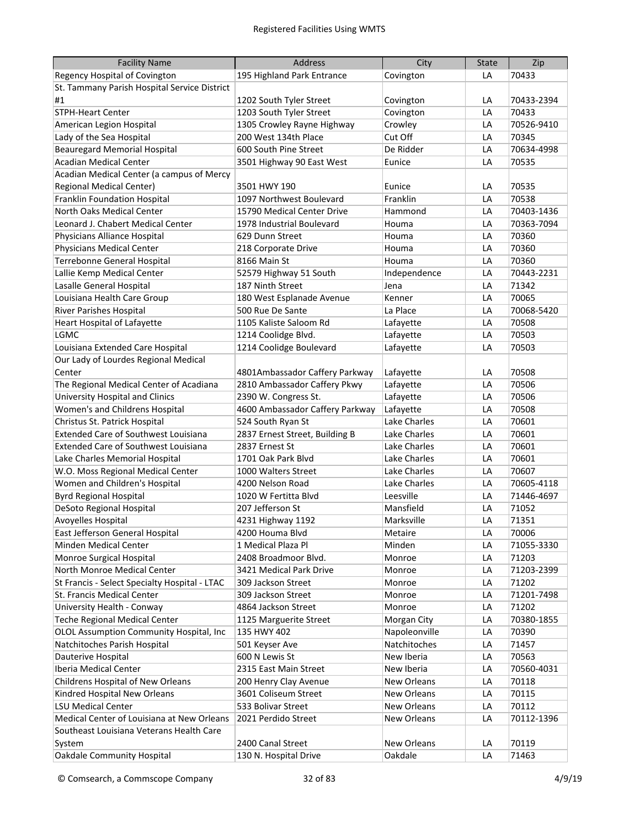| <b>Facility Name</b>                          | Address                         | City               | <b>State</b> | Zip        |
|-----------------------------------------------|---------------------------------|--------------------|--------------|------------|
| Regency Hospital of Covington                 | 195 Highland Park Entrance      | Covington          | LA           | 70433      |
| St. Tammany Parish Hospital Service District  |                                 |                    |              |            |
| #1                                            | 1202 South Tyler Street         | Covington          | LA           | 70433-2394 |
| <b>STPH-Heart Center</b>                      | 1203 South Tyler Street         | Covington          | LA           | 70433      |
| American Legion Hospital                      | 1305 Crowley Rayne Highway      | Crowley            | LA           | 70526-9410 |
| Lady of the Sea Hospital                      | 200 West 134th Place            | Cut Off            | LA           | 70345      |
| <b>Beauregard Memorial Hospital</b>           | 600 South Pine Street           | De Ridder          | LA           | 70634-4998 |
| <b>Acadian Medical Center</b>                 | 3501 Highway 90 East West       | Eunice             | LA           | 70535      |
| Acadian Medical Center (a campus of Mercy     |                                 |                    |              |            |
| Regional Medical Center)                      | 3501 HWY 190                    | Eunice             | LA           | 70535      |
| Franklin Foundation Hospital                  | 1097 Northwest Boulevard        | Franklin           | LA           | 70538      |
| North Oaks Medical Center                     | 15790 Medical Center Drive      | Hammond            | LA           | 70403-1436 |
| Leonard J. Chabert Medical Center             | 1978 Industrial Boulevard       | Houma              | LA           | 70363-7094 |
| Physicians Alliance Hospital                  | 629 Dunn Street                 | Houma              | LA           | 70360      |
| <b>Physicians Medical Center</b>              | 218 Corporate Drive             | Houma              | LA           | 70360      |
| Terrebonne General Hospital                   | 8166 Main St                    | Houma              | LA           | 70360      |
| Lallie Kemp Medical Center                    | 52579 Highway 51 South          | Independence       | LA           | 70443-2231 |
| Lasalle General Hospital                      | 187 Ninth Street                | Jena               | LA           | 71342      |
| Louisiana Health Care Group                   | 180 West Esplanade Avenue       | Kenner             | LA           | 70065      |
| <b>River Parishes Hospital</b>                | 500 Rue De Sante                | La Place           | LA           | 70068-5420 |
| <b>Heart Hospital of Lafayette</b>            | 1105 Kaliste Saloom Rd          | Lafayette          | LA           | 70508      |
| LGMC                                          | 1214 Coolidge Blvd.             | Lafayette          | LA           | 70503      |
| Louisiana Extended Care Hospital              | 1214 Coolidge Boulevard         | Lafayette          | LA           | 70503      |
| Our Lady of Lourdes Regional Medical          |                                 |                    |              |            |
| Center                                        | 4801Ambassador Caffery Parkway  | Lafayette          | LA           | 70508      |
| The Regional Medical Center of Acadiana       | 2810 Ambassador Caffery Pkwy    | Lafayette          | LA           | 70506      |
| University Hospital and Clinics               | 2390 W. Congress St.            | Lafayette          | LA           | 70506      |
| Women's and Childrens Hospital                | 4600 Ambassador Caffery Parkway | Lafayette          | LA           | 70508      |
| Christus St. Patrick Hospital                 | 524 South Ryan St               | Lake Charles       | LA           | 70601      |
| <b>Extended Care of Southwest Louisiana</b>   | 2837 Ernest Street, Building B  | Lake Charles       | LA           | 70601      |
| <b>Extended Care of Southwest Louisiana</b>   | 2837 Ernest St                  | Lake Charles       | LA           | 70601      |
| Lake Charles Memorial Hospital                | 1701 Oak Park Blvd              | Lake Charles       | LA           | 70601      |
| W.O. Moss Regional Medical Center             | 1000 Walters Street             | Lake Charles       | LA           | 70607      |
| Women and Children's Hospital                 | 4200 Nelson Road                | Lake Charles       | LA           | 70605-4118 |
| <b>Byrd Regional Hospital</b>                 | 1020 W Fertitta Blvd            | Leesville          | LA           | 71446-4697 |
| DeSoto Regional Hospital                      | 207 Jefferson St                | Mansfield          | LA           | 71052      |
| Avoyelles Hospital                            | 4231 Highway 1192               | Marksville         | LA           | 71351      |
| East Jefferson General Hospital               | 4200 Houma Blvd                 | Metaire            | LA           | 70006      |
| Minden Medical Center                         | 1 Medical Plaza Pl              | Minden             | LA           | 71055-3330 |
| Monroe Surgical Hospital                      | 2408 Broadmoor Blvd.            | Monroe             | LA           | 71203      |
| North Monroe Medical Center                   | 3421 Medical Park Drive         | Monroe             | LA           | 71203-2399 |
| St Francis - Select Specialty Hospital - LTAC | 309 Jackson Street              | Monroe             | LA           | 71202      |
| St. Francis Medical Center                    | 309 Jackson Street              | Monroe             | LA           | 71201-7498 |
| University Health - Conway                    | 4864 Jackson Street             | Monroe             | LA           | 71202      |
| <b>Teche Regional Medical Center</b>          | 1125 Marguerite Street          | Morgan City        | LA           | 70380-1855 |
| OLOL Assumption Community Hospital, Inc       | 135 HWY 402                     | Napoleonville      | LA           | 70390      |
| Natchitoches Parish Hospital                  | 501 Keyser Ave                  | Natchitoches       | LA           | 71457      |
| Dauterive Hospital                            | 600 N Lewis St                  | New Iberia         | LA           | 70563      |
| Iberia Medical Center                         | 2315 East Main Street           | New Iberia         | LA           | 70560-4031 |
| Childrens Hospital of New Orleans             | 200 Henry Clay Avenue           | New Orleans        | LA           | 70118      |
| Kindred Hospital New Orleans                  | 3601 Coliseum Street            | <b>New Orleans</b> | LA           | 70115      |
| <b>LSU Medical Center</b>                     | 533 Bolivar Street              | <b>New Orleans</b> | LA           | 70112      |
| Medical Center of Louisiana at New Orleans    | 2021 Perdido Street             | New Orleans        | LA           | 70112-1396 |
| Southeast Louisiana Veterans Health Care      |                                 |                    |              |            |
| System                                        | 2400 Canal Street               | New Orleans        | LA           | 70119      |
| <b>Oakdale Community Hospital</b>             | 130 N. Hospital Drive           | Oakdale            | LA           | 71463      |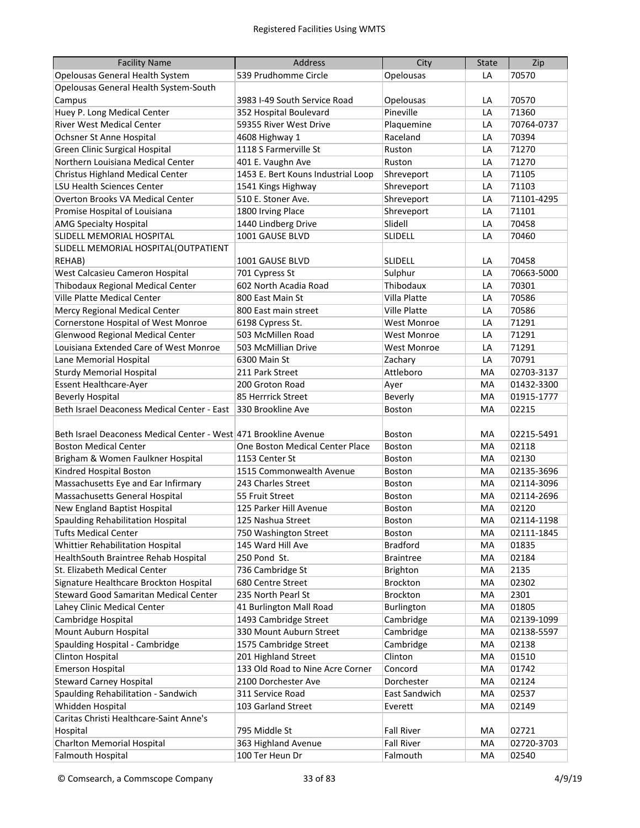| <b>Facility Name</b>                                             | Address                            | City                | <b>State</b> | Zip        |
|------------------------------------------------------------------|------------------------------------|---------------------|--------------|------------|
| Opelousas General Health System                                  | 539 Prudhomme Circle               | Opelousas           | LA           | 70570      |
| Opelousas General Health System-South                            |                                    |                     |              |            |
| Campus                                                           | 3983 I-49 South Service Road       | Opelousas           | LA           | 70570      |
| Huey P. Long Medical Center                                      | 352 Hospital Boulevard             | Pineville           | LA           | 71360      |
| River West Medical Center                                        | 59355 River West Drive             | Plaquemine          | LA           | 70764-0737 |
| Ochsner St Anne Hospital                                         | 4608 Highway 1                     | Raceland            | LA           | 70394      |
| <b>Green Clinic Surgical Hospital</b>                            | 1118 S Farmerville St              | Ruston              | LA           | 71270      |
| Northern Louisiana Medical Center                                | 401 E. Vaughn Ave                  | Ruston              | LA           | 71270      |
| Christus Highland Medical Center                                 | 1453 E. Bert Kouns Industrial Loop | Shreveport          | LA           | 71105      |
| <b>LSU Health Sciences Center</b>                                | 1541 Kings Highway                 | Shreveport          | LA           | 71103      |
| <b>Overton Brooks VA Medical Center</b>                          | 510 E. Stoner Ave.                 | Shreveport          | LA           | 71101-4295 |
| Promise Hospital of Louisiana                                    | 1800 Irving Place                  | Shreveport          | LA           | 71101      |
| <b>AMG Specialty Hospital</b>                                    | 1440 Lindberg Drive                | Slidell             | LA           | 70458      |
| SLIDELL MEMORIAL HOSPITAL                                        | 1001 GAUSE BLVD                    | SLIDELL             | LA           | 70460      |
| SLIDELL MEMORIAL HOSPITAL (OUTPATIENT                            |                                    |                     |              |            |
| REHAB)                                                           | 1001 GAUSE BLVD                    | <b>SLIDELL</b>      | LA           | 70458      |
| West Calcasieu Cameron Hospital                                  | 701 Cypress St                     | Sulphur             | LA           | 70663-5000 |
| Thibodaux Regional Medical Center                                | 602 North Acadia Road              | Thibodaux           | LA           | 70301      |
| Ville Platte Medical Center                                      | 800 East Main St                   | Villa Platte        | LA           | 70586      |
| Mercy Regional Medical Center                                    | 800 East main street               | <b>Ville Platte</b> | LA           | 70586      |
| Cornerstone Hospital of West Monroe                              | 6198 Cypress St.                   | <b>West Monroe</b>  | LA           | 71291      |
| Glenwood Regional Medical Center                                 | 503 McMillen Road                  | <b>West Monroe</b>  | LA           | 71291      |
| Louisiana Extended Care of West Monroe                           | 503 McMillian Drive                | <b>West Monroe</b>  | LA           | 71291      |
| Lane Memorial Hospital                                           | 6300 Main St                       | Zachary             | LA           | 70791      |
| <b>Sturdy Memorial Hospital</b>                                  | 211 Park Street                    | Attleboro           | MA           | 02703-3137 |
| Essent Healthcare-Ayer                                           | 200 Groton Road                    | Ayer                | MA           | 01432-3300 |
| <b>Beverly Hospital</b>                                          | 85 Herrrick Street                 | Beverly             | MA           | 01915-1777 |
| Beth Israel Deaconess Medical Center - East                      | 330 Brookline Ave                  | Boston              | MA           | 02215      |
|                                                                  |                                    |                     |              |            |
| Beth Israel Deaconess Medical Center - West 471 Brookline Avenue |                                    | <b>Boston</b>       | MA           | 02215-5491 |
| <b>Boston Medical Center</b>                                     | One Boston Medical Center Place    | Boston              | MA           | 02118      |
| Brigham & Women Faulkner Hospital                                | 1153 Center St                     | Boston              | MA           | 02130      |
| Kindred Hospital Boston                                          | 1515 Commonwealth Avenue           | Boston              | MA           | 02135-3696 |
| Massachusetts Eye and Ear Infirmary                              | 243 Charles Street                 | <b>Boston</b>       | MA           | 02114-3096 |
| Massachusetts General Hospital                                   | 55 Fruit Street                    | <b>Boston</b>       | MA           | 02114-2696 |
| New England Baptist Hospital                                     | 125 Parker Hill Avenue             | <b>Boston</b>       | MA           | 02120      |
| Spaulding Rehabilitation Hospital                                | 125 Nashua Street                  | <b>Boston</b>       | МA           | 02114-1198 |
| <b>Tufts Medical Center</b>                                      | 750 Washington Street              | <b>Boston</b>       | MA           | 02111-1845 |
| Whittier Rehabilitation Hospital                                 | 145 Ward Hill Ave                  | <b>Bradford</b>     | MA           | 01835      |
| HealthSouth Braintree Rehab Hospital                             | 250 Pond St.                       | <b>Braintree</b>    | MA           | 02184      |
| St. Elizabeth Medical Center                                     | 736 Cambridge St                   | Brighton            | MA           | 2135       |
| Signature Healthcare Brockton Hospital                           | 680 Centre Street                  | Brockton            | MA           | 02302      |
| Steward Good Samaritan Medical Center                            | 235 North Pearl St                 | Brockton            | MA           | 2301       |
| Lahey Clinic Medical Center                                      | 41 Burlington Mall Road            | Burlington          | MA           | 01805      |
| Cambridge Hospital                                               | 1493 Cambridge Street              | Cambridge           | MA           | 02139-1099 |
| Mount Auburn Hospital                                            | 330 Mount Auburn Street            | Cambridge           | MA           | 02138-5597 |
| Spaulding Hospital - Cambridge                                   | 1575 Cambridge Street              | Cambridge           | MA           | 02138      |
| Clinton Hospital                                                 | 201 Highland Street                | Clinton             | MA           | 01510      |
| <b>Emerson Hospital</b>                                          | 133 Old Road to Nine Acre Corner   | Concord             | MA           | 01742      |
| <b>Steward Carney Hospital</b>                                   | 2100 Dorchester Ave                | Dorchester          | MA           | 02124      |
| Spaulding Rehabilitation - Sandwich                              | 311 Service Road                   | East Sandwich       | MA           | 02537      |
| Whidden Hospital                                                 | 103 Garland Street                 | Everett             | MA           | 02149      |
| Caritas Christi Healthcare-Saint Anne's                          |                                    |                     |              |            |
| Hospital                                                         | 795 Middle St                      | <b>Fall River</b>   | MA           | 02721      |
| <b>Charlton Memorial Hospital</b>                                | 363 Highland Avenue                | <b>Fall River</b>   | MA           | 02720-3703 |
| <b>Falmouth Hospital</b>                                         | 100 Ter Heun Dr                    | Falmouth            | MA           | 02540      |
|                                                                  |                                    |                     |              |            |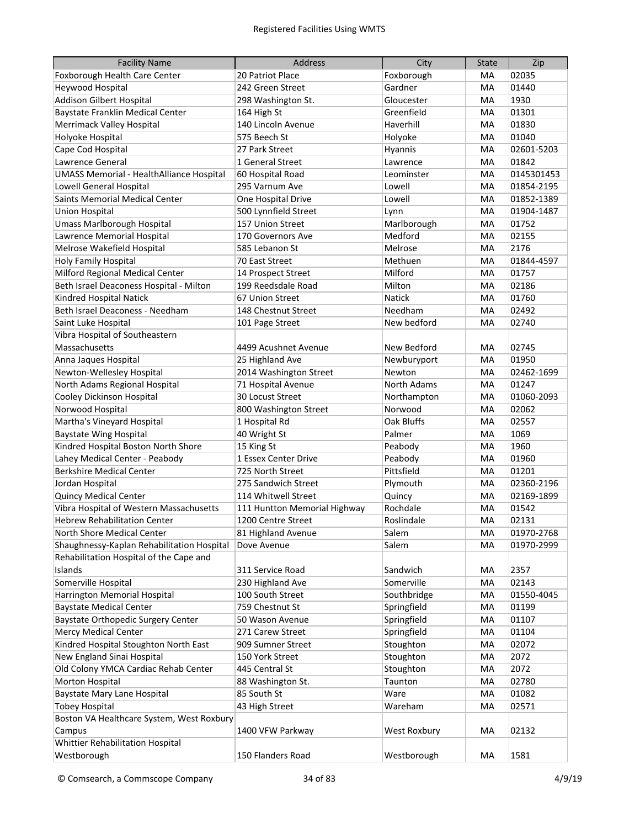| <b>Facility Name</b>                            | <b>Address</b>               | City          | <b>State</b> | Zip        |
|-------------------------------------------------|------------------------------|---------------|--------------|------------|
| Foxborough Health Care Center                   | 20 Patriot Place             | Foxborough    | MA           | 02035      |
| <b>Heywood Hospital</b>                         | 242 Green Street             | Gardner       | MA           | 01440      |
| <b>Addison Gilbert Hospital</b>                 | 298 Washington St.           | Gloucester    | MA           | 1930       |
| <b>Baystate Franklin Medical Center</b>         | 164 High St                  | Greenfield    | MA           | 01301      |
| <b>Merrimack Valley Hospital</b>                | 140 Lincoln Avenue           | Haverhill     | MA           | 01830      |
| Holyoke Hospital                                | 575 Beech St                 | Holyoke       | MA           | 01040      |
| Cape Cod Hospital                               | 27 Park Street               | Hyannis       | MA           | 02601-5203 |
| Lawrence General                                | 1 General Street             | Lawrence      | MA           | 01842      |
| <b>UMASS Memorial - HealthAlliance Hospital</b> | 60 Hospital Road             | Leominster    | MA           | 0145301453 |
| <b>Lowell General Hospital</b>                  | 295 Varnum Ave               | Lowell        | MA           | 01854-2195 |
| Saints Memorial Medical Center                  | One Hospital Drive           | Lowell        | MA           | 01852-1389 |
| <b>Union Hospital</b>                           | 500 Lynnfield Street         | Lynn          | MA           | 01904-1487 |
| Umass Marlborough Hospital                      | 157 Union Street             | Marlborough   | МA           | 01752      |
| Lawrence Memorial Hospital                      | 170 Governors Ave            | Medford       | МA           | 02155      |
| Melrose Wakefield Hospital                      | 585 Lebanon St               | Melrose       | MA           | 2176       |
| Holy Family Hospital                            | 70 East Street               | Methuen       | MA           | 01844-4597 |
| Milford Regional Medical Center                 | 14 Prospect Street           | Milford       | MA           | 01757      |
| Beth Israel Deaconess Hospital - Milton         | 199 Reedsdale Road           | Milton        | MA           | 02186      |
| Kindred Hospital Natick                         | 67 Union Street              | <b>Natick</b> | MA           | 01760      |
| Beth Israel Deaconess - Needham                 | 148 Chestnut Street          | Needham       | MA           | 02492      |
| Saint Luke Hospital                             | 101 Page Street              | New bedford   | MA           | 02740      |
| Vibra Hospital of Southeastern                  |                              |               |              |            |
| Massachusetts                                   | 4499 Acushnet Avenue         | New Bedford   | MA           | 02745      |
| Anna Jaques Hospital                            | 25 Highland Ave              | Newburyport   | MA           | 01950      |
| Newton-Wellesley Hospital                       | 2014 Washington Street       | Newton        | MA           | 02462-1699 |
| North Adams Regional Hospital                   | 71 Hospital Avenue           | North Adams   | MA           | 01247      |
| Cooley Dickinson Hospital                       | 30 Locust Street             | Northampton   | МA           | 01060-2093 |
| Norwood Hospital                                | 800 Washington Street        | Norwood       | MA           | 02062      |
| Martha's Vineyard Hospital                      | 1 Hospital Rd                | Oak Bluffs    | МA           | 02557      |
| <b>Baystate Wing Hospital</b>                   | 40 Wright St                 | Palmer        | MA           | 1069       |
| Kindred Hospital Boston North Shore             | 15 King St                   | Peabody       | МA           | 1960       |
| Lahey Medical Center - Peabody                  | 1 Essex Center Drive         | Peabody       | МA           | 01960      |
| <b>Berkshire Medical Center</b>                 | 725 North Street             | Pittsfield    | МA           | 01201      |
| Jordan Hospital                                 | 275 Sandwich Street          | Plymouth      | МA           | 02360-2196 |
| <b>Quincy Medical Center</b>                    | 114 Whitwell Street          | Quincy        | МA           | 02169-1899 |
| Vibra Hospital of Western Massachusetts         | 111 Huntton Memorial Highway | Rochdale      | МA           | 01542      |
| <b>Hebrew Rehabilitation Center</b>             | 1200 Centre Street           | Roslindale    | MA           | 02131      |
| North Shore Medical Center                      | 81 Highland Avenue           | Salem         | MA           | 01970-2768 |
| Shaughnessy-Kaplan Rehabilitation Hospital      | Dove Avenue                  | Salem         | MA           | 01970-2999 |
| Rehabilitation Hospital of the Cape and         |                              |               |              |            |
| Islands                                         | 311 Service Road             | Sandwich      | МA           | 2357       |
| Somerville Hospital                             | 230 Highland Ave             | Somerville    | МA           | 02143      |
| Harrington Memorial Hospital                    | 100 South Street             | Southbridge   | МA           | 01550-4045 |
| <b>Baystate Medical Center</b>                  | 759 Chestnut St              | Springfield   | МA           | 01199      |
| <b>Baystate Orthopedic Surgery Center</b>       | 50 Wason Avenue              | Springfield   | МA           | 01107      |
| <b>Mercy Medical Center</b>                     | 271 Carew Street             | Springfield   | МA           | 01104      |
| Kindred Hospital Stoughton North East           | 909 Sumner Street            | Stoughton     | МA           | 02072      |
| New England Sinai Hospital                      | 150 York Street              | Stoughton     | МA           | 2072       |
| Old Colony YMCA Cardiac Rehab Center            | 445 Central St               | Stoughton     | МA           | 2072       |
| Morton Hospital                                 | 88 Washington St.            | Taunton       | MA           | 02780      |
| Baystate Mary Lane Hospital                     | 85 South St                  | Ware          | МA           | 01082      |
| <b>Tobey Hospital</b>                           | 43 High Street               | Wareham       | MA           | 02571      |
| Boston VA Healthcare System, West Roxbury       |                              |               |              |            |
| Campus                                          | 1400 VFW Parkway             | West Roxbury  | MA           | 02132      |
| Whittier Rehabilitation Hospital                |                              |               |              |            |
| Westborough                                     | 150 Flanders Road            | Westborough   | MA           | 1581       |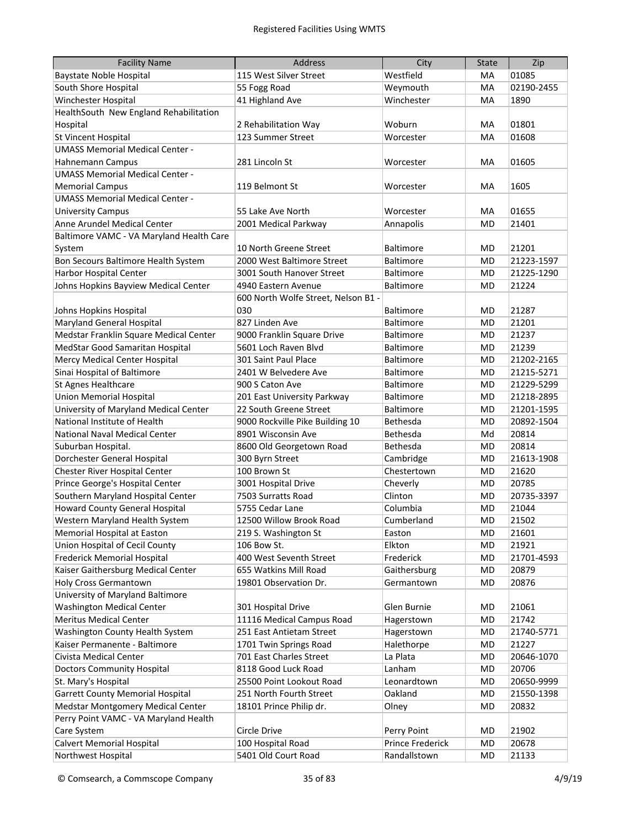| <b>Facility Name</b>                     | <b>Address</b>                      | City             | <b>State</b> | Zip        |
|------------------------------------------|-------------------------------------|------------------|--------------|------------|
| <b>Baystate Noble Hospital</b>           | 115 West Silver Street              | Westfield        | MA           | 01085      |
| South Shore Hospital                     | 55 Fogg Road                        | Weymouth         | MA           | 02190-2455 |
| Winchester Hospital                      | 41 Highland Ave                     | Winchester       | MA           | 1890       |
| HealthSouth New England Rehabilitation   |                                     |                  |              |            |
| Hospital                                 | 2 Rehabilitation Way                | Woburn           | MA           | 01801      |
| <b>St Vincent Hospital</b>               | 123 Summer Street                   | Worcester        | MA           | 01608      |
| <b>UMASS Memorial Medical Center -</b>   |                                     |                  |              |            |
| <b>Hahnemann Campus</b>                  | 281 Lincoln St                      | Worcester        | MA           | 01605      |
| <b>UMASS Memorial Medical Center -</b>   |                                     |                  |              |            |
| <b>Memorial Campus</b>                   | 119 Belmont St                      | Worcester        | MA           | 1605       |
| <b>UMASS Memorial Medical Center -</b>   |                                     |                  |              |            |
| <b>University Campus</b>                 | 55 Lake Ave North                   | Worcester        | MA           | 01655      |
| Anne Arundel Medical Center              | 2001 Medical Parkway                | Annapolis        | MD           | 21401      |
| Baltimore VAMC - VA Maryland Health Care |                                     |                  |              |            |
| System                                   | 10 North Greene Street              | Baltimore        | MD           | 21201      |
| Bon Secours Baltimore Health System      | 2000 West Baltimore Street          | Baltimore        | MD           | 21223-1597 |
| <b>Harbor Hospital Center</b>            | 3001 South Hanover Street           | <b>Baltimore</b> | MD           | 21225-1290 |
| Johns Hopkins Bayview Medical Center     | 4940 Eastern Avenue                 | <b>Baltimore</b> | <b>MD</b>    | 21224      |
|                                          | 600 North Wolfe Street, Nelson B1 - |                  |              |            |
| Johns Hopkins Hospital                   | 030                                 | Baltimore        | MD           | 21287      |
| <b>Maryland General Hospital</b>         | 827 Linden Ave                      | Baltimore        | MD           | 21201      |
| Medstar Franklin Square Medical Center   | 9000 Franklin Square Drive          | Baltimore        | <b>MD</b>    | 21237      |
| MedStar Good Samaritan Hospital          | 5601 Loch Raven Blvd                | Baltimore        | MD           | 21239      |
| Mercy Medical Center Hospital            | 301 Saint Paul Place                | Baltimore        | MD           | 21202-2165 |
| Sinai Hospital of Baltimore              | 2401 W Belvedere Ave                | Baltimore        | MD           | 21215-5271 |
| St Agnes Healthcare                      | 900 S Caton Ave                     | <b>Baltimore</b> | MD           | 21229-5299 |
| <b>Union Memorial Hospital</b>           | 201 East University Parkway         | <b>Baltimore</b> | MD           | 21218-2895 |
| University of Maryland Medical Center    | 22 South Greene Street              | Baltimore        | MD           | 21201-1595 |
| National Institute of Health             | 9000 Rockville Pike Building 10     | Bethesda         | MD           | 20892-1504 |
| <b>National Naval Medical Center</b>     | 8901 Wisconsin Ave                  | Bethesda         | Md           | 20814      |
| Suburban Hospital.                       | 8600 Old Georgetown Road            | Bethesda         | MD           | 20814      |
| Dorchester General Hospital              | 300 Byrn Street                     | Cambridge        | MD           | 21613-1908 |
| Chester River Hospital Center            | 100 Brown St                        | Chestertown      | MD           | 21620      |
| Prince George's Hospital Center          | 3001 Hospital Drive                 | Cheverly         | MD           | 20785      |
| Southern Maryland Hospital Center        | 7503 Surratts Road                  | Clinton          | MD           | 20735-3397 |
| <b>Howard County General Hospital</b>    | 5755 Cedar Lane                     | Columbia         | MD           | 21044      |
| Western Maryland Health System           | 12500 Willow Brook Road             | Cumberland       | <b>MD</b>    | 21502      |
| Memorial Hospital at Easton              | 219 S. Washington St                | Easton           | MD           | 21601      |
| Union Hospital of Cecil County           | 106 Bow St.                         | Elkton           | MD           | 21921      |
| Frederick Memorial Hospital              | 400 West Seventh Street             | Frederick        | MD           | 21701-4593 |
| Kaiser Gaithersburg Medical Center       | 655 Watkins Mill Road               | Gaithersburg     | MD           | 20879      |
| Holy Cross Germantown                    | 19801 Observation Dr.               | Germantown       | MD           | 20876      |
| University of Maryland Baltimore         |                                     |                  |              |            |
| <b>Washington Medical Center</b>         | 301 Hospital Drive                  | Glen Burnie      | MD           | 21061      |
| <b>Meritus Medical Center</b>            | 11116 Medical Campus Road           | Hagerstown       | MD           | 21742      |
| Washington County Health System          | 251 East Antietam Street            | Hagerstown       | MD           | 21740-5771 |
| Kaiser Permanente - Baltimore            | 1701 Twin Springs Road              | Halethorpe       | MD           | 21227      |
| Civista Medical Center                   | 701 East Charles Street             | La Plata         | MD           | 20646-1070 |
| <b>Doctors Community Hospital</b>        | 8118 Good Luck Road                 | Lanham           | MD           | 20706      |
| St. Mary's Hospital                      | 25500 Point Lookout Road            | Leonardtown      | MD           | 20650-9999 |
| <b>Garrett County Memorial Hospital</b>  | 251 North Fourth Street             | Oakland          | MD           | 21550-1398 |
| Medstar Montgomery Medical Center        | 18101 Prince Philip dr.             | Olney            | MD           | 20832      |
| Perry Point VAMC - VA Maryland Health    |                                     |                  |              |            |
| Care System                              | Circle Drive                        | Perry Point      | MD           | 21902      |
| <b>Calvert Memorial Hospital</b>         | 100 Hospital Road                   | Prince Frederick | MD           | 20678      |
| Northwest Hospital                       | 5401 Old Court Road                 | Randallstown     | MD           | 21133      |
|                                          |                                     |                  |              |            |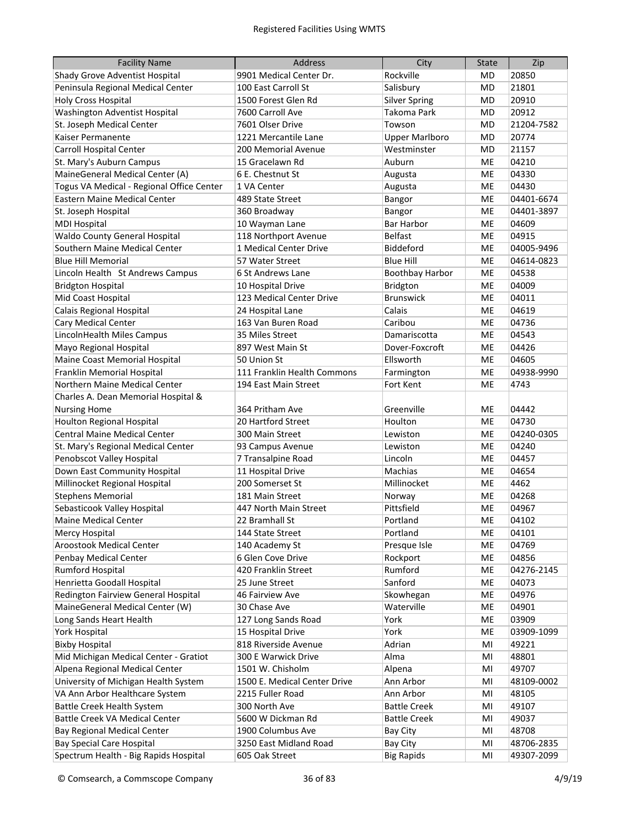| <b>Facility Name</b>                      | <b>Address</b>               | City                   | <b>State</b> | Zip        |
|-------------------------------------------|------------------------------|------------------------|--------------|------------|
| Shady Grove Adventist Hospital            | 9901 Medical Center Dr.      | Rockville              | MD           | 20850      |
| Peninsula Regional Medical Center         | 100 East Carroll St          | Salisbury              | MD           | 21801      |
| <b>Holy Cross Hospital</b>                | 1500 Forest Glen Rd          | <b>Silver Spring</b>   | MD           | 20910      |
| Washington Adventist Hospital             | 7600 Carroll Ave             | Takoma Park            | MD           | 20912      |
| St. Joseph Medical Center                 | 7601 Olser Drive             | Towson                 | MD           | 21204-7582 |
| Kaiser Permanente                         | 1221 Mercantile Lane         | <b>Upper Marlboro</b>  | MD           | 20774      |
| <b>Carroll Hospital Center</b>            | 200 Memorial Avenue          | Westminster            | MD           | 21157      |
| St. Mary's Auburn Campus                  | 15 Gracelawn Rd              | Auburn                 | ME           | 04210      |
| MaineGeneral Medical Center (A)           | 6 E. Chestnut St             | Augusta                | ME           | 04330      |
| Togus VA Medical - Regional Office Center | 1 VA Center                  | Augusta                | ME           | 04430      |
| Eastern Maine Medical Center              | 489 State Street             | Bangor                 | ME           | 04401-6674 |
| St. Joseph Hospital                       | 360 Broadway                 | Bangor                 | <b>ME</b>    | 04401-3897 |
| <b>MDI Hospital</b>                       | 10 Wayman Lane               | <b>Bar Harbor</b>      | ME           | 04609      |
| Waldo County General Hospital             | 118 Northport Avenue         | <b>Belfast</b>         | <b>ME</b>    | 04915      |
| Southern Maine Medical Center             | 1 Medical Center Drive       | Biddeford              | <b>ME</b>    | 04005-9496 |
| <b>Blue Hill Memorial</b>                 | 57 Water Street              | <b>Blue Hill</b>       | <b>ME</b>    | 04614-0823 |
| Lincoln Health St Andrews Campus          | 6 St Andrews Lane            | <b>Boothbay Harbor</b> | ME           | 04538      |
| <b>Bridgton Hospital</b>                  | 10 Hospital Drive            | <b>Bridgton</b>        | ME           | 04009      |
| Mid Coast Hospital                        | 123 Medical Center Drive     | <b>Brunswick</b>       | ME           | 04011      |
| Calais Regional Hospital                  | 24 Hospital Lane             | Calais                 | ME           | 04619      |
| Cary Medical Center                       | 163 Van Buren Road           | Caribou                | <b>ME</b>    | 04736      |
| LincolnHealth Miles Campus                | 35 Miles Street              | Damariscotta           | <b>ME</b>    | 04543      |
| Mayo Regional Hospital                    | 897 West Main St             | Dover-Foxcroft         | <b>ME</b>    | 04426      |
| Maine Coast Memorial Hospital             | 50 Union St                  | Ellsworth              | <b>ME</b>    | 04605      |
| Franklin Memorial Hospital                | 111 Franklin Health Commons  | Farmington             | <b>ME</b>    | 04938-9990 |
| Northern Maine Medical Center             | 194 East Main Street         | Fort Kent              | <b>ME</b>    | 4743       |
| Charles A. Dean Memorial Hospital &       |                              |                        |              |            |
| <b>Nursing Home</b>                       | 364 Pritham Ave              | Greenville             | ME           | 04442      |
| <b>Houlton Regional Hospital</b>          | 20 Hartford Street           | Houlton                | ME           | 04730      |
| <b>Central Maine Medical Center</b>       | 300 Main Street              | Lewiston               | ME           | 04240-0305 |
| St. Mary's Regional Medical Center        | 93 Campus Avenue             | Lewiston               | ME           | 04240      |
| Penobscot Valley Hospital                 | 7 Transalpine Road           | Lincoln                | ME           | 04457      |
| Down East Community Hospital              | 11 Hospital Drive            | Machias                | ME           | 04654      |
| Millinocket Regional Hospital             | 200 Somerset St              | Millinocket            | ME           | 4462       |
| <b>Stephens Memorial</b>                  | 181 Main Street              | Norway                 | ME           | 04268      |
| Sebasticook Valley Hospital               | 447 North Main Street        | Pittsfield             | <b>ME</b>    | 04967      |
| Maine Medical Center                      | 22 Bramhall St               | Portland               | ME           | 04102      |
| <b>Mercy Hospital</b>                     | 144 State Street             | Portland               | ME           | 04101      |
| <b>Aroostook Medical Center</b>           | 140 Academy St               | Presque Isle           | ME           | 04769      |
| Penbay Medical Center                     | 6 Glen Cove Drive            | Rockport               | ME           | 04856      |
| Rumford Hospital                          | 420 Franklin Street          | Rumford                | ME           | 04276-2145 |
| Henrietta Goodall Hospital                | 25 June Street               | Sanford                | ME           | 04073      |
| Redington Fairview General Hospital       | 46 Fairview Ave              | Skowhegan              | ME           | 04976      |
| MaineGeneral Medical Center (W)           | 30 Chase Ave                 | Waterville             | ME           | 04901      |
| Long Sands Heart Health                   | 127 Long Sands Road          | York                   | ME           | 03909      |
| York Hospital                             | 15 Hospital Drive            | York                   | ME           | 03909-1099 |
| <b>Bixby Hospital</b>                     | 818 Riverside Avenue         | Adrian                 | MI           | 49221      |
| Mid Michigan Medical Center - Gratiot     | 300 E Warwick Drive          | Alma                   | MI           | 48801      |
| Alpena Regional Medical Center            | 1501 W. Chisholm             | Alpena                 | MI           | 49707      |
| University of Michigan Health System      | 1500 E. Medical Center Drive | Ann Arbor              | MI           | 48109-0002 |
| VA Ann Arbor Healthcare System            | 2215 Fuller Road             | Ann Arbor              | MI           | 48105      |
| <b>Battle Creek Health System</b>         | 300 North Ave                | <b>Battle Creek</b>    | MI           | 49107      |
| Battle Creek VA Medical Center            | 5600 W Dickman Rd            | <b>Battle Creek</b>    | MI           | 49037      |
| <b>Bay Regional Medical Center</b>        | 1900 Columbus Ave            | <b>Bay City</b>        | MI           | 48708      |
| <b>Bay Special Care Hospital</b>          | 3250 East Midland Road       | <b>Bay City</b>        | MI           | 48706-2835 |
| Spectrum Health - Big Rapids Hospital     | 605 Oak Street               | <b>Big Rapids</b>      | MI           | 49307-2099 |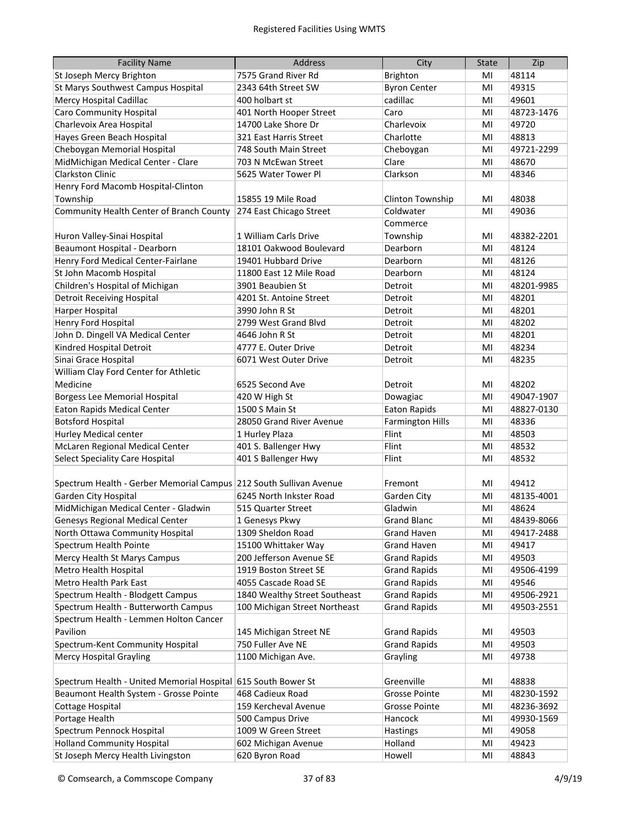| <b>Facility Name</b>                                               | <b>Address</b>                | City                    | <b>State</b> | Zip        |
|--------------------------------------------------------------------|-------------------------------|-------------------------|--------------|------------|
| St Joseph Mercy Brighton                                           | 7575 Grand River Rd           | <b>Brighton</b>         | MI           | 48114      |
| St Marys Southwest Campus Hospital                                 | 2343 64th Street SW           | <b>Byron Center</b>     | MI           | 49315      |
| Mercy Hospital Cadillac                                            | 400 holbart st                | cadillac                | MI           | 49601      |
| <b>Caro Community Hospital</b>                                     | 401 North Hooper Street       | Caro                    | MI           | 48723-1476 |
| Charlevoix Area Hospital                                           | 14700 Lake Shore Dr           | Charlevoix              | MI           | 49720      |
| Hayes Green Beach Hospital                                         | 321 East Harris Street        | Charlotte               | MI           | 48813      |
| Cheboygan Memorial Hospital                                        | 748 South Main Street         | Cheboygan               | MI           | 49721-2299 |
| MidMichigan Medical Center - Clare                                 | 703 N McEwan Street           | Clare                   | MI           | 48670      |
| <b>Clarkston Clinic</b>                                            | 5625 Water Tower Pl           | Clarkson                | MI           | 48346      |
| Henry Ford Macomb Hospital-Clinton                                 |                               |                         |              |            |
| Township                                                           | 15855 19 Mile Road            | Clinton Township        | MI           | 48038      |
| Community Health Center of Branch County                           | 274 East Chicago Street       | Coldwater               | MI           | 49036      |
|                                                                    |                               | Commerce                |              |            |
| Huron Valley-Sinai Hospital                                        | 1 William Carls Drive         | Township                | MI           | 48382-2201 |
| Beaumont Hospital - Dearborn                                       | 18101 Oakwood Boulevard       | Dearborn                | MI           | 48124      |
| Henry Ford Medical Center-Fairlane                                 | 19401 Hubbard Drive           | Dearborn                | MI           | 48126      |
| St John Macomb Hospital                                            | 11800 East 12 Mile Road       | Dearborn                | MI           | 48124      |
| Children's Hospital of Michigan                                    | 3901 Beaubien St              | Detroit                 | MI           | 48201-9985 |
| <b>Detroit Receiving Hospital</b>                                  | 4201 St. Antoine Street       | Detroit                 | MI           | 48201      |
| Harper Hospital                                                    | 3990 John R St                | Detroit                 | MI           | 48201      |
| Henry Ford Hospital                                                | 2799 West Grand Blvd          | Detroit                 | MI           | 48202      |
| John D. Dingell VA Medical Center                                  | 4646 John R St                | Detroit                 | MI           | 48201      |
| Kindred Hospital Detroit                                           | 4777 E. Outer Drive           | Detroit                 | MI           | 48234      |
| Sinai Grace Hospital                                               | 6071 West Outer Drive         | Detroit                 | MI           | 48235      |
| William Clay Ford Center for Athletic                              |                               |                         |              |            |
| Medicine                                                           | 6525 Second Ave               | Detroit                 | MI           | 48202      |
| <b>Borgess Lee Memorial Hospital</b>                               | 420 W High St                 | Dowagiac                | MI           | 49047-1907 |
| Eaton Rapids Medical Center                                        | 1500 S Main St                | <b>Eaton Rapids</b>     | MI           | 48827-0130 |
| <b>Botsford Hospital</b>                                           | 28050 Grand River Avenue      | <b>Farmington Hills</b> | MI           | 48336      |
| Hurley Medical center                                              | 1 Hurley Plaza                | Flint                   | MI           | 48503      |
| McLaren Regional Medical Center                                    | 401 S. Ballenger Hwy          | Flint                   | MI           | 48532      |
| Select Speciality Care Hospital                                    | 401 S Ballenger Hwy           | Flint                   | MI           | 48532      |
|                                                                    |                               |                         |              |            |
| Spectrum Health - Gerber Memorial Campus 212 South Sullivan Avenue |                               | Fremont                 | MI           | 49412      |
| Garden City Hospital                                               | 6245 North Inkster Road       | Garden City             | MI           | 48135-4001 |
| MidMichigan Medical Center - Gladwin                               | 515 Quarter Street            | Gladwin                 | MI           | 48624      |
| Genesys Regional Medical Center                                    | 1 Genesys Pkwy                | <b>Grand Blanc</b>      | MI           | 48439-8066 |
| North Ottawa Community Hospital                                    | 1309 Sheldon Road             | <b>Grand Haven</b>      | MI           | 49417-2488 |
| Spectrum Health Pointe                                             | 15100 Whittaker Way           | <b>Grand Haven</b>      | MI           | 49417      |
| Mercy Health St Marys Campus                                       | 200 Jefferson Avenue SE       | <b>Grand Rapids</b>     | MI           | 49503      |
| Metro Health Hospital                                              | 1919 Boston Street SE         | <b>Grand Rapids</b>     | MI           | 49506-4199 |
| Metro Health Park East                                             | 4055 Cascade Road SE          | <b>Grand Rapids</b>     | MI           | 49546      |
| Spectrum Health - Blodgett Campus                                  | 1840 Wealthy Street Southeast | <b>Grand Rapids</b>     | MI           | 49506-2921 |
| Spectrum Health - Butterworth Campus                               | 100 Michigan Street Northeast | <b>Grand Rapids</b>     | MI           | 49503-2551 |
| Spectrum Health - Lemmen Holton Cancer                             |                               |                         |              |            |
| Pavilion                                                           | 145 Michigan Street NE        | <b>Grand Rapids</b>     | MI           | 49503      |
| Spectrum-Kent Community Hospital                                   | 750 Fuller Ave NE             | <b>Grand Rapids</b>     | MI           | 49503      |
| <b>Mercy Hospital Grayling</b>                                     | 1100 Michigan Ave.            | Grayling                | MI           | 49738      |
|                                                                    |                               |                         |              |            |
| Spectrum Health - United Memorial Hospital 615 South Bower St      |                               | Greenville              | MI           | 48838      |
| Beaumont Health System - Grosse Pointe                             | 468 Cadieux Road              | <b>Grosse Pointe</b>    | MI           | 48230-1592 |
| <b>Cottage Hospital</b>                                            | 159 Kercheval Avenue          | Grosse Pointe           | MI           | 48236-3692 |
| Portage Health                                                     | 500 Campus Drive              | Hancock                 | MI           | 49930-1569 |
| Spectrum Pennock Hospital                                          | 1009 W Green Street           | Hastings                | MI           | 49058      |
| <b>Holland Community Hospital</b>                                  | 602 Michigan Avenue           | Holland                 | MI           | 49423      |
| St Joseph Mercy Health Livingston                                  | 620 Byron Road                | Howell                  | MI           | 48843      |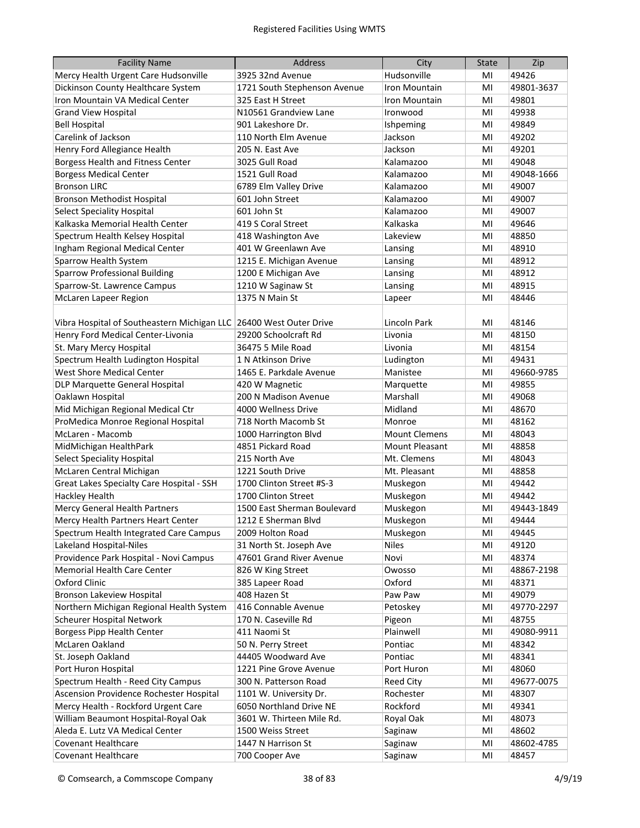| <b>Facility Name</b>                                               | <b>Address</b>                      | City                          | <b>State</b> | Zip            |
|--------------------------------------------------------------------|-------------------------------------|-------------------------------|--------------|----------------|
| Mercy Health Urgent Care Hudsonville                               | 3925 32nd Avenue                    | Hudsonville                   | MI           | 49426          |
| Dickinson County Healthcare System                                 | 1721 South Stephenson Avenue        | Iron Mountain                 | MI           | 49801-3637     |
| Iron Mountain VA Medical Center                                    | 325 East H Street                   | Iron Mountain                 | MI           | 49801          |
| <b>Grand View Hospital</b>                                         | N10561 Grandview Lane               | Ironwood                      | MI           | 49938          |
| <b>Bell Hospital</b>                                               | 901 Lakeshore Dr.                   | Ishpeming                     | MI           | 49849          |
| Carelink of Jackson                                                | 110 North Elm Avenue                | Jackson                       | MI           | 49202          |
| Henry Ford Allegiance Health                                       | 205 N. East Ave                     | Jackson                       | MI           | 49201          |
| Borgess Health and Fitness Center                                  | 3025 Gull Road                      | Kalamazoo                     | MI           | 49048          |
| <b>Borgess Medical Center</b>                                      | 1521 Gull Road                      | Kalamazoo                     | MI           | 49048-1666     |
| <b>Bronson LIRC</b>                                                | 6789 Elm Valley Drive               | Kalamazoo                     | MI           | 49007          |
| Bronson Methodist Hospital                                         | 601 John Street                     | Kalamazoo                     | MI           | 49007          |
| <b>Select Speciality Hospital</b>                                  | 601 John St                         | Kalamazoo                     | MI           | 49007          |
| Kalkaska Memorial Health Center                                    | 419 S Coral Street                  | Kalkaska                      | MI           | 49646          |
| Spectrum Health Kelsey Hospital                                    | 418 Washington Ave                  | Lakeview                      | MI           | 48850          |
| Ingham Regional Medical Center                                     | 401 W Greenlawn Ave                 |                               | MI           | 48910          |
| Sparrow Health System                                              | 1215 E. Michigan Avenue             | Lansing<br>Lansing            | MI           | 48912          |
| <b>Sparrow Professional Building</b>                               | 1200 E Michigan Ave                 |                               | MI           | 48912          |
|                                                                    |                                     | Lansing                       | MI           | 48915          |
| Sparrow-St. Lawrence Campus                                        | 1210 W Saginaw St<br>1375 N Main St | Lansing                       | MI           | 48446          |
| McLaren Lapeer Region                                              |                                     | Lapeer                        |              |                |
| Vibra Hospital of Southeastern Michigan LLC 26400 West Outer Drive |                                     | Lincoln Park                  | MI           | 48146          |
| Henry Ford Medical Center-Livonia                                  | 29200 Schoolcraft Rd                | Livonia                       | MI           | 48150          |
| St. Mary Mercy Hospital                                            | 36475 5 Mile Road                   | Livonia                       | MI           | 48154          |
| Spectrum Health Ludington Hospital                                 | 1 N Atkinson Drive                  |                               | MI           | 49431          |
| <b>West Shore Medical Center</b>                                   | 1465 E. Parkdale Avenue             | Ludington<br>Manistee         |              | 49660-9785     |
|                                                                    |                                     |                               | MI<br>MI     | 49855          |
| DLP Marquette General Hospital                                     | 420 W Magnetic                      | Marquette                     |              |                |
| Oaklawn Hospital                                                   | 200 N Madison Avenue                | Marshall<br>Midland           | MI           | 49068          |
| Mid Michigan Regional Medical Ctr                                  | 4000 Wellness Drive                 |                               | MI           | 48670          |
| ProMedica Monroe Regional Hospital                                 | 718 North Macomb St                 | Monroe                        | MI           | 48162          |
| McLaren - Macomb                                                   | 1000 Harrington Blvd                | <b>Mount Clemens</b>          | MI           | 48043          |
| MidMichigan HealthPark                                             | 4851 Pickard Road<br>215 North Ave  | Mount Pleasant<br>Mt. Clemens | MI           | 48858<br>48043 |
| <b>Select Speciality Hospital</b>                                  |                                     |                               | MI           |                |
| McLaren Central Michigan                                           | 1221 South Drive                    | Mt. Pleasant                  | MI           | 48858          |
| Great Lakes Specialty Care Hospital - SSH                          | 1700 Clinton Street #S-3            | Muskegon                      | MI           | 49442          |
| <b>Hackley Health</b>                                              | 1700 Clinton Street                 | Muskegon                      | MI           | 49442          |
| Mercy General Health Partners                                      | 1500 East Sherman Boulevard         | Muskegon                      | MI           | 49443-1849     |
| Mercy Health Partners Heart Center                                 | 1212 E Sherman Blvd                 | Muskegon                      | MI           | 49444          |
| Spectrum Health Integrated Care Campus                             | 2009 Holton Road                    | Muskegon                      | MI           | 49445          |
| Lakeland Hospital-Niles                                            | 31 North St. Joseph Ave             | <b>Niles</b>                  | MI           | 49120          |
| Providence Park Hospital - Novi Campus                             | 47601 Grand River Avenue            | Novi                          | MI           | 48374          |
| <b>Memorial Health Care Center</b>                                 | 826 W King Street                   | Owosso                        | MI           | 48867-2198     |
| Oxford Clinic                                                      | 385 Lapeer Road                     | Oxford                        | MI           | 48371          |
| Bronson Lakeview Hospital                                          | 408 Hazen St                        | Paw Paw                       | MI           | 49079          |
| Northern Michigan Regional Health System                           | 416 Connable Avenue                 | Petoskev                      | MI           | 49770-2297     |
| <b>Scheurer Hospital Network</b>                                   | 170 N. Caseville Rd                 | Pigeon                        | MI           | 48755          |
| <b>Borgess Pipp Health Center</b>                                  | 411 Naomi St                        | Plainwell                     | MI           | 49080-9911     |
| McLaren Oakland                                                    | 50 N. Perry Street                  | Pontiac                       | MI           | 48342          |
| St. Joseph Oakland                                                 | 44405 Woodward Ave                  | Pontiac                       | MI           | 48341          |
| Port Huron Hospital                                                | 1221 Pine Grove Avenue              | Port Huron                    | MI           | 48060          |
| Spectrum Health - Reed City Campus                                 | 300 N. Patterson Road               | Reed City                     | MI           | 49677-0075     |
| Ascension Providence Rochester Hospital                            | 1101 W. University Dr.              | Rochester                     | MI           | 48307          |
| Mercy Health - Rockford Urgent Care                                | 6050 Northland Drive NE             | Rockford                      | MI           | 49341          |
| William Beaumont Hospital-Royal Oak                                | 3601 W. Thirteen Mile Rd.           | Royal Oak                     | MI           | 48073          |
| Aleda E. Lutz VA Medical Center                                    | 1500 Weiss Street                   | Saginaw                       | MI           | 48602          |
| Covenant Healthcare                                                | 1447 N Harrison St                  | Saginaw                       | MI           | 48602-4785     |
| Covenant Healthcare                                                | 700 Cooper Ave                      | Saginaw                       | MI           | 48457          |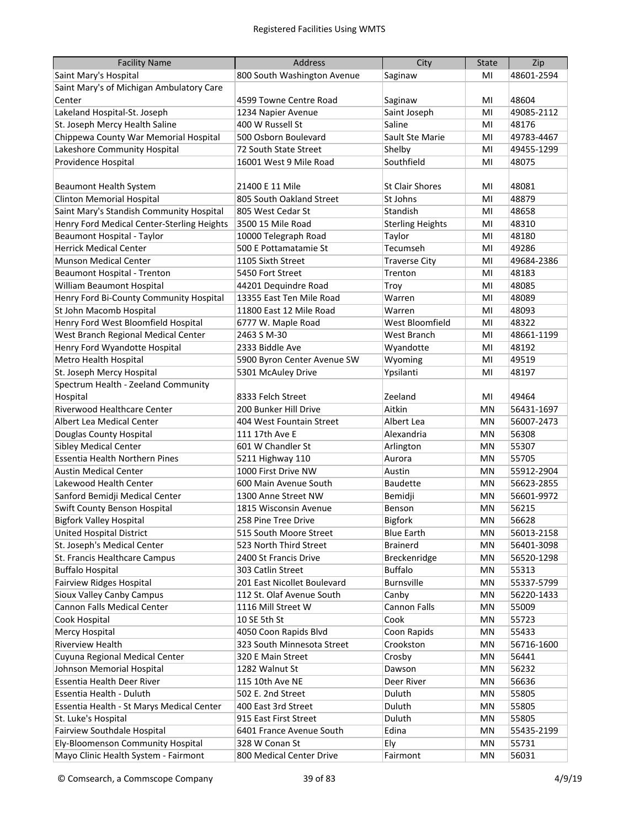| <b>Facility Name</b>                       | Address                     | City                    | <b>State</b> | Zip        |
|--------------------------------------------|-----------------------------|-------------------------|--------------|------------|
| Saint Mary's Hospital                      | 800 South Washington Avenue | Saginaw                 | MI           | 48601-2594 |
| Saint Mary's of Michigan Ambulatory Care   |                             |                         |              |            |
| Center                                     | 4599 Towne Centre Road      | Saginaw                 | MI           | 48604      |
| Lakeland Hospital-St. Joseph               | 1234 Napier Avenue          | Saint Joseph            | MI           | 49085-2112 |
| St. Joseph Mercy Health Saline             | 400 W Russell St            | Saline                  | MI           | 48176      |
| Chippewa County War Memorial Hospital      | 500 Osborn Boulevard        | Sault Ste Marie         | MI           | 49783-4467 |
| Lakeshore Community Hospital               | 72 South State Street       | Shelby                  | MI           | 49455-1299 |
| Providence Hospital                        | 16001 West 9 Mile Road      | Southfield              | MI           | 48075      |
|                                            |                             |                         |              |            |
| Beaumont Health System                     | 21400 E 11 Mile             | <b>St Clair Shores</b>  | MI           | 48081      |
| <b>Clinton Memorial Hospital</b>           | 805 South Oakland Street    | St Johns                | MI           | 48879      |
| Saint Mary's Standish Community Hospital   | 805 West Cedar St           | Standish                | MI           | 48658      |
| Henry Ford Medical Center-Sterling Heights | 3500 15 Mile Road           | <b>Sterling Heights</b> | MI           | 48310      |
| Beaumont Hospital - Taylor                 | 10000 Telegraph Road        | Taylor                  | MI           | 48180      |
| <b>Herrick Medical Center</b>              | 500 E Pottamatamie St       | Tecumseh                | MI           | 49286      |
| <b>Munson Medical Center</b>               | 1105 Sixth Street           | <b>Traverse City</b>    | MI           | 49684-2386 |
| Beaumont Hospital - Trenton                | 5450 Fort Street            | Trenton                 | MI           | 48183      |
| William Beaumont Hospital                  | 44201 Dequindre Road        | Troy                    | MI           | 48085      |
| Henry Ford Bi-County Community Hospital    | 13355 East Ten Mile Road    | Warren                  | MI           | 48089      |
| St John Macomb Hospital                    | 11800 East 12 Mile Road     | Warren                  | MI           | 48093      |
| Henry Ford West Bloomfield Hospital        | 6777 W. Maple Road          | West Bloomfield         | MI           | 48322      |
| West Branch Regional Medical Center        | 2463 S M-30                 | West Branch             | MI           | 48661-1199 |
| Henry Ford Wyandotte Hospital              | 2333 Biddle Ave             | Wyandotte               | MI           | 48192      |
| <b>Metro Health Hospital</b>               | 5900 Byron Center Avenue SW | Wyoming                 | MI           | 49519      |
| St. Joseph Mercy Hospital                  | 5301 McAuley Drive          | Ypsilanti               | MI           | 48197      |
| Spectrum Health - Zeeland Community        |                             |                         |              |            |
| Hospital                                   | 8333 Felch Street           | Zeeland                 | MI           | 49464      |
| Riverwood Healthcare Center                | 200 Bunker Hill Drive       | Aitkin                  | ΜN           | 56431-1697 |
| Albert Lea Medical Center                  | 404 West Fountain Street    | Albert Lea              | ΜN           | 56007-2473 |
| Douglas County Hospital                    | 111 17th Ave E              | Alexandria              | MN           | 56308      |
| <b>Sibley Medical Center</b>               | 601 W Chandler St           | Arlington               | MN           | 55307      |
| <b>Essentia Health Northern Pines</b>      | 5211 Highway 110            | Aurora                  | MN           | 55705      |
| <b>Austin Medical Center</b>               | 1000 First Drive NW         | Austin                  | MN           | 55912-2904 |
| Lakewood Health Center                     | 600 Main Avenue South       | <b>Baudette</b>         | MN           | 56623-2855 |
| Sanford Bemidji Medical Center             | 1300 Anne Street NW         | Bemidji                 | MN           | 56601-9972 |
| <b>Swift County Benson Hospital</b>        | 1815 Wisconsin Avenue       | Benson                  | ΜN           | 56215      |
| <b>Bigfork Valley Hospital</b>             | 258 Pine Tree Drive         | <b>Bigfork</b>          | ΜN           | 56628      |
| <b>United Hospital District</b>            | 515 South Moore Street      | <b>Blue Earth</b>       | MN           | 56013-2158 |
| St. Joseph's Medical Center                | 523 North Third Street      | <b>Brainerd</b>         | MN           | 56401-3098 |
| St. Francis Healthcare Campus              | 2400 St Francis Drive       | Breckenridge            | MN           | 56520-1298 |
| <b>Buffalo Hospital</b>                    | 303 Catlin Street           | <b>Buffalo</b>          | MN           | 55313      |
| <b>Fairview Ridges Hospital</b>            | 201 East Nicollet Boulevard | Burnsville              | MN           | 55337-5799 |
| Sioux Valley Canby Campus                  | 112 St. Olaf Avenue South   | Canby                   | MN           | 56220-1433 |
| Cannon Falls Medical Center                | 1116 Mill Street W          | Cannon Falls            | MN           | 55009      |
| Cook Hospital                              | 10 SE 5th St                | Cook                    | MN           | 55723      |
| Mercy Hospital                             | 4050 Coon Rapids Blvd       | Coon Rapids             | MN           | 55433      |
| Riverview Health                           | 323 South Minnesota Street  | Crookston               | MN           | 56716-1600 |
| Cuyuna Regional Medical Center             | 320 E Main Street           | Crosby                  | MN           | 56441      |
| Johnson Memorial Hospital                  | 1282 Walnut St              | Dawson                  | MN           | 56232      |
| Essentia Health Deer River                 | 115 10th Ave NE             | Deer River              | ΜN           | 56636      |
| Essentia Health - Duluth                   | 502 E. 2nd Street           | Duluth                  | MN           | 55805      |
| Essentia Health - St Marys Medical Center  | 400 East 3rd Street         | Duluth                  | MN           | 55805      |
| St. Luke's Hospital                        | 915 East First Street       | Duluth                  | MN           | 55805      |
| Fairview Southdale Hospital                | 6401 France Avenue South    | Edina                   | MN           | 55435-2199 |
| Ely-Bloomenson Community Hospital          | 328 W Conan St              | Ely                     | MN           | 55731      |
| Mayo Clinic Health System - Fairmont       | 800 Medical Center Drive    | Fairmont                | MN           | 56031      |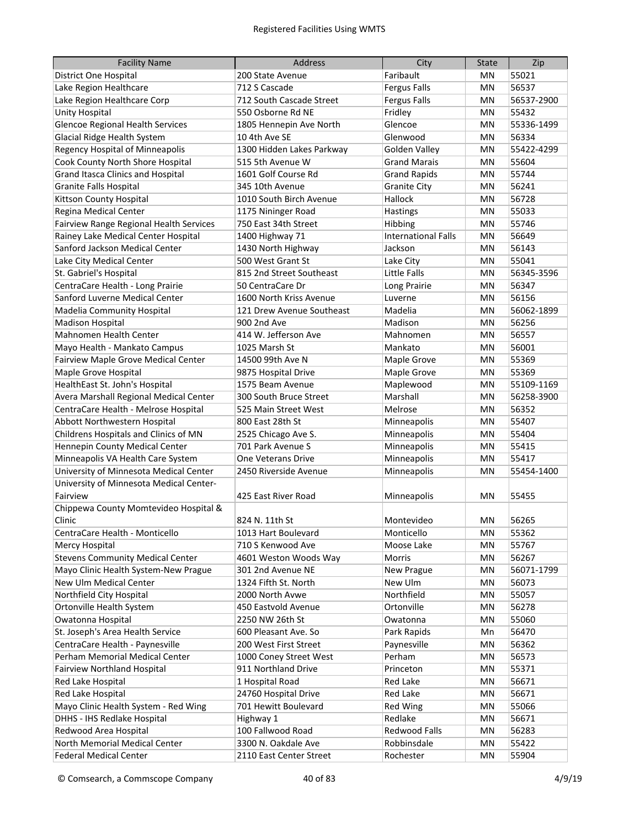| <b>Facility Name</b>                    | <b>Address</b>            | City                       | <b>State</b> | Zip        |
|-----------------------------------------|---------------------------|----------------------------|--------------|------------|
| District One Hospital                   | 200 State Avenue          | Faribault                  | ΜN           | 55021      |
| Lake Region Healthcare                  | 712 S Cascade             | <b>Fergus Falls</b>        | MN           | 56537      |
| Lake Region Healthcare Corp             | 712 South Cascade Street  | <b>Fergus Falls</b>        | MN           | 56537-2900 |
| Unity Hospital                          | 550 Osborne Rd NE         | Fridley                    | ΜN           | 55432      |
| <b>Glencoe Regional Health Services</b> | 1805 Hennepin Ave North   | Glencoe                    | ΜN           | 55336-1499 |
| Glacial Ridge Health System             | 10 4th Ave SE             | Glenwood                   | ΜN           | 56334      |
| Regency Hospital of Minneapolis         | 1300 Hidden Lakes Parkway | Golden Valley              | ΜN           | 55422-4299 |
| Cook County North Shore Hospital        | 515 5th Avenue W          | <b>Grand Marais</b>        | ΜN           | 55604      |
| Grand Itasca Clinics and Hospital       | 1601 Golf Course Rd       | <b>Grand Rapids</b>        | ΜN           | 55744      |
| <b>Granite Falls Hospital</b>           | 345 10th Avenue           | <b>Granite City</b>        | ΜN           | 56241      |
| Kittson County Hospital                 | 1010 South Birch Avenue   | Hallock                    | ΜN           | 56728      |
| Regina Medical Center                   | 1175 Nininger Road        | Hastings                   | MN           | 55033      |
| Fairview Range Regional Health Services | 750 East 34th Street      | Hibbing                    | MN           | 55746      |
| Rainey Lake Medical Center Hospital     | 1400 Highway 71           | <b>International Falls</b> | MN           | 56649      |
| Sanford Jackson Medical Center          | 1430 North Highway        | Jackson                    | MN           | 56143      |
| Lake City Medical Center                | 500 West Grant St         | Lake City                  | MN           | 55041      |
| St. Gabriel's Hospital                  | 815 2nd Street Southeast  | <b>Little Falls</b>        | ΜN           | 56345-3596 |
| CentraCare Health - Long Prairie        | 50 CentraCare Dr          | Long Prairie               | ΜN           | 56347      |
| Sanford Luverne Medical Center          | 1600 North Kriss Avenue   | Luverne                    | ΜN           | 56156      |
| Madelia Community Hospital              | 121 Drew Avenue Southeast | Madelia                    | MN           | 56062-1899 |
| <b>Madison Hospital</b>                 | 900 2nd Ave               | Madison                    | MN           | 56256      |
| Mahnomen Health Center                  | 414 W. Jefferson Ave      | Mahnomen                   | MN           | 56557      |
| Mayo Health - Mankato Campus            | 1025 Marsh St             | Mankato                    | MN           | 56001      |
| Fairview Maple Grove Medical Center     | 14500 99th Ave N          | Maple Grove                | MN           | 55369      |
| Maple Grove Hospital                    | 9875 Hospital Drive       | Maple Grove                | MN           | 55369      |
| HealthEast St. John's Hospital          | 1575 Beam Avenue          | Maplewood                  | MN           | 55109-1169 |
| Avera Marshall Regional Medical Center  | 300 South Bruce Street    | Marshall                   | MN           | 56258-3900 |
| CentraCare Health - Melrose Hospital    | 525 Main Street West      | Melrose                    | MN           | 56352      |
| Abbott Northwestern Hospital            | 800 East 28th St          | Minneapolis                | ΜN           | 55407      |
| Childrens Hospitals and Clinics of MN   | 2525 Chicago Ave S.       | Minneapolis                | ΜN           | 55404      |
| Hennepin County Medical Center          | 701 Park Avenue S         | Minneapolis                | MN           | 55415      |
| Minneapolis VA Health Care System       | One Veterans Drive        | Minneapolis                | ΜN           | 55417      |
| University of Minnesota Medical Center  | 2450 Riverside Avenue     | Minneapolis                | MN           | 55454-1400 |
| University of Minnesota Medical Center- |                           |                            |              |            |
| Fairview                                | 425 East River Road       | Minneapolis                | MN           | 55455      |
| Chippewa County Momtevideo Hospital &   |                           |                            |              |            |
| Clinic                                  | 824 N. 11th St            | Montevideo                 | ΜN           | 56265      |
| CentraCare Health - Monticello          | 1013 Hart Boulevard       | Monticello                 | MN           | 55362      |
| Mercy Hospital                          | 710 S Kenwood Ave         | Moose Lake                 | MN           | 55767      |
| <b>Stevens Community Medical Center</b> | 4601 Weston Woods Way     | Morris                     | MN           | 56267      |
| Mayo Clinic Health System-New Prague    | 301 2nd Avenue NE         | New Prague                 | ΜN           | 56071-1799 |
| New Ulm Medical Center                  | 1324 Fifth St. North      | New Ulm                    | ΜN           | 56073      |
| Northfield City Hospital                | 2000 North Avwe           | Northfield                 | ΜN           | 55057      |
| Ortonville Health System                | 450 Eastvold Avenue       | Ortonville                 | ΜN           | 56278      |
| Owatonna Hospital                       | 2250 NW 26th St           | Owatonna                   | ΜN           | 55060      |
| St. Joseph's Area Health Service        | 600 Pleasant Ave. So      | Park Rapids                | Mn           | 56470      |
| CentraCare Health - Paynesville         | 200 West First Street     | Paynesville                | ΜN           | 56362      |
| Perham Memorial Medical Center          | 1000 Coney Street West    | Perham                     | ΜN           | 56573      |
| <b>Fairview Northland Hospital</b>      | 911 Northland Drive       | Princeton                  | ΜN           | 55371      |
| Red Lake Hospital                       | 1 Hospital Road           | Red Lake                   | MN           | 56671      |
| Red Lake Hospital                       | 24760 Hospital Drive      | Red Lake                   | ΜN           | 56671      |
| Mayo Clinic Health System - Red Wing    | 701 Hewitt Boulevard      | Red Wing                   | ΜN           | 55066      |
| DHHS - IHS Redlake Hospital             | Highway 1                 | Redlake                    | ΜN           | 56671      |
| Redwood Area Hospital                   | 100 Fallwood Road         | Redwood Falls              | ΜN           | 56283      |
| North Memorial Medical Center           | 3300 N. Oakdale Ave       | Robbinsdale                | MN           | 55422      |
| <b>Federal Medical Center</b>           | 2110 East Center Street   | Rochester                  | MN           | 55904      |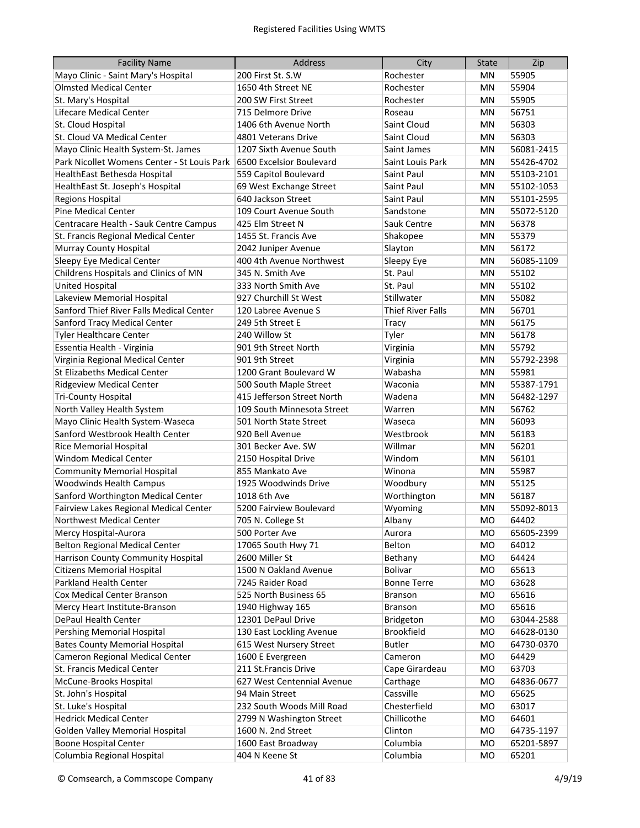| <b>Facility Name</b>                        | <b>Address</b>             | City                     | <b>State</b>   | Zip        |
|---------------------------------------------|----------------------------|--------------------------|----------------|------------|
| Mayo Clinic - Saint Mary's Hospital         | 200 First St. S.W          | Rochester                | MN             | 55905      |
| <b>Olmsted Medical Center</b>               | 1650 4th Street NE         | Rochester                | ΜN             | 55904      |
| St. Mary's Hospital                         | 200 SW First Street        | Rochester                | ΜN             | 55905      |
| Lifecare Medical Center                     | 715 Delmore Drive          | Roseau                   | ΜN             | 56751      |
| St. Cloud Hospital                          | 1406 6th Avenue North      | Saint Cloud              | ΜN             | 56303      |
| St. Cloud VA Medical Center                 | 4801 Veterans Drive        | Saint Cloud              | ΜN             | 56303      |
| Mayo Clinic Health System-St. James         | 1207 Sixth Avenue South    | Saint James              | ΜN             | 56081-2415 |
| Park Nicollet Womens Center - St Louis Park | 6500 Excelsior Boulevard   | Saint Louis Park         | ΜN             | 55426-4702 |
| HealthEast Bethesda Hospital                | 559 Capitol Boulevard      | Saint Paul               | ΜN             | 55103-2101 |
| HealthEast St. Joseph's Hospital            | 69 West Exchange Street    | Saint Paul               | ΜN             | 55102-1053 |
| <b>Regions Hospital</b>                     | 640 Jackson Street         | Saint Paul               | ΜN             | 55101-2595 |
| Pine Medical Center                         | 109 Court Avenue South     | Sandstone                | ΜN             | 55072-5120 |
| Centracare Health - Sauk Centre Campus      | 425 Elm Street N           | Sauk Centre              | ΜN             | 56378      |
| St. Francis Regional Medical Center         | 1455 St. Francis Ave       | Shakopee                 | ΜN             | 55379      |
| Murray County Hospital                      | 2042 Juniper Avenue        | Slayton                  | ΜN             | 56172      |
| Sleepy Eye Medical Center                   | 400 4th Avenue Northwest   | Sleepy Eye               | ΜN             | 56085-1109 |
| Childrens Hospitals and Clinics of MN       | 345 N. Smith Ave           | St. Paul                 | ΜN             | 55102      |
| <b>United Hospital</b>                      | 333 North Smith Ave        | St. Paul                 | ΜN             | 55102      |
| Lakeview Memorial Hospital                  | 927 Churchill St West      | Stillwater               | MN             | 55082      |
| Sanford Thief River Falls Medical Center    | 120 Labree Avenue S        | <b>Thief River Falls</b> | MN             | 56701      |
| Sanford Tracy Medical Center                | 249 5th Street E           | Tracy                    | MN             | 56175      |
| Tyler Healthcare Center                     | 240 Willow St              | Tyler                    | MN             | 56178      |
| Essentia Health - Virginia                  | 901 9th Street North       | Virginia                 | MN             | 55792      |
| Virginia Regional Medical Center            | 901 9th Street             | Virginia                 | MN             | 55792-2398 |
| St Elizabeths Medical Center                | 1200 Grant Boulevard W     | Wabasha                  | MN             | 55981      |
| <b>Ridgeview Medical Center</b>             | 500 South Maple Street     | Waconia                  | MN             | 55387-1791 |
| <b>Tri-County Hospital</b>                  | 415 Jefferson Street North | Wadena                   | MN             | 56482-1297 |
| North Valley Health System                  | 109 South Minnesota Street | Warren                   | ΜN             | 56762      |
| Mayo Clinic Health System-Waseca            | 501 North State Street     | Waseca                   | ΜN             | 56093      |
| Sanford Westbrook Health Center             | 920 Bell Avenue            | Westbrook                | ΜN             | 56183      |
| Rice Memorial Hospital                      | 301 Becker Ave. SW         | Willmar                  | ΜN             | 56201      |
| <b>Windom Medical Center</b>                | 2150 Hospital Drive        | Windom                   | ΜN             | 56101      |
| <b>Community Memorial Hospital</b>          | 855 Mankato Ave            | Winona                   | ΜN             | 55987      |
| <b>Woodwinds Health Campus</b>              | 1925 Woodwinds Drive       | Woodbury                 | ΜN             | 55125      |
| Sanford Worthington Medical Center          | 1018 6th Ave               | Worthington              | ΜN             | 56187      |
| Fairview Lakes Regional Medical Center      | 5200 Fairview Boulevard    | Wyoming                  | ΜN             | 55092-8013 |
| Northwest Medical Center                    | 705 N. College St          | Albany                   | M <sub>O</sub> | 64402      |
| Mercy Hospital-Aurora                       | 500 Porter Ave             | Aurora                   | MO             | 65605-2399 |
| <b>Belton Regional Medical Center</b>       | 17065 South Hwy 71         | Belton                   | <b>MO</b>      | 64012      |
| Harrison County Community Hospital          | 2600 Miller St             | Bethany                  | MO             | 64424      |
| <b>Citizens Memorial Hospital</b>           | 1500 N Oakland Avenue      | Bolivar                  | MO             | 65613      |
| Parkland Health Center                      | 7245 Raider Road           | <b>Bonne Terre</b>       | MO             | 63628      |
| Cox Medical Center Branson                  | 525 North Business 65      | Branson                  | MO             | 65616      |
| Mercy Heart Institute-Branson               | 1940 Highway 165           | Branson                  | MO             | 65616      |
| DePaul Health Center                        | 12301 DePaul Drive         | Bridgeton                | MO             | 63044-2588 |
| Pershing Memorial Hospital                  | 130 East Lockling Avenue   | Brookfield               | MO             | 64628-0130 |
| <b>Bates County Memorial Hospital</b>       | 615 West Nursery Street    | <b>Butler</b>            | МO             | 64730-0370 |
| Cameron Regional Medical Center             | 1600 E Evergreen           | Cameron                  | MO             | 64429      |
| St. Francis Medical Center                  | 211 St. Francis Drive      | Cape Girardeau           | MO             | 63703      |
| McCune-Brooks Hospital                      | 627 West Centennial Avenue | Carthage                 | MO             | 64836-0677 |
| St. John's Hospital                         | 94 Main Street             | Cassville                | MO             | 65625      |
| St. Luke's Hospital                         | 232 South Woods Mill Road  | Chesterfield             | MO             | 63017      |
| <b>Hedrick Medical Center</b>               | 2799 N Washington Street   | Chillicothe              | MO             | 64601      |
| <b>Golden Valley Memorial Hospital</b>      | 1600 N. 2nd Street         | Clinton                  | MO             | 64735-1197 |
| <b>Boone Hospital Center</b>                | 1600 East Broadway         | Columbia                 | <b>MO</b>      | 65201-5897 |
| Columbia Regional Hospital                  | 404 N Keene St             | Columbia                 | MO             | 65201      |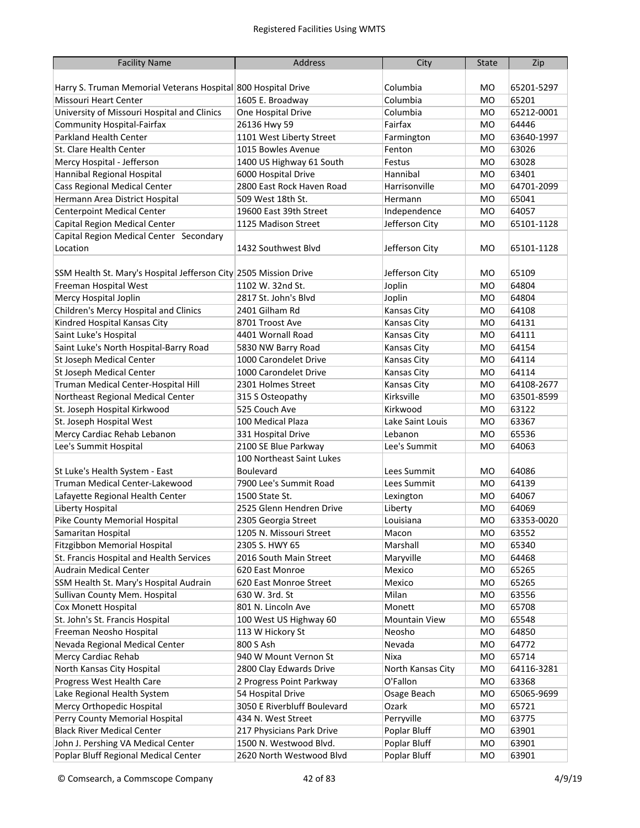| <b>Facility Name</b>                                             | Address                     | City                 | <b>State</b> | Zip        |
|------------------------------------------------------------------|-----------------------------|----------------------|--------------|------------|
|                                                                  |                             |                      |              |            |
| Harry S. Truman Memorial Veterans Hospital 800 Hospital Drive    |                             | Columbia             | MО           | 65201-5297 |
| <b>Missouri Heart Center</b>                                     | 1605 E. Broadway            | Columbia             | <b>MO</b>    | 65201      |
| University of Missouri Hospital and Clinics                      | One Hospital Drive          | Columbia             | MO           | 65212-0001 |
| <b>Community Hospital-Fairfax</b>                                | 26136 Hwy 59                | Fairfax              | <b>MO</b>    | 64446      |
| Parkland Health Center                                           | 1101 West Liberty Street    | Farmington           | MO           | 63640-1997 |
| St. Clare Health Center                                          | 1015 Bowles Avenue          | Fenton               | MO           | 63026      |
| Mercy Hospital - Jefferson                                       | 1400 US Highway 61 South    | Festus               | <b>MO</b>    | 63028      |
| Hannibal Regional Hospital                                       | 6000 Hospital Drive         | Hannibal             | <b>MO</b>    | 63401      |
| Cass Regional Medical Center                                     | 2800 East Rock Haven Road   | Harrisonville        | <b>MO</b>    | 64701-2099 |
| Hermann Area District Hospital                                   | 509 West 18th St.           | Hermann              | <b>MO</b>    | 65041      |
| <b>Centerpoint Medical Center</b>                                | 19600 East 39th Street      | Independence         | <b>MO</b>    | 64057      |
| Capital Region Medical Center                                    | 1125 Madison Street         | Jefferson City       | MO           | 65101-1128 |
| Capital Region Medical Center Secondary                          |                             |                      |              |            |
| Location                                                         | 1432 Southwest Blvd         | Jefferson City       | <b>MO</b>    | 65101-1128 |
|                                                                  |                             |                      |              |            |
| SSM Health St. Mary's Hospital Jefferson City 2505 Mission Drive |                             | Jefferson City       | <b>MO</b>    | 65109      |
| Freeman Hospital West                                            | 1102 W. 32nd St.            | Joplin               | <b>MO</b>    | 64804      |
| Mercy Hospital Joplin                                            | 2817 St. John's Blvd        | Joplin               | <b>MO</b>    | 64804      |
| Children's Mercy Hospital and Clinics                            | 2401 Gilham Rd              | Kansas City          | <b>MO</b>    | 64108      |
| Kindred Hospital Kansas City                                     | 8701 Troost Ave             | Kansas City          | <b>MO</b>    | 64131      |
| Saint Luke's Hospital                                            | 4401 Wornall Road           | Kansas City          | <b>MO</b>    | 64111      |
| Saint Luke's North Hospital-Barry Road                           | 5830 NW Barry Road          | Kansas City          | <b>MO</b>    | 64154      |
| St Joseph Medical Center                                         | 1000 Carondelet Drive       |                      | <b>MO</b>    | 64114      |
|                                                                  |                             | Kansas City          |              |            |
| St Joseph Medical Center                                         | 1000 Carondelet Drive       | Kansas City          | <b>MO</b>    | 64114      |
| Truman Medical Center-Hospital Hill                              | 2301 Holmes Street          | Kansas City          | <b>MO</b>    | 64108-2677 |
| Northeast Regional Medical Center                                | 315 S Osteopathy            | Kirksville           | <b>MO</b>    | 63501-8599 |
| St. Joseph Hospital Kirkwood                                     | 525 Couch Ave               | Kirkwood             | MO           | 63122      |
| St. Joseph Hospital West                                         | 100 Medical Plaza           | Lake Saint Louis     | <b>MO</b>    | 63367      |
| Mercy Cardiac Rehab Lebanon                                      | 331 Hospital Drive          | Lebanon              | MO           | 65536      |
| Lee's Summit Hospital                                            | 2100 SE Blue Parkway        | Lee's Summit         | M0           | 64063      |
|                                                                  | 100 Northeast Saint Lukes   |                      |              |            |
| St Luke's Health System - East                                   | Boulevard                   | Lees Summit          | MO           | 64086      |
| Truman Medical Center-Lakewood                                   | 7900 Lee's Summit Road      | Lees Summit          | M0           | 64139      |
| Lafayette Regional Health Center                                 | 1500 State St.              | Lexington            | MO           | 64067      |
| Liberty Hospital                                                 | 2525 Glenn Hendren Drive    | Liberty              | мo           | 64069      |
| Pike County Memorial Hospital                                    | 2305 Georgia Street         | Louisiana            | <b>MO</b>    | 63353-0020 |
| Samaritan Hospital                                               | 1205 N. Missouri Street     | Macon                | MO           | 63552      |
| Fitzgibbon Memorial Hospital                                     | 2305 S. HWY 65              | Marshall             | MO           | 65340      |
| St. Francis Hospital and Health Services                         | 2016 South Main Street      | Maryville            | MO           | 64468      |
| <b>Audrain Medical Center</b>                                    | 620 East Monroe             | Mexico               | MO           | 65265      |
| SSM Health St. Mary's Hospital Audrain                           | 620 East Monroe Street      | Mexico               | MO           | 65265      |
| Sullivan County Mem. Hospital                                    | 630 W. 3rd. St              | Milan                | MO           | 63556      |
| Cox Monett Hospital                                              | 801 N. Lincoln Ave          | Monett               | MO           | 65708      |
| St. John's St. Francis Hospital                                  | 100 West US Highway 60      | <b>Mountain View</b> | MO           | 65548      |
| Freeman Neosho Hospital                                          | 113 W Hickory St            | Neosho               | MO           | 64850      |
| Nevada Regional Medical Center                                   | 800 S Ash                   | Nevada               | MO           | 64772      |
| Mercy Cardiac Rehab                                              | 940 W Mount Vernon St       | Nixa                 | MO           | 65714      |
| North Kansas City Hospital                                       | 2800 Clay Edwards Drive     | North Kansas City    | MO           | 64116-3281 |
| Progress West Health Care                                        | 2 Progress Point Parkway    | O'Fallon             | MO           | 63368      |
| Lake Regional Health System                                      | 54 Hospital Drive           | Osage Beach          | MO           | 65065-9699 |
| Mercy Orthopedic Hospital                                        | 3050 E Riverbluff Boulevard | Ozark                | MO           | 65721      |
| Perry County Memorial Hospital                                   | 434 N. West Street          | Perryville           | MO           | 63775      |
| <b>Black River Medical Center</b>                                | 217 Physicians Park Drive   | Poplar Bluff         | MO           | 63901      |
| John J. Pershing VA Medical Center                               | 1500 N. Westwood Blvd.      | Poplar Bluff         | MO           | 63901      |
| Poplar Bluff Regional Medical Center                             | 2620 North Westwood Blvd    | Poplar Bluff         | MO           | 63901      |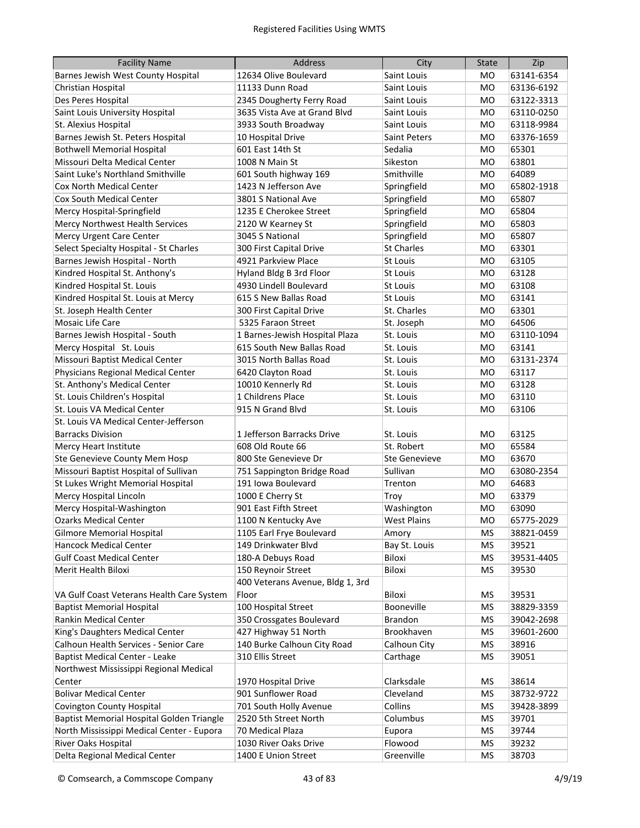| <b>Facility Name</b>                      | <b>Address</b>                   | City                 | <b>State</b> | Zip        |
|-------------------------------------------|----------------------------------|----------------------|--------------|------------|
| Barnes Jewish West County Hospital        | 12634 Olive Boulevard            | Saint Louis          | MO           | 63141-6354 |
| Christian Hospital                        | 11133 Dunn Road                  | Saint Louis          | MO           | 63136-6192 |
| Des Peres Hospital                        | 2345 Dougherty Ferry Road        | Saint Louis          | MO           | 63122-3313 |
| Saint Louis University Hospital           | 3635 Vista Ave at Grand Blvd     | Saint Louis          | мo           | 63110-0250 |
| St. Alexius Hospital                      | 3933 South Broadway              | Saint Louis          | мo           | 63118-9984 |
| Barnes Jewish St. Peters Hospital         | 10 Hospital Drive                | <b>Saint Peters</b>  | мo           | 63376-1659 |
| <b>Bothwell Memorial Hospital</b>         | 601 East 14th St                 | Sedalia              | <b>MO</b>    | 65301      |
| Missouri Delta Medical Center             | 1008 N Main St                   | Sikeston             | мo           | 63801      |
| Saint Luke's Northland Smithville         | 601 South highway 169            | Smithville           | <b>MO</b>    | 64089      |
| <b>Cox North Medical Center</b>           | 1423 N Jefferson Ave             | Springfield          | <b>MO</b>    | 65802-1918 |
| Cox South Medical Center                  | 3801 S National Ave              | Springfield          | <b>MO</b>    | 65807      |
| Mercy Hospital-Springfield                | 1235 E Cherokee Street           | Springfield          | <b>MO</b>    | 65804      |
| Mercy Northwest Health Services           | 2120 W Kearney St                | Springfield          | <b>MO</b>    | 65803      |
| Mercy Urgent Care Center                  | 3045 S National                  | Springfield          | MО           | 65807      |
| Select Specialty Hospital - St Charles    | 300 First Capital Drive          | <b>St Charles</b>    | MO           | 63301      |
| Barnes Jewish Hospital - North            | 4921 Parkview Place              | St Louis             | MО           | 63105      |
| Kindred Hospital St. Anthony's            | Hyland Bldg B 3rd Floor          | St Louis             | МO           | 63128      |
| Kindred Hospital St. Louis                | 4930 Lindell Boulevard           | St Louis             | мo           | 63108      |
| Kindred Hospital St. Louis at Mercy       | 615 S New Ballas Road            | <b>St Louis</b>      | <b>MO</b>    | 63141      |
| St. Joseph Health Center                  | 300 First Capital Drive          | St. Charles          | <b>MO</b>    | 63301      |
| Mosaic Life Care                          | 5325 Faraon Street               | St. Joseph           | <b>MO</b>    | 64506      |
| Barnes Jewish Hospital - South            | 1 Barnes-Jewish Hospital Plaza   | St. Louis            | <b>MO</b>    | 63110-1094 |
| Mercy Hospital St. Louis                  | 615 South New Ballas Road        | St. Louis            | <b>MO</b>    | 63141      |
| Missouri Baptist Medical Center           | 3015 North Ballas Road           | St. Louis            | <b>MO</b>    | 63131-2374 |
| Physicians Regional Medical Center        | 6420 Clayton Road                | St. Louis            | <b>MO</b>    | 63117      |
| St. Anthony's Medical Center              | 10010 Kennerly Rd                | St. Louis            | <b>MO</b>    | 63128      |
| St. Louis Children's Hospital             | 1 Childrens Place                | St. Louis            | <b>MO</b>    | 63110      |
| St. Louis VA Medical Center               | 915 N Grand Blvd                 | St. Louis            | <b>MO</b>    | 63106      |
| St. Louis VA Medical Center-Jefferson     |                                  |                      |              |            |
| <b>Barracks Division</b>                  | 1 Jefferson Barracks Drive       | St. Louis            | MО           | 63125      |
| Mercy Heart Institute                     | 608 Old Route 66                 | St. Robert           | MO           | 65584      |
| Ste Genevieve County Mem Hosp             | 800 Ste Genevieve Dr             | <b>Ste Genevieve</b> | мo           | 63670      |
| Missouri Baptist Hospital of Sullivan     | 751 Sappington Bridge Road       | Sullivan             | MO           | 63080-2354 |
| St Lukes Wright Memorial Hospital         | 191 Iowa Boulevard               | Trenton              | мo           | 64683      |
| Mercy Hospital Lincoln                    | 1000 E Cherry St                 | Troy                 | MO           | 63379      |
| Mercy Hospital-Washington                 | 901 East Fifth Street            | Washington           | мo           | 63090      |
| <b>Ozarks Medical Center</b>              | 1100 N Kentucky Ave              | <b>West Plains</b>   | <b>MO</b>    | 65775-2029 |
| <b>Gilmore Memorial Hospital</b>          | 1105 Earl Frye Boulevard         | Amory                | MS           | 38821-0459 |
| Hancock Medical Center                    | 149 Drinkwater Blvd              | Bay St. Louis        | MS           | 39521      |
| <b>Gulf Coast Medical Center</b>          | 180-A Debuys Road                | Biloxi               | MS           | 39531-4405 |
| Merit Health Biloxi                       | 150 Reynoir Street               | Biloxi               | MS           | 39530      |
|                                           | 400 Veterans Avenue, Bldg 1, 3rd |                      |              |            |
| VA Gulf Coast Veterans Health Care System | Floor                            | <b>Biloxi</b>        | MS           | 39531      |
| <b>Baptist Memorial Hospital</b>          | 100 Hospital Street              | Booneville           | MS           | 38829-3359 |
| Rankin Medical Center                     | 350 Crossgates Boulevard         | Brandon              | <b>MS</b>    | 39042-2698 |
| King's Daughters Medical Center           | 427 Highway 51 North             | Brookhaven           | <b>MS</b>    | 39601-2600 |
| Calhoun Health Services - Senior Care     | 140 Burke Calhoun City Road      | Calhoun City         | <b>MS</b>    | 38916      |
| Baptist Medical Center - Leake            | 310 Ellis Street                 | Carthage             | <b>MS</b>    | 39051      |
| Northwest Mississippi Regional Medical    |                                  |                      |              |            |
| Center                                    | 1970 Hospital Drive              | Clarksdale           | MS           | 38614      |
| <b>Bolivar Medical Center</b>             | 901 Sunflower Road               | Cleveland            | MS           | 38732-9722 |
| <b>Covington County Hospital</b>          | 701 South Holly Avenue           | Collins              | MS           | 39428-3899 |
| Baptist Memorial Hospital Golden Triangle | 2520 5th Street North            | Columbus             | MS           | 39701      |
| North Mississippi Medical Center - Eupora | 70 Medical Plaza                 | Eupora               | MS           | 39744      |
| River Oaks Hospital                       | 1030 River Oaks Drive            | Flowood              | MS           | 39232      |
| Delta Regional Medical Center             | 1400 E Union Street              | Greenville           | MS           | 38703      |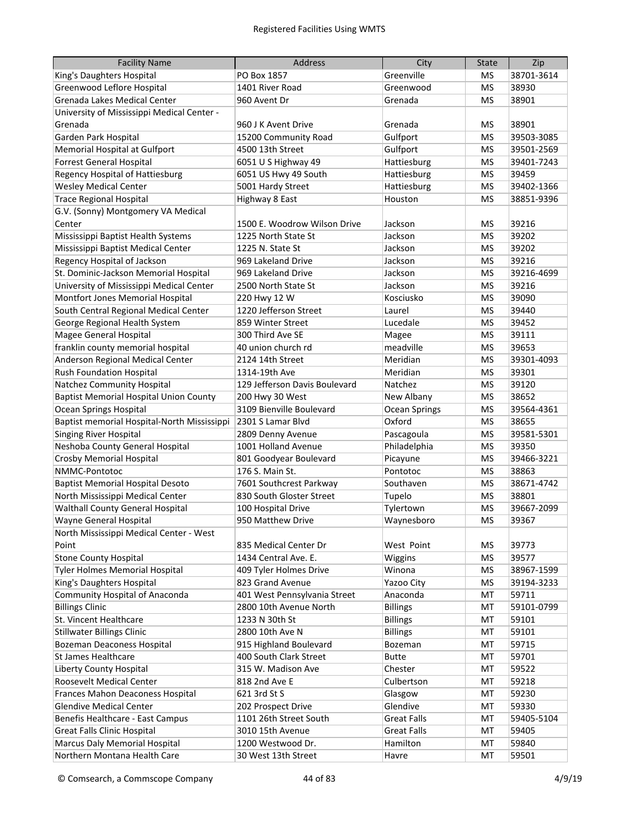| <b>Facility Name</b>                          | <b>Address</b>                | City               | <b>State</b> | Zip        |
|-----------------------------------------------|-------------------------------|--------------------|--------------|------------|
| King's Daughters Hospital                     | PO Box 1857                   | Greenville         | MS           | 38701-3614 |
| Greenwood Leflore Hospital                    | 1401 River Road               | Greenwood          | <b>MS</b>    | 38930      |
| Grenada Lakes Medical Center                  | 960 Avent Dr                  | Grenada            | <b>MS</b>    | 38901      |
| University of Mississippi Medical Center -    |                               |                    |              |            |
| Grenada                                       | 960 J K Avent Drive           | Grenada            | ΜS           | 38901      |
| Garden Park Hospital                          | 15200 Community Road          | Gulfport           | <b>MS</b>    | 39503-3085 |
| Memorial Hospital at Gulfport                 | 4500 13th Street              | Gulfport           | <b>MS</b>    | 39501-2569 |
| <b>Forrest General Hospital</b>               | 6051 U S Highway 49           | Hattiesburg        | <b>MS</b>    | 39401-7243 |
| Regency Hospital of Hattiesburg               | 6051 US Hwy 49 South          | Hattiesburg        | <b>MS</b>    | 39459      |
| <b>Wesley Medical Center</b>                  | 5001 Hardy Street             | Hattiesburg        | <b>MS</b>    | 39402-1366 |
| <b>Trace Regional Hospital</b>                | Highway 8 East                | Houston            | <b>MS</b>    | 38851-9396 |
| G.V. (Sonny) Montgomery VA Medical            |                               |                    |              |            |
| Center                                        | 1500 E. Woodrow Wilson Drive  | Jackson            | ΜS           | 39216      |
| Mississippi Baptist Health Systems            | 1225 North State St           | Jackson            | <b>MS</b>    | 39202      |
| Mississippi Baptist Medical Center            | 1225 N. State St              | Jackson            | MS           | 39202      |
| Regency Hospital of Jackson                   | 969 Lakeland Drive            | Jackson            | MS           | 39216      |
| St. Dominic-Jackson Memorial Hospital         | 969 Lakeland Drive            | Jackson            | <b>MS</b>    | 39216-4699 |
| University of Mississippi Medical Center      | 2500 North State St           | Jackson            | <b>MS</b>    | 39216      |
| Montfort Jones Memorial Hospital              | 220 Hwy 12 W                  | Kosciusko          | <b>MS</b>    | 39090      |
| South Central Regional Medical Center         | 1220 Jefferson Street         | Laurel             | <b>MS</b>    | 39440      |
| George Regional Health System                 | 859 Winter Street             | Lucedale           | <b>MS</b>    | 39452      |
| Magee General Hospital                        | 300 Third Ave SE              | Magee              | <b>MS</b>    | 39111      |
| franklin county memorial hospital             | 40 union church rd            | meadville          | <b>MS</b>    | 39653      |
| Anderson Regional Medical Center              | 2124 14th Street              | Meridian           | <b>MS</b>    | 39301-4093 |
| <b>Rush Foundation Hospital</b>               | 1314-19th Ave                 | Meridian           | <b>MS</b>    | 39301      |
| Natchez Community Hospital                    | 129 Jefferson Davis Boulevard | Natchez            | <b>MS</b>    | 39120      |
| <b>Baptist Memorial Hospital Union County</b> | 200 Hwy 30 West               | New Albany         | <b>MS</b>    | 38652      |
| <b>Ocean Springs Hospital</b>                 | 3109 Bienville Boulevard      | Ocean Springs      | MS           | 39564-4361 |
| Baptist memorial Hospital-North Mississippi   | 2301 S Lamar Blvd             | Oxford             | <b>MS</b>    | 38655      |
| <b>Singing River Hospital</b>                 | 2809 Denny Avenue             | Pascagoula         | MS           | 39581-5301 |
| Neshoba County General Hospital               | 1001 Holland Avenue           | Philadelphia       | MS           | 39350      |
| Crosby Memorial Hospital                      | 801 Goodyear Boulevard        | Picayune           | MS           | 39466-3221 |
| NMMC-Pontotoc                                 | 176 S. Main St.               | Pontotoc           | MS           | 38863      |
| <b>Baptist Memorial Hospital Desoto</b>       | 7601 Southcrest Parkway       | Southaven          | MS           | 38671-4742 |
| North Mississippi Medical Center              | 830 South Gloster Street      | Tupelo             | MS           | 38801      |
| <b>Walthall County General Hospital</b>       | 100 Hospital Drive            | Tylertown          | <b>MS</b>    | 39667-2099 |
| Wayne General Hospital                        | 950 Matthew Drive             | Waynesboro         | <b>MS</b>    | 39367      |
| North Mississippi Medical Center - West       |                               |                    |              |            |
| Point                                         | 835 Medical Center Dr         | West Point         | MS           | 39773      |
| <b>Stone County Hospital</b>                  | 1434 Central Ave. E.          | Wiggins            | MS           | 39577      |
| Tyler Holmes Memorial Hospital                | 409 Tyler Holmes Drive        | Winona             | <b>MS</b>    | 38967-1599 |
| King's Daughters Hospital                     | 823 Grand Avenue              | Yazoo City         | MS           | 39194-3233 |
| Community Hospital of Anaconda                | 401 West Pennsylvania Street  | Anaconda           | MT           | 59711      |
| <b>Billings Clinic</b>                        | 2800 10th Avenue North        | <b>Billings</b>    | MT           | 59101-0799 |
| St. Vincent Healthcare                        | 1233 N 30th St                | <b>Billings</b>    | MT           | 59101      |
| <b>Stillwater Billings Clinic</b>             | 2800 10th Ave N               | <b>Billings</b>    | MT           | 59101      |
| <b>Bozeman Deaconess Hospital</b>             | 915 Highland Boulevard        | Bozeman            | МT           | 59715      |
| St James Healthcare                           | 400 South Clark Street        | <b>Butte</b>       | MT           | 59701      |
| Liberty County Hospital                       | 315 W. Madison Ave            | Chester            | MT           | 59522      |
| Roosevelt Medical Center                      | 818 2nd Ave E                 | Culbertson         | MT           | 59218      |
| Frances Mahon Deaconess Hospital              | 621 3rd St S                  | Glasgow            | MT           | 59230      |
| <b>Glendive Medical Center</b>                | 202 Prospect Drive            | Glendive           | MT           | 59330      |
| Benefis Healthcare - East Campus              | 1101 26th Street South        | <b>Great Falls</b> | MT           | 59405-5104 |
| <b>Great Falls Clinic Hospital</b>            | 3010 15th Avenue              | <b>Great Falls</b> | MT           | 59405      |
| Marcus Daly Memorial Hospital                 | 1200 Westwood Dr.             | Hamilton           | MT           | 59840      |
| Northern Montana Health Care                  | 30 West 13th Street           | Havre              | MT           | 59501      |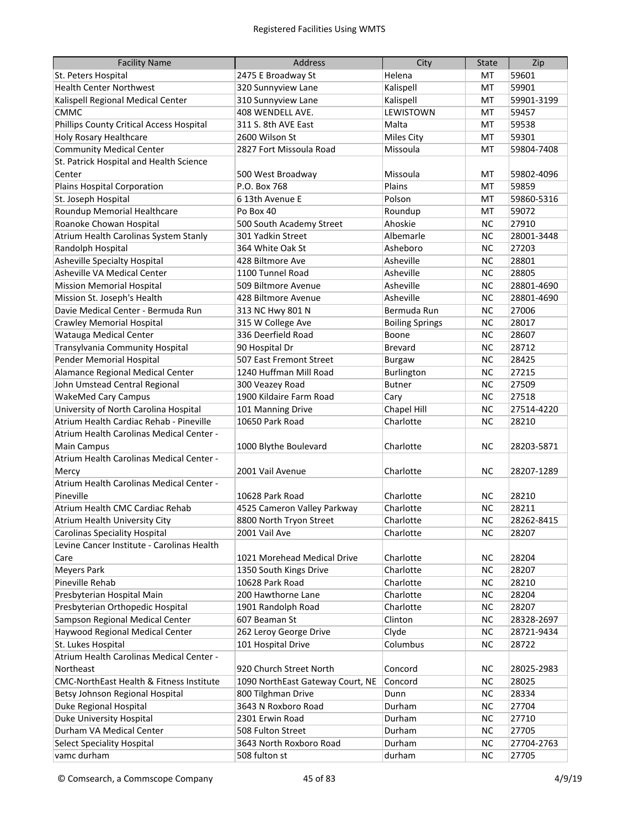| <b>Facility Name</b>                       | Address                          | City                   | <b>State</b> | Zip        |
|--------------------------------------------|----------------------------------|------------------------|--------------|------------|
| St. Peters Hospital                        | 2475 E Broadway St               | Helena                 | МT           | 59601      |
| <b>Health Center Northwest</b>             | 320 Sunnyview Lane               | Kalispell              | МT           | 59901      |
| Kalispell Regional Medical Center          | 310 Sunnyview Lane               | Kalispell              | МT           | 59901-3199 |
| <b>CMMC</b>                                | 408 WENDELL AVE.                 | <b>LEWISTOWN</b>       | МT           | 59457      |
| Phillips County Critical Access Hospital   | 311 S. 8th AVE East              | Malta                  | MT           | 59538      |
| <b>Holy Rosary Healthcare</b>              | 2600 Wilson St                   | Miles City             | MT           | 59301      |
| <b>Community Medical Center</b>            | 2827 Fort Missoula Road          | Missoula               | MT           | 59804-7408 |
| St. Patrick Hospital and Health Science    |                                  |                        |              |            |
| Center                                     | 500 West Broadway                | Missoula               | МT           | 59802-4096 |
| Plains Hospital Corporation                | P.O. Box 768                     | Plains                 | MT           | 59859      |
| St. Joseph Hospital                        | 6 13th Avenue E                  | Polson                 | MT           | 59860-5316 |
| Roundup Memorial Healthcare                | Po Box 40                        | Roundup                | MT           | 59072      |
| Roanoke Chowan Hospital                    | 500 South Academy Street         | Ahoskie                | <b>NC</b>    | 27910      |
| Atrium Health Carolinas System Stanly      | 301 Yadkin Street                | Albemarle              | <b>NC</b>    | 28001-3448 |
| Randolph Hospital                          | 364 White Oak St                 | Asheboro               | <b>NC</b>    | 27203      |
| Asheville Specialty Hospital               | 428 Biltmore Ave                 | Asheville              | <b>NC</b>    | 28801      |
| Asheville VA Medical Center                | 1100 Tunnel Road                 | Asheville              | <b>NC</b>    | 28805      |
| <b>Mission Memorial Hospital</b>           | 509 Biltmore Avenue              | Asheville              | <b>NC</b>    | 28801-4690 |
| Mission St. Joseph's Health                | 428 Biltmore Avenue              | Asheville              | <b>NC</b>    | 28801-4690 |
| Davie Medical Center - Bermuda Run         | 313 NC Hwy 801 N                 | Bermuda Run            | <b>NC</b>    | 27006      |
| <b>Crawley Memorial Hospital</b>           | 315 W College Ave                | <b>Boiling Springs</b> | <b>NC</b>    | 28017      |
| Watauga Medical Center                     | 336 Deerfield Road               | Boone                  | <b>NC</b>    | 28607      |
| Transylvania Community Hospital            | 90 Hospital Dr                   | <b>Brevard</b>         | <b>NC</b>    | 28712      |
| Pender Memorial Hospital                   | 507 East Fremont Street          | <b>Burgaw</b>          | <b>NC</b>    | 28425      |
| Alamance Regional Medical Center           | 1240 Huffman Mill Road           | Burlington             | <b>NC</b>    | 27215      |
| John Umstead Central Regional              | 300 Veazey Road                  | <b>Butner</b>          | <b>NC</b>    | 27509      |
| <b>WakeMed Cary Campus</b>                 | 1900 Kildaire Farm Road          | Cary                   | <b>NC</b>    | 27518      |
| University of North Carolina Hospital      | 101 Manning Drive                | Chapel Hill            | <b>NC</b>    | 27514-4220 |
| Atrium Health Cardiac Rehab - Pineville    | 10650 Park Road                  | Charlotte              | <b>NC</b>    | 28210      |
| Atrium Health Carolinas Medical Center -   |                                  |                        |              |            |
| <b>Main Campus</b>                         | 1000 Blythe Boulevard            | Charlotte              | <b>NC</b>    | 28203-5871 |
| Atrium Health Carolinas Medical Center -   |                                  |                        |              |            |
| Mercy                                      | 2001 Vail Avenue                 | Charlotte              | <b>NC</b>    | 28207-1289 |
| Atrium Health Carolinas Medical Center -   |                                  |                        |              |            |
| Pineville                                  | 10628 Park Road                  | Charlotte              | NC.          | 28210      |
| Atrium Health CMC Cardiac Rehab            | 4525 Cameron Valley Parkway      | Charlotte              | <b>NC</b>    | 28211      |
| Atrium Health University City              | 8800 North Tryon Street          | Charlotte              | <b>NC</b>    | 28262-8415 |
| <b>Carolinas Speciality Hospital</b>       | 2001 Vail Ave                    | Charlotte              | <b>NC</b>    | 28207      |
| Levine Cancer Institute - Carolinas Health |                                  |                        |              |            |
| Care                                       | 1021 Morehead Medical Drive      | Charlotte              | <b>NC</b>    | 28204      |
| <b>Meyers Park</b>                         | 1350 South Kings Drive           | Charlotte              | <b>NC</b>    | 28207      |
| Pineville Rehab                            | 10628 Park Road                  | Charlotte              | <b>NC</b>    | 28210      |
| Presbyterian Hospital Main                 | 200 Hawthorne Lane               | Charlotte              | <b>NC</b>    | 28204      |
| Presbyterian Orthopedic Hospital           | 1901 Randolph Road               | Charlotte              | <b>NC</b>    | 28207      |
| Sampson Regional Medical Center            | 607 Beaman St                    | Clinton                | <b>NC</b>    | 28328-2697 |
| Haywood Regional Medical Center            | 262 Leroy George Drive           | Clyde                  | <b>NC</b>    | 28721-9434 |
| St. Lukes Hospital                         | 101 Hospital Drive               | Columbus               | <b>NC</b>    | 28722      |
| Atrium Health Carolinas Medical Center -   |                                  |                        |              |            |
| Northeast                                  | 920 Church Street North          | Concord                | <b>NC</b>    | 28025-2983 |
| CMC-NorthEast Health & Fitness Institute   | 1090 NorthEast Gateway Court, NE | Concord                | <b>NC</b>    | 28025      |
| Betsy Johnson Regional Hospital            | 800 Tilghman Drive               | Dunn                   | <b>NC</b>    | 28334      |
| Duke Regional Hospital                     | 3643 N Roxboro Road              | Durham                 | <b>NC</b>    | 27704      |
| Duke University Hospital                   | 2301 Erwin Road                  | Durham                 | <b>NC</b>    | 27710      |
| Durham VA Medical Center                   | 508 Fulton Street                | Durham                 | <b>NC</b>    | 27705      |
| <b>Select Speciality Hospital</b>          | 3643 North Roxboro Road          | Durham                 | <b>NC</b>    | 27704-2763 |
| vamc durham                                | 508 fulton st                    | durham                 | $NC$         | 27705      |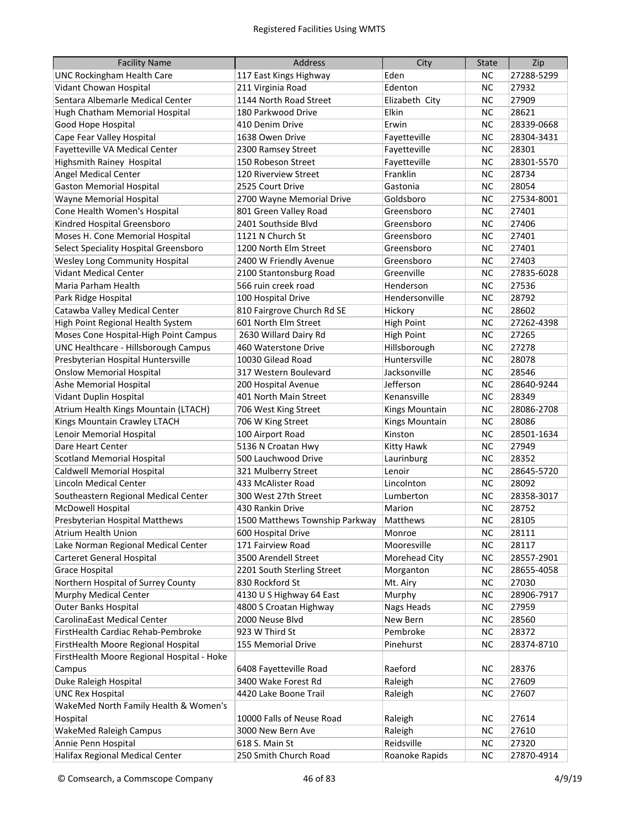| <b>Facility Name</b>                       | Address                        | City              | <b>State</b> | Zip        |
|--------------------------------------------|--------------------------------|-------------------|--------------|------------|
| <b>UNC Rockingham Health Care</b>          | 117 East Kings Highway         | Eden              | NC.          | 27288-5299 |
| Vidant Chowan Hospital                     | 211 Virginia Road              | Edenton           | <b>NC</b>    | 27932      |
| Sentara Albemarle Medical Center           | 1144 North Road Street         | Elizabeth City    | <b>NC</b>    | 27909      |
| Hugh Chatham Memorial Hospital             | 180 Parkwood Drive             | Elkin             | <b>NC</b>    | 28621      |
| Good Hope Hospital                         | 410 Denim Drive                | Erwin             | <b>NC</b>    | 28339-0668 |
| Cape Fear Valley Hospital                  | 1638 Owen Drive                | Fayetteville      | <b>NC</b>    | 28304-3431 |
| Fayetteville VA Medical Center             | 2300 Ramsey Street             | Fayetteville      | <b>NC</b>    | 28301      |
| Highsmith Rainey Hospital                  | 150 Robeson Street             | Fayetteville      | <b>NC</b>    | 28301-5570 |
| <b>Angel Medical Center</b>                | 120 Riverview Street           | Franklin          | <b>NC</b>    | 28734      |
| <b>Gaston Memorial Hospital</b>            | 2525 Court Drive               | Gastonia          | <b>NC</b>    | 28054      |
| Wayne Memorial Hospital                    | 2700 Wayne Memorial Drive      | Goldsboro         | <b>NC</b>    | 27534-8001 |
| Cone Health Women's Hospital               | 801 Green Valley Road          | Greensboro        | <b>NC</b>    | 27401      |
| Kindred Hospital Greensboro                | 2401 Southside Blvd            | Greensboro        | <b>NC</b>    | 27406      |
| Moses H. Cone Memorial Hospital            | 1121 N Church St               | Greensboro        | <b>NC</b>    | 27401      |
| Select Speciality Hospital Greensboro      | 1200 North Elm Street          | Greensboro        | <b>NC</b>    | 27401      |
| Wesley Long Community Hospital             | 2400 W Friendly Avenue         | Greensboro        | <b>NC</b>    | 27403      |
| Vidant Medical Center                      | 2100 Stantonsburg Road         | Greenville        | <b>NC</b>    | 27835-6028 |
| Maria Parham Health                        | 566 ruin creek road            | Henderson         | <b>NC</b>    | 27536      |
| Park Ridge Hospital                        | 100 Hospital Drive             | Hendersonville    | <b>NC</b>    | 28792      |
| Catawba Valley Medical Center              | 810 Fairgrove Church Rd SE     | Hickory           | <b>NC</b>    | 28602      |
| High Point Regional Health System          | 601 North Elm Street           | <b>High Point</b> | <b>NC</b>    | 27262-4398 |
| Moses Cone Hospital-High Point Campus      | 2630 Willard Dairy Rd          | <b>High Point</b> | <b>NC</b>    | 27265      |
| UNC Healthcare - Hillsborough Campus       | 460 Waterstone Drive           | Hillsborough      | <b>NC</b>    | 27278      |
| Presbyterian Hospital Huntersville         | 10030 Gilead Road              | Huntersville      | <b>NC</b>    | 28078      |
| <b>Onslow Memorial Hospital</b>            | 317 Western Boulevard          | Jacksonville      | <b>NC</b>    | 28546      |
| Ashe Memorial Hospital                     | 200 Hospital Avenue            | Jefferson         | <b>NC</b>    | 28640-9244 |
| Vidant Duplin Hospital                     | 401 North Main Street          | Kenansville       | <b>NC</b>    | 28349      |
| Atrium Health Kings Mountain (LTACH)       | 706 West King Street           | Kings Mountain    | <b>NC</b>    | 28086-2708 |
| Kings Mountain Crawley LTACH               | 706 W King Street              | Kings Mountain    | <b>NC</b>    | 28086      |
| Lenoir Memorial Hospital                   | 100 Airport Road               | Kinston           | <b>NC</b>    | 28501-1634 |
| Dare Heart Center                          | 5136 N Croatan Hwy             | Kitty Hawk        | <b>NC</b>    | 27949      |
| <b>Scotland Memorial Hospital</b>          | 500 Lauchwood Drive            | Laurinburg        | <b>NC</b>    | 28352      |
| Caldwell Memorial Hospital                 | 321 Mulberry Street            | Lenoir            | <b>NC</b>    | 28645-5720 |
| Lincoln Medical Center                     | 433 McAlister Road             | Lincolnton        | <b>NC</b>    | 28092      |
| Southeastern Regional Medical Center       | 300 West 27th Street           | Lumberton         | <b>NC</b>    | 28358-3017 |
| McDowell Hospital                          | 430 Rankin Drive               | Marion            | <b>NC</b>    | 28752      |
| Presbyterian Hospital Matthews             | 1500 Matthews Township Parkway | Matthews          | <b>NC</b>    | 28105      |
| Atrium Health Union                        | 600 Hospital Drive             | Monroe            | <b>NC</b>    | 28111      |
| Lake Norman Regional Medical Center        | 171 Fairview Road              | Mooresville       | <b>NC</b>    | 28117      |
| Carteret General Hospital                  | 3500 Arendell Street           | Morehead City     | <b>NC</b>    | 28557-2901 |
| <b>Grace Hospital</b>                      | 2201 South Sterling Street     | Morganton         | <b>NC</b>    | 28655-4058 |
| Northern Hospital of Surrey County         | 830 Rockford St                | Mt. Airy          | <b>NC</b>    | 27030      |
| Murphy Medical Center                      | 4130 U S Highway 64 East       | Murphy            | <b>NC</b>    | 28906-7917 |
| <b>Outer Banks Hospital</b>                | 4800 S Croatan Highway         | Nags Heads        | <b>NC</b>    | 27959      |
| CarolinaEast Medical Center                | 2000 Neuse Blvd                | New Bern          | <b>NC</b>    | 28560      |
| FirstHealth Cardiac Rehab-Pembroke         | 923 W Third St                 | Pembroke          | <b>NC</b>    | 28372      |
|                                            |                                |                   | <b>NC</b>    |            |
| FirstHealth Moore Regional Hospital        | 155 Memorial Drive             | Pinehurst         |              | 28374-8710 |
| FirstHealth Moore Regional Hospital - Hoke |                                |                   |              |            |
| Campus                                     | 6408 Fayetteville Road         | Raeford           | <b>NC</b>    | 28376      |
| Duke Raleigh Hospital                      | 3400 Wake Forest Rd            | Raleigh           | <b>NC</b>    | 27609      |
| <b>UNC Rex Hospital</b>                    | 4420 Lake Boone Trail          | Raleigh           | <b>NC</b>    | 27607      |
| WakeMed North Family Health & Women's      |                                |                   |              |            |
| Hospital                                   | 10000 Falls of Neuse Road      | Raleigh           | <b>NC</b>    | 27614      |
| WakeMed Raleigh Campus                     | 3000 New Bern Ave              | Raleigh           | <b>NC</b>    | 27610      |
| Annie Penn Hospital                        | 618 S. Main St                 | Reidsville        | <b>NC</b>    | 27320      |
| Halifax Regional Medical Center            | 250 Smith Church Road          | Roanoke Rapids    | <b>NC</b>    | 27870-4914 |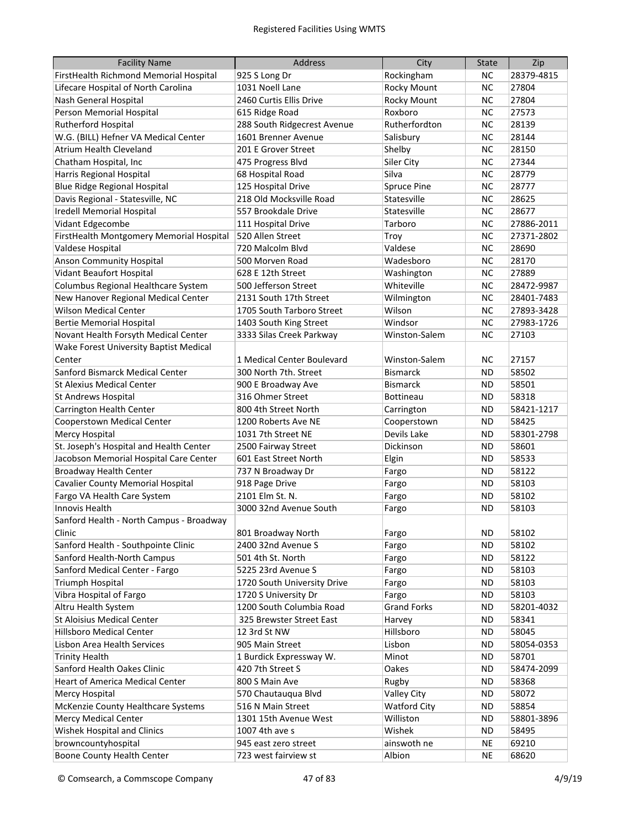| <b>Facility Name</b>                     | <b>Address</b>              | City                | <b>State</b> | Zip        |
|------------------------------------------|-----------------------------|---------------------|--------------|------------|
| FirstHealth Richmond Memorial Hospital   | 925 S Long Dr               | Rockingham          | NC.          | 28379-4815 |
| Lifecare Hospital of North Carolina      | 1031 Noell Lane             | <b>Rocky Mount</b>  | <b>NC</b>    | 27804      |
| Nash General Hospital                    | 2460 Curtis Ellis Drive     | Rocky Mount         | <b>NC</b>    | 27804      |
| Person Memorial Hospital                 | 615 Ridge Road              | Roxboro             | <b>NC</b>    | 27573      |
| Rutherford Hospital                      | 288 South Ridgecrest Avenue | Rutherfordton       | <b>NC</b>    | 28139      |
| W.G. (BILL) Hefner VA Medical Center     | 1601 Brenner Avenue         | Salisbury           | <b>NC</b>    | 28144      |
| <b>Atrium Health Cleveland</b>           | 201 E Grover Street         | Shelby              | <b>NC</b>    | 28150      |
| Chatham Hospital, Inc                    | 475 Progress Blvd           | Siler City          | <b>NC</b>    | 27344      |
| Harris Regional Hospital                 | 68 Hospital Road            | Silva               | <b>NC</b>    | 28779      |
| <b>Blue Ridge Regional Hospital</b>      | 125 Hospital Drive          | <b>Spruce Pine</b>  | <b>NC</b>    | 28777      |
| Davis Regional - Statesville, NC         | 218 Old Mocksville Road     | Statesville         | <b>NC</b>    | 28625      |
| Iredell Memorial Hospital                | 557 Brookdale Drive         | Statesville         | <b>NC</b>    | 28677      |
| Vidant Edgecombe                         | 111 Hospital Drive          | Tarboro             | <b>NC</b>    | 27886-2011 |
| FirstHealth Montgomery Memorial Hospital | 520 Allen Street            | Troy                | <b>NC</b>    | 27371-2802 |
| Valdese Hospital                         | 720 Malcolm Blvd            | Valdese             | <b>NC</b>    | 28690      |
| <b>Anson Community Hospital</b>          | 500 Morven Road             | Wadesboro           | <b>NC</b>    | 28170      |
| Vidant Beaufort Hospital                 | 628 E 12th Street           | Washington          | <b>NC</b>    | 27889      |
| Columbus Regional Healthcare System      | 500 Jefferson Street        | Whiteville          | <b>NC</b>    | 28472-9987 |
| New Hanover Regional Medical Center      | 2131 South 17th Street      | Wilmington          | <b>NC</b>    | 28401-7483 |
| <b>Wilson Medical Center</b>             | 1705 South Tarboro Street   | Wilson              | <b>NC</b>    | 27893-3428 |
| <b>Bertie Memorial Hospital</b>          | 1403 South King Street      | Windsor             | <b>NC</b>    | 27983-1726 |
| Novant Health Forsyth Medical Center     | 3333 Silas Creek Parkway    | Winston-Salem       | <b>NC</b>    | 27103      |
| Wake Forest University Baptist Medical   |                             |                     |              |            |
| Center                                   | 1 Medical Center Boulevard  | Winston-Salem       | <b>NC</b>    | 27157      |
| Sanford Bismarck Medical Center          | 300 North 7th. Street       | <b>Bismarck</b>     | <b>ND</b>    | 58502      |
| <b>St Alexius Medical Center</b>         | 900 E Broadway Ave          | <b>Bismarck</b>     | <b>ND</b>    | 58501      |
| St Andrews Hospital                      | 316 Ohmer Street            | <b>Bottineau</b>    | <b>ND</b>    | 58318      |
| Carrington Health Center                 | 800 4th Street North        | Carrington          | <b>ND</b>    | 58421-1217 |
| Cooperstown Medical Center               | 1200 Roberts Ave NE         | Cooperstown         | <b>ND</b>    | 58425      |
| <b>Mercy Hospital</b>                    | 1031 7th Street NE          | Devils Lake         | <b>ND</b>    | 58301-2798 |
| St. Joseph's Hospital and Health Center  | 2500 Fairway Street         | Dickinson           | <b>ND</b>    | 58601      |
| Jacobson Memorial Hospital Care Center   | 601 East Street North       | Elgin               | <b>ND</b>    | 58533      |
| <b>Broadway Health Center</b>            | 737 N Broadway Dr           | Fargo               | <b>ND</b>    | 58122      |
| Cavalier County Memorial Hospital        | 918 Page Drive              | Fargo               | <b>ND</b>    | 58103      |
| Fargo VA Health Care System              | 2101 Elm St. N.             | Fargo               | <b>ND</b>    | 58102      |
| Innovis Health                           | 3000 32nd Avenue South      | Fargo               | <b>ND</b>    | 58103      |
| Sanford Health - North Campus - Broadway |                             |                     |              |            |
| Clinic                                   | 801 Broadway North          | Fargo               | ND           | 58102      |
| Sanford Health - Southpointe Clinic      | 2400 32nd Avenue S          | Fargo               | <b>ND</b>    | 58102      |
| Sanford Health-North Campus              | 501 4th St. North           | Fargo               | <b>ND</b>    | 58122      |
| Sanford Medical Center - Fargo           | 5225 23rd Avenue S          | Fargo               | <b>ND</b>    | 58103      |
| <b>Triumph Hospital</b>                  | 1720 South University Drive | Fargo               | <b>ND</b>    | 58103      |
| Vibra Hospital of Fargo                  | 1720 S University Dr        | Fargo               | ND           | 58103      |
| Altru Health System                      | 1200 South Columbia Road    | <b>Grand Forks</b>  | ND           | 58201-4032 |
| <b>St Aloisius Medical Center</b>        | 325 Brewster Street East    | Harvey              | ND.          | 58341      |
| <b>Hillsboro Medical Center</b>          | 12 3rd St NW                | Hillsboro           | ND.          | 58045      |
| Lisbon Area Health Services              | 905 Main Street             | Lisbon              | ND           | 58054-0353 |
| <b>Trinity Health</b>                    | 1 Burdick Expressway W.     | Minot               | ND           | 58701      |
| Sanford Health Oakes Clinic              | 420 7th Street S            | Oakes               | ND           | 58474-2099 |
| <b>Heart of America Medical Center</b>   | 800 S Main Ave              | Rugby               | ND           | 58368      |
| <b>Mercy Hospital</b>                    | 570 Chautauqua Blvd         | <b>Valley City</b>  | <b>ND</b>    | 58072      |
| McKenzie County Healthcare Systems       | 516 N Main Street           | <b>Watford City</b> | ND           | 58854      |
| <b>Mercy Medical Center</b>              | 1301 15th Avenue West       | Williston           | ND           | 58801-3896 |
| Wishek Hospital and Clinics              | 1007 4th ave s              | Wishek              | ND           | 58495      |
| browncountyhospital                      | 945 east zero street        | ainswoth ne         | <b>NE</b>    | 69210      |
| Boone County Health Center               | 723 west fairview st        | Albion              | <b>NE</b>    | 68620      |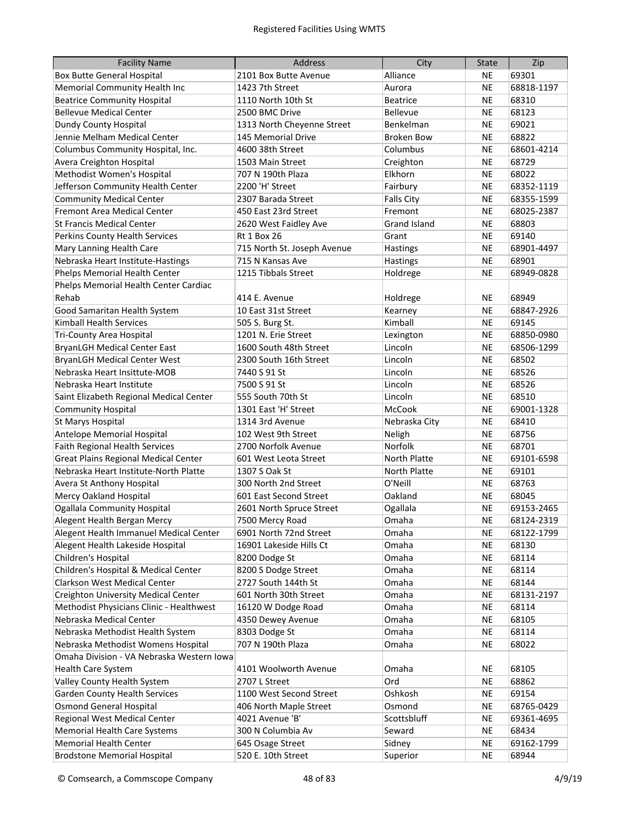| <b>Facility Name</b>                        | <b>Address</b>              | City                | <b>State</b> | Zip        |
|---------------------------------------------|-----------------------------|---------------------|--------------|------------|
| <b>Box Butte General Hospital</b>           | 2101 Box Butte Avenue       | Alliance            | <b>NE</b>    | 69301      |
| Memorial Community Health Inc               | 1423 7th Street             | Aurora              | <b>NE</b>    | 68818-1197 |
| <b>Beatrice Community Hospital</b>          | 1110 North 10th St          | <b>Beatrice</b>     | <b>NE</b>    | 68310      |
| <b>Bellevue Medical Center</b>              | 2500 BMC Drive              | <b>Bellevue</b>     | <b>NE</b>    | 68123      |
| Dundy County Hospital                       | 1313 North Cheyenne Street  | Benkelman           | <b>NE</b>    | 69021      |
| Jennie Melham Medical Center                | 145 Memorial Drive          | <b>Broken Bow</b>   | <b>NE</b>    | 68822      |
| Columbus Community Hospital, Inc.           | 4600 38th Street            | Columbus            | <b>NE</b>    | 68601-4214 |
| Avera Creighton Hospital                    | 1503 Main Street            | Creighton           | <b>NE</b>    | 68729      |
| Methodist Women's Hospital                  | 707 N 190th Plaza           | Elkhorn             | <b>NE</b>    | 68022      |
| Jefferson Community Health Center           | 2200 'H' Street             | Fairbury            | <b>NE</b>    | 68352-1119 |
| <b>Community Medical Center</b>             | 2307 Barada Street          | <b>Falls City</b>   | <b>NE</b>    | 68355-1599 |
| Fremont Area Medical Center                 | 450 East 23rd Street        | Fremont             | <b>NE</b>    | 68025-2387 |
| <b>St Francis Medical Center</b>            | 2620 West Faidley Ave       | <b>Grand Island</b> | <b>NE</b>    | 68803      |
| Perkins County Health Services              | Rt 1 Box 26                 | Grant               | <b>NE</b>    | 69140      |
| Mary Lanning Health Care                    | 715 North St. Joseph Avenue | Hastings            | <b>NE</b>    | 68901-4497 |
| Nebraska Heart Institute-Hastings           | 715 N Kansas Ave            | <b>Hastings</b>     | <b>NE</b>    | 68901      |
| Phelps Memorial Health Center               | 1215 Tibbals Street         | Holdrege            | <b>NE</b>    | 68949-0828 |
| Phelps Memorial Health Center Cardiac       |                             |                     |              |            |
| Rehab                                       | 414 E. Avenue               | Holdrege            | <b>NE</b>    | 68949      |
| Good Samaritan Health System                | 10 East 31st Street         | Kearney             | <b>NE</b>    | 68847-2926 |
| Kimball Health Services                     | 505 S. Burg St.             | Kimball             | <b>NE</b>    | 69145      |
| Tri-County Area Hospital                    | 1201 N. Erie Street         | Lexington           | <b>NE</b>    | 68850-0980 |
| <b>BryanLGH Medical Center East</b>         | 1600 South 48th Street      | Lincoln             | <b>NE</b>    | 68506-1299 |
| <b>BryanLGH Medical Center West</b>         | 2300 South 16th Street      | Lincoln             | <b>NE</b>    | 68502      |
| Nebraska Heart Insittute-MOB                | 7440 S 91 St                | Lincoln             | <b>NE</b>    | 68526      |
| Nebraska Heart Institute                    | 7500 S 91 St                | Lincoln             | <b>NE</b>    | 68526      |
| Saint Elizabeth Regional Medical Center     | 555 South 70th St           | Lincoln             | <b>NE</b>    | 68510      |
| <b>Community Hospital</b>                   | 1301 East 'H' Street        | McCook              | <b>NE</b>    | 69001-1328 |
| St Marys Hospital                           | 1314 3rd Avenue             | Nebraska City       | <b>NE</b>    | 68410      |
| Antelope Memorial Hospital                  | 102 West 9th Street         | Neligh              | <b>NE</b>    | 68756      |
| Faith Regional Health Services              | 2700 Norfolk Avenue         | Norfolk             | <b>NE</b>    | 68701      |
| <b>Great Plains Regional Medical Center</b> | 601 West Leota Street       | North Platte        | <b>NE</b>    | 69101-6598 |
| Nebraska Heart Institute-North Platte       | 1307 S Oak St               | North Platte        | <b>NE</b>    | 69101      |
| Avera St Anthony Hospital                   | 300 North 2nd Street        | O'Neill             | <b>NE</b>    | 68763      |
| Mercy Oakland Hospital                      | 601 East Second Street      | Oakland             | NE           | 68045      |
| <b>Ogallala Community Hospital</b>          | 2601 North Spruce Street    | Ogallala            | <b>NE</b>    | 69153-2465 |
| Alegent Health Bergan Mercy                 | 7500 Mercy Road             | Omaha               | <b>NE</b>    | 68124-2319 |
| Alegent Health Immanuel Medical Center      | 6901 North 72nd Street      | Omaha               | <b>NE</b>    | 68122-1799 |
| Alegent Health Lakeside Hospital            | 16901 Lakeside Hills Ct     | Omaha               | <b>NE</b>    | 68130      |
| Children's Hospital                         | 8200 Dodge St               | Omaha               | <b>NE</b>    | 68114      |
| Children's Hospital & Medical Center        | 8200 S Dodge Street         | Omaha               | <b>NE</b>    | 68114      |
| Clarkson West Medical Center                | 2727 South 144th St         | Omaha               | <b>NE</b>    | 68144      |
| <b>Creighton University Medical Center</b>  | 601 North 30th Street       | Omaha               | <b>NE</b>    | 68131-2197 |
| Methodist Physicians Clinic - Healthwest    | 16120 W Dodge Road          | Omaha               | <b>NE</b>    | 68114      |
| Nebraska Medical Center                     | 4350 Dewey Avenue           | Omaha               | <b>NE</b>    | 68105      |
| Nebraska Methodist Health System            | 8303 Dodge St               | Omaha               | <b>NE</b>    | 68114      |
| Nebraska Methodist Womens Hospital          | 707 N 190th Plaza           | Omaha               | <b>NE</b>    | 68022      |
| Omaha Division - VA Nebraska Western Iowa   |                             |                     |              |            |
| Health Care System                          | 4101 Woolworth Avenue       | Omaha               | <b>NE</b>    | 68105      |
| Valley County Health System                 | 2707 L Street               | Ord                 | <b>NE</b>    | 68862      |
| <b>Garden County Health Services</b>        | 1100 West Second Street     | Oshkosh             | <b>NE</b>    | 69154      |
| <b>Osmond General Hospital</b>              | 406 North Maple Street      | Osmond              | <b>NE</b>    | 68765-0429 |
| Regional West Medical Center                | 4021 Avenue 'B'             | Scottsbluff         | <b>NE</b>    | 69361-4695 |
| <b>Memorial Health Care Systems</b>         | 300 N Columbia Av           | Seward              | <b>NE</b>    | 68434      |
| <b>Memorial Health Center</b>               | 645 Osage Street            | Sidney              | <b>NE</b>    | 69162-1799 |
| <b>Brodstone Memorial Hospital</b>          | 520 E. 10th Street          | Superior            | <b>NE</b>    | 68944      |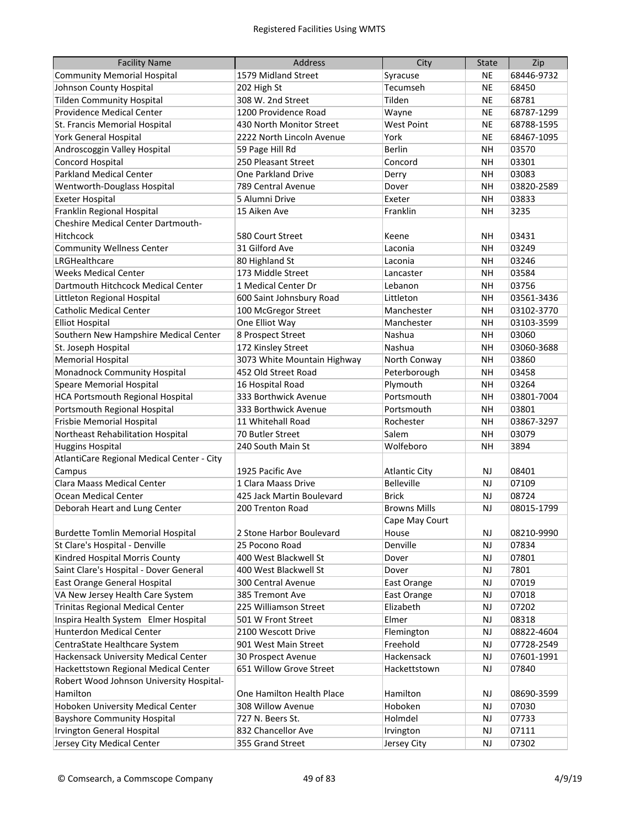| <b>Facility Name</b>                       | <b>Address</b>              | City                 | <b>State</b> | Zip        |
|--------------------------------------------|-----------------------------|----------------------|--------------|------------|
| <b>Community Memorial Hospital</b>         | 1579 Midland Street         | Syracuse             | NE           | 68446-9732 |
| Johnson County Hospital                    | 202 High St                 | Tecumseh             | <b>NE</b>    | 68450      |
| <b>Tilden Community Hospital</b>           | 308 W. 2nd Street           | Tilden               | <b>NE</b>    | 68781      |
| Providence Medical Center                  | 1200 Providence Road        | Wayne                | <b>NE</b>    | 68787-1299 |
| St. Francis Memorial Hospital              | 430 North Monitor Street    | <b>West Point</b>    | <b>NE</b>    | 68788-1595 |
| <b>York General Hospital</b>               | 2222 North Lincoln Avenue   | York                 | <b>NE</b>    | 68467-1095 |
| Androscoggin Valley Hospital               | 59 Page Hill Rd             | <b>Berlin</b>        | <b>NH</b>    | 03570      |
| Concord Hospital                           | 250 Pleasant Street         | Concord              | NΗ           | 03301      |
| <b>Parkland Medical Center</b>             | One Parkland Drive          | Derry                | <b>NH</b>    | 03083      |
| Wentworth-Douglass Hospital                | 789 Central Avenue          | Dover                | <b>NH</b>    | 03820-2589 |
| <b>Exeter Hospital</b>                     | 5 Alumni Drive              | Exeter               | <b>NH</b>    | 03833      |
| Franklin Regional Hospital                 | 15 Aiken Ave                | Franklin             | <b>NH</b>    | 3235       |
| Cheshire Medical Center Dartmouth-         |                             |                      |              |            |
| Hitchcock                                  | 580 Court Street            | Keene                | <b>NH</b>    | 03431      |
| <b>Community Wellness Center</b>           | 31 Gilford Ave              | Laconia              | <b>NH</b>    | 03249      |
| LRGHealthcare                              | 80 Highland St              | Laconia              | <b>NH</b>    | 03246      |
| <b>Weeks Medical Center</b>                | 173 Middle Street           | Lancaster            | <b>NH</b>    | 03584      |
| Dartmouth Hitchcock Medical Center         | 1 Medical Center Dr         | Lebanon              | NH.          | 03756      |
| Littleton Regional Hospital                | 600 Saint Johnsbury Road    | Littleton            | <b>NH</b>    | 03561-3436 |
| <b>Catholic Medical Center</b>             | 100 McGregor Street         | Manchester           | NH.          | 03102-3770 |
| <b>Elliot Hospital</b>                     | One Elliot Way              | Manchester           | <b>NH</b>    | 03103-3599 |
| Southern New Hampshire Medical Center      | 8 Prospect Street           | Nashua               | <b>NH</b>    | 03060      |
| St. Joseph Hospital                        | 172 Kinsley Street          | Nashua               | <b>NH</b>    | 03060-3688 |
| <b>Memorial Hospital</b>                   | 3073 White Mountain Highway | North Conway         | <b>NH</b>    | 03860      |
| Monadnock Community Hospital               | 452 Old Street Road         | Peterborough         | <b>NH</b>    | 03458      |
| <b>Speare Memorial Hospital</b>            | 16 Hospital Road            | Plymouth             | <b>NH</b>    | 03264      |
| <b>HCA Portsmouth Regional Hospital</b>    | 333 Borthwick Avenue        | Portsmouth           | <b>NH</b>    | 03801-7004 |
| Portsmouth Regional Hospital               | 333 Borthwick Avenue        | Portsmouth           | <b>NH</b>    | 03801      |
| Frisbie Memorial Hospital                  | 11 Whitehall Road           | Rochester            | <b>NH</b>    | 03867-3297 |
| Northeast Rehabilitation Hospital          | 70 Butler Street            | Salem                | <b>NH</b>    | 03079      |
| <b>Huggins Hospital</b>                    | 240 South Main St           | Wolfeboro            | <b>NH</b>    | 3894       |
| AtlantiCare Regional Medical Center - City |                             |                      |              |            |
| Campus                                     | 1925 Pacific Ave            | <b>Atlantic City</b> | <b>NJ</b>    | 08401      |
| <b>Clara Maass Medical Center</b>          | 1 Clara Maass Drive         | <b>Belleville</b>    | <b>NJ</b>    | 07109      |
| <b>Ocean Medical Center</b>                | 425 Jack Martin Boulevard   | <b>Brick</b>         | <b>NJ</b>    | 08724      |
| Deborah Heart and Lung Center              | 200 Trenton Road            | <b>Browns Mills</b>  | NJ           | 08015-1799 |
|                                            |                             | Cape May Court       |              |            |
| <b>Burdette Tomlin Memorial Hospital</b>   | 2 Stone Harbor Boulevard    | House                | NJ           | 08210-9990 |
| St Clare's Hospital - Denville             | 25 Pocono Road              | Denville             | <b>NJ</b>    | 07834      |
| Kindred Hospital Morris County             | 400 West Blackwell St       | Dover                | <b>NJ</b>    | 07801      |
| Saint Clare's Hospital - Dover General     | 400 West Blackwell St       | Dover                | <b>NJ</b>    | 7801       |
| East Orange General Hospital               | 300 Central Avenue          | East Orange          | <b>NJ</b>    | 07019      |
| VA New Jersey Health Care System           | 385 Tremont Ave             | East Orange          | <b>NJ</b>    | 07018      |
| <b>Trinitas Regional Medical Center</b>    | 225 Williamson Street       | Elizabeth            | <b>NJ</b>    | 07202      |
| Inspira Health System Elmer Hospital       | 501 W Front Street          | Elmer                | <b>NJ</b>    | 08318      |
| Hunterdon Medical Center                   | 2100 Wescott Drive          | Flemington           | <b>NJ</b>    | 08822-4604 |
| CentraState Healthcare System              | 901 West Main Street        | Freehold             | <b>NJ</b>    | 07728-2549 |
| Hackensack University Medical Center       | 30 Prospect Avenue          | Hackensack           | <b>NJ</b>    | 07601-1991 |
| Hackettstown Regional Medical Center       | 651 Willow Grove Street     | Hackettstown         | <b>NJ</b>    | 07840      |
| Robert Wood Johnson University Hospital-   |                             |                      |              |            |
| Hamilton                                   | One Hamilton Health Place   | Hamilton             | <b>NJ</b>    | 08690-3599 |
| Hoboken University Medical Center          | 308 Willow Avenue           | Hoboken              | <b>NJ</b>    | 07030      |
| <b>Bayshore Community Hospital</b>         | 727 N. Beers St.            | Holmdel              | NJ           | 07733      |
| <b>Irvington General Hospital</b>          | 832 Chancellor Ave          | Irvington            | <b>NJ</b>    | 07111      |
| Jersey City Medical Center                 | 355 Grand Street            | Jersey City          | NJ           | 07302      |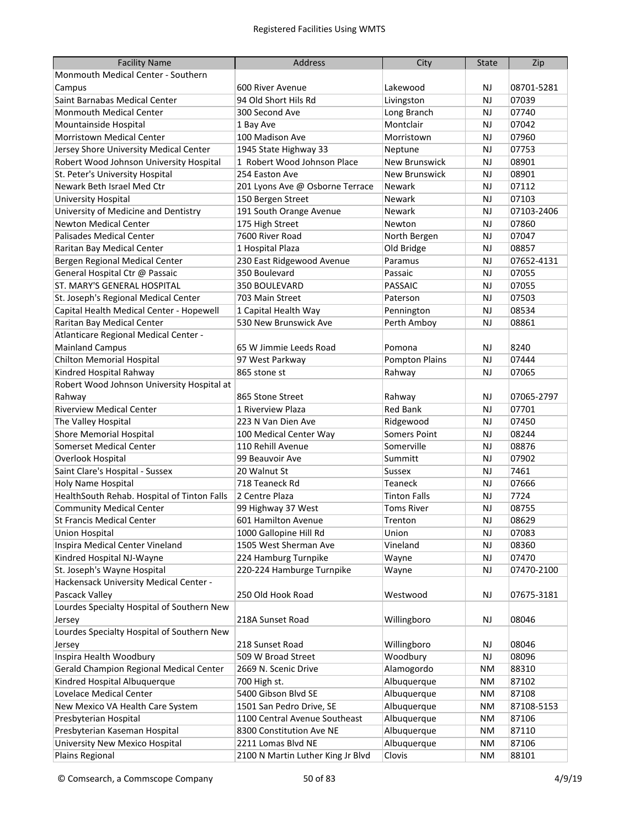| <b>Facility Name</b>                        | <b>Address</b>                    | City                  | <b>State</b> | Zip        |
|---------------------------------------------|-----------------------------------|-----------------------|--------------|------------|
| Monmouth Medical Center - Southern          |                                   |                       |              |            |
| Campus                                      | 600 River Avenue                  | Lakewood              | <b>NJ</b>    | 08701-5281 |
| Saint Barnabas Medical Center               | 94 Old Short Hils Rd              | Livingston            | <b>NJ</b>    | 07039      |
| <b>Monmouth Medical Center</b>              | 300 Second Ave                    | Long Branch           | NJ           | 07740      |
| Mountainside Hospital                       | 1 Bay Ave                         | Montclair             | <b>NJ</b>    | 07042      |
| Morristown Medical Center                   | 100 Madison Ave                   | Morristown            | <b>NJ</b>    | 07960      |
| Jersey Shore University Medical Center      | 1945 State Highway 33             | Neptune               | <b>NJ</b>    | 07753      |
| Robert Wood Johnson University Hospital     | 1 Robert Wood Johnson Place       | <b>New Brunswick</b>  | <b>NJ</b>    | 08901      |
| St. Peter's University Hospital             | 254 Easton Ave                    | <b>New Brunswick</b>  | NJ           | 08901      |
| Newark Beth Israel Med Ctr                  | 201 Lyons Ave @ Osborne Terrace   | Newark                | NJ           | 07112      |
| University Hospital                         | 150 Bergen Street                 | <b>Newark</b>         | NJ           | 07103      |
| University of Medicine and Dentistry        | 191 South Orange Avenue           | Newark                | NJ           | 07103-2406 |
| <b>Newton Medical Center</b>                | 175 High Street                   | Newton                | NJ           | 07860      |
| Palisades Medical Center                    | 7600 River Road                   | North Bergen          | NJ           | 07047      |
| Raritan Bay Medical Center                  | 1 Hospital Plaza                  | Old Bridge            | NJ           | 08857      |
| Bergen Regional Medical Center              | 230 East Ridgewood Avenue         | Paramus               | <b>NJ</b>    | 07652-4131 |
| General Hospital Ctr @ Passaic              | 350 Boulevard                     | Passaic               | <b>NJ</b>    | 07055      |
| ST. MARY'S GENERAL HOSPITAL                 | 350 BOULEVARD                     | <b>PASSAIC</b>        | <b>NJ</b>    | 07055      |
| St. Joseph's Regional Medical Center        | 703 Main Street                   | Paterson              | <b>NJ</b>    | 07503      |
| Capital Health Medical Center - Hopewell    | 1 Capital Health Way              | Pennington            | <b>NJ</b>    | 08534      |
| Raritan Bay Medical Center                  | 530 New Brunswick Ave             | Perth Amboy           | <b>NJ</b>    | 08861      |
| Atlanticare Regional Medical Center -       |                                   |                       |              |            |
| <b>Mainland Campus</b>                      | 65 W Jimmie Leeds Road            | Pomona                | <b>NJ</b>    | 8240       |
| <b>Chilton Memorial Hospital</b>            | 97 West Parkway                   | <b>Pompton Plains</b> | NJ           | 07444      |
| Kindred Hospital Rahway                     | 865 stone st                      | Rahway                | NJ           | 07065      |
| Robert Wood Johnson University Hospital at  |                                   |                       |              |            |
| Rahway                                      | 865 Stone Street                  | Rahway                | <b>NJ</b>    | 07065-2797 |
| <b>Riverview Medical Center</b>             | 1 Riverview Plaza                 | <b>Red Bank</b>       | NJ           | 07701      |
| The Valley Hospital                         | 223 N Van Dien Ave                | Ridgewood             | <b>NJ</b>    | 07450      |
| <b>Shore Memorial Hospital</b>              | 100 Medical Center Way            | <b>Somers Point</b>   | <b>NJ</b>    | 08244      |
| <b>Somerset Medical Center</b>              | 110 Rehill Avenue                 | Somerville            | <b>NJ</b>    | 08876      |
| Overlook Hospital                           | 99 Beauvoir Ave                   | Summitt               | <b>NJ</b>    | 07902      |
| Saint Clare's Hospital - Sussex             | 20 Walnut St                      | <b>Sussex</b>         | <b>NJ</b>    | 7461       |
| Holy Name Hospital                          | 718 Teaneck Rd                    | Teaneck               | <b>NJ</b>    | 07666      |
| HealthSouth Rehab. Hospital of Tinton Falls | 2 Centre Plaza                    | <b>Tinton Falls</b>   | <b>NJ</b>    | 7724       |
| <b>Community Medical Center</b>             | 99 Highway 37 West                | <b>Toms River</b>     | <b>NJ</b>    | 08755      |
| <b>St Francis Medical Center</b>            | 601 Hamilton Avenue               | Trenton               | NJ           | 08629      |
| <b>Union Hospital</b>                       | 1000 Gallopine Hill Rd            | Union                 | <b>NJ</b>    | 07083      |
| Inspira Medical Center Vineland             | 1505 West Sherman Ave             | Vineland              | <b>NJ</b>    | 08360      |
| Kindred Hospital NJ-Wayne                   | 224 Hamburg Turnpike              | Wayne                 | <b>NJ</b>    | 07470      |
| St. Joseph's Wayne Hospital                 | 220-224 Hamburge Turnpike         | Wayne                 | <b>NJ</b>    | 07470-2100 |
| Hackensack University Medical Center -      |                                   |                       |              |            |
| Pascack Valley                              | 250 Old Hook Road                 | Westwood              | <b>NJ</b>    | 07675-3181 |
| Lourdes Specialty Hospital of Southern New  |                                   |                       |              |            |
| Jersey                                      | 218A Sunset Road                  | Willingboro           | <b>NJ</b>    | 08046      |
| Lourdes Specialty Hospital of Southern New  |                                   |                       |              |            |
| Jersey                                      | 218 Sunset Road                   | Willingboro           | <b>NJ</b>    | 08046      |
| Inspira Health Woodbury                     | 509 W Broad Street                | Woodbury              | <b>NJ</b>    | 08096      |
| Gerald Champion Regional Medical Center     | 2669 N. Scenic Drive              | Alamogordo            | ΝM           | 88310      |
| Kindred Hospital Albuquerque                | 700 High st.                      | Albuquerque           | NΜ           | 87102      |
| Lovelace Medical Center                     | 5400 Gibson Blvd SE               | Albuquerque           | NΜ           | 87108      |
| New Mexico VA Health Care System            | 1501 San Pedro Drive, SE          | Albuquerque           | NM           | 87108-5153 |
| Presbyterian Hospital                       | 1100 Central Avenue Southeast     | Albuquerque           | NM           | 87106      |
| Presbyterian Kaseman Hospital               | 8300 Constitution Ave NE          | Albuquerque           | NM           | 87110      |
| University New Mexico Hospital              | 2211 Lomas Blvd NE                | Albuquerque           | NM           | 87106      |
| Plains Regional                             | 2100 N Martin Luther King Jr Blvd | Clovis                | ΝM           | 88101      |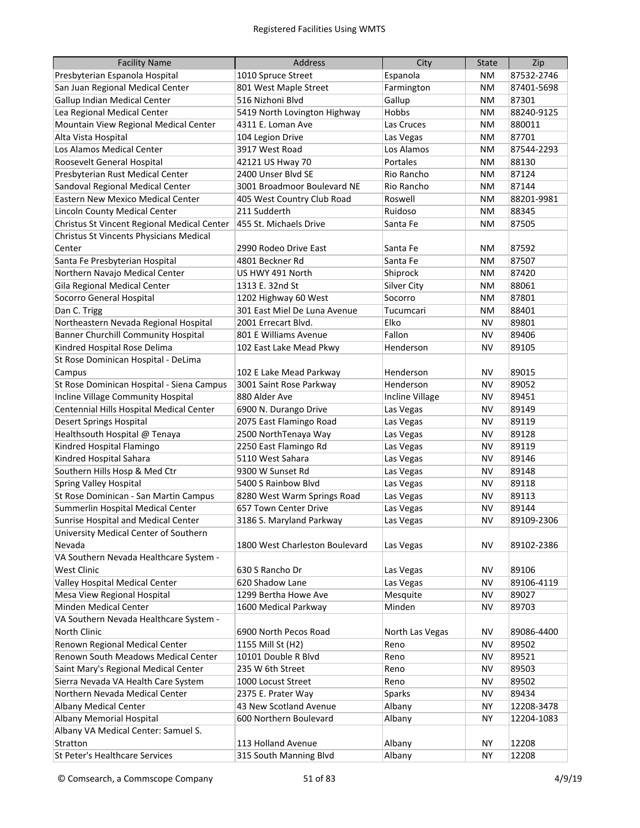| <b>Facility Name</b>                        | <b>Address</b>                 | City            | <b>State</b> | Zip        |
|---------------------------------------------|--------------------------------|-----------------|--------------|------------|
| Presbyterian Espanola Hospital              | 1010 Spruce Street             | Espanola        | ΝM           | 87532-2746 |
| San Juan Regional Medical Center            | 801 West Maple Street          | Farmington      | NΜ           | 87401-5698 |
| Gallup Indian Medical Center                | 516 Nizhoni Blvd               | Gallup          | NΜ           | 87301      |
| Lea Regional Medical Center                 | 5419 North Lovington Highway   | Hobbs           | NΜ           | 88240-9125 |
| Mountain View Regional Medical Center       | 4311 E. Loman Ave              | Las Cruces      | NΜ           | 880011     |
| Alta Vista Hospital                         | 104 Legion Drive               | Las Vegas       | NΜ           | 87701      |
| Los Alamos Medical Center                   | 3917 West Road                 | Los Alamos      | NΜ           | 87544-2293 |
| Roosevelt General Hospital                  | 42121 US Hway 70               | Portales        | NΜ           | 88130      |
| Presbyterian Rust Medical Center            | 2400 Unser Blvd SE             | Rio Rancho      | NΜ           | 87124      |
| Sandoval Regional Medical Center            | 3001 Broadmoor Boulevard NE    | Rio Rancho      | NΜ           | 87144      |
| Eastern New Mexico Medical Center           | 405 West Country Club Road     | Roswell         | NΜ           | 88201-9981 |
| Lincoln County Medical Center               | 211 Sudderth                   | Ruidoso         | NΜ           | 88345      |
| Christus St Vincent Regional Medical Center | 455 St. Michaels Drive         | Santa Fe        | NΜ           | 87505      |
| Christus St Vincents Physicians Medical     |                                |                 |              |            |
| Center                                      | 2990 Rodeo Drive East          | Santa Fe        | NΜ           | 87592      |
| Santa Fe Presbyterian Hospital              | 4801 Beckner Rd                | Santa Fe        | NΜ           | 87507      |
| Northern Navajo Medical Center              | US HWY 491 North               | Shiprock        | NΜ           | 87420      |
| Gila Regional Medical Center                | 1313 E. 32nd St                | Silver City     | NΜ           | 88061      |
| Socorro General Hospital                    | 1202 Highway 60 West           | Socorro         | NΜ           | 87801      |
| Dan C. Trigg                                | 301 East Miel De Luna Avenue   | Tucumcari       | NΜ           | 88401      |
| Northeastern Nevada Regional Hospital       | 2001 Errecart Blvd.            | Elko            | <b>NV</b>    | 89801      |
| <b>Banner Churchill Community Hospital</b>  | 801 E Williams Avenue          | Fallon          | <b>NV</b>    | 89406      |
| Kindred Hospital Rose Delima                | 102 East Lake Mead Pkwy        | Henderson       | <b>NV</b>    | 89105      |
| St Rose Dominican Hospital - DeLima         |                                |                 |              |            |
| Campus                                      | 102 E Lake Mead Parkway        | Henderson       | <b>NV</b>    | 89015      |
| St Rose Dominican Hospital - Siena Campus   | 3001 Saint Rose Parkway        | Henderson       | <b>NV</b>    | 89052      |
| Incline Village Community Hospital          | 880 Alder Ave                  | Incline Village | <b>NV</b>    | 89451      |
| Centennial Hills Hospital Medical Center    | 6900 N. Durango Drive          | Las Vegas       | <b>NV</b>    | 89149      |
| <b>Desert Springs Hospital</b>              | 2075 East Flamingo Road        | Las Vegas       | <b>NV</b>    | 89119      |
| Healthsouth Hospital @ Tenaya               | 2500 NorthTenaya Way           | Las Vegas       | <b>NV</b>    | 89128      |
| Kindred Hospital Flamingo                   | 2250 East Flamingo Rd          | Las Vegas       | <b>NV</b>    | 89119      |
| Kindred Hospital Sahara                     | 5110 West Sahara               | Las Vegas       | NV           | 89146      |
| Southern Hills Hosp & Med Ctr               | 9300 W Sunset Rd               | Las Vegas       | NV           | 89148      |
| <b>Spring Valley Hospital</b>               | 5400 S Rainbow Blvd            | Las Vegas       | ΝV           | 89118      |
| St Rose Dominican - San Martin Campus       | 8280 West Warm Springs Road    | Las Vegas       | ΝV           | 89113      |
| Summerlin Hospital Medical Center           | 657 Town Center Drive          | Las Vegas       | NV           | 89144      |
| Sunrise Hospital and Medical Center         | 3186 S. Maryland Parkway       | Las Vegas       | <b>NV</b>    | 89109-2306 |
| University Medical Center of Southern       |                                |                 |              |            |
| Nevada                                      | 1800 West Charleston Boulevard | Las Vegas       | <b>NV</b>    | 89102-2386 |
| VA Southern Nevada Healthcare System -      |                                |                 |              |            |
| <b>West Clinic</b>                          | 630 S Rancho Dr                | Las Vegas       | NV           | 89106      |
| Valley Hospital Medical Center              | 620 Shadow Lane                | Las Vegas       | <b>NV</b>    | 89106-4119 |
| Mesa View Regional Hospital                 | 1299 Bertha Howe Ave           | Mesquite        | <b>NV</b>    | 89027      |
| Minden Medical Center                       | 1600 Medical Parkway           | Minden          | <b>NV</b>    | 89703      |
| VA Southern Nevada Healthcare System -      |                                |                 |              |            |
| North Clinic                                | 6900 North Pecos Road          | North Las Vegas | NV           | 89086-4400 |
| Renown Regional Medical Center              | 1155 Mill St (H2)              | Reno            | <b>NV</b>    | 89502      |
| Renown South Meadows Medical Center         | 10101 Double R Blvd            | Reno            | <b>NV</b>    | 89521      |
| Saint Mary's Regional Medical Center        | 235 W 6th Street               | Reno            | <b>NV</b>    | 89503      |
| Sierra Nevada VA Health Care System         | 1000 Locust Street             | Reno            | <b>NV</b>    | 89502      |
| Northern Nevada Medical Center              | 2375 E. Prater Way             | Sparks          | <b>NV</b>    | 89434      |
| Albany Medical Center                       | 43 New Scotland Avenue         | Albany          | <b>NY</b>    | 12208-3478 |
| Albany Memorial Hospital                    | 600 Northern Boulevard         | Albany          | <b>NY</b>    | 12204-1083 |
| Albany VA Medical Center: Samuel S.         |                                |                 |              |            |
| Stratton                                    | 113 Holland Avenue             | Albany          | <b>NY</b>    | 12208      |
| St Peter's Healthcare Services              | 315 South Manning Blvd         | Albany          | <b>NY</b>    | 12208      |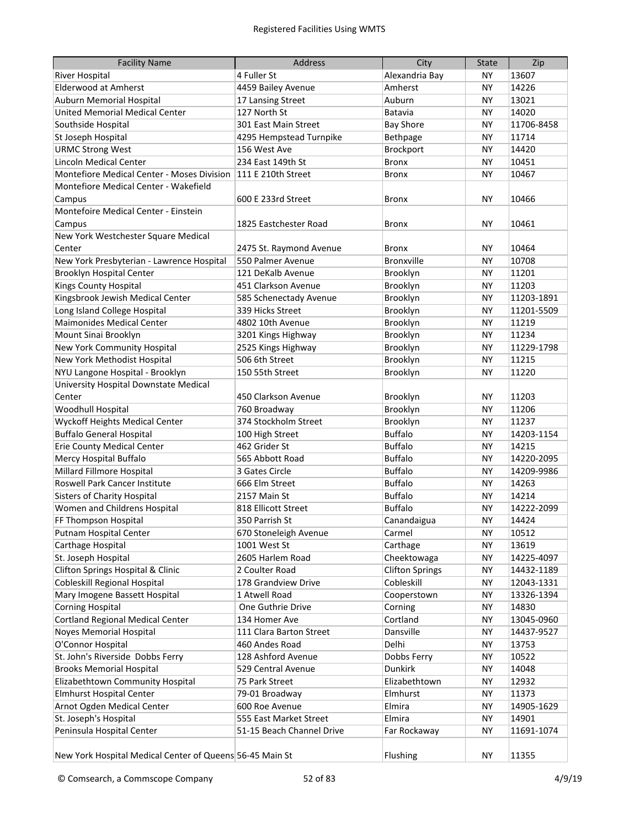| <b>Facility Name</b>                                     | <b>Address</b>            | City                   | <b>State</b> | Zip        |
|----------------------------------------------------------|---------------------------|------------------------|--------------|------------|
| <b>River Hospital</b>                                    | 4 Fuller St               | Alexandria Bay         | NY.          | 13607      |
| <b>Elderwood at Amherst</b>                              | 4459 Bailey Avenue        | Amherst                | NΥ           | 14226      |
| Auburn Memorial Hospital                                 | 17 Lansing Street         | Auburn                 | ΝY           | 13021      |
| United Memorial Medical Center                           | 127 North St              | Batavia                | ΝY           | 14020      |
| Southside Hospital                                       | 301 East Main Street      | <b>Bay Shore</b>       | <b>NY</b>    | 11706-8458 |
| St Joseph Hospital                                       | 4295 Hempstead Turnpike   | Bethpage               | NY           | 11714      |
| <b>URMC Strong West</b>                                  | 156 West Ave              | Brockport              | <b>NY</b>    | 14420      |
| <b>Lincoln Medical Center</b>                            | 234 East 149th St         | <b>Bronx</b>           | <b>NY</b>    | 10451      |
| Montefiore Medical Center - Moses Division               | 111 E 210th Street        | <b>Bronx</b>           | NY           | 10467      |
| Montefiore Medical Center - Wakefield                    |                           |                        |              |            |
| Campus                                                   | 600 E 233rd Street        | <b>Bronx</b>           | NΥ           | 10466      |
| Montefoire Medical Center - Einstein                     |                           |                        |              |            |
| Campus                                                   | 1825 Eastchester Road     | Bronx                  | <b>NY</b>    | 10461      |
| New York Westchester Square Medical                      |                           |                        |              |            |
| Center                                                   | 2475 St. Raymond Avenue   | <b>Bronx</b>           | NY           | 10464      |
| New York Presbyterian - Lawrence Hospital                | 550 Palmer Avenue         | Bronxville             | NY           | 10708      |
| <b>Brooklyn Hospital Center</b>                          | 121 DeKalb Avenue         | Brooklyn               | NY           | 11201      |
| <b>Kings County Hospital</b>                             | 451 Clarkson Avenue       | Brooklyn               | <b>NY</b>    | 11203      |
| Kingsbrook Jewish Medical Center                         | 585 Schenectady Avenue    | Brooklyn               | <b>NY</b>    | 11203-1891 |
| Long Island College Hospital                             | 339 Hicks Street          | Brooklyn               | <b>NY</b>    | 11201-5509 |
| <b>Maimonides Medical Center</b>                         | 4802 10th Avenue          | Brooklyn               | <b>NY</b>    | 11219      |
| Mount Sinai Brooklyn                                     | 3201 Kings Highway        | Brooklyn               | <b>NY</b>    | 11234      |
| New York Community Hospital                              | 2525 Kings Highway        | Brooklyn               | <b>NY</b>    | 11229-1798 |
| New York Methodist Hospital                              | 506 6th Street            | Brooklyn               | <b>NY</b>    | 11215      |
| NYU Langone Hospital - Brooklyn                          | 150 55th Street           | Brooklyn               | <b>NY</b>    | 11220      |
| University Hospital Downstate Medical                    |                           |                        |              |            |
| Center                                                   | 450 Clarkson Avenue       | Brooklyn               | <b>NY</b>    | 11203      |
| Woodhull Hospital                                        | 760 Broadway              | Brooklyn               | <b>NY</b>    | 11206      |
| Wyckoff Heights Medical Center                           | 374 Stockholm Street      | Brooklyn               | <b>NY</b>    | 11237      |
| <b>Buffalo General Hospital</b>                          | 100 High Street           | <b>Buffalo</b>         | <b>NY</b>    | 14203-1154 |
| <b>Erie County Medical Center</b>                        | 462 Grider St             | <b>Buffalo</b>         | <b>NY</b>    | 14215      |
| Mercy Hospital Buffalo                                   | 565 Abbott Road           | <b>Buffalo</b>         | <b>NY</b>    | 14220-2095 |
| Millard Fillmore Hospital                                | 3 Gates Circle            | <b>Buffalo</b>         | <b>NY</b>    | 14209-9986 |
| Roswell Park Cancer Institute                            | 666 Elm Street            | <b>Buffalo</b>         | <b>NY</b>    | 14263      |
| <b>Sisters of Charity Hospital</b>                       | 2157 Main St              | <b>Buffalo</b>         | <b>NY</b>    | 14214      |
| Women and Childrens Hospital                             | 818 Ellicott Street       | <b>Buffalo</b>         | NY.          | 14222-2099 |
| FF Thompson Hospital                                     | 350 Parrish St            | Canandaigua            | NΥ           | 14424      |
| Putnam Hospital Center                                   | 670 Stoneleigh Avenue     | Carmel                 | ΝY           | 10512      |
| Carthage Hospital                                        | 1001 West St              | Carthage               | <b>NY</b>    | 13619      |
| St. Joseph Hospital                                      | 2605 Harlem Road          | Cheektowaga            | <b>NY</b>    | 14225-4097 |
| Clifton Springs Hospital & Clinic                        | 2 Coulter Road            | <b>Clifton Springs</b> | <b>NY</b>    | 14432-1189 |
| <b>Cobleskill Regional Hospital</b>                      | 178 Grandview Drive       | Cobleskill             | <b>NY</b>    | 12043-1331 |
| Mary Imogene Bassett Hospital                            | 1 Atwell Road             | Cooperstown            | NΥ           | 13326-1394 |
| <b>Corning Hospital</b>                                  | One Guthrie Drive         | Corning                | NΥ           | 14830      |
| <b>Cortland Regional Medical Center</b>                  | 134 Homer Ave             | Cortland               | NΥ           | 13045-0960 |
| Noyes Memorial Hospital                                  | 111 Clara Barton Street   | Dansville              | ΝY           | 14437-9527 |
| O'Connor Hospital                                        | 460 Andes Road            | Delhi                  | NΥ           | 13753      |
| St. John's Riverside Dobbs Ferry                         | 128 Ashford Avenue        | Dobbs Ferry            | ΝY           | 10522      |
| <b>Brooks Memorial Hospital</b>                          | 529 Central Avenue        | Dunkirk                | <b>NY</b>    | 14048      |
| Elizabethtown Community Hospital                         | 75 Park Street            | Elizabethtown          | ΝY           | 12932      |
| <b>Elmhurst Hospital Center</b>                          | 79-01 Broadway            | Elmhurst               | <b>NY</b>    | 11373      |
| Arnot Ogden Medical Center                               | 600 Roe Avenue            | Elmira                 | ΝY           | 14905-1629 |
| St. Joseph's Hospital                                    | 555 East Market Street    | Elmira                 | <b>NY</b>    | 14901      |
| Peninsula Hospital Center                                | 51-15 Beach Channel Drive | Far Rockaway           | <b>NY</b>    | 11691-1074 |
|                                                          |                           |                        |              |            |
| New York Hospital Medical Center of Queens 56-45 Main St |                           | <b>Flushing</b>        | NY           | 11355      |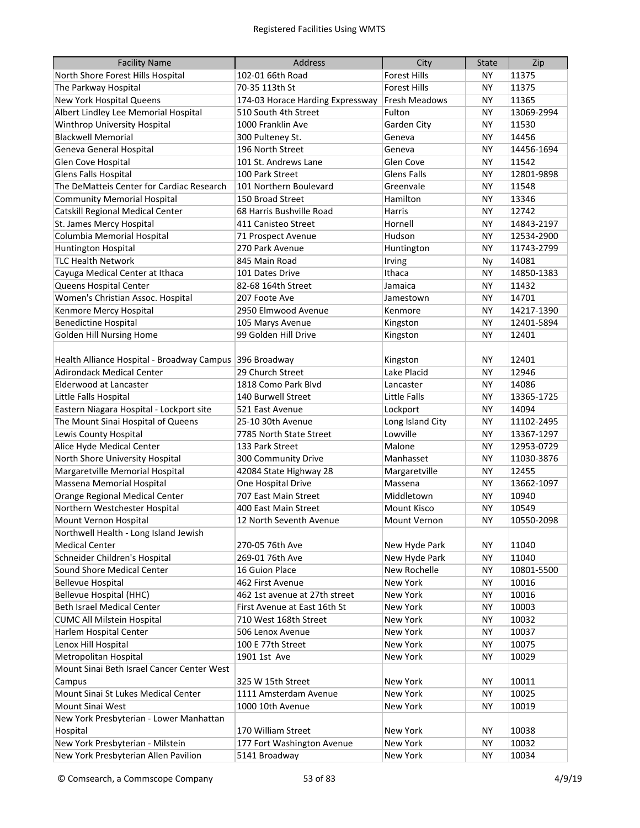| <b>Facility Name</b>                                    | <b>Address</b>                   | City                 | <b>State</b> | Zip        |
|---------------------------------------------------------|----------------------------------|----------------------|--------------|------------|
| North Shore Forest Hills Hospital                       | 102-01 66th Road                 | <b>Forest Hills</b>  | ΝY           | 11375      |
| The Parkway Hospital                                    | 70-35 113th St                   | <b>Forest Hills</b>  | NΥ           | 11375      |
| New York Hospital Queens                                | 174-03 Horace Harding Expressway | <b>Fresh Meadows</b> | ΝY           | 11365      |
| Albert Lindley Lee Memorial Hospital                    | 510 South 4th Street             | Fulton               | ΝY           | 13069-2994 |
| Winthrop University Hospital                            | 1000 Franklin Ave                | Garden City          | ΝY           | 11530      |
| <b>Blackwell Memorial</b>                               | 300 Pulteney St.                 | Geneva               | <b>NY</b>    | 14456      |
| Geneva General Hospital                                 | 196 North Street                 | Geneva               | <b>NY</b>    | 14456-1694 |
| Glen Cove Hospital                                      | 101 St. Andrews Lane             | Glen Cove            | <b>NY</b>    | 11542      |
| Glens Falls Hospital                                    | 100 Park Street                  | <b>Glens Falls</b>   | <b>NY</b>    | 12801-9898 |
| The DeMatteis Center for Cardiac Research               | 101 Northern Boulevard           | Greenvale            | <b>NY</b>    | 11548      |
| <b>Community Memorial Hospital</b>                      | 150 Broad Street                 | Hamilton             | <b>NY</b>    | 13346      |
| <b>Catskill Regional Medical Center</b>                 | 68 Harris Bushville Road         | <b>Harris</b>        | <b>NY</b>    | 12742      |
| St. James Mercy Hospital                                | 411 Canisteo Street              | Hornell              | <b>NY</b>    | 14843-2197 |
| Columbia Memorial Hospital                              | 71 Prospect Avenue               | Hudson               | <b>NY</b>    | 12534-2900 |
| Huntington Hospital                                     | 270 Park Avenue                  | Huntington           | <b>NY</b>    | 11743-2799 |
| <b>TLC Health Network</b>                               | 845 Main Road                    | Irving               | Ny           | 14081      |
| Cayuga Medical Center at Ithaca                         | 101 Dates Drive                  | Ithaca               | NY           | 14850-1383 |
| Queens Hospital Center                                  | 82-68 164th Street               | Jamaica              | NY           | 11432      |
| Women's Christian Assoc. Hospital                       | 207 Foote Ave                    | Jamestown            | NY           | 14701      |
| Kenmore Mercy Hospital                                  | 2950 Elmwood Avenue              | Kenmore              | NY           | 14217-1390 |
| <b>Benedictine Hospital</b>                             | 105 Marys Avenue                 | Kingston             | <b>NY</b>    | 12401-5894 |
| <b>Golden Hill Nursing Home</b>                         | 99 Golden Hill Drive             | Kingston             | <b>NY</b>    | 12401      |
|                                                         |                                  |                      |              |            |
| Health Alliance Hospital - Broadway Campus 396 Broadway |                                  | Kingston             | <b>NY</b>    | 12401      |
| <b>Adirondack Medical Center</b>                        | 29 Church Street                 | Lake Placid          | <b>NY</b>    | 12946      |
| <b>Elderwood at Lancaster</b>                           | 1818 Como Park Blyd              | Lancaster            | <b>NY</b>    | 14086      |
| Little Falls Hospital                                   | 140 Burwell Street               | <b>Little Falls</b>  | <b>NY</b>    | 13365-1725 |
| Eastern Niagara Hospital - Lockport site                | 521 East Avenue                  | Lockport             | <b>NY</b>    | 14094      |
| The Mount Sinai Hospital of Queens                      | 25-10 30th Avenue                | Long Island City     | <b>NY</b>    | 11102-2495 |
| Lewis County Hospital                                   | 7785 North State Street          | Lowville             | <b>NY</b>    | 13367-1297 |
| Alice Hyde Medical Center                               | 133 Park Street                  | Malone               | <b>NY</b>    | 12953-0729 |
| North Shore University Hospital                         | 300 Community Drive              | Manhasset            | NY           | 11030-3876 |
| Margaretville Memorial Hospital                         | 42084 State Highway 28           | Margaretville        | <b>NY</b>    | 12455      |
| Massena Memorial Hospital                               | One Hospital Drive               | Massena              | <b>NY</b>    | 13662-1097 |
| Orange Regional Medical Center                          | 707 East Main Street             | Middletown           | NY           | 10940      |
| Northern Westchester Hospital                           | 400 East Main Street             | <b>Mount Kisco</b>   | NY           | 10549      |
| Mount Vernon Hospital                                   | 12 North Seventh Avenue          | Mount Vernon         | <b>NY</b>    | 10550-2098 |
| Northwell Health - Long Island Jewish                   |                                  |                      |              |            |
| <b>Medical Center</b>                                   | 270-05 76th Ave                  | New Hyde Park        | ΝY           | 11040      |
| Schneider Children's Hospital                           | 269-01 76th Ave                  | New Hyde Park        | <b>NY</b>    | 11040      |
| Sound Shore Medical Center                              | 16 Guion Place                   | New Rochelle         | <b>NY</b>    | 10801-5500 |
| <b>Bellevue Hospital</b>                                | 462 First Avenue                 | New York             | <b>NY</b>    | 10016      |
| <b>Bellevue Hospital (HHC)</b>                          | 462 1st avenue at 27th street    | New York             | NΥ           | 10016      |
| Beth Israel Medical Center                              | First Avenue at East 16th St     | New York             | NY           | 10003      |
| <b>CUMC All Milstein Hospital</b>                       | 710 West 168th Street            | New York             | NY           | 10032      |
| Harlem Hospital Center                                  | 506 Lenox Avenue                 | New York             | NY           | 10037      |
| Lenox Hill Hospital                                     | 100 E 77th Street                | New York             | NY           | 10075      |
| Metropolitan Hospital                                   | 1901 1st Ave                     | New York             | <b>NY</b>    | 10029      |
| Mount Sinai Beth Israel Cancer Center West              |                                  |                      |              |            |
| Campus                                                  | 325 W 15th Street                | New York             | <b>NY</b>    | 10011      |
| Mount Sinai St Lukes Medical Center                     | 1111 Amsterdam Avenue            | New York             | <b>NY</b>    | 10025      |
| Mount Sinai West                                        | 1000 10th Avenue                 | New York             | <b>NY</b>    | 10019      |
| New York Presbyterian - Lower Manhattan                 |                                  |                      |              |            |
| Hospital                                                | 170 William Street               | New York             | <b>NY</b>    | 10038      |
| New York Presbyterian - Milstein                        | 177 Fort Washington Avenue       | New York             | ΝY           | 10032      |
| New York Presbyterian Allen Pavilion                    | 5141 Broadway                    | New York             | ΝY           | 10034      |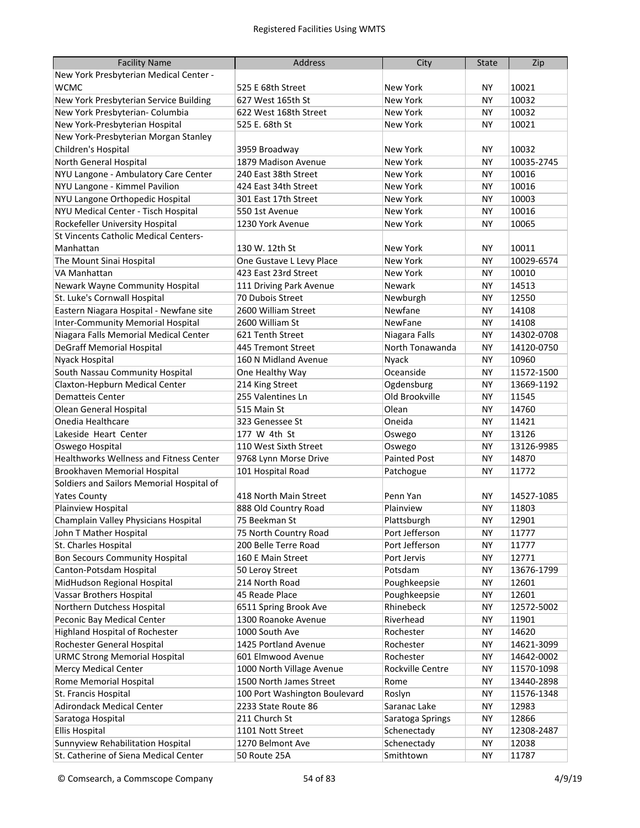| <b>Facility Name</b>                      | <b>Address</b>                | City                | <b>State</b> | Zip        |
|-------------------------------------------|-------------------------------|---------------------|--------------|------------|
| New York Presbyterian Medical Center -    |                               |                     |              |            |
| <b>WCMC</b>                               | 525 E 68th Street             | New York            | NΥ           | 10021      |
| New York Presbyterian Service Building    | 627 West 165th St             | <b>New York</b>     | ΝY           | 10032      |
| New York Presbyterian- Columbia           | 622 West 168th Street         | New York            | NY.          | 10032      |
| New York-Presbyterian Hospital            | 525 E. 68th St                | New York            | NY.          | 10021      |
| New York-Presbyterian Morgan Stanley      |                               |                     |              |            |
| Children's Hospital                       | 3959 Broadway                 | New York            | NY.          | 10032      |
| North General Hospital                    | 1879 Madison Avenue           | New York            | <b>NY</b>    | 10035-2745 |
| NYU Langone - Ambulatory Care Center      | 240 East 38th Street          | New York            | <b>NY</b>    | 10016      |
| NYU Langone - Kimmel Pavilion             | 424 East 34th Street          | <b>New York</b>     | <b>NY</b>    | 10016      |
| NYU Langone Orthopedic Hospital           | 301 East 17th Street          | <b>New York</b>     | <b>NY</b>    | 10003      |
| NYU Medical Center - Tisch Hospital       | 550 1st Avenue                | <b>New York</b>     | <b>NY</b>    | 10016      |
| Rockefeller University Hospital           | 1230 York Avenue              | <b>New York</b>     | <b>NY</b>    | 10065      |
| St Vincents Catholic Medical Centers-     |                               |                     |              |            |
| Manhattan                                 | 130 W. 12th St                | New York            | ΝY           | 10011      |
| The Mount Sinai Hospital                  | One Gustave L Levy Place      | <b>New York</b>     | <b>NY</b>    | 10029-6574 |
| VA Manhattan                              | 423 East 23rd Street          | New York            | <b>NY</b>    | 10010      |
| Newark Wayne Community Hospital           | 111 Driving Park Avenue       | Newark              | <b>NY</b>    | 14513      |
| St. Luke's Cornwall Hospital              | 70 Dubois Street              | Newburgh            | <b>NY</b>    | 12550      |
| Eastern Niagara Hospital - Newfane site   | 2600 William Street           | Newfane             | <b>NY</b>    | 14108      |
| <b>Inter-Community Memorial Hospital</b>  | 2600 William St               | NewFane             | <b>NY</b>    | 14108      |
| Niagara Falls Memorial Medical Center     | 621 Tenth Street              | Niagara Falls       | <b>NY</b>    | 14302-0708 |
| <b>DeGraff Memorial Hospital</b>          | 445 Tremont Street            | North Tonawanda     | <b>NY</b>    | 14120-0750 |
| Nyack Hospital                            | 160 N Midland Avenue          | Nyack               | <b>NY</b>    | 10960      |
| South Nassau Community Hospital           | One Healthy Way               | Oceanside           | <b>NY</b>    | 11572-1500 |
| Claxton-Hepburn Medical Center            | 214 King Street               | Ogdensburg          | <b>NY</b>    | 13669-1192 |
| <b>Dematteis Center</b>                   | 255 Valentines Ln             | Old Brookville      | <b>NY</b>    | 11545      |
| Olean General Hospital                    | 515 Main St                   | Olean               | <b>NY</b>    | 14760      |
| Onedia Healthcare                         | 323 Genessee St               | Oneida              | <b>NY</b>    | 11421      |
| Lakeside Heart Center                     | 177 W 4th St                  | Oswego              | <b>NY</b>    | 13126      |
| Oswego Hospital                           | 110 West Sixth Street         | Oswego              | <b>NY</b>    | 13126-9985 |
| Healthworks Wellness and Fitness Center   | 9768 Lynn Morse Drive         | <b>Painted Post</b> | <b>NY</b>    | 14870      |
| Brookhaven Memorial Hospital              | 101 Hospital Road             | Patchogue           | <b>NY</b>    | 11772      |
| Soldiers and Sailors Memorial Hospital of |                               |                     |              |            |
| <b>Yates County</b>                       | 418 North Main Street         | Penn Yan            | ΝY           | 14527-1085 |
| Plainview Hospital                        | 888 Old Country Road          | Plainview           | NY           | 11803      |
| Champlain Valley Physicians Hospital      | 75 Beekman St                 | Plattsburgh         | NΥ           | 12901      |
| John T Mather Hospital                    | 75 North Country Road         | Port Jefferson      | ΝY           | 11777      |
| St. Charles Hospital                      | 200 Belle Terre Road          | Port Jefferson      | <b>NY</b>    | 11777      |
| <b>Bon Secours Community Hospital</b>     | 160 E Main Street             | Port Jervis         | <b>NY</b>    | 12771      |
| Canton-Potsdam Hospital                   | 50 Leroy Street               | Potsdam             | <b>NY</b>    | 13676-1799 |
| MidHudson Regional Hospital               | 214 North Road                | Poughkeepsie        | <b>NY</b>    | 12601      |
| Vassar Brothers Hospital                  | 45 Reade Place                | Poughkeepsie        | <b>NY</b>    | 12601      |
| Northern Dutchess Hospital                | 6511 Spring Brook Ave         | Rhinebeck           | <b>NY</b>    | 12572-5002 |
| Peconic Bay Medical Center                | 1300 Roanoke Avenue           | Riverhead           | <b>NY</b>    | 11901      |
| Highland Hospital of Rochester            | 1000 South Ave                | Rochester           | <b>NY</b>    | 14620      |
| Rochester General Hospital                | 1425 Portland Avenue          | Rochester           | <b>NY</b>    | 14621-3099 |
| <b>URMC Strong Memorial Hospital</b>      | 601 Elmwood Avenue            | Rochester           | NY           | 14642-0002 |
| <b>Mercy Medical Center</b>               | 1000 North Village Avenue     | Rockville Centre    | NY           | 11570-1098 |
| Rome Memorial Hospital                    | 1500 North James Street       | Rome                | <b>NY</b>    | 13440-2898 |
| St. Francis Hospital                      | 100 Port Washington Boulevard | Roslyn              | <b>NY</b>    | 11576-1348 |
| <b>Adirondack Medical Center</b>          | 2233 State Route 86           | Saranac Lake        | <b>NY</b>    | 12983      |
| Saratoga Hospital                         | 211 Church St                 | Saratoga Springs    | <b>NY</b>    | 12866      |
| <b>Ellis Hospital</b>                     | 1101 Nott Street              | Schenectady         | <b>NY</b>    | 12308-2487 |
| Sunnyview Rehabilitation Hospital         | 1270 Belmont Ave              | Schenectady         | <b>NY</b>    | 12038      |
| St. Catherine of Siena Medical Center     | 50 Route 25A                  | Smithtown           | <b>NY</b>    | 11787      |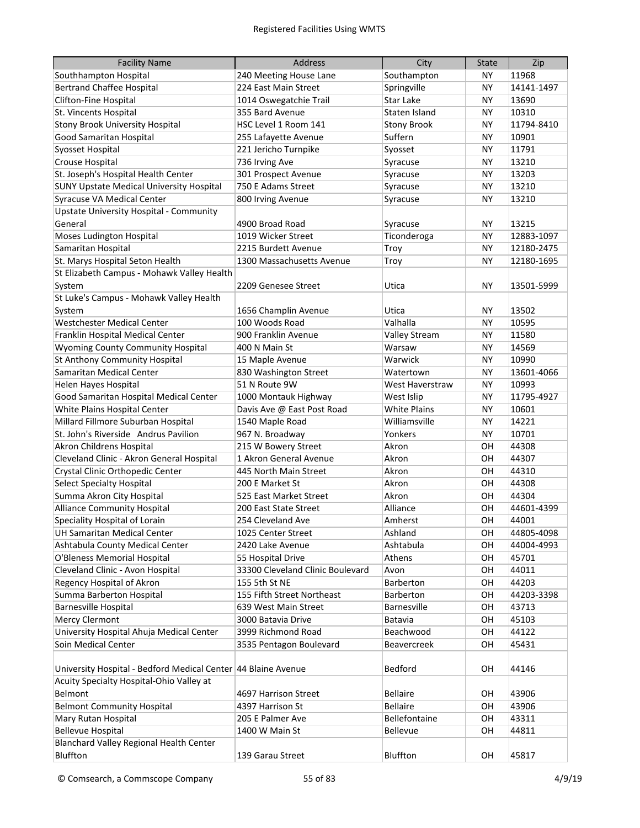| <b>Facility Name</b>                                          | <b>Address</b>                   | City                | <b>State</b> | Zip        |
|---------------------------------------------------------------|----------------------------------|---------------------|--------------|------------|
| Southhampton Hospital                                         | 240 Meeting House Lane           | Southampton         | ΝY           | 11968      |
| <b>Bertrand Chaffee Hospital</b>                              | 224 East Main Street             | Springville         | ΝY           | 14141-1497 |
| Clifton-Fine Hospital                                         | 1014 Oswegatchie Trail           | Star Lake           | <b>NY</b>    | 13690      |
| St. Vincents Hospital                                         | 355 Bard Avenue                  | Staten Island       | <b>NY</b>    | 10310      |
| <b>Stony Brook University Hospital</b>                        | HSC Level 1 Room 141             | <b>Stony Brook</b>  | <b>NY</b>    | 11794-8410 |
| Good Samaritan Hospital                                       | 255 Lafayette Avenue             | Suffern             | <b>NY</b>    | 10901      |
| Syosset Hospital                                              | 221 Jericho Turnpike             | Syosset             | <b>NY</b>    | 11791      |
| Crouse Hospital                                               | 736 Irving Ave                   | Syracuse            | <b>NY</b>    | 13210      |
| St. Joseph's Hospital Health Center                           | 301 Prospect Avenue              | Syracuse            | <b>NY</b>    | 13203      |
| <b>SUNY Upstate Medical University Hospital</b>               | 750 E Adams Street               | Syracuse            | <b>NY</b>    | 13210      |
| Syracuse VA Medical Center                                    | 800 Irving Avenue                | Syracuse            | NY           | 13210      |
| <b>Upstate University Hospital - Community</b>                |                                  |                     |              |            |
| General                                                       | 4900 Broad Road                  | Syracuse            | NY           | 13215      |
| Moses Ludington Hospital                                      | 1019 Wicker Street               | Ticonderoga         | NY           | 12883-1097 |
| Samaritan Hospital                                            | 2215 Burdett Avenue              | Troy                | NY           | 12180-2475 |
| St. Marys Hospital Seton Health                               | 1300 Massachusetts Avenue        | Troy                | NY           | 12180-1695 |
| St Elizabeth Campus - Mohawk Valley Health                    |                                  |                     |              |            |
| System                                                        | 2209 Genesee Street              | Utica               | <b>NY</b>    | 13501-5999 |
| St Luke's Campus - Mohawk Valley Health                       |                                  |                     |              |            |
| System                                                        | 1656 Champlin Avenue             | Utica               | <b>NY</b>    | 13502      |
| Westchester Medical Center                                    | 100 Woods Road                   | Valhalla            | <b>NY</b>    | 10595      |
| Franklin Hospital Medical Center                              | 900 Franklin Avenue              | Valley Stream       | <b>NY</b>    | 11580      |
| Wyoming County Community Hospital                             | 400 N Main St                    | Warsaw              | <b>NY</b>    | 14569      |
| St Anthony Community Hospital                                 | 15 Maple Avenue                  | Warwick             | <b>NY</b>    | 10990      |
| Samaritan Medical Center                                      | 830 Washington Street            | Watertown           | <b>NY</b>    | 13601-4066 |
| Helen Hayes Hospital                                          | 51 N Route 9W                    | West Haverstraw     | <b>NY</b>    | 10993      |
| Good Samaritan Hospital Medical Center                        | 1000 Montauk Highway             | West Islip          | <b>NY</b>    | 11795-4927 |
| White Plains Hospital Center                                  | Davis Ave @ East Post Road       | <b>White Plains</b> | <b>NY</b>    | 10601      |
| Millard Fillmore Suburban Hospital                            | 1540 Maple Road                  | Williamsville       | <b>NY</b>    | 14221      |
| St. John's Riverside Andrus Pavilion                          | 967 N. Broadway                  | Yonkers             | <b>NY</b>    | 10701      |
| Akron Childrens Hospital                                      | 215 W Bowery Street              | Akron               | OH           | 44308      |
| Cleveland Clinic - Akron General Hospital                     | 1 Akron General Avenue           | Akron               | OН           | 44307      |
| Crystal Clinic Orthopedic Center                              | 445 North Main Street            | Akron               | OН           | 44310      |
| <b>Select Specialty Hospital</b>                              | 200 E Market St                  | Akron               | OН           | 44308      |
| Summa Akron City Hospital                                     | 525 East Market Street           | Akron               | OН           | 44304      |
| <b>Alliance Community Hospital</b>                            | 200 East State Street            | Alliance            | OH           | 44601-4399 |
| Speciality Hospital of Lorain                                 | 254 Cleveland Ave                | Amherst             | OH           | 44001      |
| UH Samaritan Medical Center                                   | 1025 Center Street               | Ashland             | OН           | 44805-4098 |
| Ashtabula County Medical Center                               | 2420 Lake Avenue                 | Ashtabula           | OН           | 44004-4993 |
| O'Bleness Memorial Hospital                                   | 55 Hospital Drive                | Athens              | OH           | 45701      |
| Cleveland Clinic - Avon Hospital                              | 33300 Cleveland Clinic Boulevard | Avon                | OН           | 44011      |
| Regency Hospital of Akron                                     | 155 5th St NE                    | Barberton           | OН           | 44203      |
| Summa Barberton Hospital                                      | 155 Fifth Street Northeast       | Barberton           | OН           | 44203-3398 |
| <b>Barnesville Hospital</b>                                   | 639 West Main Street             | Barnesville         | OН           | 43713      |
| <b>Mercy Clermont</b>                                         | 3000 Batavia Drive               | Batavia             | OН           | 45103      |
| University Hospital Ahuja Medical Center                      | 3999 Richmond Road               | Beachwood           | OН           | 44122      |
| Soin Medical Center                                           | 3535 Pentagon Boulevard          | Beavercreek         | OН           | 45431      |
| University Hospital - Bedford Medical Center 44 Blaine Avenue |                                  | Bedford             | OH           | 44146      |
| Acuity Specialty Hospital-Ohio Valley at                      |                                  |                     |              |            |
| Belmont                                                       | 4697 Harrison Street             | <b>Bellaire</b>     | OH           | 43906      |
| <b>Belmont Community Hospital</b>                             | 4397 Harrison St                 | <b>Bellaire</b>     | OH           | 43906      |
| Mary Rutan Hospital                                           | 205 E Palmer Ave                 | Bellefontaine       | OН           | 43311      |
| <b>Bellevue Hospital</b>                                      | 1400 W Main St                   | Bellevue            | OН           | 44811      |
| Blanchard Valley Regional Health Center                       |                                  |                     |              |            |
| Bluffton                                                      | 139 Garau Street                 | Bluffton            | OH           | 45817      |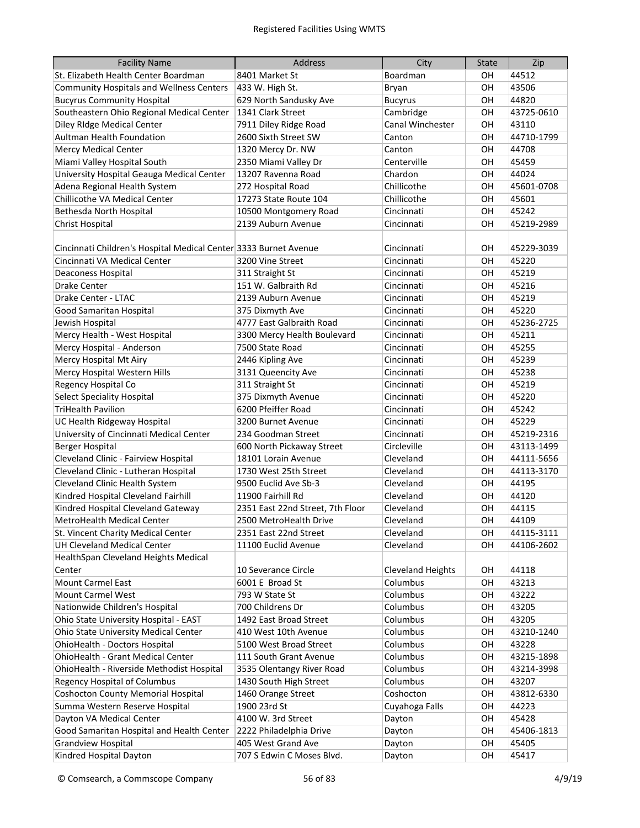| <b>Facility Name</b>                                             | <b>Address</b>                                   | City                     | <b>State</b> | Zip                      |
|------------------------------------------------------------------|--------------------------------------------------|--------------------------|--------------|--------------------------|
| St. Elizabeth Health Center Boardman                             | 8401 Market St                                   | Boardman                 | OН           | 44512                    |
| <b>Community Hospitals and Wellness Centers</b>                  | 433 W. High St.                                  | Bryan                    | OH           | 43506                    |
| <b>Bucyrus Community Hospital</b>                                | 629 North Sandusky Ave                           | <b>Bucyrus</b>           | OH           | 44820                    |
| Southeastern Ohio Regional Medical Center                        | 1341 Clark Street                                | Cambridge                | OH           | 43725-0610               |
| Diley RIdge Medical Center                                       | 7911 Diley Ridge Road                            | Canal Winchester         | OH           | 43110                    |
| <b>Aultman Health Foundation</b>                                 | 2600 Sixth Street SW                             | Canton                   | OH           | 44710-1799               |
| <b>Mercy Medical Center</b>                                      | 1320 Mercy Dr. NW                                | Canton                   | OH           | 44708                    |
| Miami Valley Hospital South                                      | 2350 Miami Valley Dr                             | Centerville              | OH           | 45459                    |
| University Hospital Geauga Medical Center                        | 13207 Ravenna Road                               | Chardon                  | OH           | 44024                    |
| Adena Regional Health System                                     | 272 Hospital Road                                | Chillicothe              | OH           | 45601-0708               |
| Chillicothe VA Medical Center                                    | 17273 State Route 104                            | Chillicothe              | OH           | 45601                    |
| Bethesda North Hospital                                          | 10500 Montgomery Road                            | Cincinnati               | OН           | 45242                    |
| <b>Christ Hospital</b>                                           | 2139 Auburn Avenue                               | Cincinnati               | OН           | 45219-2989               |
|                                                                  |                                                  |                          |              |                          |
| Cincinnati Children's Hospital Medical Center 3333 Burnet Avenue |                                                  | Cincinnati               | OН           | 45229-3039               |
| Cincinnati VA Medical Center                                     | 3200 Vine Street                                 | Cincinnati               | OH           | 45220                    |
| Deaconess Hospital                                               | 311 Straight St                                  | Cincinnati               | OH           | 45219                    |
| <b>Drake Center</b>                                              | 151 W. Galbraith Rd                              | Cincinnati               | OH           | 45216                    |
| Drake Center - LTAC                                              | 2139 Auburn Avenue                               | Cincinnati               | OH           | 45219                    |
| Good Samaritan Hospital                                          | 375 Dixmyth Ave                                  | Cincinnati               | OH           | 45220                    |
| Jewish Hospital                                                  | 4777 East Galbraith Road                         | Cincinnati               | OH           | 45236-2725               |
| Mercy Health - West Hospital                                     | 3300 Mercy Health Boulevard                      | Cincinnati               | OH           | 45211                    |
| Mercy Hospital - Anderson                                        | 7500 State Road                                  | Cincinnati               | OН           | 45255                    |
| Mercy Hospital Mt Airy                                           | 2446 Kipling Ave                                 | Cincinnati               | OН           | 45239                    |
| Mercy Hospital Western Hills                                     | 3131 Queencity Ave                               | Cincinnati               | OН           | 45238                    |
| Regency Hospital Co                                              | 311 Straight St                                  | Cincinnati               | OН           | 45219                    |
| <b>Select Speciality Hospital</b>                                | 375 Dixmyth Avenue                               | Cincinnati               |              | 45220                    |
| <b>TriHealth Pavilion</b>                                        | 6200 Pfeiffer Road                               | Cincinnati               | OН<br>OH     | 45242                    |
|                                                                  |                                                  |                          |              | 45229                    |
| UC Health Ridgeway Hospital                                      | 3200 Burnet Avenue<br>234 Goodman Street         | Cincinnati<br>Cincinnati | OH<br>OH     | 45219-2316               |
| University of Cincinnati Medical Center                          |                                                  |                          |              |                          |
| <b>Berger Hospital</b><br>Cleveland Clinic - Fairview Hospital   | 600 North Pickaway Street<br>18101 Lorain Avenue | Circleville<br>Cleveland | OH           | 43113-1499<br>44111-5656 |
|                                                                  |                                                  |                          | OН           |                          |
| Cleveland Clinic - Lutheran Hospital                             | 1730 West 25th Street                            | Cleveland                | OН           | 44113-3170               |
| Cleveland Clinic Health System                                   | 9500 Euclid Ave Sb-3                             | Cleveland                | OН           | 44195                    |
| Kindred Hospital Cleveland Fairhill                              | 11900 Fairhill Rd                                | Cleveland                | OН           | 44120                    |
| Kindred Hospital Cleveland Gateway                               | 2351 East 22nd Street, 7th Floor                 | Cleveland                | OH           | 44115                    |
| MetroHealth Medical Center                                       | 2500 MetroHealth Drive                           | Cleveland                | OH           | 44109                    |
| St. Vincent Charity Medical Center                               | 2351 East 22nd Street                            | Cleveland                | OH           | 44115-3111               |
| <b>UH Cleveland Medical Center</b>                               | 11100 Euclid Avenue                              | Cleveland                | OH           | 44106-2602               |
| HealthSpan Cleveland Heights Medical                             |                                                  |                          |              |                          |
| Center                                                           | 10 Severance Circle                              | <b>Cleveland Heights</b> | OН           | 44118                    |
| Mount Carmel East                                                | 6001 E Broad St                                  | Columbus                 | OH           | 43213                    |
| Mount Carmel West                                                | 793 W State St                                   | Columbus                 | OН           | 43222                    |
| Nationwide Children's Hospital                                   | 700 Childrens Dr                                 | Columbus                 | OН           | 43205                    |
| Ohio State University Hospital - EAST                            | 1492 East Broad Street                           | Columbus                 | OH           | 43205                    |
| Ohio State University Medical Center                             | 410 West 10th Avenue                             | Columbus                 | OH           | 43210-1240               |
| OhioHealth - Doctors Hospital                                    | 5100 West Broad Street                           | Columbus                 | OH           | 43228                    |
| OhioHealth - Grant Medical Center                                | 111 South Grant Avenue                           | Columbus                 | OH           | 43215-1898               |
| OhioHealth - Riverside Methodist Hospital                        | 3535 Olentangy River Road                        | Columbus                 | OH           | 43214-3998               |
| <b>Regency Hospital of Columbus</b>                              | 1430 South High Street                           | Columbus                 | OH           | 43207                    |
| <b>Coshocton County Memorial Hospital</b>                        | 1460 Orange Street                               | Coshocton                | OН           | 43812-6330               |
| Summa Western Reserve Hospital                                   | 1900 23rd St                                     | Cuyahoga Falls           | OН           | 44223                    |
| Dayton VA Medical Center                                         | 4100 W. 3rd Street                               | Dayton                   | OН           | 45428                    |
| Good Samaritan Hospital and Health Center                        | 2222 Philadelphia Drive                          | Dayton                   | OН           | 45406-1813               |
| <b>Grandview Hospital</b>                                        | 405 West Grand Ave                               | Dayton                   | OH           | 45405                    |
| Kindred Hospital Dayton                                          | 707 S Edwin C Moses Blvd.                        | Dayton                   | OH           | 45417                    |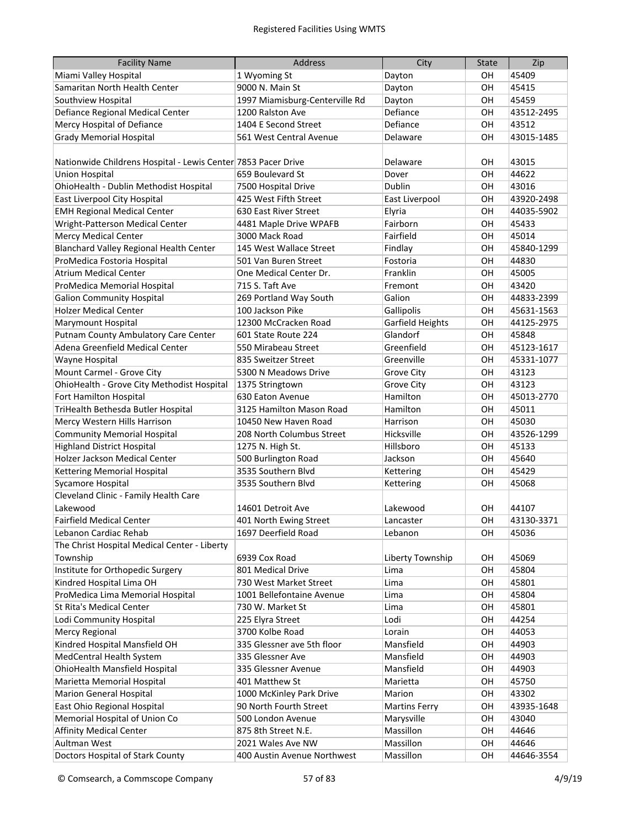| <b>Facility Name</b>                                          | Address                        | City                   | <b>State</b> | Zip            |
|---------------------------------------------------------------|--------------------------------|------------------------|--------------|----------------|
| Miami Valley Hospital                                         | 1 Wyoming St                   | Dayton                 | OН           | 45409          |
| Samaritan North Health Center                                 | 9000 N. Main St                | Dayton                 | OH           | 45415          |
| Southview Hospital                                            | 1997 Miamisburg-Centerville Rd | Dayton                 | OH           | 45459          |
| Defiance Regional Medical Center                              | 1200 Ralston Ave               | Defiance               | OH           | 43512-2495     |
| Mercy Hospital of Defiance                                    | 1404 E Second Street           | Defiance               | OH           | 43512          |
| <b>Grady Memorial Hospital</b>                                | 561 West Central Avenue        | Delaware               | OH           | 43015-1485     |
|                                                               |                                |                        |              |                |
| Nationwide Childrens Hospital - Lewis Center 7853 Pacer Drive |                                | Delaware               | OH           | 43015          |
| <b>Union Hospital</b>                                         | 659 Boulevard St               | Dover                  | OH           | 44622          |
| OhioHealth - Dublin Methodist Hospital                        | 7500 Hospital Drive            | <b>Dublin</b>          | OH           | 43016          |
| East Liverpool City Hospital                                  | 425 West Fifth Street          | East Liverpool         | OH           | 43920-2498     |
| <b>EMH Regional Medical Center</b>                            | 630 East River Street          | Elyria                 | OH           | 44035-5902     |
| Wright-Patterson Medical Center                               | 4481 Maple Drive WPAFB         | Fairborn               | OH           | 45433          |
| <b>Mercy Medical Center</b>                                   | 3000 Mack Road                 | Fairfield              | OH           | 45014          |
| Blanchard Valley Regional Health Center                       | 145 West Wallace Street        | Findlay                | OH           | 45840-1299     |
| ProMedica Fostoria Hospital                                   | 501 Van Buren Street           | Fostoria               | OH           | 44830          |
| <b>Atrium Medical Center</b>                                  | One Medical Center Dr.         | Franklin               | OH           | 45005          |
| ProMedica Memorial Hospital                                   | 715 S. Taft Ave                | Fremont                | OH           | 43420          |
| <b>Galion Community Hospital</b>                              | 269 Portland Way South         | Galion                 | OH           | 44833-2399     |
| <b>Holzer Medical Center</b>                                  | 100 Jackson Pike               | Gallipolis             | OH           | 45631-1563     |
| <b>Marymount Hospital</b>                                     | 12300 McCracken Road           | Garfield Heights       | OH           | 44125-2975     |
| Putnam County Ambulatory Care Center                          | 601 State Route 224            | Glandorf               | OH           | 45848          |
| Adena Greenfield Medical Center                               | 550 Mirabeau Street            | Greenfield             | OH           | 45123-1617     |
| Wayne Hospital                                                | 835 Sweitzer Street            | Greenville             | OH           | 45331-1077     |
| Mount Carmel - Grove City                                     | 5300 N Meadows Drive           | <b>Grove City</b>      | OH           | 43123          |
| OhioHealth - Grove City Methodist Hospital                    | 1375 Stringtown                | <b>Grove City</b>      | OH           | 43123          |
| Fort Hamilton Hospital                                        | 630 Eaton Avenue               | Hamilton               | OH           | 45013-2770     |
| TriHealth Bethesda Butler Hospital                            | 3125 Hamilton Mason Road       | Hamilton               | OН           | 45011          |
| Mercy Western Hills Harrison                                  | 10450 New Haven Road           | Harrison               | OH           | 45030          |
| <b>Community Memorial Hospital</b>                            | 208 North Columbus Street      | Hicksville             | OН           | 43526-1299     |
| <b>Highland District Hospital</b>                             | 1275 N. High St.               | Hillsboro              | OН           | 45133          |
| Holzer Jackson Medical Center                                 | 500 Burlington Road            | Jackson                | OН           | 45640          |
| Kettering Memorial Hospital                                   | 3535 Southern Blvd             | Kettering              | OH           | 45429          |
| Sycamore Hospital                                             | 3535 Southern Blvd             | Kettering              | OН           | 45068          |
| Cleveland Clinic - Family Health Care                         |                                |                        |              |                |
| Lakewood                                                      | 14601 Detroit Ave              | Lakewood               | OH           | 44107          |
| <b>Fairfield Medical Center</b>                               | 401 North Ewing Street         | Lancaster              | OH           | 43130-3371     |
| Lebanon Cardiac Rehab                                         | 1697 Deerfield Road            | Lebanon                | OH           | 45036          |
| The Christ Hospital Medical Center - Liberty                  |                                |                        |              |                |
| Township                                                      | 6939 Cox Road                  | Liberty Township       | OН           | 45069          |
| Institute for Orthopedic Surgery                              | 801 Medical Drive              | Lima                   | OH           | 45804          |
| Kindred Hospital Lima OH                                      | 730 West Market Street         | Lima                   | OH           | 45801          |
| ProMedica Lima Memorial Hospital                              | 1001 Bellefontaine Avenue      | Lima                   | OH           | 45804          |
| St Rita's Medical Center                                      | 730 W. Market St               | Lima                   | OH           | 45801          |
| Lodi Community Hospital                                       | 225 Elyra Street               | Lodi                   | OH           | 44254          |
| <b>Mercy Regional</b>                                         | 3700 Kolbe Road                | Lorain                 | OН           | 44053          |
| Kindred Hospital Mansfield OH                                 | 335 Glessner ave 5th floor     | Mansfield              | OH           | 44903          |
| MedCentral Health System                                      | 335 Glessner Ave               | Mansfield              | OН           | 44903          |
| OhioHealth Mansfield Hospital                                 | 335 Glessner Avenue            | Mansfield              | OН           | 44903          |
|                                                               |                                | Marietta               |              |                |
| Marietta Memorial Hospital<br><b>Marion General Hospital</b>  | 401 Matthew St                 | Marion                 | OН           | 45750          |
|                                                               | 1000 McKinley Park Drive       |                        | OН           | 43302          |
| East Ohio Regional Hospital                                   | 90 North Fourth Street         | <b>Martins Ferry</b>   | OH           | 43935-1648     |
| Memorial Hospital of Union Co                                 | 500 London Avenue              | Marysville             | OH           | 43040          |
| <b>Affinity Medical Center</b><br>Aultman West                | 875 8th Street N.E.            | Massillon<br>Massillon | OH<br>OH     | 44646<br>44646 |
|                                                               | 2021 Wales Ave NW              |                        |              |                |
| Doctors Hospital of Stark County                              | 400 Austin Avenue Northwest    | Massillon              | OH           | 44646-3554     |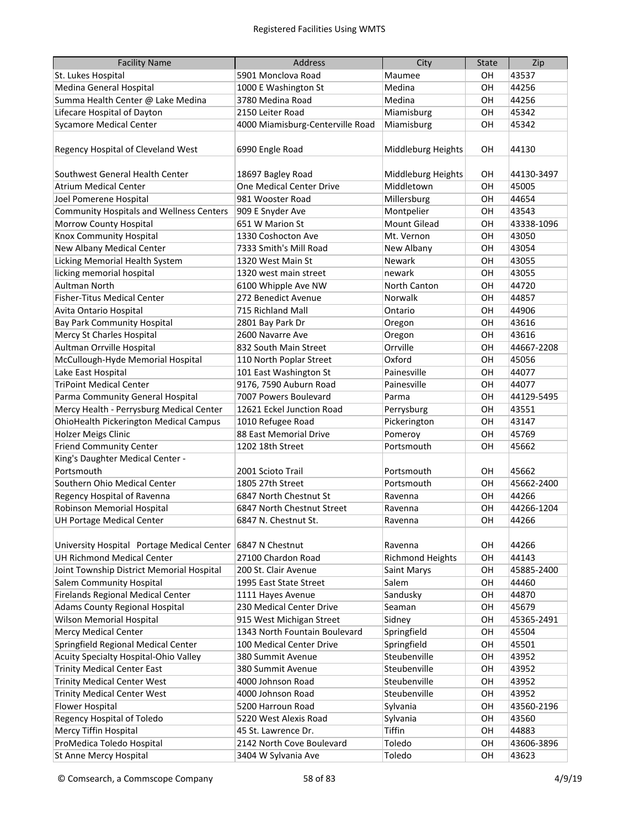| <b>Facility Name</b>                                        | <b>Address</b>                             | City                    | <b>State</b> | Zip        |
|-------------------------------------------------------------|--------------------------------------------|-------------------------|--------------|------------|
| St. Lukes Hospital                                          | 5901 Monclova Road                         | Maumee                  | OН           | 43537      |
| Medina General Hospital                                     | 1000 E Washington St                       | Medina                  | OH           | 44256      |
| Summa Health Center @ Lake Medina                           | 3780 Medina Road                           | Medina                  | OH           | 44256      |
| Lifecare Hospital of Dayton                                 | 2150 Leiter Road                           | Miamisburg              | OH           | 45342      |
| <b>Sycamore Medical Center</b>                              | 4000 Miamisburg-Centerville Road           | Miamisburg              | OH           | 45342      |
|                                                             |                                            |                         |              |            |
| Regency Hospital of Cleveland West                          | 6990 Engle Road                            | Middleburg Heights      | OH           | 44130      |
| Southwest General Health Center                             | 18697 Bagley Road                          | Middleburg Heights      | OН           | 44130-3497 |
| <b>Atrium Medical Center</b>                                | One Medical Center Drive                   | Middletown              | OH           | 45005      |
| Joel Pomerene Hospital                                      | 981 Wooster Road                           | Millersburg             | OH           | 44654      |
| <b>Community Hospitals and Wellness Centers</b>             | 909 E Snyder Ave                           | Montpelier              | OH           | 43543      |
| Morrow County Hospital                                      | 651 W Marion St                            | <b>Mount Gilead</b>     | OH           | 43338-1096 |
| Knox Community Hospital                                     | 1330 Coshocton Ave                         | Mt. Vernon              | OH           | 43050      |
| New Albany Medical Center                                   | 7333 Smith's Mill Road                     | New Albany              | OН           | 43054      |
|                                                             |                                            | Newark                  |              | 43055      |
| Licking Memorial Health System<br>licking memorial hospital | 1320 West Main St                          |                         | OН           | 43055      |
|                                                             | 1320 west main street                      | newark                  | OН           |            |
| Aultman North<br><b>Fisher-Titus Medical Center</b>         | 6100 Whipple Ave NW<br>272 Benedict Avenue | North Canton            | OH           | 44720      |
|                                                             |                                            | Norwalk                 | OH           | 44857      |
| Avita Ontario Hospital                                      | 715 Richland Mall                          | Ontario                 | OH           | 44906      |
| <b>Bay Park Community Hospital</b>                          | 2801 Bay Park Dr                           | Oregon                  | OH           | 43616      |
| Mercy St Charles Hospital                                   | 2600 Navarre Ave                           | Oregon                  | OH           | 43616      |
| Aultman Orrville Hospital                                   | 832 South Main Street                      | Orrville                | OH           | 44667-2208 |
| McCullough-Hyde Memorial Hospital                           | 110 North Poplar Street                    | Oxford                  | OH           | 45056      |
| Lake East Hospital                                          | 101 East Washington St                     | Painesville             | OH           | 44077      |
| <b>TriPoint Medical Center</b>                              | 9176, 7590 Auburn Road                     | Painesville             | OH           | 44077      |
| Parma Community General Hospital                            | 7007 Powers Boulevard                      | Parma                   | OН           | 44129-5495 |
| Mercy Health - Perrysburg Medical Center                    | 12621 Eckel Junction Road                  | Perrysburg              | OН           | 43551      |
| <b>OhioHealth Pickerington Medical Campus</b>               | 1010 Refugee Road                          | Pickerington            | OН           | 43147      |
| <b>Holzer Meigs Clinic</b>                                  | 88 East Memorial Drive                     | Pomeroy                 | OН           | 45769      |
| <b>Friend Community Center</b>                              | 1202 18th Street                           | Portsmouth              | OН           | 45662      |
| King's Daughter Medical Center -                            |                                            |                         |              |            |
| Portsmouth                                                  | 2001 Scioto Trail                          | Portsmouth              | OН           | 45662      |
| Southern Ohio Medical Center                                | 1805 27th Street                           | Portsmouth              | OН           | 45662-2400 |
| Regency Hospital of Ravenna                                 | 6847 North Chestnut St                     | Ravenna                 | OН           | 44266      |
| Robinson Memorial Hospital                                  | 6847 North Chestnut Street                 | Ravenna                 | OH           | 44266-1204 |
| <b>UH Portage Medical Center</b>                            | 6847 N. Chestnut St.                       | Ravenna                 | OH           | 44266      |
| University Hospital Portage Medical Center                  | 6847 N Chestnut                            | Ravenna                 | OН           | 44266      |
| <b>UH Richmond Medical Center</b>                           | 27100 Chardon Road                         | <b>Richmond Heights</b> | OH           | 44143      |
| Joint Township District Memorial Hospital                   | 200 St. Clair Avenue                       | Saint Marys             | OH           | 45885-2400 |
| Salem Community Hospital                                    | 1995 East State Street                     | Salem                   | OН           | 44460      |
| Firelands Regional Medical Center                           | 1111 Hayes Avenue                          | Sandusky                | OН           | 44870      |
| <b>Adams County Regional Hospital</b>                       | 230 Medical Center Drive                   | Seaman                  | OН           | 45679      |
| Wilson Memorial Hospital                                    | 915 West Michigan Street                   | Sidney                  | OН           | 45365-2491 |
| <b>Mercy Medical Center</b>                                 | 1343 North Fountain Boulevard              | Springfield             | OH           | 45504      |
| Springfield Regional Medical Center                         | 100 Medical Center Drive                   | Springfield             | OH           | 45501      |
| Acuity Specialty Hospital-Ohio Valley                       | 380 Summit Avenue                          | Steubenville            | OН           | 43952      |
| <b>Trinity Medical Center East</b>                          | 380 Summit Avenue                          | Steubenville            | OH           | 43952      |
| <b>Trinity Medical Center West</b>                          | 4000 Johnson Road                          | Steubenville            | OН           | 43952      |
| <b>Trinity Medical Center West</b>                          | 4000 Johnson Road                          | Steubenville            | OН           | 43952      |
| <b>Flower Hospital</b>                                      | 5200 Harroun Road                          | Sylvania                | OН           | 43560-2196 |
| Regency Hospital of Toledo                                  | 5220 West Alexis Road                      | Sylvania                | OН           | 43560      |
| <b>Mercy Tiffin Hospital</b>                                | 45 St. Lawrence Dr.                        | <b>Tiffin</b>           | OН           | 44883      |
| ProMedica Toledo Hospital                                   | 2142 North Cove Boulevard                  | Toledo                  | OH           | 43606-3896 |
| St Anne Mercy Hospital                                      | 3404 W Sylvania Ave                        | Toledo                  | OH           | 43623      |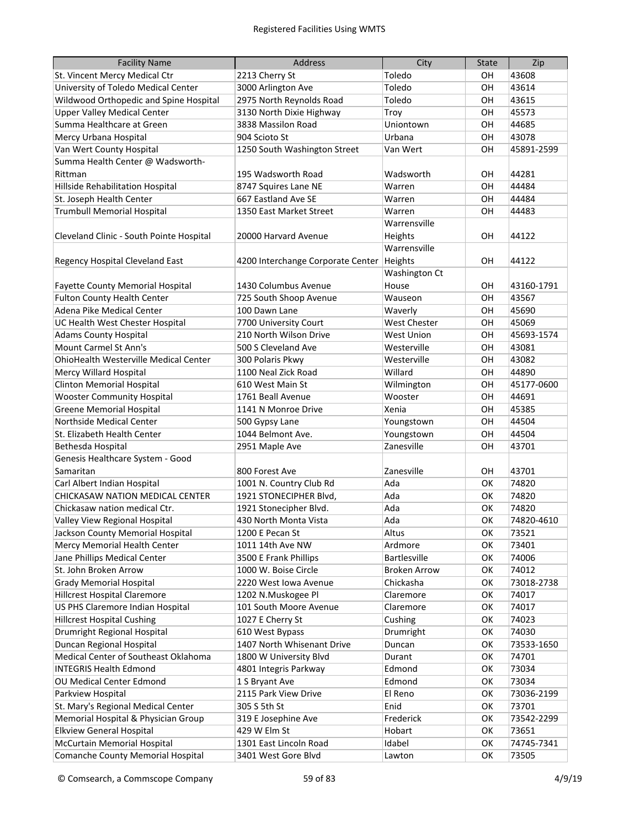| <b>Facility Name</b>                     | <b>Address</b>                    | City                | <b>State</b> | Zip        |
|------------------------------------------|-----------------------------------|---------------------|--------------|------------|
| St. Vincent Mercy Medical Ctr            | 2213 Cherry St                    | Toledo              | OН           | 43608      |
| University of Toledo Medical Center      | 3000 Arlington Ave                | Toledo              | OН           | 43614      |
| Wildwood Orthopedic and Spine Hospital   | 2975 North Reynolds Road          | Toledo              | OН           | 43615      |
| <b>Upper Valley Medical Center</b>       | 3130 North Dixie Highway          | Troy                | OН           | 45573      |
| Summa Healthcare at Green                | 3838 Massilon Road                | Uniontown           | OН           | 44685      |
| Mercy Urbana Hospital                    | 904 Scioto St                     | Urbana              | OH           | 43078      |
| Van Wert County Hospital                 | 1250 South Washington Street      | Van Wert            | OH           | 45891-2599 |
| Summa Health Center @ Wadsworth-         |                                   |                     |              |            |
| Rittman                                  | 195 Wadsworth Road                | Wadsworth           | <b>OH</b>    | 44281      |
| Hillside Rehabilitation Hospital         | 8747 Squires Lane NE              | Warren              | <b>OH</b>    | 44484      |
| St. Joseph Health Center                 | 667 Eastland Ave SE               | Warren              | OH           | 44484      |
| <b>Trumbull Memorial Hospital</b>        | 1350 East Market Street           | Warren              | OH           | 44483      |
|                                          |                                   | Warrensville        |              |            |
| Cleveland Clinic - South Pointe Hospital | 20000 Harvard Avenue              | Heights             | OH           | 44122      |
|                                          |                                   | Warrensville        |              |            |
| <b>Regency Hospital Cleveland East</b>   | 4200 Interchange Corporate Center | Heights             | <b>OH</b>    | 44122      |
|                                          |                                   | Washington Ct       |              |            |
| <b>Fayette County Memorial Hospital</b>  | 1430 Columbus Avenue              | House               | <b>OH</b>    | 43160-1791 |
| <b>Fulton County Health Center</b>       | 725 South Shoop Avenue            | Wauseon             | <b>OH</b>    | 43567      |
| Adena Pike Medical Center                | 100 Dawn Lane                     | Waverly             | OH           | 45690      |
| UC Health West Chester Hospital          | 7700 University Court             | <b>West Chester</b> | OH           | 45069      |
| <b>Adams County Hospital</b>             | 210 North Wilson Drive            | <b>West Union</b>   | OH           | 45693-1574 |
| Mount Carmel St Ann's                    | 500 S Cleveland Ave               | Westerville         | OH           | 43081      |
| OhioHealth Westerville Medical Center    | 300 Polaris Pkwy                  | Westerville         | OH           | 43082      |
| <b>Mercy Willard Hospital</b>            | 1100 Neal Zick Road               | Willard             | OH           | 44890      |
| <b>Clinton Memorial Hospital</b>         | 610 West Main St                  | Wilmington          | OH           | 45177-0600 |
| <b>Wooster Community Hospital</b>        | 1761 Beall Avenue                 | Wooster             | OH           | 44691      |
| <b>Greene Memorial Hospital</b>          | 1141 N Monroe Drive               | Xenia               | OH           | 45385      |
| Northside Medical Center                 | 500 Gypsy Lane                    | Youngstown          | OH           | 44504      |
| St. Elizabeth Health Center              | 1044 Belmont Ave.                 | Youngstown          | OH           | 44504      |
| Bethesda Hospital                        | 2951 Maple Ave                    | Zanesville          | OH           | 43701      |
| Genesis Healthcare System - Good         |                                   |                     |              |            |
| Samaritan                                | 800 Forest Ave                    | Zanesville          | OH           | 43701      |
| Carl Albert Indian Hospital              | 1001 N. Country Club Rd           | Ada                 | OK           | 74820      |
| CHICKASAW NATION MEDICAL CENTER          | 1921 STONECIPHER Blvd,            | Ada                 | OK           | 74820      |
| Chickasaw nation medical Ctr.            | 1921 Stonecipher Blvd.            | Ada                 | OK           | 74820      |
| Valley View Regional Hospital            | 430 North Monta Vista             | Ada                 | OK           | 74820-4610 |
| Jackson County Memorial Hospital         | 1200 E Pecan St                   | Altus               | OK           | 73521      |
| Mercy Memorial Health Center             | 1011 14th Ave NW                  | Ardmore             | OK           | 73401      |
| Jane Phillips Medical Center             | 3500 E Frank Phillips             | <b>Bartlesville</b> | OK           | 74006      |
| St. John Broken Arrow                    | 1000 W. Boise Circle              | <b>Broken Arrow</b> | OK           | 74012      |
| <b>Grady Memorial Hospital</b>           | 2220 West Iowa Avenue             | Chickasha           | OK           | 73018-2738 |
| <b>Hillcrest Hospital Claremore</b>      | 1202 N.Muskogee Pl                | Claremore           | OK           | 74017      |
| US PHS Claremore Indian Hospital         | 101 South Moore Avenue            | Claremore           | OK           | 74017      |
| <b>Hillcrest Hospital Cushing</b>        | 1027 E Cherry St                  | Cushing             | OK           | 74023      |
| Drumright Regional Hospital              | 610 West Bypass                   | Drumright           | ОК           | 74030      |
| Duncan Regional Hospital                 | 1407 North Whisenant Drive        | Duncan              | ОК           | 73533-1650 |
| Medical Center of Southeast Oklahoma     | 1800 W University Blvd            | Durant              | ОΚ           | 74701      |
| <b>INTEGRIS Health Edmond</b>            | 4801 Integris Parkway             | Edmond              | ОК           | 73034      |
| OU Medical Center Edmond                 | 1 S Bryant Ave                    | Edmond              | OK           | 73034      |
| Parkview Hospital                        | 2115 Park View Drive              | El Reno             | OK           | 73036-2199 |
| St. Mary's Regional Medical Center       | 305 S 5th St                      | Enid                | ОК           | 73701      |
| Memorial Hospital & Physician Group      | 319 E Josephine Ave               | Frederick           | ОК           | 73542-2299 |
| <b>Elkview General Hospital</b>          | 429 W Elm St                      | Hobart              | ОК           | 73651      |
| McCurtain Memorial Hospital              | 1301 East Lincoln Road            | Idabel              | OK           | 74745-7341 |
| <b>Comanche County Memorial Hospital</b> | 3401 West Gore Blvd               | Lawton              | OK           | 73505      |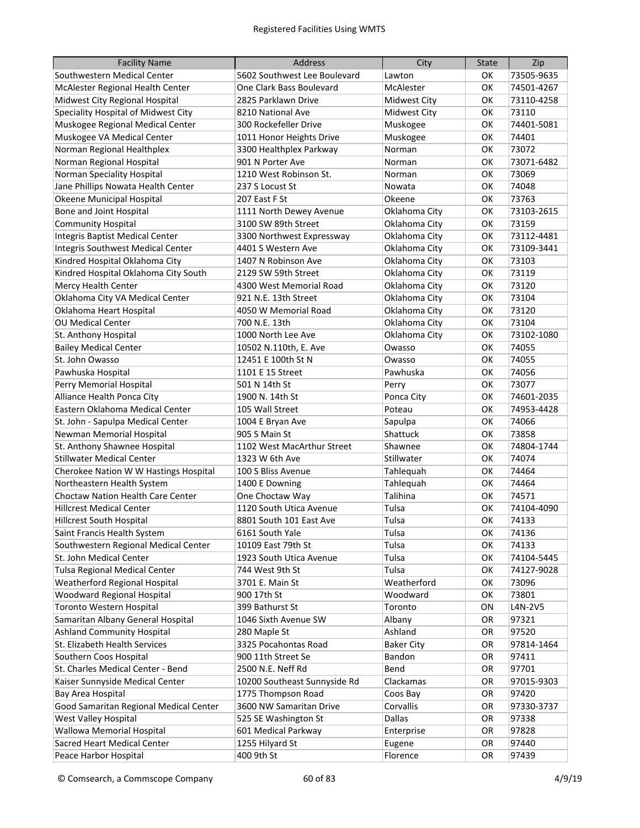| <b>Facility Name</b>                   | <b>Address</b>               | City              | <b>State</b> | Zip        |
|----------------------------------------|------------------------------|-------------------|--------------|------------|
| Southwestern Medical Center            | 5602 Southwest Lee Boulevard | Lawton            | ОΚ           | 73505-9635 |
| McAlester Regional Health Center       | One Clark Bass Boulevard     | McAlester         | OK           | 74501-4267 |
| Midwest City Regional Hospital         | 2825 Parklawn Drive          | Midwest City      | OK           | 73110-4258 |
| Speciality Hospital of Midwest City    | 8210 National Ave            | Midwest City      | OK           | 73110      |
| Muskogee Regional Medical Center       | 300 Rockefeller Drive        | Muskogee          | OK           | 74401-5081 |
| Muskogee VA Medical Center             | 1011 Honor Heights Drive     | Muskogee          | OK           | 74401      |
| Norman Regional Healthplex             | 3300 Healthplex Parkway      | Norman            | OK           | 73072      |
| Norman Regional Hospital               | 901 N Porter Ave             | Norman            | OK           | 73071-6482 |
| Norman Speciality Hospital             | 1210 West Robinson St.       | Norman            | OK           | 73069      |
| Jane Phillips Nowata Health Center     | 237 S Locust St              | Nowata            | OK           | 74048      |
| Okeene Municipal Hospital              | 207 East F St                | Okeene            | OK           | 73763      |
| Bone and Joint Hospital                | 1111 North Dewey Avenue      | Oklahoma City     | OK           | 73103-2615 |
| <b>Community Hospital</b>              | 3100 SW 89th Street          | Oklahoma City     | OK           | 73159      |
| Integris Baptist Medical Center        | 3300 Northwest Expressway    | Oklahoma City     | OK           | 73112-4481 |
| Integris Southwest Medical Center      | 4401 S Western Ave           | Oklahoma City     | OK           | 73109-3441 |
| Kindred Hospital Oklahoma City         | 1407 N Robinson Ave          | Oklahoma City     | OK           | 73103      |
| Kindred Hospital Oklahoma City South   | 2129 SW 59th Street          | Oklahoma City     | OK           | 73119      |
| Mercy Health Center                    | 4300 West Memorial Road      | Oklahoma City     | OK           | 73120      |
| Oklahoma City VA Medical Center        | 921 N.E. 13th Street         | Oklahoma City     | OK           | 73104      |
| Oklahoma Heart Hospital                | 4050 W Memorial Road         | Oklahoma City     | OK           | 73120      |
| <b>OU Medical Center</b>               | 700 N.E. 13th                | Oklahoma City     | OK           | 73104      |
| St. Anthony Hospital                   | 1000 North Lee Ave           | Oklahoma City     | OK           | 73102-1080 |
| <b>Bailey Medical Center</b>           | 10502 N.110th, E. Ave        | Owasso            | OK           | 74055      |
| St. John Owasso                        | 12451 E 100th St N           | Owasso            | OK           | 74055      |
| Pawhuska Hospital                      | 1101 E 15 Street             | Pawhuska          | OK           | 74056      |
| Perry Memorial Hospital                | 501 N 14th St                | Perry             | OK           | 73077      |
| Alliance Health Ponca City             | 1900 N. 14th St              | Ponca City        | OK           | 74601-2035 |
| Eastern Oklahoma Medical Center        | 105 Wall Street              | Poteau            | OK           | 74953-4428 |
| St. John - Sapulpa Medical Center      | 1004 E Bryan Ave             | Sapulpa           | OK           | 74066      |
| Newman Memorial Hospital               | 905 S Main St                | Shattuck          | OK           | 73858      |
| St. Anthony Shawnee Hospital           | 1102 West MacArthur Street   | Shawnee           | OK           | 74804-1744 |
| <b>Stillwater Medical Center</b>       | 1323 W 6th Ave               | Stillwater        | OK           | 74074      |
| Cherokee Nation W W Hastings Hospital  | 100 S Bliss Avenue           | Tahlequah         | ОΚ           | 74464      |
| Northeastern Health System             | 1400 E Downing               | Tahlequah         | ОΚ           | 74464      |
| Choctaw Nation Health Care Center      | One Choctaw Way              | Talihina          | ОΚ           | 74571      |
| <b>Hillcrest Medical Center</b>        | 1120 South Utica Avenue      | Tulsa             | OK           | 74104-4090 |
| <b>Hillcrest South Hospital</b>        | 8801 South 101 East Ave      | Tulsa             | OK           | 74133      |
| Saint Francis Health System            | 6161 South Yale              | Tulsa             | OK           | 74136      |
| Southwestern Regional Medical Center   | 10109 East 79th St           | Tulsa             | OK           | 74133      |
| St. John Medical Center                | 1923 South Utica Avenue      | Tulsa             | OK           | 74104-5445 |
| <b>Tulsa Regional Medical Center</b>   | 744 West 9th St              | Tulsa             | OK           | 74127-9028 |
| Weatherford Regional Hospital          | 3701 E. Main St              | Weatherford       | OK           | 73096      |
| Woodward Regional Hospital             | 900 17th St                  | Woodward          | OK           | 73801      |
| Toronto Western Hospital               | 399 Bathurst St              | Toronto           | ON           | L4N-2V5    |
| Samaritan Albany General Hospital      | 1046 Sixth Avenue SW         | Albany            | <b>OR</b>    | 97321      |
| <b>Ashland Community Hospital</b>      | 280 Maple St                 | Ashland           | <b>OR</b>    | 97520      |
| St. Elizabeth Health Services          | 3325 Pocahontas Road         | <b>Baker City</b> | <b>OR</b>    | 97814-1464 |
| Southern Coos Hospital                 | 900 11th Street Se           | Bandon            | <b>OR</b>    | 97411      |
| St. Charles Medical Center - Bend      | 2500 N.E. Neff Rd            | Bend              | <b>OR</b>    | 97701      |
| Kaiser Sunnyside Medical Center        | 10200 Southeast Sunnyside Rd | Clackamas         | <b>OR</b>    | 97015-9303 |
| Bay Area Hospital                      | 1775 Thompson Road           | Coos Bay          | <b>OR</b>    | 97420      |
| Good Samaritan Regional Medical Center | 3600 NW Samaritan Drive      | Corvallis         | <b>OR</b>    | 97330-3737 |
| West Valley Hospital                   | 525 SE Washington St         | <b>Dallas</b>     | <b>OR</b>    | 97338      |
| Wallowa Memorial Hospital              | 601 Medical Parkway          | Enterprise        | <b>OR</b>    | 97828      |
| Sacred Heart Medical Center            | 1255 Hilyard St              | Eugene            | <b>OR</b>    | 97440      |
| Peace Harbor Hospital                  | 400 9th St                   | Florence          | OR           | 97439      |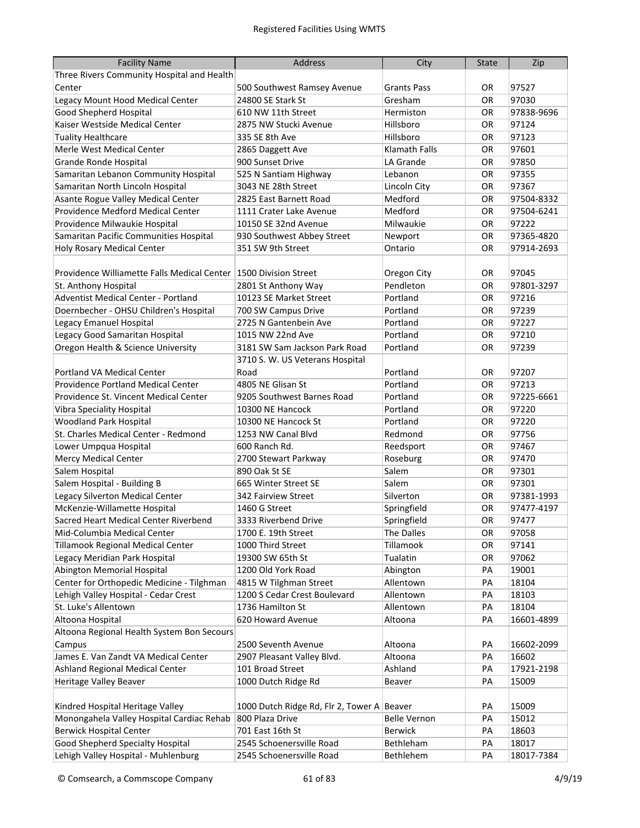| <b>Facility Name</b>                                                        | <b>Address</b>                               | City                                  | <b>State</b> | Zip            |
|-----------------------------------------------------------------------------|----------------------------------------------|---------------------------------------|--------------|----------------|
| Three Rivers Community Hospital and Health                                  |                                              |                                       |              |                |
| Center                                                                      | 500 Southwest Ramsey Avenue                  | <b>Grants Pass</b>                    | OR           | 97527          |
| Legacy Mount Hood Medical Center                                            | 24800 SE Stark St                            | Gresham                               | OR           | 97030          |
| Good Shepherd Hospital                                                      | 610 NW 11th Street                           | Hermiston                             | OR           | 97838-9696     |
| Kaiser Westside Medical Center                                              | 2875 NW Stucki Avenue                        | Hillsboro                             | OR           | 97124          |
| <b>Tuality Healthcare</b>                                                   | 335 SE 8th Ave                               | Hillsboro                             | OR           | 97123          |
| Merle West Medical Center                                                   | 2865 Daggett Ave                             | Klamath Falls                         | OR           | 97601          |
| Grande Ronde Hospital                                                       | 900 Sunset Drive                             | LA Grande                             | OR           | 97850          |
| Samaritan Lebanon Community Hospital                                        | 525 N Santiam Highway                        | Lebanon                               | OR           | 97355          |
| Samaritan North Lincoln Hospital                                            | 3043 NE 28th Street                          | Lincoln City                          | OR           | 97367          |
| Asante Rogue Valley Medical Center                                          | 2825 East Barnett Road                       | Medford                               | OR           | 97504-8332     |
| Providence Medford Medical Center                                           | 1111 Crater Lake Avenue                      | Medford                               | OR           | 97504-6241     |
| Providence Milwaukie Hospital                                               | 10150 SE 32nd Avenue                         | Milwaukie                             | OR           | 97222          |
| Samaritan Pacific Communities Hospital                                      | 930 Southwest Abbey Street                   | Newport                               | OR.          | 97365-4820     |
| Holy Rosary Medical Center                                                  | 351 SW 9th Street                            | Ontario                               | <b>OR</b>    | 97914-2693     |
|                                                                             |                                              |                                       |              |                |
| Providence Williamette Falls Medical Center 1500 Division Street            |                                              | Oregon City                           | OR.          | 97045          |
| St. Anthony Hospital                                                        | 2801 St Anthony Way                          | Pendleton                             | <b>OR</b>    | 97801-3297     |
| Adventist Medical Center - Portland                                         | 10123 SE Market Street                       | Portland                              | OR           | 97216          |
| Doernbecher - OHSU Children's Hospital                                      | 700 SW Campus Drive                          | Portland                              | OR           | 97239          |
| Legacy Emanuel Hospital                                                     | 2725 N Gantenbein Ave                        | Portland                              | OR           | 97227          |
| Legacy Good Samaritan Hospital                                              | 1015 NW 22nd Ave                             | Portland                              | OR           | 97210          |
| Oregon Health & Science University                                          | 3181 SW Sam Jackson Park Road                | Portland                              | <b>OR</b>    | 97239          |
|                                                                             | 3710 S. W. US Veterans Hospital              |                                       |              |                |
| Portland VA Medical Center                                                  | Road                                         | Portland                              | OR           | 97207          |
| Providence Portland Medical Center                                          | 4805 NE Glisan St                            | Portland                              | OR           | 97213          |
| Providence St. Vincent Medical Center                                       | 9205 Southwest Barnes Road                   | Portland                              | OR           | 97225-6661     |
| Vibra Speciality Hospital                                                   | 10300 NE Hancock                             | Portland                              | OR           | 97220          |
| Woodland Park Hospital                                                      | 10300 NE Hancock St                          | Portland                              | OR           | 97220          |
| St. Charles Medical Center - Redmond                                        | 1253 NW Canal Blvd                           | Redmond                               | OR           | 97756          |
| Lower Umpqua Hospital                                                       | 600 Ranch Rd.                                | Reedsport                             | OR           | 97467          |
| <b>Mercy Medical Center</b>                                                 | 2700 Stewart Parkway                         | Roseburg                              | OR.          | 97470          |
| Salem Hospital                                                              | 890 Oak St SE                                | Salem                                 | <b>OR</b>    | 97301          |
| Salem Hospital - Building B                                                 | 665 Winter Street SE                         | Salem                                 | <b>OR</b>    | 97301          |
| Legacy Silverton Medical Center                                             | 342 Fairview Street                          | Silverton                             | <b>OR</b>    | 97381-1993     |
| McKenzie-Willamette Hospital                                                | 1460 G Street                                | Springfield                           | OR.          | 97477-4197     |
| Sacred Heart Medical Center Riverbend                                       | 3333 Riverbend Drive                         | Springfield                           | OR           | 97477          |
| Mid-Columbia Medical Center                                                 | 1700 E. 19th Street                          | The Dalles                            | OR           | 97058          |
| Tillamook Regional Medical Center                                           | 1000 Third Street                            | Tillamook                             | OR           | 97141          |
| Legacy Meridian Park Hospital                                               | 19300 SW 65th St                             | Tualatin                              | OR           | 97062          |
| <b>Abington Memorial Hospital</b>                                           | 1200 Old York Road                           | Abington                              | PA           | 19001          |
| Center for Orthopedic Medicine - Tilghman                                   | 4815 W Tilghman Street                       | Allentown                             | PA           | 18104          |
| Lehigh Valley Hospital - Cedar Crest                                        | 1200 S Cedar Crest Boulevard                 | Allentown                             | PA           | 18103          |
| St. Luke's Allentown                                                        | 1736 Hamilton St                             | Allentown                             | PA           | 18104          |
| Altoona Hospital                                                            | 620 Howard Avenue                            | Altoona                               | PA           | 16601-4899     |
| Altoona Regional Health System Bon Secours                                  |                                              |                                       |              |                |
| Campus                                                                      | 2500 Seventh Avenue                          | Altoona                               | PA           | 16602-2099     |
| James E. Van Zandt VA Medical Center                                        | 2907 Pleasant Valley Blvd.                   | Altoona                               | PA           | 16602          |
| Ashland Regional Medical Center                                             | 101 Broad Street                             | Ashland                               | PA           | 17921-2198     |
| Heritage Valley Beaver                                                      | 1000 Dutch Ridge Rd                          | Beaver                                | PA           | 15009          |
|                                                                             |                                              |                                       |              |                |
| Kindred Hospital Heritage Valley                                            | 1000 Dutch Ridge Rd, Flr 2, Tower A          | Beaver                                | PA           | 15009          |
| Monongahela Valley Hospital Cardiac Rehab<br><b>Berwick Hospital Center</b> | 800 Plaza Drive                              | <b>Belle Vernon</b><br><b>Berwick</b> | PA           | 15012          |
| Good Shepherd Specialty Hospital                                            | 701 East 16th St<br>2545 Schoenersville Road | Bethleham                             | PА<br>PA     | 18603<br>18017 |
| Lehigh Valley Hospital - Muhlenburg                                         |                                              |                                       |              |                |
|                                                                             | 2545 Schoenersville Road                     | Bethlehem                             | PA           | 18017-7384     |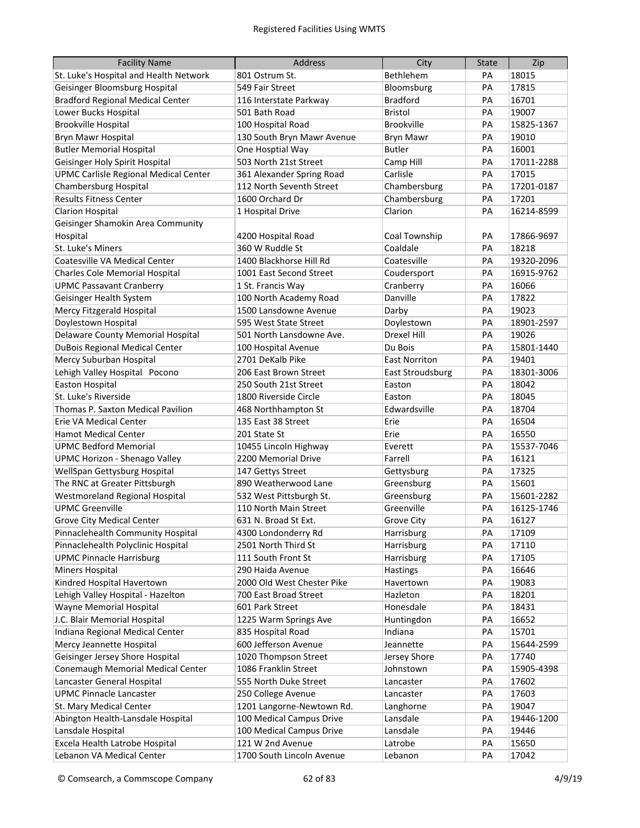| <b>Facility Name</b>                         | <b>Address</b>             | City                    | <b>State</b> | Zip        |
|----------------------------------------------|----------------------------|-------------------------|--------------|------------|
| St. Luke's Hospital and Health Network       | 801 Ostrum St.             | Bethlehem               | PA           | 18015      |
| Geisinger Bloomsburg Hospital                | 549 Fair Street            | Bloomsburg              | PA           | 17815      |
| <b>Bradford Regional Medical Center</b>      | 116 Interstate Parkway     | <b>Bradford</b>         | PA           | 16701      |
| Lower Bucks Hospital                         | 501 Bath Road              | <b>Bristol</b>          | PA           | 19007      |
| <b>Brookville Hospital</b>                   | 100 Hospital Road          | <b>Brookville</b>       | PA           | 15825-1367 |
| Bryn Mawr Hospital                           | 130 South Bryn Mawr Avenue | <b>Bryn Mawr</b>        | PA           | 19010      |
| <b>Butler Memorial Hospital</b>              | One Hosptial Way           | <b>Butler</b>           | PA           | 16001      |
| Geisinger Holy Spirit Hospital               | 503 North 21st Street      | Camp Hill               | PA           | 17011-2288 |
| <b>UPMC Carlisle Regional Medical Center</b> | 361 Alexander Spring Road  | Carlisle                | PA           | 17015      |
| Chambersburg Hospital                        | 112 North Seventh Street   | Chambersburg            | PA           | 17201-0187 |
| <b>Results Fitness Center</b>                | 1600 Orchard Dr            | Chambersburg            | PA           | 17201      |
| <b>Clarion Hospital</b>                      | 1 Hospital Drive           | Clarion                 | PA           | 16214-8599 |
| Geisinger Shamokin Area Community            |                            |                         |              |            |
| Hospital                                     | 4200 Hospital Road         | Coal Township           | PA           | 17866-9697 |
| St. Luke's Miners                            | 360 W Ruddle St            | Coaldale                | PA           | 18218      |
| Coatesville VA Medical Center                | 1400 Blackhorse Hill Rd    | Coatesville             | PA           | 19320-2096 |
| Charles Cole Memorial Hospital               | 1001 East Second Street    | Coudersport             | PA           | 16915-9762 |
| <b>UPMC Passavant Cranberry</b>              | 1 St. Francis Way          | Cranberry               | PA           | 16066      |
| Geisinger Health System                      | 100 North Academy Road     | Danville                | PA           | 17822      |
| Mercy Fitzgerald Hospital                    | 1500 Lansdowne Avenue      | Darby                   | PA           | 19023      |
| Doylestown Hospital                          | 595 West State Street      | Doylestown              | PA           | 18901-2597 |
| Delaware County Memorial Hospital            | 501 North Lansdowne Ave.   | <b>Drexel Hill</b>      | PA           | 19026      |
| <b>DuBois Regional Medical Center</b>        | 100 Hospital Avenue        | Du Bois                 | PA           | 15801-1440 |
| Mercy Suburban Hospital                      | 2701 DeKalb Pike           | <b>East Norriton</b>    | PA           | 19401      |
| Lehigh Valley Hospital Pocono                | 206 East Brown Street      | <b>East Stroudsburg</b> | PA           | 18301-3006 |
| <b>Easton Hospital</b>                       | 250 South 21st Street      | Easton                  | PA           | 18042      |
| St. Luke's Riverside                         | 1800 Riverside Circle      | Easton                  | PA           | 18045      |
| Thomas P. Saxton Medical Pavilion            | 468 Northhampton St        | Edwardsville            | PA           | 18704      |
| Erie VA Medical Center                       | 135 East 38 Street         | Erie                    | PA           | 16504      |
| <b>Hamot Medical Center</b>                  | 201 State St               | Erie                    | PA           | 16550      |
| <b>UPMC Bedford Memorial</b>                 | 10455 Lincoln Highway      | Everett                 | PA           | 15537-7046 |
| <b>UPMC Horizon - Shenago Valley</b>         | 2200 Memorial Drive        | Farrell                 | PA           | 16121      |
| WellSpan Gettysburg Hospital                 | 147 Gettys Street          | Gettysburg              | PA           | 17325      |
| The RNC at Greater Pittsburgh                | 890 Weatherwood Lane       | Greensburg              | PA           | 15601      |
| Westmoreland Regional Hospital               | 532 West Pittsburgh St.    | Greensburg              | PA           | 15601-2282 |
| <b>UPMC Greenville</b>                       | 110 North Main Street      | Greenville              | PA           | 16125-1746 |
| <b>Grove City Medical Center</b>             | 631 N. Broad St Ext.       | Grove City              | PA           | 16127      |
| Pinnaclehealth Community Hospital            | 4300 Londonderry Rd        | Harrisburg              | PA           | 17109      |
| Pinnaclehealth Polyclinic Hospital           | 2501 North Third St        | Harrisburg              | PA           | 17110      |
| <b>UPMC Pinnacle Harrisburg</b>              | 111 South Front St         | Harrisburg              | PA           | 17105      |
| Miners Hospital                              | 290 Haida Avenue           | <b>Hastings</b>         | PA           | 16646      |
| Kindred Hospital Havertown                   | 2000 Old West Chester Pike | Havertown               | PA           | 19083      |
| Lehigh Valley Hospital - Hazelton            | 700 East Broad Street      | Hazleton                | PA           | 18201      |
| Wayne Memorial Hospital                      | 601 Park Street            | Honesdale               | PA           | 18431      |
| J.C. Blair Memorial Hospital                 | 1225 Warm Springs Ave      | Huntingdon              | PA           | 16652      |
| Indiana Regional Medical Center              | 835 Hospital Road          | Indiana                 | PA           | 15701      |
| Mercy Jeannette Hospital                     | 600 Jefferson Avenue       | Jeannette               | PA           | 15644-2599 |
| Geisinger Jersey Shore Hospital              | 1020 Thompson Street       | Jersey Shore            | PA           | 17740      |
| Conemaugh Memorial Medical Center            | 1086 Franklin Street       | Johnstown               | PA           | 15905-4398 |
| Lancaster General Hospital                   | 555 North Duke Street      | Lancaster               | PA           | 17602      |
| <b>UPMC Pinnacle Lancaster</b>               | 250 College Avenue         | Lancaster               | PA           | 17603      |
| St. Mary Medical Center                      | 1201 Langorne-Newtown Rd.  | Langhorne               | PA           | 19047      |
| Abington Health-Lansdale Hospital            | 100 Medical Campus Drive   | Lansdale                | PA           | 19446-1200 |
| Lansdale Hospital                            | 100 Medical Campus Drive   | Lansdale                | PA           | 19446      |
| Excela Health Latrobe Hospital               | 121 W 2nd Avenue           | Latrobe                 | PA           | 15650      |
| Lebanon VA Medical Center                    | 1700 South Lincoln Avenue  | Lebanon                 | PA           | 17042      |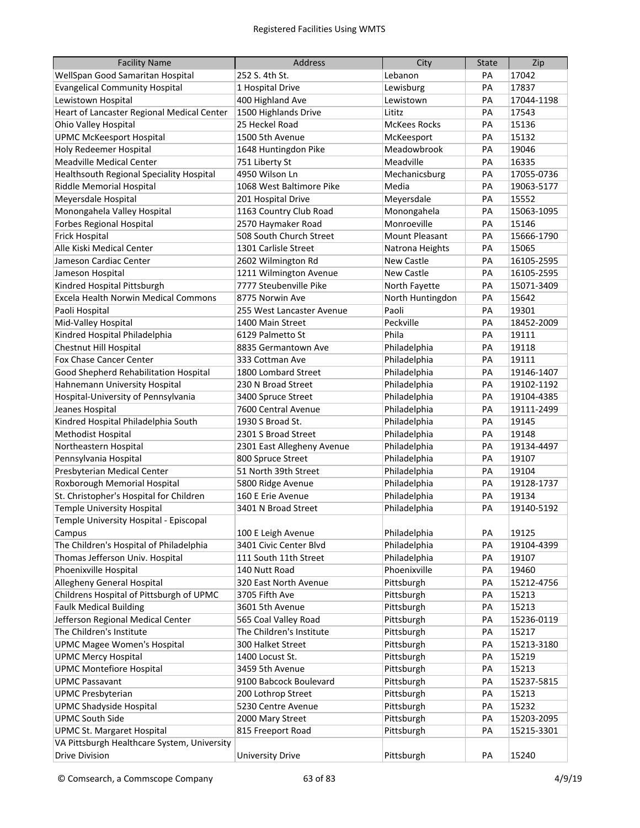| <b>Facility Name</b>                        | <b>Address</b>             | City                  | <b>State</b> | Zip        |
|---------------------------------------------|----------------------------|-----------------------|--------------|------------|
| WellSpan Good Samaritan Hospital            | 252 S. 4th St.             | Lebanon               | PА           | 17042      |
| <b>Evangelical Community Hospital</b>       | 1 Hospital Drive           | Lewisburg             | PA           | 17837      |
| Lewistown Hospital                          | 400 Highland Ave           | Lewistown             | PA           | 17044-1198 |
| Heart of Lancaster Regional Medical Center  | 1500 Highlands Drive       | Lititz                | PA           | 17543      |
| Ohio Valley Hospital                        | 25 Heckel Road             | <b>McKees Rocks</b>   | PA           | 15136      |
| <b>UPMC McKeesport Hospital</b>             | 1500 5th Avenue            | McKeesport            | PA           | 15132      |
| Holy Redeemer Hospital                      | 1648 Huntingdon Pike       | Meadowbrook           | PA           | 19046      |
| <b>Meadville Medical Center</b>             | 751 Liberty St             | Meadville             | PA           | 16335      |
| Healthsouth Regional Speciality Hospital    | 4950 Wilson Ln             | Mechanicsburg         | PA           | 17055-0736 |
| Riddle Memorial Hospital                    | 1068 West Baltimore Pike   | Media                 | PA           | 19063-5177 |
| Meyersdale Hospital                         | 201 Hospital Drive         | Meyersdale            | PA           | 15552      |
| Monongahela Valley Hospital                 | 1163 Country Club Road     | Monongahela           | PA           | 15063-1095 |
| <b>Forbes Regional Hospital</b>             | 2570 Haymaker Road         | Monroeville           | PA           | 15146      |
| <b>Frick Hospital</b>                       | 508 South Church Street    | <b>Mount Pleasant</b> | PA           | 15666-1790 |
| Alle Kiski Medical Center                   | 1301 Carlisle Street       | Natrona Heights       | PA           | 15065      |
| Jameson Cardiac Center                      | 2602 Wilmington Rd         | <b>New Castle</b>     | PA           | 16105-2595 |
| Jameson Hospital                            | 1211 Wilmington Avenue     | New Castle            | PA           | 16105-2595 |
| Kindred Hospital Pittsburgh                 | 7777 Steubenville Pike     | North Fayette         | PA           | 15071-3409 |
| Excela Health Norwin Medical Commons        | 8775 Norwin Ave            | North Huntingdon      | PA           | 15642      |
| Paoli Hospital                              | 255 West Lancaster Avenue  | Paoli                 | PA           | 19301      |
| Mid-Valley Hospital                         | 1400 Main Street           | Peckville             | PA           | 18452-2009 |
| Kindred Hospital Philadelphia               | 6129 Palmetto St           | Phila                 | PA           | 19111      |
| <b>Chestnut Hill Hospital</b>               | 8835 Germantown Ave        | Philadelphia          | PA           | 19118      |
| Fox Chase Cancer Center                     | 333 Cottman Ave            | Philadelphia          | PA           | 19111      |
| Good Shepherd Rehabilitation Hospital       | 1800 Lombard Street        | Philadelphia          | PA           | 19146-1407 |
| Hahnemann University Hospital               | 230 N Broad Street         | Philadelphia          | PA           | 19102-1192 |
| Hospital-University of Pennsylvania         | 3400 Spruce Street         | Philadelphia          | PA           | 19104-4385 |
| Jeanes Hospital                             | 7600 Central Avenue        | Philadelphia          | PA           | 19111-2499 |
| Kindred Hospital Philadelphia South         | 1930 S Broad St.           | Philadelphia          | PA           | 19145      |
| Methodist Hospital                          | 2301 S Broad Street        | Philadelphia          | PA           | 19148      |
| Northeastern Hospital                       | 2301 East Allegheny Avenue | Philadelphia          | PA           | 19134-4497 |
| Pennsylvania Hospital                       | 800 Spruce Street          | Philadelphia          | PA           | 19107      |
| Presbyterian Medical Center                 | 51 North 39th Street       | Philadelphia          | PA           | 19104      |
| Roxborough Memorial Hospital                | 5800 Ridge Avenue          | Philadelphia          | PA           | 19128-1737 |
| St. Christopher's Hospital for Children     | 160 E Erie Avenue          | Philadelphia          | PA           | 19134      |
| <b>Temple University Hospital</b>           | 3401 N Broad Street        | Philadelphia          | PА           | 19140-5192 |
| Temple University Hospital - Episcopal      |                            |                       |              |            |
| Campus                                      | 100 E Leigh Avenue         | Philadelphia          | PA           | 19125      |
| The Children's Hospital of Philadelphia     | 3401 Civic Center Blvd     | Philadelphia          | PA           | 19104-4399 |
| Thomas Jefferson Univ. Hospital             | 111 South 11th Street      | Philadelphia          | PA           | 19107      |
| Phoenixville Hospital                       | 140 Nutt Road              | Phoenixville          | PA           | 19460      |
| Allegheny General Hospital                  | 320 East North Avenue      | Pittsburgh            | PA           | 15212-4756 |
| Childrens Hospital of Pittsburgh of UPMC    | 3705 Fifth Ave             | Pittsburgh            | PA           | 15213      |
| <b>Faulk Medical Building</b>               | 3601 5th Avenue            | Pittsburgh            | PA           | 15213      |
| Jefferson Regional Medical Center           | 565 Coal Valley Road       | Pittsburgh            | PA           | 15236-0119 |
| The Children's Institute                    | The Children's Institute   | Pittsburgh            | PA           | 15217      |
| <b>UPMC Magee Women's Hospital</b>          | 300 Halket Street          | Pittsburgh            | PA           | 15213-3180 |
| <b>UPMC Mercy Hospital</b>                  | 1400 Locust St.            | Pittsburgh            | PA           | 15219      |
| <b>UPMC Montefiore Hospital</b>             | 3459 5th Avenue            | Pittsburgh            | PA           | 15213      |
| <b>UPMC Passavant</b>                       | 9100 Babcock Boulevard     | Pittsburgh            | PA           | 15237-5815 |
| <b>UPMC Presbyterian</b>                    | 200 Lothrop Street         | Pittsburgh            | PA           | 15213      |
| <b>UPMC Shadyside Hospital</b>              | 5230 Centre Avenue         | Pittsburgh            | PA           | 15232      |
| <b>UPMC South Side</b>                      | 2000 Mary Street           | Pittsburgh            | PA           | 15203-2095 |
| <b>UPMC St. Margaret Hospital</b>           | 815 Freeport Road          | Pittsburgh            | PА           | 15215-3301 |
| VA Pittsburgh Healthcare System, University |                            |                       |              |            |
| <b>Drive Division</b>                       | <b>University Drive</b>    | Pittsburgh            | PA           | 15240      |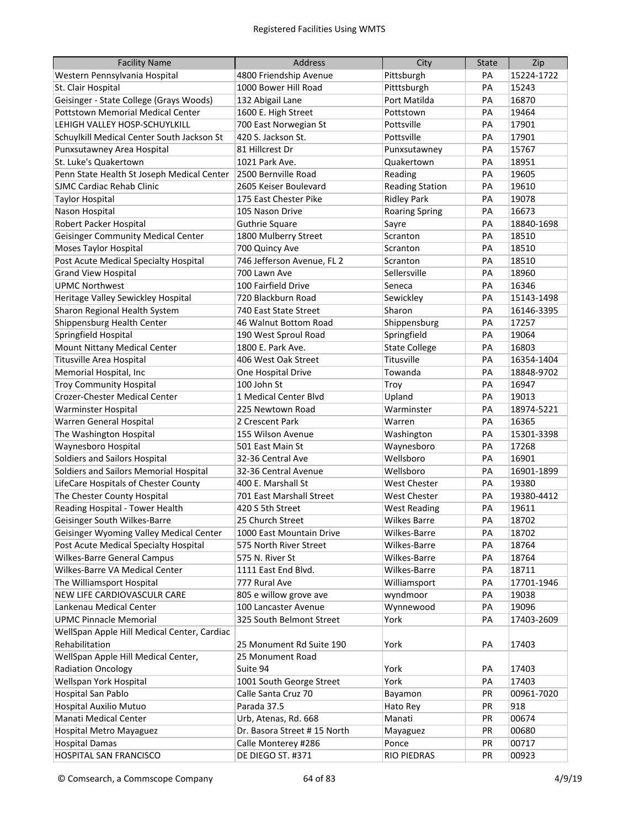| <b>Facility Name</b>                        | <b>Address</b>              | City                   | <b>State</b> | Zip        |
|---------------------------------------------|-----------------------------|------------------------|--------------|------------|
| Western Pennsylvania Hospital               | 4800 Friendship Avenue      | Pittsburgh             | PА           | 15224-1722 |
| St. Clair Hospital                          | 1000 Bower Hill Road        | Pitttsburgh            | PA           | 15243      |
| Geisinger - State College (Grays Woods)     | 132 Abigail Lane            | Port Matilda           | PA           | 16870      |
| <b>Pottstown Memorial Medical Center</b>    | 1600 E. High Street         | Pottstown              | PA           | 19464      |
| LEHIGH VALLEY HOSP-SCHUYLKILL               | 700 East Norwegian St       | Pottsville             | PA           | 17901      |
| Schuylkill Medical Center South Jackson St  | 420 S. Jackson St.          | Pottsville             | PA           | 17901      |
| Punxsutawney Area Hospital                  | 81 Hillcrest Dr             | Punxsutawney           | PA           | 15767      |
| St. Luke's Quakertown                       | 1021 Park Ave.              | Quakertown             | PA           | 18951      |
| Penn State Health St Joseph Medical Center  | 2500 Bernville Road         | Reading                | PA           | 19605      |
| <b>SJMC Cardiac Rehab Clinic</b>            | 2605 Keiser Boulevard       | <b>Reading Station</b> | PA           | 19610      |
| <b>Taylor Hospital</b>                      | 175 East Chester Pike       | <b>Ridley Park</b>     | PA           | 19078      |
| Nason Hospital                              | 105 Nason Drive             | <b>Roaring Spring</b>  | PA           | 16673      |
| Robert Packer Hospital                      | <b>Guthrie Square</b>       | Sayre                  | PA           | 18840-1698 |
| <b>Geisinger Community Medical Center</b>   | 1800 Mulberry Street        | Scranton               | PA           | 18510      |
| <b>Moses Taylor Hospital</b>                | 700 Quincy Ave              | Scranton               | PA           | 18510      |
| Post Acute Medical Specialty Hospital       | 746 Jefferson Avenue, FL 2  | Scranton               | PA           | 18510      |
| <b>Grand View Hospital</b>                  | 700 Lawn Ave                | Sellersville           | PA           | 18960      |
| <b>UPMC Northwest</b>                       | 100 Fairfield Drive         | Seneca                 | PA           | 16346      |
| Heritage Valley Sewickley Hospital          | 720 Blackburn Road          | Sewickley              | PA           | 15143-1498 |
| Sharon Regional Health System               | 740 East State Street       | Sharon                 | PA           | 16146-3395 |
| Shippensburg Health Center                  | 46 Walnut Bottom Road       | Shippensburg           | PA           | 17257      |
| Springfield Hospital                        | 190 West Sproul Road        | Springfield            | PA           | 19064      |
| Mount Nittany Medical Center                | 1800 E. Park Ave.           | <b>State College</b>   | PA           | 16803      |
| <b>Titusville Area Hospital</b>             | 406 West Oak Street         | Titusville             | PA           | 16354-1404 |
| Memorial Hospital, Inc                      | One Hospital Drive          | Towanda                | PA           | 18848-9702 |
| <b>Troy Community Hospital</b>              | 100 John St                 | Troy                   | PA           | 16947      |
| Crozer-Chester Medical Center               | 1 Medical Center Blvd       | Upland                 | PA           | 19013      |
| Warminster Hospital                         | 225 Newtown Road            | Warminster             | PA           | 18974-5221 |
| Warren General Hospital                     | 2 Crescent Park             | Warren                 | PA           | 16365      |
| The Washington Hospital                     | 155 Wilson Avenue           | Washington             | PA           | 15301-3398 |
| Waynesboro Hospital                         | 501 East Main St            | Waynesboro             | PA           | 17268      |
| Soldiers and Sailors Hospital               | 32-36 Central Ave           | Wellsboro              | PA           | 16901      |
| Soldiers and Sailors Memorial Hospital      | 32-36 Central Avenue        | Wellsboro              | PА           | 16901-1899 |
| LifeCare Hospitals of Chester County        | 400 E. Marshall St          | West Chester           | PА           | 19380      |
| The Chester County Hospital                 | 701 East Marshall Street    | <b>West Chester</b>    | PА           | 19380-4412 |
| Reading Hospital - Tower Health             | 420 S 5th Street            | <b>West Reading</b>    | PA           | 19611      |
| Geisinger South Wilkes-Barre                | 25 Church Street            | <b>Wilkes Barre</b>    | PA           | 18702      |
| Geisinger Wyoming Valley Medical Center     | 1000 East Mountain Drive    | Wilkes-Barre           | PA           | 18702      |
| Post Acute Medical Specialty Hospital       | 575 North River Street      | Wilkes-Barre           | PA           | 18764      |
| Wilkes-Barre General Campus                 | 575 N. River St             | Wilkes-Barre           | PA           | 18764      |
| Wilkes-Barre VA Medical Center              | 1111 East End Blvd.         | Wilkes-Barre           | PA           | 18711      |
| The Williamsport Hospital                   | 777 Rural Ave               | Williamsport           | PA           | 17701-1946 |
| NEW LIFE CARDIOVASCULR CARE                 | 805 e willow grove ave      | wyndmoor               | PA           | 19038      |
| Lankenau Medical Center                     | 100 Lancaster Avenue        | Wynnewood              | PA           | 19096      |
| <b>UPMC Pinnacle Memorial</b>               | 325 South Belmont Street    | York                   | PA           | 17403-2609 |
| WellSpan Apple Hill Medical Center, Cardiac |                             |                        |              |            |
| Rehabilitation                              | 25 Monument Rd Suite 190    | York                   | PA           | 17403      |
| WellSpan Apple Hill Medical Center,         | 25 Monument Road            |                        |              |            |
| <b>Radiation Oncology</b>                   | Suite 94                    | York                   | PA           | 17403      |
| Wellspan York Hospital                      | 1001 South George Street    | York                   | PA           | 17403      |
| Hospital San Pablo                          | Calle Santa Cruz 70         | Bayamon                | PR           | 00961-7020 |
| Hospital Auxilio Mutuo                      | Parada 37.5                 | Hato Rey               | PR           | 918        |
| Manati Medical Center                       | Urb, Atenas, Rd. 668        | Manati                 | PR           | 00674      |
| Hospital Metro Mayaguez                     | Dr. Basora Street #15 North | Mayaguez               | PR           | 00680      |
| <b>Hospital Damas</b>                       | Calle Monterey #286         | Ponce                  | PR           | 00717      |
| HOSPITAL SAN FRANCISCO                      | DE DIEGO ST. #371           | RIO PIEDRAS            | PR           | 00923      |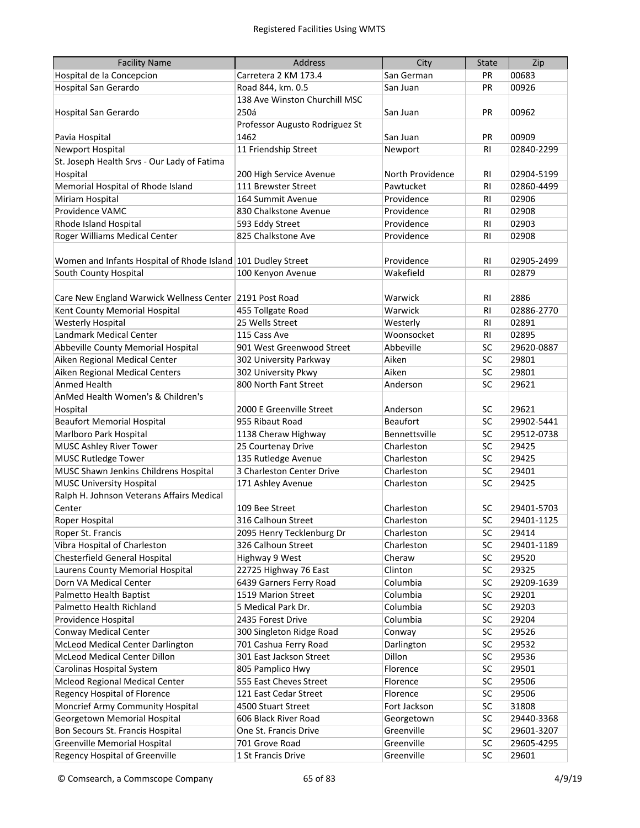| <b>Facility Name</b>                                         | Address                        | City             | <b>State</b>   | Zip        |
|--------------------------------------------------------------|--------------------------------|------------------|----------------|------------|
| Hospital de la Concepcion                                    | Carretera 2 KM 173.4           | San German       | <b>PR</b>      | 00683      |
| Hospital San Gerardo                                         | Road 844, km. 0.5              | San Juan         | <b>PR</b>      | 00926      |
|                                                              | 138 Ave Winston Churchill MSC  |                  |                |            |
| Hospital San Gerardo                                         | 250á                           | San Juan         | PR             | 00962      |
|                                                              | Professor Augusto Rodriguez St |                  |                |            |
| Pavia Hospital                                               | 1462                           | San Juan         | <b>PR</b>      | 00909      |
| Newport Hospital                                             | 11 Friendship Street           | Newport          | <b>RI</b>      | 02840-2299 |
| St. Joseph Health Srvs - Our Lady of Fatima                  |                                |                  |                |            |
| Hospital                                                     | 200 High Service Avenue        | North Providence | RI.            | 02904-5199 |
| Memorial Hospital of Rhode Island                            | 111 Brewster Street            | Pawtucket        | <b>RI</b>      | 02860-4499 |
| Miriam Hospital                                              | 164 Summit Avenue              | Providence       | R <sub>l</sub> | 02906      |
| Providence VAMC                                              | 830 Chalkstone Avenue          | Providence       | R <sub>l</sub> | 02908      |
| Rhode Island Hospital                                        | 593 Eddy Street                | Providence       | R <sub>l</sub> | 02903      |
| Roger Williams Medical Center                                | 825 Chalkstone Ave             | Providence       | <b>RI</b>      | 02908      |
|                                                              |                                |                  |                |            |
| Women and Infants Hospital of Rhode Island 101 Dudley Street |                                | Providence       | R <sub>l</sub> | 02905-2499 |
| South County Hospital                                        | 100 Kenyon Avenue              | Wakefield        | <b>RI</b>      | 02879      |
|                                                              |                                |                  |                |            |
| Care New England Warwick Wellness Center 2191 Post Road      |                                | Warwick          | RI             | 2886       |
| Kent County Memorial Hospital                                | 455 Tollgate Road              | Warwick          | R <sub>l</sub> | 02886-2770 |
| <b>Westerly Hospital</b>                                     | 25 Wells Street                | Westerly         | R <sub>l</sub> | 02891      |
| Landmark Medical Center                                      | 115 Cass Ave                   | Woonsocket       | R <sub>l</sub> | 02895      |
| Abbeville County Memorial Hospital                           | 901 West Greenwood Street      | Abbeville        | SC             | 29620-0887 |
| Aiken Regional Medical Center                                | 302 University Parkway         | Aiken            | SC             | 29801      |
| Aiken Regional Medical Centers                               | 302 University Pkwy            | Aiken            | SC             | 29801      |
| <b>Anmed Health</b>                                          | 800 North Fant Street          | Anderson         | SC             | 29621      |
| AnMed Health Women's & Children's                            |                                |                  |                |            |
| Hospital                                                     | 2000 E Greenville Street       | Anderson         | SC             | 29621      |
| <b>Beaufort Memorial Hospital</b>                            | 955 Ribaut Road                | <b>Beaufort</b>  | SC             | 29902-5441 |
| Marlboro Park Hospital                                       | 1138 Cheraw Highway            | Bennettsville    | SC             | 29512-0738 |
| <b>MUSC Ashley River Tower</b>                               | 25 Courtenay Drive             | Charleston       | SC             | 29425      |
| <b>MUSC Rutledge Tower</b>                                   | 135 Rutledge Avenue            | Charleston       | SC             | 29425      |
| MUSC Shawn Jenkins Childrens Hospital                        | 3 Charleston Center Drive      | Charleston       | SC             | 29401      |
| <b>MUSC University Hospital</b>                              | 171 Ashley Avenue              | Charleston       | SC             | 29425      |
| Ralph H. Johnson Veterans Affairs Medical                    |                                |                  |                |            |
| Center                                                       | 109 Bee Street                 | Charleston       | SC             | 29401-5703 |
| Roper Hospital                                               | 316 Calhoun Street             | Charleston       | SC             | 29401-1125 |
| Roper St. Francis                                            | 2095 Henry Tecklenburg Dr      | Charleston       | SC             | 29414      |
| Vibra Hospital of Charleston                                 | 326 Calhoun Street             | Charleston       | SC             | 29401-1189 |
| Chesterfield General Hospital                                | Highway 9 West                 | Cheraw           | SC             | 29520      |
| Laurens County Memorial Hospital                             | 22725 Highway 76 East          | Clinton          | SC             | 29325      |
| Dorn VA Medical Center                                       | 6439 Garners Ferry Road        | Columbia         | SC             | 29209-1639 |
| Palmetto Health Baptist                                      | 1519 Marion Street             | Columbia         | SC             | 29201      |
| Palmetto Health Richland                                     | 5 Medical Park Dr.             | Columbia         | SC             | 29203      |
| Providence Hospital                                          | 2435 Forest Drive              | Columbia         | SC             | 29204      |
| <b>Conway Medical Center</b>                                 | 300 Singleton Ridge Road       | Conway           | SC             | 29526      |
| <b>McLeod Medical Center Darlington</b>                      | 701 Cashua Ferry Road          | Darlington       | SC             | 29532      |
| McLeod Medical Center Dillon                                 | 301 East Jackson Street        | Dillon           | SC             | 29536      |
| Carolinas Hospital System                                    | 805 Pamplico Hwy               | Florence         | SC             | 29501      |
| Mcleod Regional Medical Center                               | 555 East Cheves Street         | Florence         | SC             | 29506      |
| Regency Hospital of Florence                                 | 121 East Cedar Street          | Florence         | SC             | 29506      |
| Moncrief Army Community Hospital                             | 4500 Stuart Street             | Fort Jackson     | SC             | 31808      |
| Georgetown Memorial Hospital                                 | 606 Black River Road           | Georgetown       | SC             | 29440-3368 |
| Bon Secours St. Francis Hospital                             | One St. Francis Drive          | Greenville       | SC             | 29601-3207 |
| <b>Greenville Memorial Hospital</b>                          | 701 Grove Road                 | Greenville       | SC             | 29605-4295 |
| Regency Hospital of Greenville                               | 1 St Francis Drive             | Greenville       | SC             | 29601      |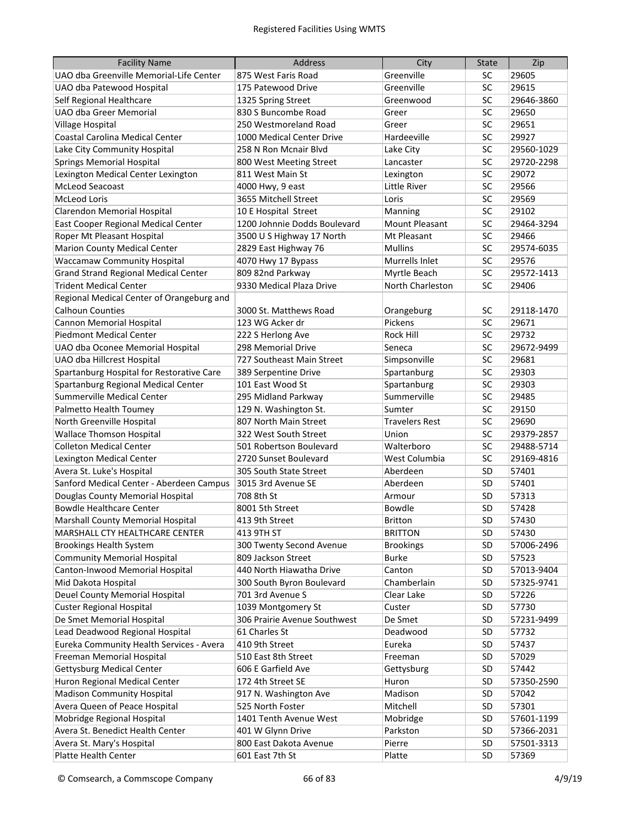| <b>Facility Name</b>                        | <b>Address</b>               | City                  | <b>State</b> | Zip        |
|---------------------------------------------|------------------------------|-----------------------|--------------|------------|
| UAO dba Greenville Memorial-Life Center     | 875 West Faris Road          | Greenville            | SC           | 29605      |
| UAO dba Patewood Hospital                   | 175 Patewood Drive           | Greenville            | SC           | 29615      |
| Self Regional Healthcare                    | 1325 Spring Street           | Greenwood             | SC           | 29646-3860 |
| UAO dba Greer Memorial                      | 830 S Buncombe Road          | Greer                 | SC           | 29650      |
| Village Hospital                            | 250 Westmoreland Road        | Greer                 | SC           | 29651      |
| Coastal Carolina Medical Center             | 1000 Medical Center Drive    | Hardeeville           | SC           | 29927      |
| Lake City Community Hospital                | 258 N Ron Mcnair Blvd        | Lake City             | SC           | 29560-1029 |
| <b>Springs Memorial Hospital</b>            | 800 West Meeting Street      | Lancaster             | SC           | 29720-2298 |
| Lexington Medical Center Lexington          | 811 West Main St             | Lexington             | SC           | 29072      |
| McLeod Seacoast                             | 4000 Hwy, 9 east             | Little River          | SC           | 29566      |
| <b>McLeod Loris</b>                         | 3655 Mitchell Street         | Loris                 | SC           | 29569      |
| Clarendon Memorial Hospital                 | 10 E Hospital Street         | Manning               | SC           | 29102      |
| East Cooper Regional Medical Center         | 1200 Johnnie Dodds Boulevard | Mount Pleasant        | SC           | 29464-3294 |
| Roper Mt Pleasant Hospital                  | 3500 U S Highway 17 North    | Mt Pleasant           | SC           | 29466      |
| <b>Marion County Medical Center</b>         | 2829 East Highway 76         | <b>Mullins</b>        | SC           | 29574-6035 |
| <b>Waccamaw Community Hospital</b>          | 4070 Hwy 17 Bypass           | Murrells Inlet        | SC           | 29576      |
| <b>Grand Strand Regional Medical Center</b> | 809 82nd Parkway             | Myrtle Beach          | SC           | 29572-1413 |
| <b>Trident Medical Center</b>               | 9330 Medical Plaza Drive     | North Charleston      | <b>SC</b>    | 29406      |
| Regional Medical Center of Orangeburg and   |                              |                       |              |            |
| <b>Calhoun Counties</b>                     | 3000 St. Matthews Road       | Orangeburg            | SC           | 29118-1470 |
| <b>Cannon Memorial Hospital</b>             | 123 WG Acker dr              | Pickens               | SC           | 29671      |
| <b>Piedmont Medical Center</b>              | 222 S Herlong Ave            | <b>Rock Hill</b>      | SC           | 29732      |
| UAO dba Oconee Memorial Hospital            | 298 Memorial Drive           | Seneca                | SC           | 29672-9499 |
| UAO dba Hillcrest Hospital                  | 727 Southeast Main Street    | Simpsonville          | SC           | 29681      |
| Spartanburg Hospital for Restorative Care   | 389 Serpentine Drive         | Spartanburg           | SC           | 29303      |
| Spartanburg Regional Medical Center         | 101 East Wood St             | Spartanburg           | SC           | 29303      |
| Summerville Medical Center                  | 295 Midland Parkway          | Summerville           | SC           | 29485      |
| Palmetto Health Toumey                      | 129 N. Washington St.        | Sumter                | SC           | 29150      |
| North Greenville Hospital                   | 807 North Main Street        | <b>Travelers Rest</b> | SC           | 29690      |
| <b>Wallace Thomson Hospital</b>             | 322 West South Street        | Union                 | SC           | 29379-2857 |
| <b>Colleton Medical Center</b>              | 501 Robertson Boulevard      | Walterboro            | SC           | 29488-5714 |
| Lexington Medical Center                    | 2720 Sunset Boulevard        | West Columbia         | SC           | 29169-4816 |
| Avera St. Luke's Hospital                   | 305 South State Street       | Aberdeen              | SD           | 57401      |
| Sanford Medical Center - Aberdeen Campus    | 3015 3rd Avenue SE           | Aberdeen              | SD           | 57401      |
| Douglas County Memorial Hospital            | 708 8th St                   | Armour                | SD           | 57313      |
| <b>Bowdle Healthcare Center</b>             | 8001 5th Street              | <b>Bowdle</b>         | SD           | 57428      |
| Marshall County Memorial Hospital           | 413 9th Street               | <b>Britton</b>        | SD           | 57430      |
| MARSHALL CTY HEALTHCARE CENTER              | 413 9TH ST                   | <b>BRITTON</b>        | <b>SD</b>    | 57430      |
| <b>Brookings Health System</b>              | 300 Twenty Second Avenue     | <b>Brookings</b>      | <b>SD</b>    | 57006-2496 |
| <b>Community Memorial Hospital</b>          | 809 Jackson Street           | <b>Burke</b>          | <b>SD</b>    | 57523      |
| Canton-Inwood Memorial Hospital             | 440 North Hiawatha Drive     | Canton                | <b>SD</b>    | 57013-9404 |
| Mid Dakota Hospital                         | 300 South Byron Boulevard    | Chamberlain           | <b>SD</b>    | 57325-9741 |
| Deuel County Memorial Hospital              | 701 3rd Avenue S             | Clear Lake            | SD           | 57226      |
| <b>Custer Regional Hospital</b>             | 1039 Montgomery St           | Custer                | SD           | 57730      |
| De Smet Memorial Hospital                   | 306 Prairie Avenue Southwest | De Smet               | SD           | 57231-9499 |
| Lead Deadwood Regional Hospital             | 61 Charles St                | Deadwood              | SD           | 57732      |
| Eureka Community Health Services - Avera    | 410 9th Street               | Eureka                | SD           | 57437      |
| Freeman Memorial Hospital                   | 510 East 8th Street          | Freeman               | <b>SD</b>    | 57029      |
| <b>Gettysburg Medical Center</b>            | 606 E Garfield Ave           | Gettysburg            | SD           | 57442      |
| Huron Regional Medical Center               | 172 4th Street SE            | Huron                 | SD           | 57350-2590 |
| <b>Madison Community Hospital</b>           | 917 N. Washington Ave        | Madison               | SD           | 57042      |
| Avera Queen of Peace Hospital               | 525 North Foster             | Mitchell              | SD           | 57301      |
| Mobridge Regional Hospital                  | 1401 Tenth Avenue West       | Mobridge              | SD           | 57601-1199 |
| Avera St. Benedict Health Center            | 401 W Glynn Drive            | Parkston              | SD           | 57366-2031 |
| Avera St. Mary's Hospital                   | 800 East Dakota Avenue       | Pierre                | <b>SD</b>    | 57501-3313 |
| Platte Health Center                        | 601 East 7th St              | Platte                | <b>SD</b>    | 57369      |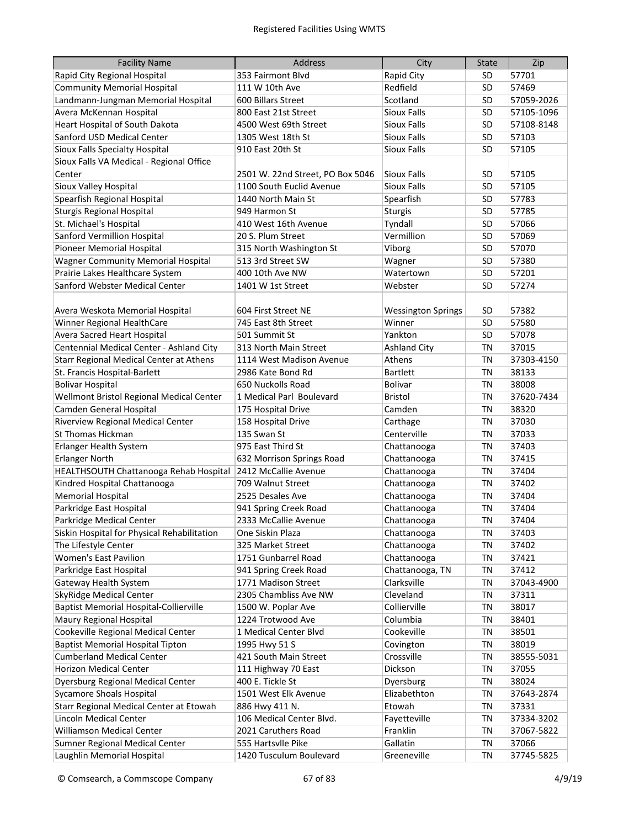| <b>Facility Name</b>                           | <b>Address</b>                   | City                      | <b>State</b> | Zip        |
|------------------------------------------------|----------------------------------|---------------------------|--------------|------------|
| Rapid City Regional Hospital                   | 353 Fairmont Blvd                | Rapid City                | SD           | 57701      |
| <b>Community Memorial Hospital</b>             | 111 W 10th Ave                   | Redfield                  | SD           | 57469      |
| Landmann-Jungman Memorial Hospital             | 600 Billars Street               | Scotland                  | SD           | 57059-2026 |
| Avera McKennan Hospital                        | 800 East 21st Street             | <b>Sioux Falls</b>        | SD           | 57105-1096 |
| Heart Hospital of South Dakota                 | 4500 West 69th Street            | <b>Sioux Falls</b>        | SD           | 57108-8148 |
| Sanford USD Medical Center                     | 1305 West 18th St                | <b>Sioux Falls</b>        | SD           | 57103      |
| Sioux Falls Specialty Hospital                 | 910 East 20th St                 | <b>Sioux Falls</b>        | SD           | 57105      |
| Sioux Falls VA Medical - Regional Office       |                                  |                           |              |            |
| Center                                         | 2501 W. 22nd Street, PO Box 5046 | Sioux Falls               | SD           | 57105      |
| Sioux Valley Hospital                          | 1100 South Euclid Avenue         | <b>Sioux Falls</b>        | SD           | 57105      |
| Spearfish Regional Hospital                    | 1440 North Main St               | Spearfish                 | SD           | 57783      |
| <b>Sturgis Regional Hospital</b>               | 949 Harmon St                    | <b>Sturgis</b>            | SD           | 57785      |
| St. Michael's Hospital                         | 410 West 16th Avenue             | Tyndall                   | SD           | 57066      |
| Sanford Vermillion Hospital                    | 20 S. Plum Street                | Vermillion                | SD           | 57069      |
| Pioneer Memorial Hospital                      | 315 North Washington St          | Viborg                    | SD           | 57070      |
| <b>Wagner Community Memorial Hospital</b>      | 513 3rd Street SW                | Wagner                    | SD           | 57380      |
| Prairie Lakes Healthcare System                | 400 10th Ave NW                  | Watertown                 | SD           | 57201      |
| Sanford Webster Medical Center                 | 1401 W 1st Street                | Webster                   | SD           | 57274      |
|                                                |                                  |                           |              |            |
| Avera Weskota Memorial Hospital                | 604 First Street NE              | <b>Wessington Springs</b> | SD           | 57382      |
| Winner Regional HealthCare                     | 745 East 8th Street              | Winner                    | SD           | 57580      |
| Avera Sacred Heart Hospital                    | 501 Summit St                    | Yankton                   | SD           | 57078      |
| Centennial Medical Center - Ashland City       | 313 North Main Street            | <b>Ashland City</b>       | <b>TN</b>    | 37015      |
| <b>Starr Regional Medical Center at Athens</b> | 1114 West Madison Avenue         | Athens                    | <b>TN</b>    | 37303-4150 |
| St. Francis Hospital-Barlett                   | 2986 Kate Bond Rd                | <b>Bartlett</b>           | <b>TN</b>    | 38133      |
| <b>Bolivar Hospital</b>                        | 650 Nuckolls Road                | Bolivar                   | <b>TN</b>    | 38008      |
| Wellmont Bristol Regional Medical Center       | 1 Medical Parl Boulevard         | <b>Bristol</b>            | <b>TN</b>    | 37620-7434 |
| Camden General Hospital                        | 175 Hospital Drive               | Camden                    | <b>TN</b>    | 38320      |
| Riverview Regional Medical Center              | 158 Hospital Drive               | Carthage                  | <b>TN</b>    | 37030      |
| <b>St Thomas Hickman</b>                       | 135 Swan St                      | Centerville               | <b>TN</b>    | 37033      |
| Erlanger Health System                         | 975 East Third St                | Chattanooga               | <b>TN</b>    | 37403      |
| <b>Erlanger North</b>                          | 632 Morrison Springs Road        | Chattanooga               | ΤN           | 37415      |
| HEALTHSOUTH Chattanooga Rehab Hospital         | 2412 McCallie Avenue             | Chattanooga               | ΤN           | 37404      |
| Kindred Hospital Chattanooga                   | 709 Walnut Street                | Chattanooga               | ΤN           | 37402      |
| <b>Memorial Hospital</b>                       | 2525 Desales Ave                 | Chattanooga               | ΤN           | 37404      |
| Parkridge East Hospital                        | 941 Spring Creek Road            | Chattanooga               | <b>TN</b>    | 37404      |
| Parkridge Medical Center                       | 2333 McCallie Avenue             | Chattanooga               | <b>TN</b>    | 37404      |
| Siskin Hospital for Physical Rehabilitation    | One Siskin Plaza                 | Chattanooga               | <b>TN</b>    | 37403      |
| The Lifestyle Center                           | 325 Market Street                | Chattanooga               | <b>TN</b>    | 37402      |
| <b>Women's East Pavilion</b>                   | 1751 Gunbarrel Road              | Chattanooga               | <b>TN</b>    | 37421      |
| Parkridge East Hospital                        | 941 Spring Creek Road            | Chattanooga, TN           | TN           | 37412      |
| Gateway Health System                          | 1771 Madison Street              | Clarksville               | TN           | 37043-4900 |
| SkyRidge Medical Center                        | 2305 Chambliss Ave NW            | Cleveland                 | TN           | 37311      |
| <b>Baptist Memorial Hospital-Collierville</b>  | 1500 W. Poplar Ave               | Collierville              | TN           | 38017      |
| Maury Regional Hospital                        | 1224 Trotwood Ave                | Columbia                  | TN           | 38401      |
| Cookeville Regional Medical Center             | 1 Medical Center Blvd            | Cookeville                | <b>TN</b>    | 38501      |
| <b>Baptist Memorial Hospital Tipton</b>        | 1995 Hwy 51 S                    | Covington                 | <b>TN</b>    | 38019      |
| <b>Cumberland Medical Center</b>               | 421 South Main Street            | Crossville                | <b>TN</b>    | 38555-5031 |
| Horizon Medical Center                         | 111 Highway 70 East              | Dickson                   | <b>TN</b>    | 37055      |
| Dyersburg Regional Medical Center              | 400 E. Tickle St                 | Dyersburg                 | <b>TN</b>    | 38024      |
| <b>Sycamore Shoals Hospital</b>                | 1501 West Elk Avenue             | Elizabethton              | <b>TN</b>    | 37643-2874 |
| Starr Regional Medical Center at Etowah        | 886 Hwy 411 N.                   | Etowah                    | <b>TN</b>    | 37331      |
| Lincoln Medical Center                         | 106 Medical Center Blvd.         | Fayetteville              | TN           | 37334-3202 |
| <b>Williamson Medical Center</b>               | 2021 Caruthers Road              | Franklin                  | ΤN           | 37067-5822 |
| Sumner Regional Medical Center                 | 555 Hartsvlle Pike               | Gallatin                  | <b>TN</b>    | 37066      |
| Laughlin Memorial Hospital                     | 1420 Tusculum Boulevard          | Greeneville               | TN           | 37745-5825 |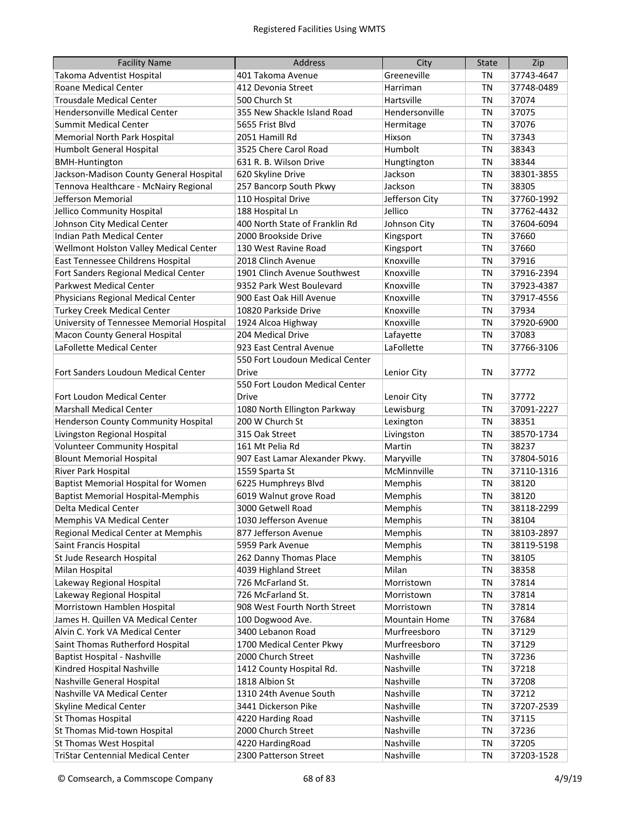| <b>Facility Name</b>                      | Address                         | City           | <b>State</b> | Zip        |
|-------------------------------------------|---------------------------------|----------------|--------------|------------|
| Takoma Adventist Hospital                 | 401 Takoma Avenue               | Greeneville    | ΤN           | 37743-4647 |
| Roane Medical Center                      | 412 Devonia Street              | Harriman       | <b>TN</b>    | 37748-0489 |
| <b>Trousdale Medical Center</b>           | 500 Church St                   | Hartsville     | <b>TN</b>    | 37074      |
| <b>Hendersonville Medical Center</b>      | 355 New Shackle Island Road     | Hendersonville | <b>TN</b>    | 37075      |
| <b>Summit Medical Center</b>              | 5655 Frist Blvd                 | Hermitage      | <b>TN</b>    | 37076      |
| Memorial North Park Hospital              | 2051 Hamill Rd                  | Hixson         | <b>TN</b>    | 37343      |
| Humbolt General Hospital                  | 3525 Chere Carol Road           | Humbolt        | <b>TN</b>    | 38343      |
| <b>BMH-Huntington</b>                     | 631 R. B. Wilson Drive          | Hungtington    | <b>TN</b>    | 38344      |
| Jackson-Madison County General Hospital   | 620 Skyline Drive               | Jackson        | <b>TN</b>    | 38301-3855 |
| Tennova Healthcare - McNairy Regional     | 257 Bancorp South Pkwy          | Jackson        | <b>TN</b>    | 38305      |
| Jefferson Memorial                        | 110 Hospital Drive              | Jefferson City | TN           | 37760-1992 |
| Jellico Community Hospital                | 188 Hospital Ln                 | Jellico        | <b>TN</b>    | 37762-4432 |
| Johnson City Medical Center               | 400 North State of Franklin Rd  | Johnson City   | <b>TN</b>    | 37604-6094 |
| Indian Path Medical Center                | 2000 Brookside Drive            | Kingsport      | <b>TN</b>    | 37660      |
| Wellmont Holston Valley Medical Center    | 130 West Ravine Road            | Kingsport      | <b>TN</b>    | 37660      |
| East Tennessee Childrens Hospital         | 2018 Clinch Avenue              | Knoxville      | <b>TN</b>    | 37916      |
| Fort Sanders Regional Medical Center      | 1901 Clinch Avenue Southwest    | Knoxville      | <b>TN</b>    | 37916-2394 |
| <b>Parkwest Medical Center</b>            | 9352 Park West Boulevard        | Knoxville      | <b>TN</b>    | 37923-4387 |
| Physicians Regional Medical Center        | 900 East Oak Hill Avenue        | Knoxville      | <b>TN</b>    | 37917-4556 |
| <b>Turkey Creek Medical Center</b>        | 10820 Parkside Drive            | Knoxville      | <b>TN</b>    | 37934      |
| University of Tennessee Memorial Hospital | 1924 Alcoa Highway              | Knoxville      | <b>TN</b>    | 37920-6900 |
| Macon County General Hospital             | 204 Medical Drive               | Lafayette      | <b>TN</b>    | 37083      |
| LaFollette Medical Center                 | 923 East Central Avenue         | LaFollette     | <b>TN</b>    | 37766-3106 |
|                                           | 550 Fort Loudoun Medical Center |                |              |            |
| Fort Sanders Loudoun Medical Center       | <b>Drive</b>                    | Lenior City    | ΤN           | 37772      |
|                                           | 550 Fort Loudon Medical Center  |                |              |            |
| Fort Loudon Medical Center                | Drive                           | Lenoir City    | ΤN           | 37772      |
| <b>Marshall Medical Center</b>            | 1080 North Ellington Parkway    | Lewisburg      | <b>TN</b>    | 37091-2227 |
| Henderson County Community Hospital       | 200 W Church St                 | Lexington      | ΤN           | 38351      |
| Livingston Regional Hospital              | 315 Oak Street                  | Livingston     | ΤN           | 38570-1734 |
| <b>Volunteer Community Hospital</b>       | 161 Mt Pelia Rd                 | Martin         | ΤN           | 38237      |
| <b>Blount Memorial Hospital</b>           | 907 East Lamar Alexander Pkwy.  | Maryville      | ΤN           | 37804-5016 |
| River Park Hospital                       | 1559 Sparta St                  | McMinnville    | ΤN           | 37110-1316 |
| Baptist Memorial Hospital for Women       | 6225 Humphreys Blvd             | Memphis        | ΤN           | 38120      |
| <b>Baptist Memorial Hospital-Memphis</b>  | 6019 Walnut grove Road          | Memphis        | ΤN           | 38120      |
| Delta Medical Center                      | 3000 Getwell Road               | Memphis        | <b>TN</b>    | 38118-2299 |
| Memphis VA Medical Center                 | 1030 Jefferson Avenue           | Memphis        | <b>TN</b>    | 38104      |
| Regional Medical Center at Memphis        | 877 Jefferson Avenue            | Memphis        | TN           | 38103-2897 |
| Saint Francis Hospital                    | 5959 Park Avenue                | Memphis        | TN           | 38119-5198 |
| St Jude Research Hospital                 | 262 Danny Thomas Place          | Memphis        | TN           | 38105      |
| Milan Hospital                            | 4039 Highland Street            | Milan          | TN           | 38358      |
| Lakeway Regional Hospital                 | 726 McFarland St.               | Morristown     | <b>TN</b>    | 37814      |
| Lakeway Regional Hospital                 | 726 McFarland St.               | Morristown     | <b>TN</b>    | 37814      |
| Morristown Hamblen Hospital               | 908 West Fourth North Street    | Morristown     | <b>TN</b>    | 37814      |
| James H. Quillen VA Medical Center        | 100 Dogwood Ave.                | Mountain Home  | <b>TN</b>    | 37684      |
| Alvin C. York VA Medical Center           | 3400 Lebanon Road               | Murfreesboro   | <b>TN</b>    | 37129      |
| Saint Thomas Rutherford Hospital          | 1700 Medical Center Pkwy        | Murfreesboro   | <b>TN</b>    | 37129      |
| Baptist Hospital - Nashville              | 2000 Church Street              | Nashville      | <b>TN</b>    | 37236      |
| Kindred Hospital Nashville                | 1412 County Hospital Rd.        | Nashville      | <b>TN</b>    | 37218      |
| Nashville General Hospital                | 1818 Albion St                  | Nashville      | ΤN           | 37208      |
| Nashville VA Medical Center               | 1310 24th Avenue South          | Nashville      | TN           | 37212      |
| <b>Skyline Medical Center</b>             | 3441 Dickerson Pike             | Nashville      | TN           | 37207-2539 |
| St Thomas Hospital                        | 4220 Harding Road               | Nashville      | TN           | 37115      |
| St Thomas Mid-town Hospital               | 2000 Church Street              | Nashville      | TN           | 37236      |
| <b>St Thomas West Hospital</b>            | 4220 HardingRoad                | Nashville      | <b>TN</b>    | 37205      |
| <b>TriStar Centennial Medical Center</b>  | 2300 Patterson Street           | Nashville      | <b>TN</b>    | 37203-1528 |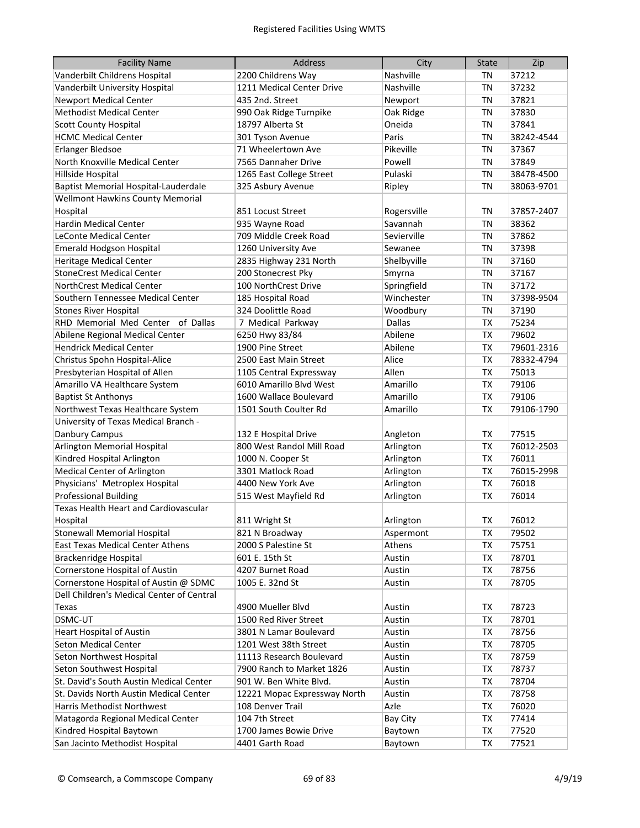| <b>Facility Name</b>                         | <b>Address</b>               | City          | <b>State</b> | Zip        |
|----------------------------------------------|------------------------------|---------------|--------------|------------|
| Vanderbilt Childrens Hospital                | 2200 Childrens Way           | Nashville     | ΤN           | 37212      |
| Vanderbilt University Hospital               | 1211 Medical Center Drive    | Nashville     | <b>TN</b>    | 37232      |
| <b>Newport Medical Center</b>                | 435 2nd. Street              | Newport       | <b>TN</b>    | 37821      |
| <b>Methodist Medical Center</b>              | 990 Oak Ridge Turnpike       | Oak Ridge     | <b>TN</b>    | 37830      |
| <b>Scott County Hospital</b>                 | 18797 Alberta St             | Oneida        | <b>TN</b>    | 37841      |
| <b>HCMC Medical Center</b>                   | 301 Tyson Avenue             | Paris         | <b>TN</b>    | 38242-4544 |
| Erlanger Bledsoe                             | 71 Wheelertown Ave           | Pikeville     | <b>TN</b>    | 37367      |
| North Knoxville Medical Center               | 7565 Dannaher Drive          | Powell        | <b>TN</b>    | 37849      |
| Hillside Hospital                            | 1265 East College Street     | Pulaski       | <b>TN</b>    | 38478-4500 |
| Baptist Memorial Hospital-Lauderdale         | 325 Asbury Avenue            | Ripley        | <b>TN</b>    | 38063-9701 |
| <b>Wellmont Hawkins County Memorial</b>      |                              |               |              |            |
| Hospital                                     | 851 Locust Street            | Rogersville   | <b>TN</b>    | 37857-2407 |
| Hardin Medical Center                        | 935 Wayne Road               | Savannah      | <b>TN</b>    | 38362      |
| <b>LeConte Medical Center</b>                | 709 Middle Creek Road        | Sevierville   | <b>TN</b>    | 37862      |
| <b>Emerald Hodgson Hospital</b>              | 1260 University Ave          | Sewanee       | <b>TN</b>    | 37398      |
| <b>Heritage Medical Center</b>               | 2835 Highway 231 North       | Shelbyville   | <b>TN</b>    | 37160      |
| <b>StoneCrest Medical Center</b>             | 200 Stonecrest Pky           | Smyrna        | <b>TN</b>    | 37167      |
| <b>NorthCrest Medical Center</b>             | 100 NorthCrest Drive         | Springfield   | <b>TN</b>    | 37172      |
| Southern Tennessee Medical Center            | 185 Hospital Road            | Winchester    | <b>TN</b>    | 37398-9504 |
| <b>Stones River Hospital</b>                 | 324 Doolittle Road           | Woodbury      | <b>TN</b>    | 37190      |
| RHD Memorial Med Center of Dallas            | 7 Medical Parkway            | <b>Dallas</b> | <b>TX</b>    | 75234      |
| Abilene Regional Medical Center              | 6250 Hwy 83/84               | Abilene       | <b>TX</b>    | 79602      |
| <b>Hendrick Medical Center</b>               | 1900 Pine Street             | Abilene       | <b>TX</b>    | 79601-2316 |
| Christus Spohn Hospital-Alice                | 2500 East Main Street        | Alice         | <b>TX</b>    | 78332-4794 |
| Presbyterian Hospital of Allen               | 1105 Central Expressway      | Allen         | <b>TX</b>    | 75013      |
| Amarillo VA Healthcare System                | 6010 Amarillo Blvd West      | Amarillo      | <b>TX</b>    | 79106      |
| <b>Baptist St Anthonys</b>                   | 1600 Wallace Boulevard       | Amarillo      | <b>TX</b>    | 79106      |
| Northwest Texas Healthcare System            | 1501 South Coulter Rd        | Amarillo      | <b>TX</b>    | 79106-1790 |
| University of Texas Medical Branch -         |                              |               |              |            |
| Danbury Campus                               | 132 E Hospital Drive         | Angleton      | <b>TX</b>    | 77515      |
| Arlington Memorial Hospital                  | 800 West Randol Mill Road    | Arlington     | <b>TX</b>    | 76012-2503 |
| Kindred Hospital Arlington                   | 1000 N. Cooper St            | Arlington     | <b>TX</b>    | 76011      |
| <b>Medical Center of Arlington</b>           | 3301 Matlock Road            | Arlington     | <b>TX</b>    | 76015-2998 |
| Physicians' Metroplex Hospital               | 4400 New York Ave            | Arlington     | TX           | 76018      |
| <b>Professional Building</b>                 | 515 West Mayfield Rd         | Arlington     | <b>TX</b>    | 76014      |
| <b>Texas Health Heart and Cardiovascular</b> |                              |               |              |            |
| Hospital                                     | 811 Wright St                | Arlington     | ТX           | 76012      |
| <b>Stonewall Memorial Hospital</b>           | 821 N Broadway               | Aspermont     | TX           | 79502      |
| East Texas Medical Center Athens             | 2000 S Palestine St          | Athens        | TX           | 75751      |
| <b>Brackenridge Hospital</b>                 | 601 E. 15th St               | Austin        | TX           | 78701      |
| Cornerstone Hospital of Austin               | 4207 Burnet Road             | Austin        | TX           | 78756      |
| Cornerstone Hospital of Austin @ SDMC        | 1005 E. 32nd St              | Austin        | <b>TX</b>    | 78705      |
| Dell Children's Medical Center of Central    |                              |               |              |            |
| <b>Texas</b>                                 | 4900 Mueller Blvd            | Austin        | TX           | 78723      |
| DSMC-UT                                      | 1500 Red River Street        | Austin        | TX           | 78701      |
| <b>Heart Hospital of Austin</b>              | 3801 N Lamar Boulevard       | Austin        | TX           | 78756      |
| <b>Seton Medical Center</b>                  | 1201 West 38th Street        | Austin        | TX           | 78705      |
| Seton Northwest Hospital                     | 11113 Research Boulevard     | Austin        | <b>TX</b>    | 78759      |
| Seton Southwest Hospital                     | 7900 Ranch to Market 1826    | Austin        | <b>TX</b>    | 78737      |
| St. David's South Austin Medical Center      | 901 W. Ben White Blvd.       | Austin        | <b>TX</b>    | 78704      |
| St. Davids North Austin Medical Center       | 12221 Mopac Expressway North | Austin        | TX           | 78758      |
| Harris Methodist Northwest                   | 108 Denver Trail             | Azle          | <b>TX</b>    | 76020      |
| Matagorda Regional Medical Center            | 104 7th Street               | Bay City      | TX           | 77414      |
| Kindred Hospital Baytown                     | 1700 James Bowie Drive       | Baytown       | TX           | 77520      |
| San Jacinto Methodist Hospital               | 4401 Garth Road              | Baytown       | TX           | 77521      |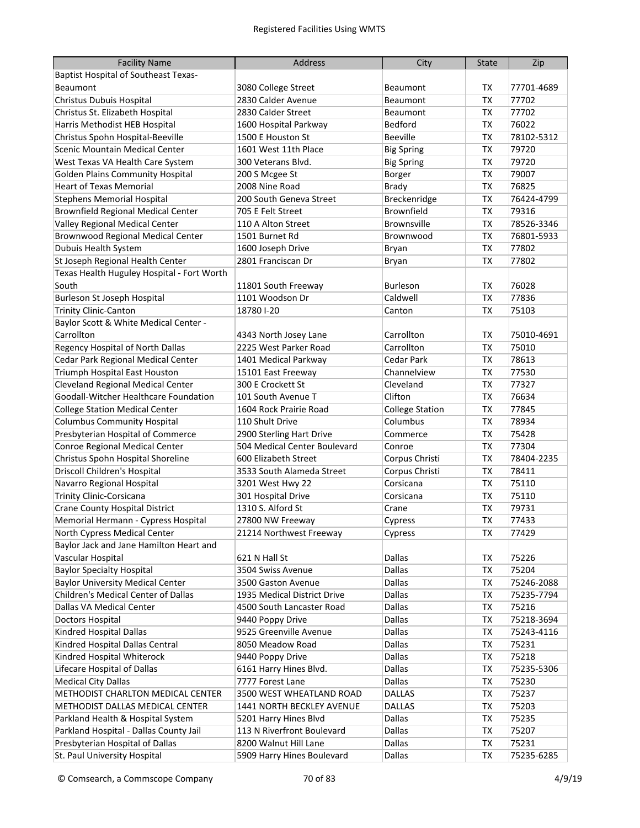| <b>Facility Name</b>                        | Address                      | City                   | <b>State</b> | Zip        |
|---------------------------------------------|------------------------------|------------------------|--------------|------------|
| <b>Baptist Hospital of Southeast Texas-</b> |                              |                        |              |            |
| Beaumont                                    | 3080 College Street          | <b>Beaumont</b>        | ТX           | 77701-4689 |
| Christus Dubuis Hospital                    | 2830 Calder Avenue           | <b>Beaumont</b>        | <b>TX</b>    | 77702      |
| Christus St. Elizabeth Hospital             | 2830 Calder Street           | Beaumont               | <b>TX</b>    | 77702      |
| Harris Methodist HEB Hospital               | 1600 Hospital Parkway        | <b>Bedford</b>         | <b>TX</b>    | 76022      |
| Christus Spohn Hospital-Beeville            | 1500 E Houston St            | <b>Beeville</b>        | <b>TX</b>    | 78102-5312 |
| Scenic Mountain Medical Center              | 1601 West 11th Place         | <b>Big Spring</b>      | <b>TX</b>    | 79720      |
| West Texas VA Health Care System            | 300 Veterans Blvd.           | <b>Big Spring</b>      | <b>TX</b>    | 79720      |
| <b>Golden Plains Community Hospital</b>     | 200 S Mcgee St               | Borger                 | <b>TX</b>    | 79007      |
| <b>Heart of Texas Memorial</b>              | 2008 Nine Road               | <b>Brady</b>           | TX           | 76825      |
| <b>Stephens Memorial Hospital</b>           | 200 South Geneva Street      | Breckenridge           | TX           | 76424-4799 |
| <b>Brownfield Regional Medical Center</b>   | 705 E Felt Street            | Brownfield             | TX           | 79316      |
| Valley Regional Medical Center              | 110 A Alton Street           | <b>Brownsville</b>     | TX           | 78526-3346 |
| <b>Brownwood Regional Medical Center</b>    | 1501 Burnet Rd               | Brownwood              | TX           | 76801-5933 |
| Dubuis Health System                        | 1600 Joseph Drive            | Bryan                  | TX           | 77802      |
| St Joseph Regional Health Center            | 2801 Franciscan Dr           | Bryan                  | <b>TX</b>    | 77802      |
| Texas Health Huguley Hospital - Fort Worth  |                              |                        |              |            |
| South                                       | 11801 South Freeway          | <b>Burleson</b>        | TX           | 76028      |
| Burleson St Joseph Hospital                 | 1101 Woodson Dr              | Caldwell               | <b>TX</b>    | 77836      |
| <b>Trinity Clinic-Canton</b>                | 187801-20                    | Canton                 | <b>TX</b>    | 75103      |
| Baylor Scott & White Medical Center -       |                              |                        |              |            |
| Carrollton                                  | 4343 North Josey Lane        | Carrollton             | <b>TX</b>    | 75010-4691 |
| Regency Hospital of North Dallas            | 2225 West Parker Road        | Carrollton             | <b>TX</b>    | 75010      |
| Cedar Park Regional Medical Center          | 1401 Medical Parkway         | <b>Cedar Park</b>      | <b>TX</b>    | 78613      |
| Triumph Hospital East Houston               | 15101 East Freeway           | Channelview            | <b>TX</b>    | 77530      |
| <b>Cleveland Regional Medical Center</b>    | 300 E Crockett St            | Cleveland              | <b>TX</b>    | 77327      |
| Goodall-Witcher Healthcare Foundation       | 101 South Avenue T           | Clifton                | <b>TX</b>    | 76634      |
| <b>College Station Medical Center</b>       | 1604 Rock Prairie Road       | <b>College Station</b> | <b>TX</b>    | 77845      |
| <b>Columbus Community Hospital</b>          | 110 Shult Drive              | Columbus               | <b>TX</b>    | 78934      |
| Presbyterian Hospital of Commerce           | 2900 Sterling Hart Drive     | Commerce               | <b>TX</b>    | 75428      |
| Conroe Regional Medical Center              | 504 Medical Center Boulevard | Conroe                 | <b>TX</b>    | 77304      |
| Christus Spohn Hospital Shoreline           | 600 Elizabeth Street         | Corpus Christi         | <b>TX</b>    | 78404-2235 |
| Driscoll Children's Hospital                | 3533 South Alameda Street    | Corpus Christi         | <b>TX</b>    | 78411      |
| Navarro Regional Hospital                   | 3201 West Hwy 22             | Corsicana              | <b>TX</b>    | 75110      |
| <b>Trinity Clinic-Corsicana</b>             | 301 Hospital Drive           | Corsicana              | <b>TX</b>    | 75110      |
| <b>Crane County Hospital District</b>       | 1310 S. Alford St            | Crane                  | <b>TX</b>    | 79731      |
| Memorial Hermann - Cypress Hospital         | 27800 NW Freeway             | Cypress                | <b>TX</b>    | 77433      |
| North Cypress Medical Center                | 21214 Northwest Freeway      | Cypress                | TX           | 77429      |
| Baylor Jack and Jane Hamilton Heart and     |                              |                        |              |            |
| Vascular Hospital                           | 621 N Hall St                | Dallas                 | TX           | 75226      |
| <b>Baylor Specialty Hospital</b>            | 3504 Swiss Avenue            | Dallas                 | TX           | 75204      |
| <b>Baylor University Medical Center</b>     | 3500 Gaston Avenue           | <b>Dallas</b>          | ТX           | 75246-2088 |
| Children's Medical Center of Dallas         | 1935 Medical District Drive  | Dallas                 | TX           | 75235-7794 |
| Dallas VA Medical Center                    | 4500 South Lancaster Road    | Dallas                 | TX           | 75216      |
| Doctors Hospital                            | 9440 Poppy Drive             | Dallas                 | TX           | 75218-3694 |
| Kindred Hospital Dallas                     | 9525 Greenville Avenue       | Dallas                 | TX           | 75243-4116 |
| Kindred Hospital Dallas Central             | 8050 Meadow Road             | Dallas                 | TX           | 75231      |
| Kindred Hospital Whiterock                  | 9440 Poppy Drive             | <b>Dallas</b>          | <b>TX</b>    | 75218      |
| Lifecare Hospital of Dallas                 | 6161 Harry Hines Blvd.       | Dallas                 | TX           | 75235-5306 |
| <b>Medical City Dallas</b>                  | 7777 Forest Lane             | Dallas                 | <b>TX</b>    | 75230      |
| METHODIST CHARLTON MEDICAL CENTER           | 3500 WEST WHEATLAND ROAD     | DALLAS                 | <b>TX</b>    | 75237      |
| METHODIST DALLAS MEDICAL CENTER             | 1441 NORTH BECKLEY AVENUE    | <b>DALLAS</b>          | TX           | 75203      |
| Parkland Health & Hospital System           | 5201 Harry Hines Blvd        | Dallas                 | TX           | 75235      |
| Parkland Hospital - Dallas County Jail      | 113 N Riverfront Boulevard   | Dallas                 | TX           | 75207      |
| Presbyterian Hospital of Dallas             | 8200 Walnut Hill Lane        | Dallas                 | TX           | 75231      |
| St. Paul University Hospital                | 5909 Harry Hines Boulevard   | Dallas                 | TX           | 75235-6285 |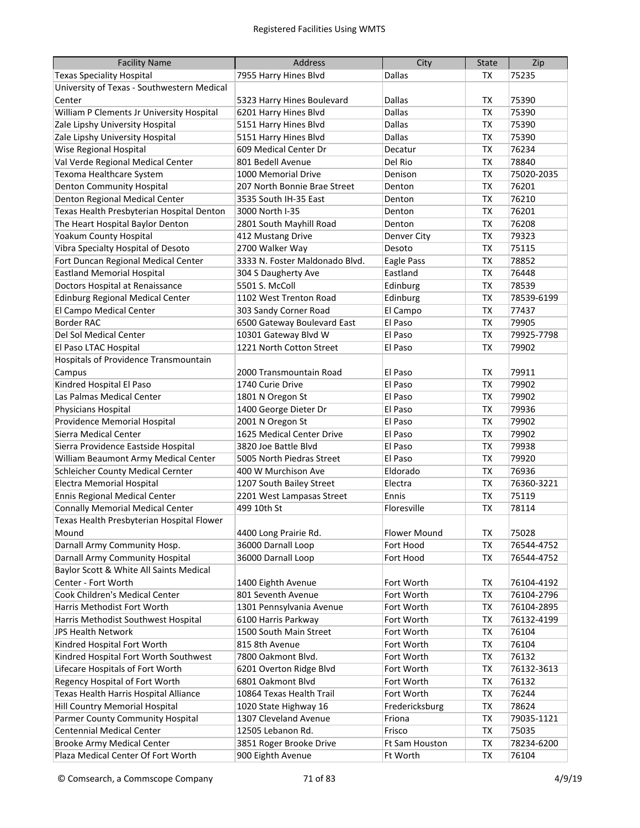| <b>Facility Name</b>                                  | Address                                           | City               | <b>State</b>           | Zip            |
|-------------------------------------------------------|---------------------------------------------------|--------------------|------------------------|----------------|
| <b>Texas Speciality Hospital</b>                      | 7955 Harry Hines Blvd                             | Dallas             | TX                     | 75235          |
| University of Texas - Southwestern Medical            |                                                   |                    |                        |                |
| Center                                                | 5323 Harry Hines Boulevard                        | Dallas             | TX                     | 75390          |
| William P Clements Jr University Hospital             | 6201 Harry Hines Blvd                             | Dallas             | TX                     | 75390          |
| Zale Lipshy University Hospital                       | 5151 Harry Hines Blvd                             | Dallas             | <b>TX</b>              | 75390          |
| Zale Lipshy University Hospital                       | 5151 Harry Hines Blvd                             | Dallas             | <b>TX</b>              | 75390          |
| Wise Regional Hospital                                | 609 Medical Center Dr                             | Decatur            | <b>TX</b>              | 76234          |
| Val Verde Regional Medical Center                     | 801 Bedell Avenue                                 | Del Rio            | <b>TX</b>              | 78840          |
| Texoma Healthcare System                              | 1000 Memorial Drive                               | Denison            | <b>TX</b>              | 75020-2035     |
| <b>Denton Community Hospital</b>                      | 207 North Bonnie Brae Street                      | Denton             | TX                     | 76201          |
| Denton Regional Medical Center                        | 3535 South IH-35 East                             | Denton             | <b>TX</b>              | 76210          |
| Texas Health Presbyterian Hospital Denton             | 3000 North I-35                                   | Denton             | TX                     | 76201          |
| The Heart Hospital Baylor Denton                      | 2801 South Mayhill Road                           | Denton             | TX                     | 76208          |
| Yoakum County Hospital                                | 412 Mustang Drive                                 | Denver City        | TX                     | 79323          |
| Vibra Specialty Hospital of Desoto                    | 2700 Walker Way                                   | Desoto             | <b>TX</b>              | 75115          |
| Fort Duncan Regional Medical Center                   | 3333 N. Foster Maldonado Blvd.                    | Eagle Pass         | TX                     | 78852          |
| <b>Eastland Memorial Hospital</b>                     | 304 S Daugherty Ave                               | Eastland           | TX                     | 76448          |
| Doctors Hospital at Renaissance                       | 5501 S. McColl                                    | Edinburg           | <b>TX</b>              | 78539          |
| <b>Edinburg Regional Medical Center</b>               | 1102 West Trenton Road                            | Edinburg           | <b>TX</b>              | 78539-6199     |
| El Campo Medical Center                               | 303 Sandy Corner Road                             | El Campo           | <b>TX</b>              | 77437          |
| <b>Border RAC</b>                                     | 6500 Gateway Boulevard East                       | El Paso            | <b>TX</b>              | 79905          |
| Del Sol Medical Center                                | 10301 Gateway Blvd W                              | El Paso            | <b>TX</b>              | 79925-7798     |
| El Paso LTAC Hospital                                 | 1221 North Cotton Street                          | El Paso            | <b>TX</b>              | 79902          |
| Hospitals of Providence Transmountain                 |                                                   |                    |                        |                |
|                                                       |                                                   |                    |                        |                |
| Campus                                                | 2000 Transmountain Road                           | El Paso            | <b>TX</b>              | 79911          |
| Kindred Hospital El Paso                              | 1740 Curie Drive                                  | El Paso            | <b>TX</b>              | 79902          |
| Las Palmas Medical Center                             | 1801 N Oregon St                                  | El Paso<br>El Paso | <b>TX</b>              | 79902          |
| Physicians Hospital                                   | 1400 George Dieter Dr                             |                    | <b>TX</b>              | 79936          |
| Providence Memorial Hospital<br>Sierra Medical Center | 2001 N Oregon St<br>1625 Medical Center Drive     | El Paso<br>El Paso | TX<br><b>TX</b>        | 79902<br>79902 |
| Sierra Providence Eastside Hospital                   |                                                   |                    |                        |                |
|                                                       | 3820 Joe Battle Blvd<br>5005 North Piedras Street | El Paso<br>El Paso | <b>TX</b><br><b>TX</b> | 79938<br>79920 |
| William Beaumont Army Medical Center                  | 400 W Murchison Ave                               |                    |                        |                |
| <b>Schleicher County Medical Cernter</b>              |                                                   | Eldorado           | <b>TX</b>              | 76936          |
| <b>Electra Memorial Hospital</b>                      | 1207 South Bailey Street                          | Electra            | <b>TX</b>              | 76360-3221     |
| <b>Ennis Regional Medical Center</b>                  | 2201 West Lampasas Street                         | Ennis              | <b>TX</b>              | 75119          |
| <b>Connally Memorial Medical Center</b>               | 499 10th St                                       | Floresville        | <b>TX</b>              | 78114          |
| Texas Health Presbyterian Hospital Flower             |                                                   |                    |                        |                |
| Mound                                                 | 4400 Long Prairie Rd.                             | Flower Mound       | TX                     | 75028          |
| Darnall Army Community Hosp.                          | 36000 Darnall Loop                                | Fort Hood          | TX                     | 76544-4752     |
| Darnall Army Community Hospital                       | 36000 Darnall Loop                                | Fort Hood          | <b>TX</b>              | 76544-4752     |
| Baylor Scott & White All Saints Medical               |                                                   |                    |                        |                |
| Center - Fort Worth                                   | 1400 Eighth Avenue                                | Fort Worth         | TX                     | 76104-4192     |
| Cook Children's Medical Center                        | 801 Seventh Avenue                                | Fort Worth         | TX                     | 76104-2796     |
| Harris Methodist Fort Worth                           | 1301 Pennsylvania Avenue                          | Fort Worth         | TX                     | 76104-2895     |
| Harris Methodist Southwest Hospital                   | 6100 Harris Parkway                               | Fort Worth         | TX                     | 76132-4199     |
| JPS Health Network                                    | 1500 South Main Street                            | Fort Worth         | TX                     | 76104          |
| Kindred Hospital Fort Worth                           | 815 8th Avenue                                    | Fort Worth         | TX                     | 76104          |
| Kindred Hospital Fort Worth Southwest                 | 7800 Oakmont Blvd.                                | Fort Worth         | <b>TX</b>              | 76132          |
| Lifecare Hospitals of Fort Worth                      | 6201 Overton Ridge Blvd                           | Fort Worth         | <b>TX</b>              | 76132-3613     |
| Regency Hospital of Fort Worth                        | 6801 Oakmont Blvd                                 | Fort Worth         | TX                     | 76132          |
| Texas Health Harris Hospital Alliance                 | 10864 Texas Health Trail                          | Fort Worth         | <b>TX</b>              | 76244          |
| Hill Country Memorial Hospital                        | 1020 State Highway 16                             | Fredericksburg     | TX                     | 78624          |
| Parmer County Community Hospital                      | 1307 Cleveland Avenue                             | Friona             | TX                     | 79035-1121     |
| <b>Centennial Medical Center</b>                      | 12505 Lebanon Rd.                                 | Frisco             | ТX                     | 75035          |
| <b>Brooke Army Medical Center</b>                     | 3851 Roger Brooke Drive                           | Ft Sam Houston     | TX                     | 78234-6200     |
| Plaza Medical Center Of Fort Worth                    | 900 Eighth Avenue                                 | Ft Worth           | TX                     | 76104          |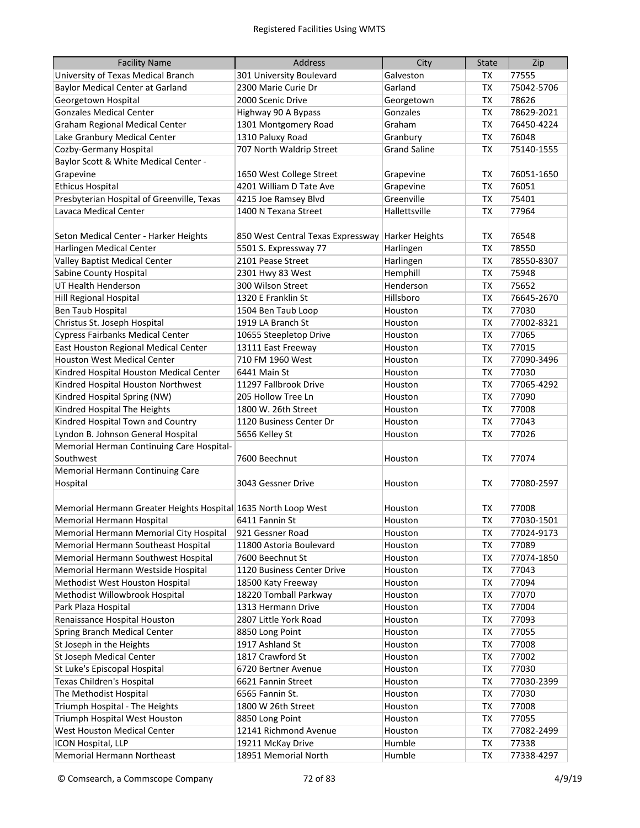| <b>Facility Name</b>                                           | <b>Address</b>                    | City                | <b>State</b> | Zip        |
|----------------------------------------------------------------|-----------------------------------|---------------------|--------------|------------|
| University of Texas Medical Branch                             | 301 University Boulevard          | Galveston           | TX           | 77555      |
| <b>Baylor Medical Center at Garland</b>                        | 2300 Marie Curie Dr               | Garland             | <b>TX</b>    | 75042-5706 |
| Georgetown Hospital                                            | 2000 Scenic Drive                 | Georgetown          | <b>TX</b>    | 78626      |
| <b>Gonzales Medical Center</b>                                 | Highway 90 A Bypass               | Gonzales            | ТX           | 78629-2021 |
| Graham Regional Medical Center                                 | 1301 Montgomery Road              | Graham              | <b>TX</b>    | 76450-4224 |
| Lake Granbury Medical Center                                   | 1310 Paluxy Road                  | Granbury            | <b>TX</b>    | 76048      |
| Cozby-Germany Hospital                                         | 707 North Waldrip Street          | <b>Grand Saline</b> | <b>TX</b>    | 75140-1555 |
| Baylor Scott & White Medical Center -                          |                                   |                     |              |            |
| Grapevine                                                      | 1650 West College Street          | Grapevine           | <b>TX</b>    | 76051-1650 |
| <b>Ethicus Hospital</b>                                        | 4201 William D Tate Ave           | Grapevine           | <b>TX</b>    | 76051      |
| Presbyterian Hospital of Greenville, Texas                     | 4215 Joe Ramsey Blvd              | Greenville          | <b>TX</b>    | 75401      |
| Lavaca Medical Center                                          | 1400 N Texana Street              | Hallettsville       | <b>TX</b>    | 77964      |
|                                                                |                                   |                     |              |            |
| Seton Medical Center - Harker Heights                          | 850 West Central Texas Expressway | Harker Heights      | ТX           | 76548      |
| Harlingen Medical Center                                       | 5501 S. Expressway 77             | Harlingen           | <b>TX</b>    | 78550      |
| Valley Baptist Medical Center                                  | 2101 Pease Street                 | Harlingen           | <b>TX</b>    | 78550-8307 |
| Sabine County Hospital                                         | 2301 Hwy 83 West                  | Hemphill            | <b>TX</b>    | 75948      |
| UT Health Henderson                                            | 300 Wilson Street                 | Henderson           | <b>TX</b>    | 75652      |
| Hill Regional Hospital                                         | 1320 E Franklin St                | Hillsboro           | <b>TX</b>    | 76645-2670 |
| Ben Taub Hospital                                              | 1504 Ben Taub Loop                | Houston             | TX           | 77030      |
| Christus St. Joseph Hospital                                   | 1919 LA Branch St                 | Houston             | <b>TX</b>    | 77002-8321 |
| <b>Cypress Fairbanks Medical Center</b>                        | 10655 Steepletop Drive            | Houston             | <b>TX</b>    | 77065      |
| East Houston Regional Medical Center                           | 13111 East Freeway                | Houston             | <b>TX</b>    | 77015      |
| <b>Houston West Medical Center</b>                             | 710 FM 1960 West                  | Houston             | <b>TX</b>    | 77090-3496 |
| Kindred Hospital Houston Medical Center                        | 6441 Main St                      | Houston             | <b>TX</b>    | 77030      |
| Kindred Hospital Houston Northwest                             | 11297 Fallbrook Drive             | Houston             | <b>TX</b>    | 77065-4292 |
| Kindred Hospital Spring (NW)                                   | 205 Hollow Tree Ln                | Houston             | <b>TX</b>    | 77090      |
| Kindred Hospital The Heights                                   | 1800 W. 26th Street               | Houston             | <b>TX</b>    | 77008      |
| Kindred Hospital Town and Country                              | 1120 Business Center Dr           | Houston             | <b>TX</b>    | 77043      |
| Lyndon B. Johnson General Hospital                             | 5656 Kelley St                    | Houston             | <b>TX</b>    | 77026      |
| Memorial Herman Continuing Care Hospital-                      |                                   |                     |              |            |
| Southwest                                                      | 7600 Beechnut                     | Houston             | TX           | 77074      |
| Memorial Hermann Continuing Care                               |                                   |                     |              |            |
| Hospital                                                       | 3043 Gessner Drive                | Houston             | TX           | 77080-2597 |
|                                                                |                                   |                     |              |            |
| Memorial Hermann Greater Heights Hospital 1635 North Loop West |                                   | Houston             | <b>TX</b>    | 77008      |
| Memorial Hermann Hospital                                      | 6411 Fannin St                    | Houston             | TX           | 77030-1501 |
| Memorial Hermann Memorial City Hospital                        | 921 Gessner Road                  | Houston             | ТX           | 77024-9173 |
| Memorial Hermann Southeast Hospital                            | 11800 Astoria Boulevard           | Houston             | <b>TX</b>    | 77089      |
| Memorial Hermann Southwest Hospital                            | 7600 Beechnut St                  | Houston             | ТX           | 77074-1850 |
| Memorial Hermann Westside Hospital                             | 1120 Business Center Drive        | Houston             | TX           | 77043      |
| Methodist West Houston Hospital                                | 18500 Katy Freeway                | Houston             | TX           | 77094      |
| Methodist Willowbrook Hospital                                 | 18220 Tomball Parkway             | Houston             | TX           | 77070      |
| Park Plaza Hospital                                            | 1313 Hermann Drive                | Houston             | TX           | 77004      |
| Renaissance Hospital Houston                                   | 2807 Little York Road             | Houston             | TX           | 77093      |
| Spring Branch Medical Center                                   | 8850 Long Point                   | Houston             | TX           | 77055      |
| St Joseph in the Heights                                       | 1917 Ashland St                   | Houston             | TX           | 77008      |
| <b>St Joseph Medical Center</b>                                | 1817 Crawford St                  | Houston             | TX           | 77002      |
| St Luke's Episcopal Hospital                                   | 6720 Bertner Avenue               | Houston             | TX           | 77030      |
| Texas Children's Hospital                                      | 6621 Fannin Street                | Houston             | TX           | 77030-2399 |
| The Methodist Hospital                                         | 6565 Fannin St.                   | Houston             | TX           | 77030      |
| Triumph Hospital - The Heights                                 | 1800 W 26th Street                | Houston             | <b>TX</b>    | 77008      |
| Triumph Hospital West Houston                                  | 8850 Long Point                   | Houston             | <b>TX</b>    | 77055      |
| West Houston Medical Center                                    | 12141 Richmond Avenue             | Houston             | <b>TX</b>    | 77082-2499 |
| ICON Hospital, LLP                                             | 19211 McKay Drive                 | Humble              | TX           | 77338      |
| Memorial Hermann Northeast                                     | 18951 Memorial North              | Humble              | TX           | 77338-4297 |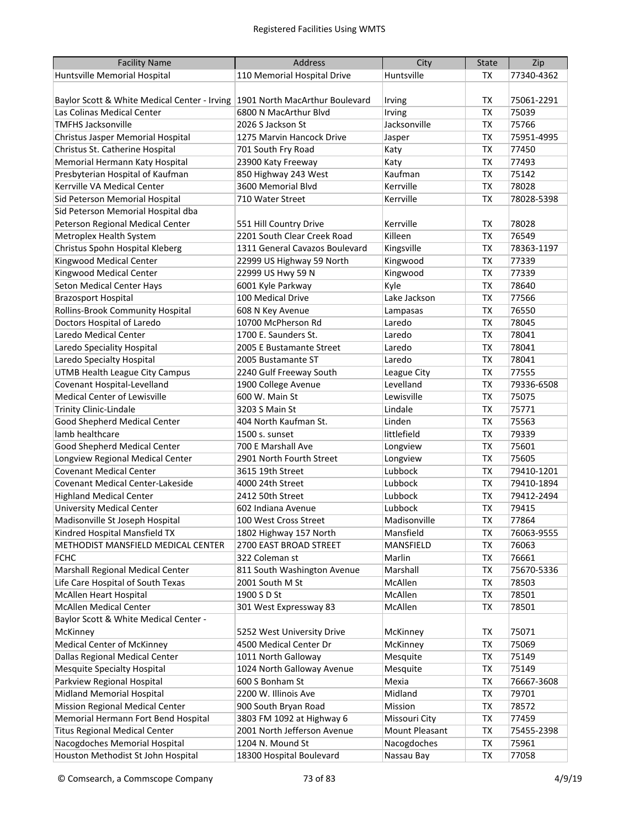| <b>Facility Name</b>                                                        | <b>Address</b>                 | City                     | <b>State</b> | Zip        |
|-----------------------------------------------------------------------------|--------------------------------|--------------------------|--------------|------------|
| Huntsville Memorial Hospital                                                | 110 Memorial Hospital Drive    | Huntsville               | TX           | 77340-4362 |
|                                                                             |                                |                          |              |            |
| Baylor Scott & White Medical Center - Irving 1901 North MacArthur Boulevard |                                | Irving                   | TX           | 75061-2291 |
| Las Colinas Medical Center                                                  | 6800 N MacArthur Blvd          | Irving                   | <b>TX</b>    | 75039      |
| <b>TMFHS Jacksonville</b>                                                   | 2026 S Jackson St              | Jacksonville             | <b>TX</b>    | 75766      |
| Christus Jasper Memorial Hospital                                           | 1275 Marvin Hancock Drive      | Jasper                   | <b>TX</b>    | 75951-4995 |
| Christus St. Catherine Hospital                                             | 701 South Fry Road             | Katy                     | <b>TX</b>    | 77450      |
| Memorial Hermann Katy Hospital                                              | 23900 Katy Freeway             | Katy                     | <b>TX</b>    | 77493      |
| Presbyterian Hospital of Kaufman                                            | 850 Highway 243 West           | Kaufman                  | <b>TX</b>    | 75142      |
| Kerrville VA Medical Center                                                 | 3600 Memorial Blvd             | Kerrville                | TX           | 78028      |
| Sid Peterson Memorial Hospital                                              | 710 Water Street               | Kerrville                | <b>TX</b>    | 78028-5398 |
| Sid Peterson Memorial Hospital dba                                          |                                |                          |              |            |
| Peterson Regional Medical Center                                            | 551 Hill Country Drive         | Kerrville                | TX           | 78028      |
| Metroplex Health System                                                     | 2201 South Clear Creek Road    | Killeen                  | <b>TX</b>    | 76549      |
| Christus Spohn Hospital Kleberg                                             | 1311 General Cavazos Boulevard | Kingsville               | ТX           | 78363-1197 |
| Kingwood Medical Center                                                     | 22999 US Highway 59 North      | Kingwood                 | TX           | 77339      |
| Kingwood Medical Center                                                     | 22999 US Hwy 59 N              | Kingwood                 | <b>TX</b>    | 77339      |
| Seton Medical Center Hays                                                   | 6001 Kyle Parkway              | Kyle                     | <b>TX</b>    | 78640      |
| <b>Brazosport Hospital</b>                                                  | 100 Medical Drive              | Lake Jackson             | <b>TX</b>    | 77566      |
| <b>Rollins-Brook Community Hospital</b>                                     | 608 N Key Avenue               | Lampasas                 | <b>TX</b>    | 76550      |
| Doctors Hospital of Laredo                                                  | 10700 McPherson Rd             | Laredo                   | <b>TX</b>    | 78045      |
| Laredo Medical Center                                                       | 1700 E. Saunders St.           | Laredo                   | <b>TX</b>    | 78041      |
| Laredo Speciality Hospital                                                  | 2005 E Bustamante Street       | Laredo                   | <b>TX</b>    | 78041      |
| Laredo Specialty Hospital                                                   | 2005 Bustamante ST             | Laredo                   | <b>TX</b>    | 78041      |
|                                                                             |                                |                          |              |            |
| <b>UTMB Health League City Campus</b><br>Covenant Hospital-Levelland        | 2240 Gulf Freeway South        | League City<br>Levelland | TX           | 77555      |
|                                                                             | 1900 College Avenue            |                          | <b>TX</b>    | 79336-6508 |
| Medical Center of Lewisville                                                | 600 W. Main St                 | Lewisville               | <b>TX</b>    | 75075      |
| <b>Trinity Clinic-Lindale</b>                                               | 3203 S Main St                 | Lindale                  | <b>TX</b>    | 75771      |
| Good Shepherd Medical Center<br>lamb healthcare                             | 404 North Kaufman St.          | Linden                   | <b>TX</b>    | 75563      |
|                                                                             | 1500 s. sunset                 | littlefield              | <b>TX</b>    | 79339      |
| Good Shepherd Medical Center                                                | 700 E Marshall Ave             | Longview                 | <b>TX</b>    | 75601      |
| Longview Regional Medical Center                                            | 2901 North Fourth Street       | Longview                 | <b>TX</b>    | 75605      |
| <b>Covenant Medical Center</b>                                              | 3615 19th Street               | Lubbock                  | <b>TX</b>    | 79410-1201 |
| Covenant Medical Center-Lakeside                                            | 4000 24th Street               | Lubbock                  | <b>TX</b>    | 79410-1894 |
| <b>Highland Medical Center</b>                                              | 2412 50th Street               | Lubbock                  | <b>TX</b>    | 79412-2494 |
| <b>University Medical Center</b>                                            | 602 Indiana Avenue             | Lubbock                  | <b>TX</b>    | 79415      |
| Madisonville St Joseph Hospital                                             | 100 West Cross Street          | Madisonville             | <b>TX</b>    | 77864      |
| Kindred Hospital Mansfield TX                                               | 1802 Highway 157 North         | Mansfield                | TX           | 76063-9555 |
| METHODIST MANSFIELD MEDICAL CENTER                                          | 2700 EAST BROAD STREET         | MANSFIELD                | TX           | 76063      |
| <b>FCHC</b>                                                                 | 322 Coleman st                 | Marlin                   | TX           | 76661      |
| Marshall Regional Medical Center                                            | 811 South Washington Avenue    | Marshall                 | TX           | 75670-5336 |
| Life Care Hospital of South Texas                                           | 2001 South M St                | McAllen                  | TX           | 78503      |
| <b>McAllen Heart Hospital</b>                                               | 1900 S D St                    | McAllen                  | TX           | 78501      |
| <b>McAllen Medical Center</b>                                               | 301 West Expressway 83         | McAllen                  | <b>TX</b>    | 78501      |
| Baylor Scott & White Medical Center -                                       |                                |                          |              |            |
| McKinney                                                                    | 5252 West University Drive     | McKinney                 | TX           | 75071      |
| <b>Medical Center of McKinney</b>                                           | 4500 Medical Center Dr         | McKinney                 | TX           | 75069      |
| Dallas Regional Medical Center                                              | 1011 North Galloway            | Mesquite                 | TX           | 75149      |
| <b>Mesquite Specialty Hospital</b>                                          | 1024 North Galloway Avenue     | Mesquite                 | TX           | 75149      |
| Parkview Regional Hospital                                                  | 600 S Bonham St                | Mexia                    | TX           | 76667-3608 |
| Midland Memorial Hospital                                                   | 2200 W. Illinois Ave           | Midland                  | TX           | 79701      |
| Mission Regional Medical Center                                             | 900 South Bryan Road           | Mission                  | TX           | 78572      |
| Memorial Hermann Fort Bend Hospital                                         | 3803 FM 1092 at Highway 6      | Missouri City            | TX           | 77459      |
| <b>Titus Regional Medical Center</b>                                        | 2001 North Jefferson Avenue    | Mount Pleasant           | TX           | 75455-2398 |
| Nacogdoches Memorial Hospital                                               | 1204 N. Mound St               | Nacogdoches              | TX           | 75961      |
| Houston Methodist St John Hospital                                          | 18300 Hospital Boulevard       | Nassau Bay               | TX           | 77058      |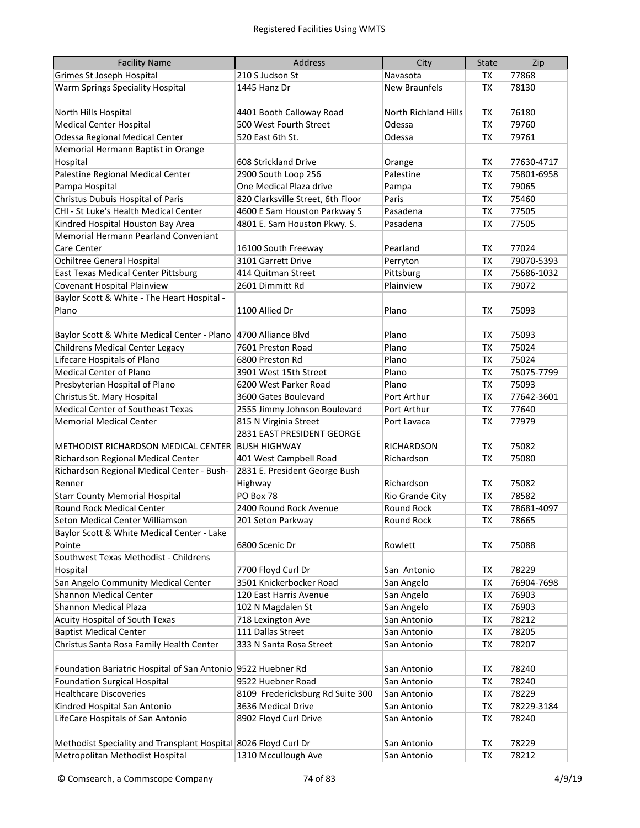| <b>Facility Name</b>                                            | Address                           | City                        | <b>State</b> | Zip        |
|-----------------------------------------------------------------|-----------------------------------|-----------------------------|--------------|------------|
| <b>Grimes St Joseph Hospital</b>                                | 210 S Judson St                   | Navasota                    | ТX           | 77868      |
| Warm Springs Speciality Hospital                                | 1445 Hanz Dr                      | <b>New Braunfels</b>        | TX           | 78130      |
|                                                                 |                                   |                             |              |            |
| North Hills Hospital                                            | 4401 Booth Calloway Road          | <b>North Richland Hills</b> | ТX           | 76180      |
| <b>Medical Center Hospital</b>                                  | 500 West Fourth Street            | Odessa                      | <b>TX</b>    | 79760      |
| <b>Odessa Regional Medical Center</b>                           | 520 East 6th St.                  | Odessa                      | TX           | 79761      |
| Memorial Hermann Baptist in Orange                              |                                   |                             |              |            |
| Hospital                                                        | 608 Strickland Drive              | Orange                      | ТX           | 77630-4717 |
| Palestine Regional Medical Center                               | 2900 South Loop 256               | Palestine                   | <b>TX</b>    | 75801-6958 |
| Pampa Hospital                                                  | One Medical Plaza drive           | Pampa                       | <b>TX</b>    | 79065      |
| Christus Dubuis Hospital of Paris                               | 820 Clarksville Street, 6th Floor | Paris                       | <b>TX</b>    | 75460      |
| CHI - St Luke's Health Medical Center                           | 4600 E Sam Houston Parkway S      | Pasadena                    | TX           | 77505      |
| Kindred Hospital Houston Bay Area                               | 4801 E. Sam Houston Pkwy. S.      | Pasadena                    | <b>TX</b>    | 77505      |
| Memorial Hermann Pearland Conveniant                            |                                   |                             |              |            |
| Care Center                                                     | 16100 South Freeway               | Pearland                    | <b>TX</b>    | 77024      |
| <b>Ochiltree General Hospital</b>                               | 3101 Garrett Drive                | Perryton                    | TX           | 79070-5393 |
| <b>East Texas Medical Center Pittsburg</b>                      | 414 Quitman Street                | Pittsburg                   | <b>TX</b>    | 75686-1032 |
| Covenant Hospital Plainview                                     | 2601 Dimmitt Rd                   | Plainview                   | <b>TX</b>    | 79072      |
| Baylor Scott & White - The Heart Hospital -                     |                                   |                             |              |            |
| Plano                                                           | 1100 Allied Dr                    | Plano                       | <b>TX</b>    | 75093      |
|                                                                 |                                   |                             |              |            |
| Baylor Scott & White Medical Center - Plano                     | 4700 Alliance Blyd                | Plano                       | ТX           | 75093      |
| <b>Childrens Medical Center Legacy</b>                          | 7601 Preston Road                 | Plano                       | <b>TX</b>    | 75024      |
| Lifecare Hospitals of Plano                                     | 6800 Preston Rd                   | Plano                       | <b>TX</b>    | 75024      |
| <b>Medical Center of Plano</b>                                  | 3901 West 15th Street             | Plano                       | <b>TX</b>    | 75075-7799 |
| Presbyterian Hospital of Plano                                  | 6200 West Parker Road             | Plano                       | <b>TX</b>    | 75093      |
| Christus St. Mary Hospital                                      | 3600 Gates Boulevard              | Port Arthur                 | <b>TX</b>    | 77642-3601 |
| <b>Medical Center of Southeast Texas</b>                        | 2555 Jimmy Johnson Boulevard      | Port Arthur                 | <b>TX</b>    | 77640      |
| <b>Memorial Medical Center</b>                                  | 815 N Virginia Street             | Port Lavaca                 | <b>TX</b>    | 77979      |
|                                                                 | 2831 EAST PRESIDENT GEORGE        |                             |              |            |
| METHODIST RICHARDSON MEDICAL CENTER                             | BUSH HIGHWAY                      | RICHARDSON                  | <b>TX</b>    | 75082      |
| Richardson Regional Medical Center                              | 401 West Campbell Road            | Richardson                  | ТX           | 75080      |
| Richardson Regional Medical Center - Bush-                      | 2831 E. President George Bush     |                             |              |            |
| Renner                                                          | Highway                           | Richardson                  | ТX           | 75082      |
| <b>Starr County Memorial Hospital</b>                           | PO Box 78                         | Rio Grande City             | ТX           | 78582      |
| Round Rock Medical Center                                       | 2400 Round Rock Avenue            | <b>Round Rock</b>           | <b>TX</b>    | 78681-4097 |
| Seton Medical Center Williamson                                 | 201 Seton Parkway                 | Round Rock                  | <b>TX</b>    | 78665      |
| Baylor Scott & White Medical Center - Lake                      |                                   |                             |              |            |
| Pointe                                                          | 6800 Scenic Dr                    | Rowlett                     | ТX           | 75088      |
| Southwest Texas Methodist - Childrens                           |                                   |                             |              |            |
| Hospital                                                        | 7700 Floyd Curl Dr                | San Antonio                 | TX           | 78229      |
| San Angelo Community Medical Center                             | 3501 Knickerbocker Road           | San Angelo                  | <b>TX</b>    | 76904-7698 |
| Shannon Medical Center                                          | 120 East Harris Avenue            | San Angelo                  | TX           | 76903      |
| Shannon Medical Plaza                                           | 102 N Magdalen St                 | San Angelo                  | TX           | 76903      |
| Acuity Hospital of South Texas                                  | 718 Lexington Ave                 | San Antonio                 | TX           | 78212      |
| <b>Baptist Medical Center</b>                                   | 111 Dallas Street                 | San Antonio                 | <b>TX</b>    | 78205      |
| Christus Santa Rosa Family Health Center                        | 333 N Santa Rosa Street           | San Antonio                 | <b>TX</b>    | 78207      |
|                                                                 |                                   |                             |              |            |
| Foundation Bariatric Hospital of San Antonio 9522 Huebner Rd    |                                   | San Antonio                 | ТX           | 78240      |
| <b>Foundation Surgical Hospital</b>                             | 9522 Huebner Road                 | San Antonio                 | <b>TX</b>    | 78240      |
| <b>Healthcare Discoveries</b>                                   | 8109 Fredericksburg Rd Suite 300  | San Antonio                 | <b>TX</b>    | 78229      |
| Kindred Hospital San Antonio                                    | 3636 Medical Drive                | San Antonio                 | TX           | 78229-3184 |
| LifeCare Hospitals of San Antonio                               | 8902 Floyd Curl Drive             | San Antonio                 | <b>TX</b>    | 78240      |
|                                                                 |                                   |                             |              |            |
| Methodist Speciality and Transplant Hospital 8026 Floyd Curl Dr |                                   | San Antonio                 | TX           | 78229      |
| Metropolitan Methodist Hospital                                 | 1310 Mccullough Ave               | San Antonio                 | <b>TX</b>    | 78212      |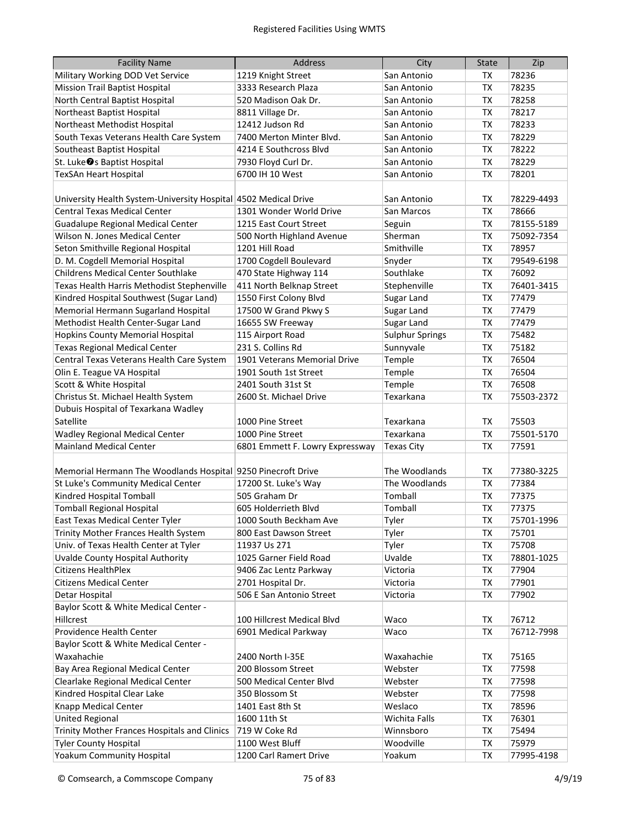| <b>Facility Name</b>                                            | <b>Address</b>                  | City                   | <b>State</b> | Zip        |
|-----------------------------------------------------------------|---------------------------------|------------------------|--------------|------------|
| Military Working DOD Vet Service                                | 1219 Knight Street              | San Antonio            | ТX           | 78236      |
| <b>Mission Trail Baptist Hospital</b>                           | 3333 Research Plaza             | San Antonio            | <b>TX</b>    | 78235      |
| North Central Baptist Hospital                                  | 520 Madison Oak Dr.             | San Antonio            | <b>TX</b>    | 78258      |
| Northeast Baptist Hospital                                      | 8811 Village Dr.                | San Antonio            | ТX           | 78217      |
| Northeast Methodist Hospital                                    | 12412 Judson Rd                 | San Antonio            | <b>TX</b>    | 78233      |
| South Texas Veterans Health Care System                         | 7400 Merton Minter Blvd.        | San Antonio            | <b>TX</b>    | 78229      |
| Southeast Baptist Hospital                                      | 4214 E Southcross Blvd          | San Antonio            | <b>TX</b>    | 78222      |
| St. Luke <sup>●</sup> s Baptist Hospital                        | 7930 Floyd Curl Dr.             | San Antonio            | <b>TX</b>    | 78229      |
| <b>TexSAn Heart Hospital</b>                                    | 6700 IH 10 West                 | San Antonio            | <b>TX</b>    | 78201      |
|                                                                 |                                 |                        |              |            |
| University Health System-University Hospital 4502 Medical Drive |                                 | San Antonio            | ТX           | 78229-4493 |
| <b>Central Texas Medical Center</b>                             | 1301 Wonder World Drive         | San Marcos             | TX           | 78666      |
| <b>Guadalupe Regional Medical Center</b>                        | 1215 East Court Street          | Seguin                 | <b>TX</b>    | 78155-5189 |
| Wilson N. Jones Medical Center                                  | 500 North Highland Avenue       | Sherman                | <b>TX</b>    | 75092-7354 |
| Seton Smithville Regional Hospital                              | 1201 Hill Road                  | Smithville             | <b>TX</b>    | 78957      |
| D. M. Cogdell Memorial Hospital                                 | 1700 Cogdell Boulevard          | Snyder                 | <b>TX</b>    | 79549-6198 |
| <b>Childrens Medical Center Southlake</b>                       | 470 State Highway 114           | Southlake              | TX           | 76092      |
| Texas Health Harris Methodist Stephenville                      | 411 North Belknap Street        | Stephenville           | TX           | 76401-3415 |
| Kindred Hospital Southwest (Sugar Land)                         | 1550 First Colony Blvd          | Sugar Land             | <b>TX</b>    | 77479      |
| Memorial Hermann Sugarland Hospital                             | 17500 W Grand Pkwy S            | Sugar Land             | <b>TX</b>    | 77479      |
| Methodist Health Center-Sugar Land                              | 16655 SW Freeway                | Sugar Land             | <b>TX</b>    | 77479      |
| <b>Hopkins County Memorial Hospital</b>                         | 115 Airport Road                | <b>Sulphur Springs</b> | <b>TX</b>    | 75482      |
| <b>Texas Regional Medical Center</b>                            | 231 S. Collins Rd               | Sunnyvale              | <b>TX</b>    | 75182      |
| Central Texas Veterans Health Care System                       | 1901 Veterans Memorial Drive    | Temple                 | <b>TX</b>    | 76504      |
| Olin E. Teague VA Hospital                                      | 1901 South 1st Street           | Temple                 | <b>TX</b>    | 76504      |
| Scott & White Hospital                                          | 2401 South 31st St              | Temple                 | TX           | 76508      |
| Christus St. Michael Health System                              | 2600 St. Michael Drive          | Texarkana              | TX           | 75503-2372 |
| Dubuis Hospital of Texarkana Wadley                             |                                 |                        |              |            |
| Satellite                                                       | 1000 Pine Street                | Texarkana              | ТX           | 75503      |
| <b>Wadley Regional Medical Center</b>                           | 1000 Pine Street                | Texarkana              | <b>TX</b>    | 75501-5170 |
| <b>Mainland Medical Center</b>                                  | 6801 Emmett F. Lowry Expressway | <b>Texas City</b>      | <b>TX</b>    | 77591      |
|                                                                 |                                 |                        |              |            |
| Memorial Hermann The Woodlands Hospital 9250 Pinecroft Drive    |                                 | The Woodlands          | TX           | 77380-3225 |
| St Luke's Community Medical Center                              | 17200 St. Luke's Way            | The Woodlands          | <b>TX</b>    | 77384      |
| Kindred Hospital Tomball                                        | 505 Graham Dr                   | Tomball                | <b>TX</b>    | 77375      |
| <b>Tomball Regional Hospital</b>                                | 605 Holderrieth Blvd            | Tomball                | TX           | 77375      |
| East Texas Medical Center Tyler                                 | 1000 South Beckham Ave          | Tyler                  | TX           | 75701-1996 |
| Trinity Mother Frances Health System                            | 800 East Dawson Street          | Tyler                  | TX           | 75701      |
| Univ. of Texas Health Center at Tyler                           | 11937 Us 271                    | Tyler                  | TX           | 75708      |
| Uvalde County Hospital Authority                                | 1025 Garner Field Road          | Uvalde                 | TX           | 78801-1025 |
| <b>Citizens HealthPlex</b>                                      | 9406 Zac Lentz Parkway          | Victoria               | TX           | 77904      |
| <b>Citizens Medical Center</b>                                  | 2701 Hospital Dr.               | Victoria               | TX           | 77901      |
| Detar Hospital                                                  | 506 E San Antonio Street        | Victoria               | ТX           | 77902      |
| Baylor Scott & White Medical Center -                           |                                 |                        |              |            |
| Hillcrest                                                       | 100 Hillcrest Medical Blvd      | Waco                   | TX           | 76712      |
| Providence Health Center                                        | 6901 Medical Parkway            | Waco                   | ТX           | 76712-7998 |
| Baylor Scott & White Medical Center -                           |                                 |                        |              |            |
| Waxahachie                                                      | 2400 North I-35E                | Waxahachie             | TX           | 75165      |
| Bay Area Regional Medical Center                                | 200 Blossom Street              | Webster                | TX           | 77598      |
| Clearlake Regional Medical Center                               | 500 Medical Center Blvd         | Webster                | <b>TX</b>    | 77598      |
| Kindred Hospital Clear Lake                                     | 350 Blossom St                  | Webster                | TX           | 77598      |
| Knapp Medical Center                                            | 1401 East 8th St                | Weslaco                | TX           | 78596      |
| <b>United Regional</b>                                          | 1600 11th St                    | Wichita Falls          | TX           | 76301      |
| Trinity Mother Frances Hospitals and Clinics                    | 719 W Coke Rd                   | Winnsboro              | <b>TX</b>    | 75494      |
| <b>Tyler County Hospital</b>                                    | 1100 West Bluff                 | Woodville              | TX           | 75979      |
| Yoakum Community Hospital                                       | 1200 Carl Ramert Drive          | Yoakum                 | TX           | 77995-4198 |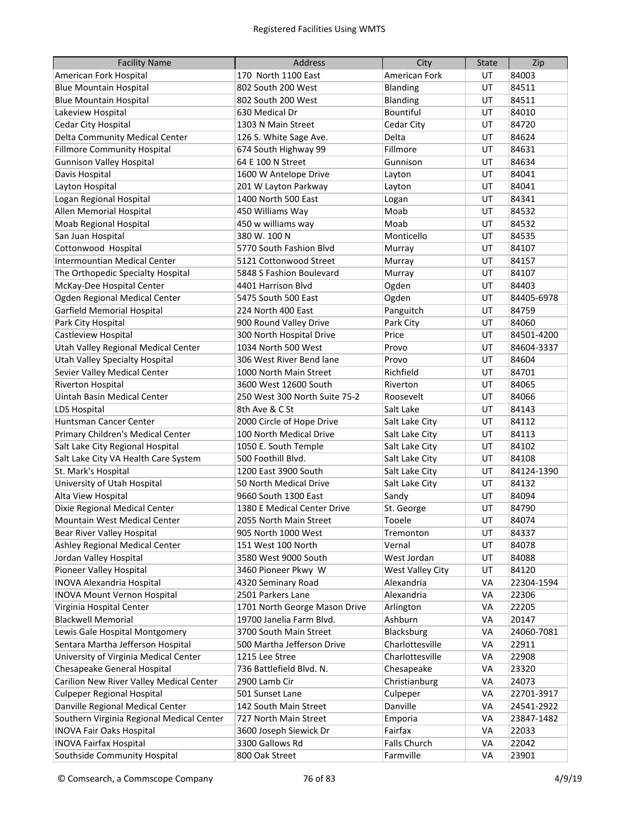| <b>Facility Name</b>                      | <b>Address</b>                | City             | <b>State</b> | Zip        |
|-------------------------------------------|-------------------------------|------------------|--------------|------------|
| American Fork Hospital                    | 170 North 1100 East           | American Fork    | UT           | 84003      |
| <b>Blue Mountain Hospital</b>             | 802 South 200 West            | <b>Blanding</b>  | UT           | 84511      |
| <b>Blue Mountain Hospital</b>             | 802 South 200 West            | Blanding         | UT           | 84511      |
| Lakeview Hospital                         | 630 Medical Dr                | Bountiful        | UT           | 84010      |
| Cedar City Hospital                       | 1303 N Main Street            | Cedar City       | UT           | 84720      |
| Delta Community Medical Center            | 126 S. White Sage Ave.        | Delta            | UT           | 84624      |
| <b>Fillmore Community Hospital</b>        | 674 South Highway 99          | Fillmore         | UT           | 84631      |
| <b>Gunnison Valley Hospital</b>           | 64 E 100 N Street             | Gunnison         | UT           | 84634      |
| Davis Hospital                            | 1600 W Antelope Drive         | Layton           | UT           | 84041      |
| Layton Hospital                           | 201 W Layton Parkway          | Layton           | UT           | 84041      |
| Logan Regional Hospital                   | 1400 North 500 East           | Logan            | UT           | 84341      |
| Allen Memorial Hospital                   | 450 Williams Way              | Moab             | UT           | 84532      |
| Moab Regional Hospital                    | 450 w williams way            | Moab             | UT           | 84532      |
| San Juan Hospital                         | 380 W. 100 N                  | Monticello       | UT           | 84535      |
| Cottonwood Hospital                       | 5770 South Fashion Blvd       | Murray           | UT           | 84107      |
| Intermountian Medical Center              | 5121 Cottonwood Street        | Murray           | UT           | 84157      |
| The Orthopedic Specialty Hospital         | 5848 S Fashion Boulevard      | Murray           | UT           | 84107      |
| McKay-Dee Hospital Center                 | 4401 Harrison Blvd            | Ogden            | UT           | 84403      |
| Ogden Regional Medical Center             | 5475 South 500 East           | Ogden            | UT           | 84405-6978 |
| Garfield Memorial Hospital                | 224 North 400 East            | Panguitch        | UT           | 84759      |
| Park City Hospital                        | 900 Round Valley Drive        | Park City        | UT           | 84060      |
| Castleview Hospital                       | 300 North Hospital Drive      | Price            | UT           | 84501-4200 |
| Utah Valley Regional Medical Center       | 1034 North 500 West           | Provo            | UT           | 84604-3337 |
| Utah Valley Specialty Hospital            | 306 West River Bend lane      | Provo            | UT           | 84604      |
| Sevier Valley Medical Center              | 1000 North Main Street        | Richfield        | UT           | 84701      |
| <b>Riverton Hospital</b>                  | 3600 West 12600 South         | Riverton         | UT           | 84065      |
| Uintah Basin Medical Center               | 250 West 300 North Suite 75-2 | Roosevelt        | UT           | 84066      |
| <b>LDS Hospital</b>                       | 8th Ave & C St                | Salt Lake        | UT           | 84143      |
| Huntsman Cancer Center                    | 2000 Circle of Hope Drive     | Salt Lake City   | UT           | 84112      |
| Primary Children's Medical Center         | 100 North Medical Drive       | Salt Lake City   | UT           | 84113      |
| Salt Lake City Regional Hospital          | 1050 E. South Temple          | Salt Lake City   | UT           | 84102      |
| Salt Lake City VA Health Care System      | 500 Foothill Blvd.            | Salt Lake City   | UT           | 84108      |
| St. Mark's Hospital                       | 1200 East 3900 South          | Salt Lake City   | UT           | 84124-1390 |
| University of Utah Hospital               | 50 North Medical Drive        | Salt Lake City   | UT           | 84132      |
| Alta View Hospital                        | 9660 South 1300 East          | Sandy            | UT           | 84094      |
| Dixie Regional Medical Center             | 1380 E Medical Center Drive   | St. George       | UT           | 84790      |
| Mountain West Medical Center              | 2055 North Main Street        | Tooele           | UT           | 84074      |
| Bear River Valley Hospital                | 905 North 1000 West           | Tremonton        | UT           | 84337      |
| Ashley Regional Medical Center            | 151 West 100 North            | Vernal           | UT           | 84078      |
| Jordan Valley Hospital                    | 3580 West 9000 South          | West Jordan      | UT           | 84088      |
| Pioneer Valley Hospital                   | 3460 Pioneer Pkwy W           | West Valley City | UT           | 84120      |
| <b>INOVA Alexandria Hospital</b>          | 4320 Seminary Road            | Alexandria       | VA           | 22304-1594 |
| <b>INOVA Mount Vernon Hospital</b>        | 2501 Parkers Lane             | Alexandria       | VA           | 22306      |
| Virginia Hospital Center                  | 1701 North George Mason Drive | Arlington        | VA           | 22205      |
| <b>Blackwell Memorial</b>                 | 19700 Janelia Farm Blvd.      | Ashburn          | VA           | 20147      |
| Lewis Gale Hospital Montgomery            | 3700 South Main Street        | Blacksburg       | VA           | 24060-7081 |
| Sentara Martha Jefferson Hospital         | 500 Martha Jefferson Drive    | Charlottesville  | VA           | 22911      |
| University of Virginia Medical Center     | 1215 Lee Stree                | Charlottesville  | VA           | 22908      |
| Chesapeake General Hospital               | 736 Battlefield Blvd. N.      | Chesapeake       | VA           | 23320      |
| Carilion New River Valley Medical Center  | 2900 Lamb Cir                 | Christianburg    | VA           | 24073      |
| <b>Culpeper Regional Hospital</b>         | 501 Sunset Lane               | Culpeper         | VA           | 22701-3917 |
| Danville Regional Medical Center          | 142 South Main Street         | Danville         | VA           | 24541-2922 |
| Southern Virginia Regional Medical Center | 727 North Main Street         | Emporia          | VA           | 23847-1482 |
| <b>INOVA Fair Oaks Hospital</b>           | 3600 Joseph Siewick Dr        | Fairfax          | VA           | 22033      |
| <b>INOVA Fairfax Hospital</b>             | 3300 Gallows Rd               | Falls Church     | VA           | 22042      |
| Southside Community Hospital              | 800 Oak Street                | Farmville        | VA           | 23901      |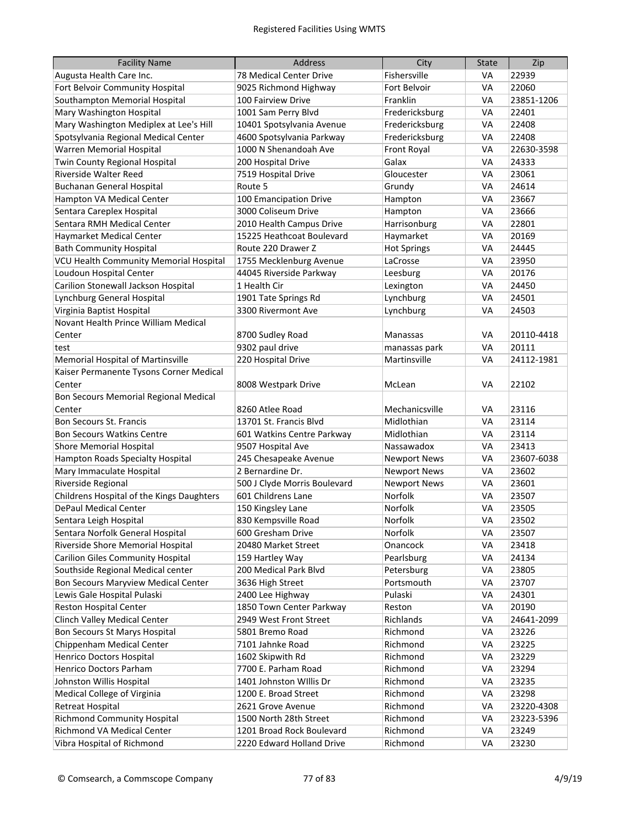| <b>Facility Name</b>                      | <b>Address</b>               | City                | <b>State</b> | Zip        |
|-------------------------------------------|------------------------------|---------------------|--------------|------------|
| Augusta Health Care Inc.                  | 78 Medical Center Drive      | Fishersville        | VA           | 22939      |
| Fort Belvoir Community Hospital           | 9025 Richmond Highway        | Fort Belvoir        | VA           | 22060      |
| Southampton Memorial Hospital             | 100 Fairview Drive           | Franklin            | VA           | 23851-1206 |
| Mary Washington Hospital                  | 1001 Sam Perry Blvd          | Fredericksburg      | VA           | 22401      |
| Mary Washington Mediplex at Lee's Hill    | 10401 Spotsylvania Avenue    | Fredericksburg      | VA           | 22408      |
| Spotsylvania Regional Medical Center      | 4600 Spotsylvania Parkway    | Fredericksburg      | VA           | 22408      |
| Warren Memorial Hospital                  | 1000 N Shenandoah Ave        | Front Royal         | VA           | 22630-3598 |
| Twin County Regional Hospital             | 200 Hospital Drive           | Galax               | VA           | 24333      |
| Riverside Walter Reed                     | 7519 Hospital Drive          | Gloucester          | VA           | 23061      |
| Buchanan General Hospital                 | Route 5                      | Grundy              | VA           | 24614      |
| Hampton VA Medical Center                 | 100 Emancipation Drive       | Hampton             | VA           | 23667      |
| Sentara Careplex Hospital                 | 3000 Coliseum Drive          | Hampton             | VA           | 23666      |
| Sentara RMH Medical Center                | 2010 Health Campus Drive     | Harrisonburg        | VA           | 22801      |
| Haymarket Medical Center                  | 15225 Heathcoat Boulevard    | Haymarket           | VA           | 20169      |
| <b>Bath Community Hospital</b>            | Route 220 Drawer Z           | <b>Hot Springs</b>  | VA           | 24445      |
| VCU Health Community Memorial Hospital    | 1755 Mecklenburg Avenue      | LaCrosse            | VA           | 23950      |
| Loudoun Hospital Center                   | 44045 Riverside Parkway      | Leesburg            | VA           | 20176      |
| Carilion Stonewall Jackson Hospital       | 1 Health Cir                 | Lexington           | VA           | 24450      |
| Lynchburg General Hospital                | 1901 Tate Springs Rd         | Lynchburg           | VA           | 24501      |
| Virginia Baptist Hospital                 | 3300 Rivermont Ave           | Lynchburg           | VA           | 24503      |
| Novant Health Prince William Medical      |                              |                     |              |            |
| Center                                    | 8700 Sudley Road             | Manassas            | VA           | 20110-4418 |
| test                                      | 9302 paul drive              | manassas park       | <b>VA</b>    | 20111      |
| Memorial Hospital of Martinsville         | 220 Hospital Drive           | Martinsville        | VA           | 24112-1981 |
| Kaiser Permanente Tysons Corner Medical   |                              |                     |              |            |
| Center                                    | 8008 Westpark Drive          | McLean              | VA           | 22102      |
| Bon Secours Memorial Regional Medical     |                              |                     |              |            |
| Center                                    | 8260 Atlee Road              | Mechanicsville      | VA           | 23116      |
| <b>Bon Secours St. Francis</b>            | 13701 St. Francis Blvd       | Midlothian          | VA           | 23114      |
| <b>Bon Secours Watkins Centre</b>         | 601 Watkins Centre Parkway   | Midlothian          | VA           | 23114      |
| <b>Shore Memorial Hospital</b>            | 9507 Hospital Ave            | Nassawadox          | VA           | 23413      |
| Hampton Roads Specialty Hospital          | 245 Chesapeake Avenue        | <b>Newport News</b> | VA           | 23607-6038 |
| Mary Immaculate Hospital                  | 2 Bernardine Dr.             | <b>Newport News</b> | VA           | 23602      |
| Riverside Regional                        | 500 J Clyde Morris Boulevard | <b>Newport News</b> | VA           | 23601      |
| Childrens Hospital of the Kings Daughters | 601 Childrens Lane           | Norfolk             | VA           | 23507      |
| <b>DePaul Medical Center</b>              | 150 Kingsley Lane            | Norfolk             | VA           | 23505      |
| Sentara Leigh Hospital                    | 830 Kempsville Road          | Norfolk             | VA           | 23502      |
| Sentara Norfolk General Hospital          | 600 Gresham Drive            | Norfolk             | VA           | 23507      |
| Riverside Shore Memorial Hospital         | 20480 Market Street          | Onancock            | VA           | 23418      |
| <b>Carilion Giles Community Hospital</b>  | 159 Hartley Way              | Pearlsburg          | VA           | 24134      |
| Southside Regional Medical center         | 200 Medical Park Blvd        | Petersburg          | VA           | 23805      |
| Bon Secours Maryview Medical Center       | 3636 High Street             | Portsmouth          | VA           | 23707      |
| Lewis Gale Hospital Pulaski               | 2400 Lee Highway             | Pulaski             | VA           | 24301      |
| Reston Hospital Center                    | 1850 Town Center Parkway     | Reston              | VA           | 20190      |
| Clinch Valley Medical Center              | 2949 West Front Street       | Richlands           | VA           | 24641-2099 |
| Bon Secours St Marys Hospital             | 5801 Bremo Road              | Richmond            | VA           | 23226      |
| Chippenham Medical Center                 | 7101 Jahnke Road             | Richmond            | VA           | 23225      |
| Henrico Doctors Hospital                  | 1602 Skipwith Rd             | Richmond            | VA           | 23229      |
| Henrico Doctors Parham                    | 7700 E. Parham Road          | Richmond            | VA           | 23294      |
| Johnston Willis Hospital                  | 1401 Johnston Willis Dr      | Richmond            | VA           | 23235      |
| Medical College of Virginia               | 1200 E. Broad Street         | Richmond            | VA           | 23298      |
| Retreat Hospital                          | 2621 Grove Avenue            | Richmond            | VA           | 23220-4308 |
| <b>Richmond Community Hospital</b>        | 1500 North 28th Street       | Richmond            | VA           | 23223-5396 |
| Richmond VA Medical Center                | 1201 Broad Rock Boulevard    | Richmond            | VA           | 23249      |
| Vibra Hospital of Richmond                | 2220 Edward Holland Drive    | Richmond            | VA           | 23230      |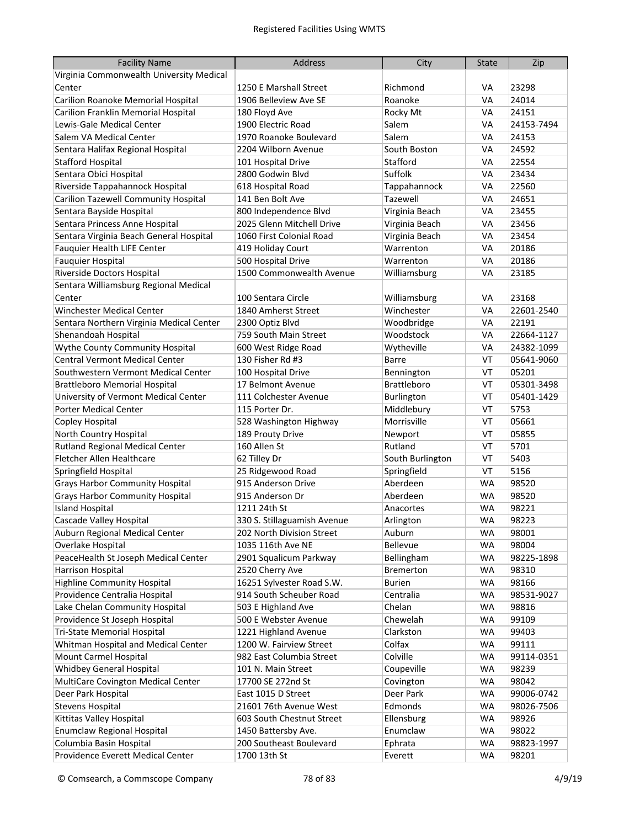| <b>Facility Name</b>                     | <b>Address</b>              | City               | <b>State</b> | Zip        |
|------------------------------------------|-----------------------------|--------------------|--------------|------------|
| Virginia Commonwealth University Medical |                             |                    |              |            |
| Center                                   | 1250 E Marshall Street      | Richmond           | VA           | 23298      |
| Carilion Roanoke Memorial Hospital       | 1906 Belleview Ave SE       | Roanoke            | VA           | 24014      |
| Carilion Franklin Memorial Hospital      | 180 Floyd Ave               | Rocky Mt           | VA           | 24151      |
| Lewis-Gale Medical Center                | 1900 Electric Road          | Salem              | VA           | 24153-7494 |
| Salem VA Medical Center                  | 1970 Roanoke Boulevard      | Salem              | VA           | 24153      |
| Sentara Halifax Regional Hospital        | 2204 Wilborn Avenue         | South Boston       | VA           | 24592      |
| <b>Stafford Hospital</b>                 | 101 Hospital Drive          | Stafford           | VA           | 22554      |
| Sentara Obici Hospital                   | 2800 Godwin Blvd            | Suffolk            | VA           | 23434      |
| Riverside Tappahannock Hospital          | 618 Hospital Road           | Tappahannock       | VA           | 22560      |
| Carilion Tazewell Community Hospital     | 141 Ben Bolt Ave            | Tazewell           | VA           | 24651      |
| Sentara Bayside Hospital                 | 800 Independence Blvd       | Virginia Beach     | VA           | 23455      |
| Sentara Princess Anne Hospital           | 2025 Glenn Mitchell Drive   | Virginia Beach     | VA           | 23456      |
| Sentara Virginia Beach General Hospital  | 1060 First Colonial Road    | Virginia Beach     | VA           | 23454      |
| Fauquier Health LIFE Center              | 419 Holiday Court           | Warrenton          | VA           | 20186      |
| <b>Fauguier Hospital</b>                 | 500 Hospital Drive          | Warrenton          | VA           | 20186      |
| Riverside Doctors Hospital               | 1500 Commonwealth Avenue    | Williamsburg       | VA           | 23185      |
| Sentara Williamsburg Regional Medical    |                             |                    |              |            |
| Center                                   | 100 Sentara Circle          | Williamsburg       | VA           | 23168      |
| <b>Winchester Medical Center</b>         | 1840 Amherst Street         | Winchester         | VA           | 22601-2540 |
| Sentara Northern Virginia Medical Center | 2300 Optiz Blvd             | Woodbridge         | VA           | 22191      |
| Shenandoah Hospital                      | 759 South Main Street       | Woodstock          | VA           | 22664-1127 |
| Wythe County Community Hospital          | 600 West Ridge Road         | Wytheville         | VA           | 24382-1099 |
| <b>Central Vermont Medical Center</b>    | 130 Fisher Rd #3            | <b>Barre</b>       | VT           | 05641-9060 |
| Southwestern Vermont Medical Center      | 100 Hospital Drive          | Bennington         | VT           | 05201      |
| <b>Brattleboro Memorial Hospital</b>     | 17 Belmont Avenue           | <b>Brattleboro</b> | VT           | 05301-3498 |
| University of Vermont Medical Center     | 111 Colchester Avenue       | Burlington         | VT           | 05401-1429 |
| <b>Porter Medical Center</b>             | 115 Porter Dr.              | Middlebury         | VT           | 5753       |
| Copley Hospital                          | 528 Washington Highway      | Morrisville        | VT           | 05661      |
| North Country Hospital                   | 189 Prouty Drive            | Newport            | VT           | 05855      |
| Rutland Regional Medical Center          | 160 Allen St                | Rutland            | VT           | 5701       |
| Fletcher Allen Healthcare                | 62 Tilley Dr                | South Burlington   | VT           | 5403       |
| Springfield Hospital                     | 25 Ridgewood Road           | Springfield        | VT           | 5156       |
| <b>Grays Harbor Community Hospital</b>   | 915 Anderson Drive          | Aberdeen           | <b>WA</b>    | 98520      |
| <b>Grays Harbor Community Hospital</b>   | 915 Anderson Dr             | Aberdeen           | <b>WA</b>    | 98520      |
| <b>Island Hospital</b>                   | 1211 24th St                | Anacortes          | <b>WA</b>    | 98221      |
| Cascade Valley Hospital                  | 330 S. Stillaguamish Avenue | Arlington          | WA           | 98223      |
| Auburn Regional Medical Center           | 202 North Division Street   | Auburn             | <b>WA</b>    | 98001      |
| Overlake Hospital                        | 1035 116th Ave NE           | Bellevue           | WA           | 98004      |
| PeaceHealth St Joseph Medical Center     | 2901 Squalicum Parkway      | Bellingham         | <b>WA</b>    | 98225-1898 |
| Harrison Hospital                        | 2520 Cherry Ave             | <b>Bremerton</b>   | <b>WA</b>    | 98310      |
| <b>Highline Community Hospital</b>       | 16251 Sylvester Road S.W.   | <b>Burien</b>      | <b>WA</b>    | 98166      |
| Providence Centralia Hospital            | 914 South Scheuber Road     | Centralia          | <b>WA</b>    | 98531-9027 |
| Lake Chelan Community Hospital           | 503 E Highland Ave          | Chelan             | <b>WA</b>    | 98816      |
| Providence St Joseph Hospital            | 500 E Webster Avenue        | Chewelah           | <b>WA</b>    | 99109      |
| Tri-State Memorial Hospital              | 1221 Highland Avenue        | Clarkston          | WA           | 99403      |
| Whitman Hospital and Medical Center      | 1200 W. Fairview Street     | Colfax             | <b>WA</b>    | 99111      |
| Mount Carmel Hospital                    | 982 East Columbia Street    | Colville           | <b>WA</b>    | 99114-0351 |
| Whidbey General Hospital                 | 101 N. Main Street          | Coupeville         | <b>WA</b>    | 98239      |
| MultiCare Covington Medical Center       | 17700 SE 272nd St           | Covington          | <b>WA</b>    | 98042      |
| Deer Park Hospital                       | East 1015 D Street          | Deer Park          | <b>WA</b>    | 99006-0742 |
| <b>Stevens Hospital</b>                  | 21601 76th Avenue West      | Edmonds            | <b>WA</b>    | 98026-7506 |
| Kittitas Valley Hospital                 | 603 South Chestnut Street   | Ellensburg         | <b>WA</b>    | 98926      |
| <b>Enumclaw Regional Hospital</b>        | 1450 Battersby Ave.         | Enumclaw           | <b>WA</b>    | 98022      |
| Columbia Basin Hospital                  | 200 Southeast Boulevard     | Ephrata            | <b>WA</b>    | 98823-1997 |
| Providence Everett Medical Center        | 1700 13th St                | Everett            | <b>WA</b>    | 98201      |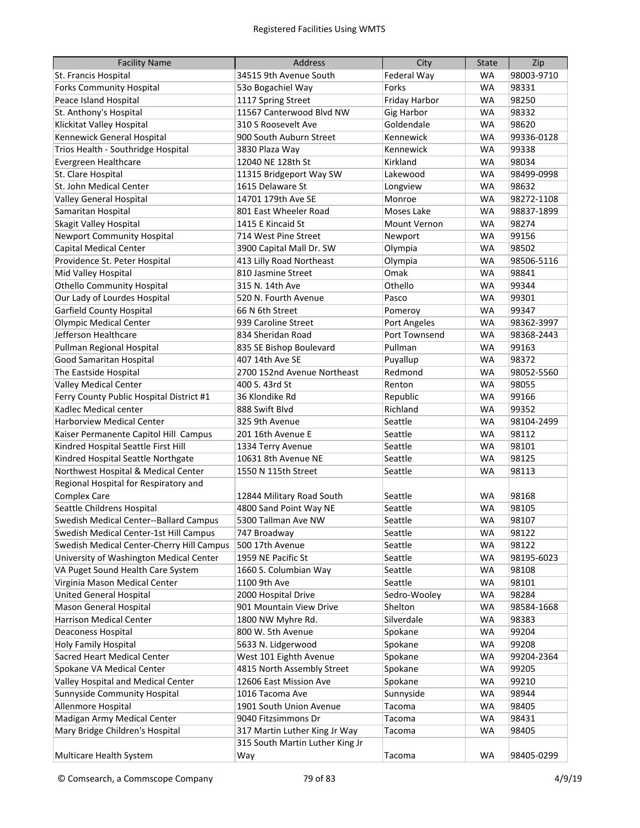| <b>Facility Name</b>                      | <b>Address</b>                  | City                | <b>State</b> | Zip        |
|-------------------------------------------|---------------------------------|---------------------|--------------|------------|
| St. Francis Hospital                      | 34515 9th Avenue South          | Federal Way         | <b>WA</b>    | 98003-9710 |
| <b>Forks Community Hospital</b>           | 530 Bogachiel Way               | Forks               | <b>WA</b>    | 98331      |
| Peace Island Hospital                     | 1117 Spring Street              | Friday Harbor       | <b>WA</b>    | 98250      |
| St. Anthony's Hospital                    | 11567 Canterwood Blvd NW        | <b>Gig Harbor</b>   | <b>WA</b>    | 98332      |
| Klickitat Valley Hospital                 | 310 S Roosevelt Ave             | Goldendale          | <b>WA</b>    | 98620      |
| Kennewick General Hospital                | 900 South Auburn Street         | Kennewick           | <b>WA</b>    | 99336-0128 |
| Trios Health - Southridge Hospital        | 3830 Plaza Way                  | Kennewick           | <b>WA</b>    | 99338      |
| Evergreen Healthcare                      | 12040 NE 128th St               | Kirkland            | <b>WA</b>    | 98034      |
| St. Clare Hospital                        | 11315 Bridgeport Way SW         | Lakewood            | <b>WA</b>    | 98499-0998 |
| St. John Medical Center                   | 1615 Delaware St                | Longview            | <b>WA</b>    | 98632      |
| Valley General Hospital                   | 14701 179th Ave SE              | Monroe              | <b>WA</b>    | 98272-1108 |
| Samaritan Hospital                        | 801 East Wheeler Road           | Moses Lake          | <b>WA</b>    | 98837-1899 |
| Skagit Valley Hospital                    | 1415 E Kincaid St               | <b>Mount Vernon</b> | <b>WA</b>    | 98274      |
| <b>Newport Community Hospital</b>         | 714 West Pine Street            | Newport             | <b>WA</b>    | 99156      |
| Capital Medical Center                    | 3900 Capital Mall Dr. SW        | Olympia             | <b>WA</b>    | 98502      |
| Providence St. Peter Hospital             | 413 Lilly Road Northeast        | Olympia             | <b>WA</b>    | 98506-5116 |
| Mid Valley Hospital                       | 810 Jasmine Street              | Omak                | <b>WA</b>    | 98841      |
| <b>Othello Community Hospital</b>         | 315 N. 14th Ave                 | Othello             | <b>WA</b>    | 99344      |
| Our Lady of Lourdes Hospital              | 520 N. Fourth Avenue            | Pasco               | <b>WA</b>    | 99301      |
| <b>Garfield County Hospital</b>           | 66 N 6th Street                 | Pomeroy             | <b>WA</b>    | 99347      |
| <b>Olympic Medical Center</b>             | 939 Caroline Street             | Port Angeles        | <b>WA</b>    | 98362-3997 |
| Jefferson Healthcare                      | 834 Sheridan Road               | Port Townsend       | <b>WA</b>    | 98368-2443 |
| Pullman Regional Hospital                 | 835 SE Bishop Boulevard         | Pullman             | <b>WA</b>    | 99163      |
| Good Samaritan Hospital                   | 407 14th Ave SE                 | Puyallup            | <b>WA</b>    | 98372      |
| The Eastside Hospital                     | 2700 152nd Avenue Northeast     | Redmond             | <b>WA</b>    | 98052-5560 |
| Valley Medical Center                     | 400 S. 43rd St                  | Renton              | <b>WA</b>    | 98055      |
| Ferry County Public Hospital District #1  | 36 Klondike Rd                  | Republic            | <b>WA</b>    | 99166      |
| Kadlec Medical center                     | 888 Swift Blvd                  | Richland            | <b>WA</b>    | 99352      |
| <b>Harborview Medical Center</b>          | 325 9th Avenue                  | Seattle             | <b>WA</b>    | 98104-2499 |
| Kaiser Permanente Capitol Hill Campus     | 201 16th Avenue E               | Seattle             | WA           | 98112      |
| Kindred Hospital Seattle First Hill       | 1334 Terry Avenue               | Seattle             | <b>WA</b>    | 98101      |
| Kindred Hospital Seattle Northgate        | 10631 8th Avenue NE             | Seattle             | WA           | 98125      |
| Northwest Hospital & Medical Center       | 1550 N 115th Street             | Seattle             | WA           | 98113      |
| Regional Hospital for Respiratory and     |                                 |                     |              |            |
| <b>Complex Care</b>                       | 12844 Military Road South       | Seattle             | WA           | 98168      |
| Seattle Childrens Hospital                | 4800 Sand Point Way NE          | Seattle             | WA           | 98105      |
| Swedish Medical Center--Ballard Campus    | 5300 Tallman Ave NW             | Seattle             | <b>WA</b>    | 98107      |
| Swedish Medical Center-1st Hill Campus    | 747 Broadway                    | Seattle             | WA           | 98122      |
| Swedish Medical Center-Cherry Hill Campus | 500 17th Avenue                 | Seattle             | <b>WA</b>    | 98122      |
| University of Washington Medical Center   | 1959 NE Pacific St              | Seattle             | <b>WA</b>    | 98195-6023 |
| VA Puget Sound Health Care System         | 1660 S. Columbian Way           | Seattle             | <b>WA</b>    | 98108      |
| Virginia Mason Medical Center             | 1100 9th Ave                    | Seattle             | WA           | 98101      |
| United General Hospital                   | 2000 Hospital Drive             | Sedro-Wooley        | <b>WA</b>    | 98284      |
| Mason General Hospital                    | 901 Mountain View Drive         | Shelton             | WA           | 98584-1668 |
| Harrison Medical Center                   | 1800 NW Myhre Rd.               | Silverdale          | <b>WA</b>    | 98383      |
| Deaconess Hospital                        | 800 W. 5th Avenue               | Spokane             | <b>WA</b>    | 99204      |
| Holy Family Hospital                      | 5633 N. Lidgerwood              | Spokane             | <b>WA</b>    | 99208      |
| Sacred Heart Medical Center               | West 101 Eighth Avenue          | Spokane             | <b>WA</b>    | 99204-2364 |
| Spokane VA Medical Center                 | 4815 North Assembly Street      | Spokane             | <b>WA</b>    | 99205      |
| Valley Hospital and Medical Center        | 12606 East Mission Ave          | Spokane             | <b>WA</b>    | 99210      |
| Sunnyside Community Hospital              | 1016 Tacoma Ave                 | Sunnyside           | <b>WA</b>    | 98944      |
| Allenmore Hospital                        | 1901 South Union Avenue         | Tacoma              | <b>WA</b>    | 98405      |
| Madigan Army Medical Center               | 9040 Fitzsimmons Dr             | Tacoma              | <b>WA</b>    | 98431      |
| Mary Bridge Children's Hospital           | 317 Martin Luther King Jr Way   | Tacoma              | WA           | 98405      |
|                                           | 315 South Martin Luther King Jr |                     |              |            |
| Multicare Health System                   | Way                             | Tacoma              | <b>WA</b>    | 98405-0299 |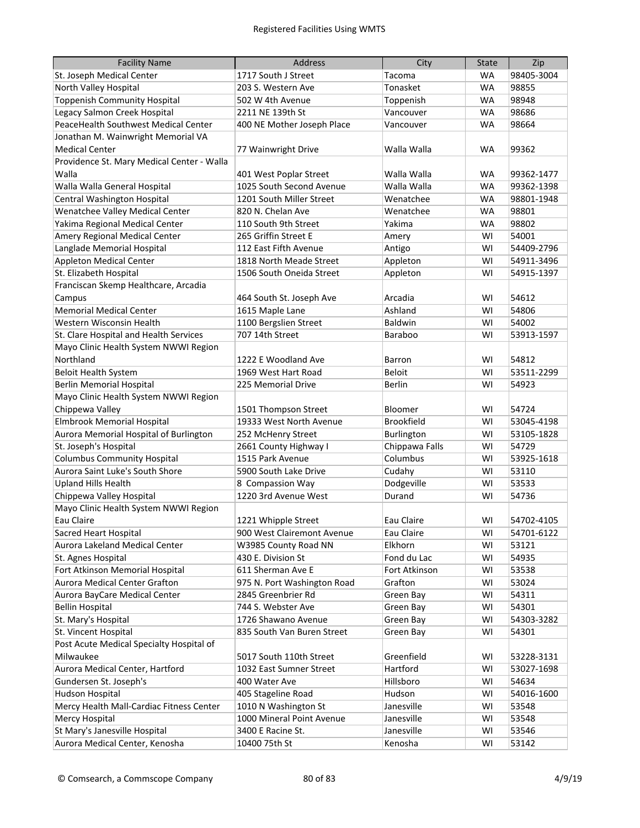| <b>Facility Name</b>                       | Address                     | City              | <b>State</b> | Zip        |
|--------------------------------------------|-----------------------------|-------------------|--------------|------------|
| St. Joseph Medical Center                  | 1717 South J Street         | Tacoma            | <b>WA</b>    | 98405-3004 |
| North Valley Hospital                      | 203 S. Western Ave          | Tonasket          | WA           | 98855      |
| <b>Toppenish Community Hospital</b>        | 502 W 4th Avenue            | Toppenish         | WA           | 98948      |
| Legacy Salmon Creek Hospital               | 2211 NE 139th St            | Vancouver         | WA           | 98686      |
| PeaceHealth Southwest Medical Center       | 400 NE Mother Joseph Place  | Vancouver         | WA           | 98664      |
| Jonathan M. Wainwright Memorial VA         |                             |                   |              |            |
| <b>Medical Center</b>                      | 77 Wainwright Drive         | Walla Walla       | WA           | 99362      |
| Providence St. Mary Medical Center - Walla |                             |                   |              |            |
| Walla                                      | 401 West Poplar Street      | Walla Walla       | WA           | 99362-1477 |
| Walla Walla General Hospital               | 1025 South Second Avenue    | Walla Walla       | <b>WA</b>    | 99362-1398 |
| Central Washington Hospital                | 1201 South Miller Street    | Wenatchee         | WA           | 98801-1948 |
| Wenatchee Valley Medical Center            | 820 N. Chelan Ave           | Wenatchee         | WA           | 98801      |
| Yakima Regional Medical Center             | 110 South 9th Street        | Yakima            | WA           | 98802      |
| Amery Regional Medical Center              | 265 Griffin Street E        | Amery             | WI           | 54001      |
| Langlade Memorial Hospital                 | 112 East Fifth Avenue       | Antigo            | WI           | 54409-2796 |
| <b>Appleton Medical Center</b>             | 1818 North Meade Street     | Appleton          | WI           | 54911-3496 |
| St. Elizabeth Hospital                     | 1506 South Oneida Street    | Appleton          | WI           | 54915-1397 |
| Franciscan Skemp Healthcare, Arcadia       |                             |                   |              |            |
| Campus                                     | 464 South St. Joseph Ave    | Arcadia           | WI           | 54612      |
| <b>Memorial Medical Center</b>             | 1615 Maple Lane             | Ashland           | WI           | 54806      |
| Western Wisconsin Health                   | 1100 Bergslien Street       | Baldwin           | WI           | 54002      |
| St. Clare Hospital and Health Services     | 707 14th Street             | Baraboo           | WI           | 53913-1597 |
| Mayo Clinic Health System NWWI Region      |                             |                   |              |            |
| Northland                                  | 1222 E Woodland Ave         | Barron            | WI           | 54812      |
| <b>Beloit Health System</b>                | 1969 West Hart Road         | Beloit            | WI           | 53511-2299 |
| <b>Berlin Memorial Hospital</b>            | 225 Memorial Drive          | <b>Berlin</b>     | WI           | 54923      |
| Mayo Clinic Health System NWWI Region      |                             |                   |              |            |
| Chippewa Valley                            | 1501 Thompson Street        | Bloomer           | WI           | 54724      |
| <b>Elmbrook Memorial Hospital</b>          | 19333 West North Avenue     | <b>Brookfield</b> | WI           | 53045-4198 |
| Aurora Memorial Hospital of Burlington     | 252 McHenry Street          | Burlington        | WI           | 53105-1828 |
| St. Joseph's Hospital                      | 2661 County Highway I       | Chippawa Falls    | WI           | 54729      |
| <b>Columbus Community Hospital</b>         | 1515 Park Avenue            | Columbus          | WI           | 53925-1618 |
| Aurora Saint Luke's South Shore            | 5900 South Lake Drive       | Cudahy            | WI           | 53110      |
| <b>Upland Hills Health</b>                 | 8 Compassion Way            | Dodgeville        | WI           | 53533      |
| Chippewa Valley Hospital                   | 1220 3rd Avenue West        | Durand            | WI           | 54736      |
| Mayo Clinic Health System NWWI Region      |                             |                   |              |            |
| Eau Claire                                 | 1221 Whipple Street         | Eau Claire        | WI           | 54702-4105 |
| <b>Sacred Heart Hospital</b>               | 900 West Clairemont Avenue  | Eau Claire        | WI           | 54701-6122 |
| Aurora Lakeland Medical Center             | W3985 County Road NN        | Elkhorn           | WI           | 53121      |
| St. Agnes Hospital                         | 430 E. Division St          | Fond du Lac       | WI           | 54935      |
| Fort Atkinson Memorial Hospital            | 611 Sherman Ave E           | Fort Atkinson     | WI           | 53538      |
| Aurora Medical Center Grafton              | 975 N. Port Washington Road | Grafton           | WI           | 53024      |
| Aurora BayCare Medical Center              | 2845 Greenbrier Rd          | Green Bay         | WI           | 54311      |
| <b>Bellin Hospital</b>                     | 744 S. Webster Ave          | Green Bay         | WI           | 54301      |
| St. Mary's Hospital                        | 1726 Shawano Avenue         | Green Bay         | WI           | 54303-3282 |
| St. Vincent Hospital                       | 835 South Van Buren Street  | Green Bay         | WI           | 54301      |
| Post Acute Medical Specialty Hospital of   |                             |                   |              |            |
| Milwaukee                                  | 5017 South 110th Street     | Greenfield        | WI           | 53228-3131 |
| Aurora Medical Center, Hartford            | 1032 East Sumner Street     | Hartford          | WI           | 53027-1698 |
| Gundersen St. Joseph's                     | 400 Water Ave               | Hillsboro         | WI           | 54634      |
| <b>Hudson Hospital</b>                     | 405 Stageline Road          | Hudson            | WI           | 54016-1600 |
| Mercy Health Mall-Cardiac Fitness Center   | 1010 N Washington St        | Janesville        | WI           | 53548      |
| <b>Mercy Hospital</b>                      | 1000 Mineral Point Avenue   | Janesville        | WI           | 53548      |
| St Mary's Janesville Hospital              | 3400 E Racine St.           | Janesville        | WI           | 53546      |
| Aurora Medical Center, Kenosha             | 10400 75th St               | Kenosha           | WI           | 53142      |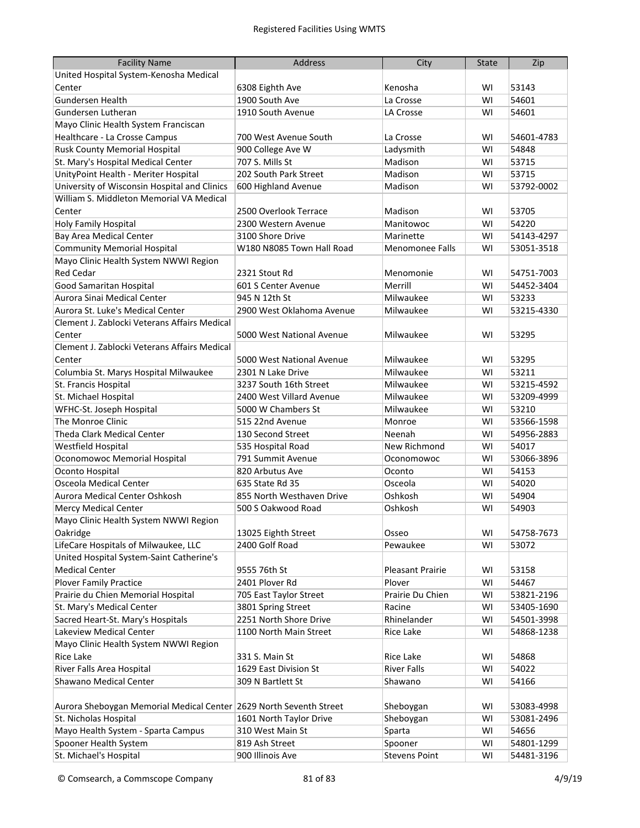| <b>Facility Name</b>                                               | <b>Address</b>            | City                    | <b>State</b> | Zip        |
|--------------------------------------------------------------------|---------------------------|-------------------------|--------------|------------|
| United Hospital System-Kenosha Medical                             |                           |                         |              |            |
| Center                                                             | 6308 Eighth Ave           | Kenosha                 | WI           | 53143      |
| Gundersen Health                                                   | 1900 South Ave            | La Crosse               | WI           | 54601      |
| Gundersen Lutheran                                                 | 1910 South Avenue         | LA Crosse               | WI           | 54601      |
| Mayo Clinic Health System Franciscan                               |                           |                         |              |            |
| Healthcare - La Crosse Campus                                      | 700 West Avenue South     | La Crosse               | WI           | 54601-4783 |
| Rusk County Memorial Hospital                                      | 900 College Ave W         | Ladysmith               | WI           | 54848      |
| St. Mary's Hospital Medical Center                                 | 707 S. Mills St           | Madison                 | WI           | 53715      |
| UnityPoint Health - Meriter Hospital                               | 202 South Park Street     | Madison                 | WI           | 53715      |
| University of Wisconsin Hospital and Clinics                       | 600 Highland Avenue       | Madison                 | WI           | 53792-0002 |
| William S. Middleton Memorial VA Medical                           |                           |                         |              |            |
| Center                                                             | 2500 Overlook Terrace     | Madison                 | WI           | 53705      |
| Holy Family Hospital                                               | 2300 Western Avenue       | Manitowoc               | WI           | 54220      |
| Bay Area Medical Center                                            | 3100 Shore Drive          | Marinette               | WI           | 54143-4297 |
| <b>Community Memorial Hospital</b>                                 | W180 N8085 Town Hall Road | <b>Menomonee Falls</b>  | WI           | 53051-3518 |
| Mayo Clinic Health System NWWI Region                              |                           |                         |              |            |
| <b>Red Cedar</b>                                                   | 2321 Stout Rd             | Menomonie               | WI           | 54751-7003 |
| <b>Good Samaritan Hospital</b>                                     | 601 S Center Avenue       | Merrill                 | WI           | 54452-3404 |
| Aurora Sinai Medical Center                                        | 945 N 12th St             | Milwaukee               | WI           | 53233      |
| Aurora St. Luke's Medical Center                                   | 2900 West Oklahoma Avenue | Milwaukee               | WI           | 53215-4330 |
| Clement J. Zablocki Veterans Affairs Medical                       |                           |                         |              |            |
| Center                                                             | 5000 West National Avenue | Milwaukee               | WI           | 53295      |
| Clement J. Zablocki Veterans Affairs Medical                       |                           |                         |              |            |
| Center                                                             | 5000 West National Avenue | Milwaukee               | WI           | 53295      |
| Columbia St. Marys Hospital Milwaukee                              | 2301 N Lake Drive         | Milwaukee               | WI           | 53211      |
| St. Francis Hospital                                               | 3237 South 16th Street    | Milwaukee               | WI           | 53215-4592 |
| St. Michael Hospital                                               | 2400 West Villard Avenue  | Milwaukee               | WI           | 53209-4999 |
| WFHC-St. Joseph Hospital                                           | 5000 W Chambers St        | Milwaukee               | WI           | 53210      |
| The Monroe Clinic                                                  | 515 22nd Avenue           | Monroe                  | WI           | 53566-1598 |
| Theda Clark Medical Center                                         | 130 Second Street         | Neenah                  | WI           | 54956-2883 |
| <b>Westfield Hospital</b>                                          | 535 Hospital Road         | New Richmond            | WI           | 54017      |
| Oconomowoc Memorial Hospital                                       | 791 Summit Avenue         | Oconomowoc              | WI           | 53066-3896 |
| Oconto Hospital                                                    | 820 Arbutus Ave           | Oconto                  | WI           | 54153      |
| Osceola Medical Center                                             | 635 State Rd 35           | Osceola                 | WI           | 54020      |
| Aurora Medical Center Oshkosh                                      | 855 North Westhaven Drive | Oshkosh                 | WI           | 54904      |
| <b>Mercy Medical Center</b>                                        | 500 S Oakwood Road        | Oshkosh                 | WI           | 54903      |
| Mayo Clinic Health System NWWI Region                              |                           |                         |              |            |
| Oakridge                                                           | 13025 Eighth Street       | Osseo                   | WI           | 54758-7673 |
| LifeCare Hospitals of Milwaukee, LLC                               | 2400 Golf Road            | Pewaukee                | WI           | 53072      |
| United Hospital System-Saint Catherine's                           |                           |                         |              |            |
| <b>Medical Center</b>                                              | 9555 76th St              | <b>Pleasant Prairie</b> | WI           | 53158      |
| <b>Plover Family Practice</b>                                      | 2401 Plover Rd            | Plover                  | WI           | 54467      |
| Prairie du Chien Memorial Hospital                                 | 705 East Taylor Street    | Prairie Du Chien        | WI           | 53821-2196 |
| St. Mary's Medical Center                                          | 3801 Spring Street        | Racine                  | WI           | 53405-1690 |
| Sacred Heart-St. Mary's Hospitals                                  | 2251 North Shore Drive    | Rhinelander             | WI           | 54501-3998 |
| Lakeview Medical Center                                            | 1100 North Main Street    | Rice Lake               | WI           | 54868-1238 |
| Mayo Clinic Health System NWWI Region                              |                           |                         |              |            |
| Rice Lake                                                          | 331 S. Main St            | Rice Lake               | WI           | 54868      |
| River Falls Area Hospital                                          | 1629 East Division St     | <b>River Falls</b>      | WI           | 54022      |
| Shawano Medical Center                                             | 309 N Bartlett St         | Shawano                 | WI           | 54166      |
|                                                                    |                           |                         |              |            |
| Aurora Sheboygan Memorial Medical Center 2629 North Seventh Street |                           | Sheboygan               | WI           | 53083-4998 |
| St. Nicholas Hospital                                              | 1601 North Taylor Drive   | Sheboygan               | WI           | 53081-2496 |
| Mayo Health System - Sparta Campus                                 | 310 West Main St          | Sparta                  | WI           | 54656      |
| Spooner Health System                                              | 819 Ash Street            | Spooner                 | WI           | 54801-1299 |
| St. Michael's Hospital                                             | 900 Illinois Ave          | <b>Stevens Point</b>    | WI           | 54481-3196 |
|                                                                    |                           |                         |              |            |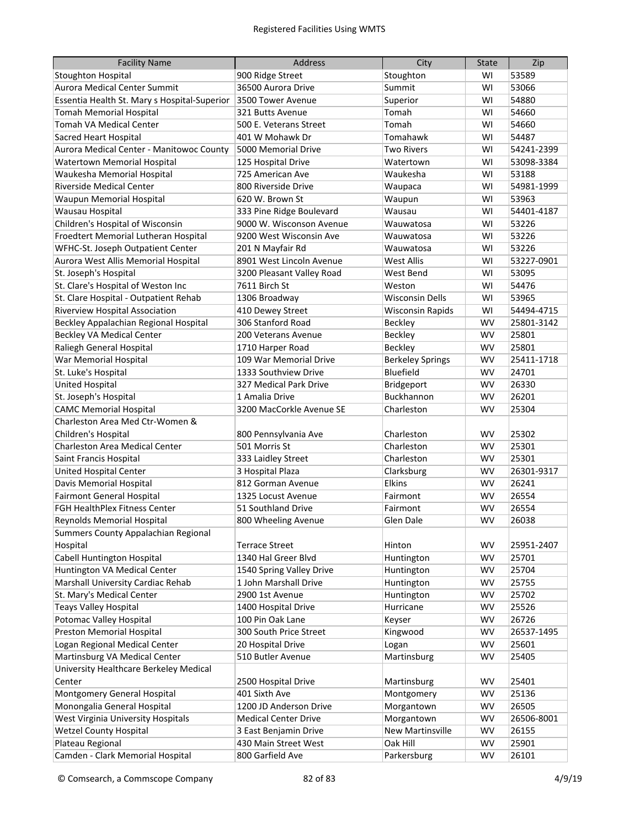| <b>Facility Name</b>                         | <b>Address</b>              | City                    | <b>State</b> | Zip        |
|----------------------------------------------|-----------------------------|-------------------------|--------------|------------|
| <b>Stoughton Hospital</b>                    | 900 Ridge Street            | Stoughton               | WI           | 53589      |
| Aurora Medical Center Summit                 | 36500 Aurora Drive          | Summit                  | WI           | 53066      |
| Essentia Health St. Mary s Hospital-Superior | 3500 Tower Avenue           | Superior                | WI           | 54880      |
| <b>Tomah Memorial Hospital</b>               | 321 Butts Avenue            | Tomah                   | WI           | 54660      |
| Tomah VA Medical Center                      | 500 E. Veterans Street      | Tomah                   | WI           | 54660      |
| <b>Sacred Heart Hospital</b>                 | 401 W Mohawk Dr             | Tomahawk                | WI           | 54487      |
| Aurora Medical Center - Manitowoc County     | 5000 Memorial Drive         | <b>Two Rivers</b>       | WI           | 54241-2399 |
| Watertown Memorial Hospital                  | 125 Hospital Drive          | Watertown               | WI           | 53098-3384 |
| Waukesha Memorial Hospital                   | 725 American Ave            | Waukesha                | WI           | 53188      |
| <b>Riverside Medical Center</b>              | 800 Riverside Drive         | Waupaca                 | WI           | 54981-1999 |
| Waupun Memorial Hospital                     | 620 W. Brown St             | Waupun                  | WI           | 53963      |
| Wausau Hospital                              | 333 Pine Ridge Boulevard    | Wausau                  | WI           | 54401-4187 |
| Children's Hospital of Wisconsin             | 9000 W. Wisconson Avenue    | Wauwatosa               | WI           | 53226      |
| Froedtert Memorial Lutheran Hospital         | 9200 West Wisconsin Ave     | Wauwatosa               | WI           | 53226      |
| WFHC-St. Joseph Outpatient Center            | 201 N Mayfair Rd            | Wauwatosa               | WI           | 53226      |
| Aurora West Allis Memorial Hospital          | 8901 West Lincoln Avenue    | <b>West Allis</b>       | WI           | 53227-0901 |
| St. Joseph's Hospital                        | 3200 Pleasant Valley Road   | <b>West Bend</b>        | WI           | 53095      |
| St. Clare's Hospital of Weston Inc           | 7611 Birch St               | Weston                  | WI           | 54476      |
| St. Clare Hospital - Outpatient Rehab        | 1306 Broadway               | <b>Wisconsin Dells</b>  | WI           | 53965      |
| Riverview Hospital Association               | 410 Dewey Street            | <b>Wisconsin Rapids</b> | WI           | 54494-4715 |
| Beckley Appalachian Regional Hospital        | 306 Stanford Road           | Beckley                 | WV           | 25801-3142 |
| <b>Beckley VA Medical Center</b>             | 200 Veterans Avenue         | <b>Beckley</b>          | WV           | 25801      |
| Raliegh General Hospital                     | 1710 Harper Road            | <b>Beckley</b>          | <b>WV</b>    | 25801      |
| War Memorial Hospital                        | 109 War Memorial Drive      | <b>Berkeley Springs</b> | <b>WV</b>    | 25411-1718 |
| St. Luke's Hospital                          | 1333 Southview Drive        | Bluefield               | <b>WV</b>    | 24701      |
| <b>United Hospital</b>                       | 327 Medical Park Drive      | Bridgeport              | WV           | 26330      |
| St. Joseph's Hospital                        | 1 Amalia Drive              | Buckhannon              | <b>WV</b>    | 26201      |
| <b>CAMC Memorial Hospital</b>                | 3200 MacCorkle Avenue SE    | Charleston              | <b>WV</b>    | 25304      |
| Charleston Area Med Ctr-Women &              |                             |                         |              |            |
| Children's Hospital                          | 800 Pennsylvania Ave        | Charleston              | WV           | 25302      |
| Charleston Area Medical Center               | 501 Morris St               | Charleston              | WV           | 25301      |
| Saint Francis Hospital                       | 333 Laidley Street          | Charleston              | WV           | 25301      |
| <b>United Hospital Center</b>                | 3 Hospital Plaza            | Clarksburg              | WV           | 26301-9317 |
| Davis Memorial Hospital                      | 812 Gorman Avenue           | Elkins                  | WV           | 26241      |
| <b>Fairmont General Hospital</b>             | 1325 Locust Avenue          | Fairmont                | WV           | 26554      |
| FGH HealthPlex Fitness Center                | 51 Southland Drive          | Fairmont                | WV           | 26554      |
| Reynolds Memorial Hospital                   | 800 Wheeling Avenue         | Glen Dale               | WV           | 26038      |
| Summers County Appalachian Regional          |                             |                         |              |            |
| Hospital                                     | <b>Terrace Street</b>       | Hinton                  | WV           | 25951-2407 |
| <b>Cabell Huntington Hospital</b>            | 1340 Hal Greer Blvd         | Huntington              | WV           | 25701      |
| Huntington VA Medical Center                 | 1540 Spring Valley Drive    | Huntington              | WV           | 25704      |
| Marshall University Cardiac Rehab            | 1 John Marshall Drive       | Huntington              | WV           | 25755      |
| St. Mary's Medical Center                    | 2900 1st Avenue             | Huntington              | WV           | 25702      |
| <b>Teays Valley Hospital</b>                 | 1400 Hospital Drive         | Hurricane               | WV           | 25526      |
| Potomac Valley Hospital                      | 100 Pin Oak Lane            | Keyser                  | WV           | 26726      |
| Preston Memorial Hospital                    | 300 South Price Street      | Kingwood                | WV           | 26537-1495 |
| Logan Regional Medical Center                | 20 Hospital Drive           | Logan                   | WV           | 25601      |
| Martinsburg VA Medical Center                | 510 Butler Avenue           | Martinsburg             | WV           | 25405      |
| University Healthcare Berkeley Medical       |                             |                         |              |            |
| Center                                       | 2500 Hospital Drive         | Martinsburg             | WV           | 25401      |
| Montgomery General Hospital                  | 401 Sixth Ave               | Montgomery              | WV           | 25136      |
| Monongalia General Hospital                  | 1200 JD Anderson Drive      | Morgantown              | WV           | 26505      |
| West Virginia University Hospitals           | <b>Medical Center Drive</b> | Morgantown              | WV           | 26506-8001 |
| <b>Wetzel County Hospital</b>                | 3 East Benjamin Drive       | <b>New Martinsville</b> | WV           | 26155      |
| Plateau Regional                             | 430 Main Street West        | Oak Hill                | WV           | 25901      |
| Camden - Clark Memorial Hospital             | 800 Garfield Ave            | Parkersburg             | WV           | 26101      |